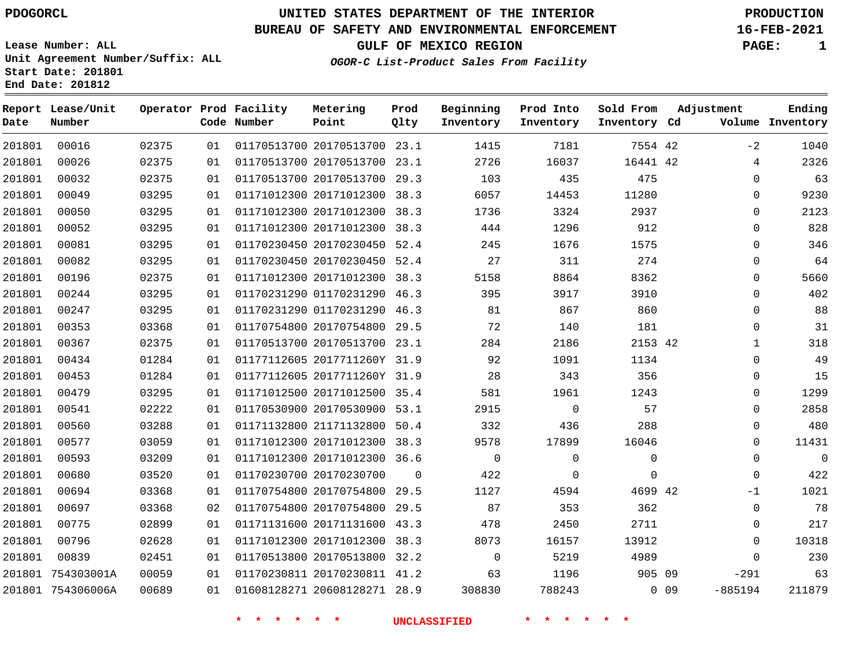# **UNITED STATES DEPARTMENT OF THE INTERIOR PDOGORCL PRODUCTION**

**Prod Qlty**

### **BUREAU OF SAFETY AND ENVIRONMENTAL ENFORCEMENT 16-FEB-2021**

**Lease Number: ALL Unit Agreement Number/Suffix: ALL Start Date: 201801**

**Operator Prod Facility**

**Code Number**

**Metering Point**

**End Date: 201812**

**Report Lease/Unit**

**Number**

**OGOR-C List-Product Sales From Facility**

**Beginning Inventory** **Prod Into Inventory** **Sold From Inventory**

**GULF OF MEXICO REGION PAGE: 1**

**Inventory Cd Volume**

**Adjustment**

**Ending**

| 201801 | 00016             | 02375 | 01 | 01170513700 20170513700      | 23.1        | 1415        | 7181        | 7554 42     |        | $-2$           |
|--------|-------------------|-------|----|------------------------------|-------------|-------------|-------------|-------------|--------|----------------|
| 201801 | 00026             | 02375 | 01 | 01170513700 20170513700      | 23.1        | 2726        | 16037       | 16441 42    |        | 4              |
| 201801 | 00032             | 02375 | 01 | 01170513700 20170513700      | 29.3        | 103         | 435         | 475         |        | $\overline{0}$ |
| 201801 | 00049             | 03295 | 01 | 01171012300 20171012300      | 38.3        | 6057        | 14453       | 11280       |        | $\mathbf 0$    |
| 201801 | 00050             | 03295 | 01 | 01171012300 20171012300      | 38.3        | 1736        | 3324        | 2937        |        | $\mathbf 0$    |
| 201801 | 00052             | 03295 | 01 | 01171012300 20171012300      | 38.3        | 444         | 1296        | 912         |        | $\mathbf 0$    |
| 201801 | 00081             | 03295 | 01 | 01170230450 20170230450 52.4 |             | 245         | 1676        | 1575        |        | $\mathbf 0$    |
| 201801 | 00082             | 03295 | 01 | 01170230450 20170230450 52.4 |             | 27          | 311         | 274         |        | $\mathbf 0$    |
| 201801 | 00196             | 02375 | 01 | 01171012300 20171012300      | 38.3        | 5158        | 8864        | 8362        |        | $\mathbf 0$    |
| 201801 | 00244             | 03295 | 01 | 01170231290 01170231290      | 46.3        | 395         | 3917        | 3910        |        | $\Omega$       |
| 201801 | 00247             | 03295 | 01 | 01170231290 01170231290      | 46.3        | 81          | 867         | 860         |        | $\overline{0}$ |
| 201801 | 00353             | 03368 | 01 | 01170754800 20170754800 29.5 |             | 72          | 140         | 181         |        | $\mathbf 0$    |
| 201801 | 00367             | 02375 | 01 | 01170513700 20170513700      | 23.1        | 284         | 2186        | 2153 42     |        | $\mathbf{1}$   |
| 201801 | 00434             | 01284 | 01 | 01177112605 2017711260Y 31.9 |             | 92          | 1091        | 1134        |        | $\mathbf 0$    |
| 201801 | 00453             | 01284 | 01 | 01177112605 2017711260Y 31.9 |             | 28          | 343         | 356         |        | $\mathbf 0$    |
| 201801 | 00479             | 03295 | 01 | 01171012500 20171012500 35.4 |             | 581         | 1961        | 1243        |        | $\Omega$       |
| 201801 | 00541             | 02222 | 01 | 01170530900 20170530900 53.1 |             | 2915        | $\mathbf 0$ | 57          |        | $\mathbf 0$    |
| 201801 | 00560             | 03288 | 01 | 01171132800 21171132800      | 50.4        | 332         | 436         | 288         |        | $\mathbf 0$    |
| 201801 | 00577             | 03059 | 01 | 01171012300 20171012300      | 38.3        | 9578        | 17899       | 16046       |        | $\mathbf 0$    |
| 201801 | 00593             | 03209 | 01 | 01171012300 20171012300 36.6 |             | $\mathbf 0$ | 0           | 0           |        | $\mathbf 0$    |
| 201801 | 00680             | 03520 | 01 | 01170230700 20170230700      | $\mathbf 0$ | 422         | 0           | $\mathbf 0$ |        | $\Omega$       |
| 201801 | 00694             | 03368 | 01 | 01170754800 20170754800      | 29.5        | 1127        | 4594        | 4699 42     |        | $-1$           |
| 201801 | 00697             | 03368 | 02 | 01170754800 20170754800      | 29.5        | 87          | 353         | 362         |        | $\mathsf 0$    |
| 201801 | 00775             | 02899 | 01 | 01171131600 20171131600      | 43.3        | 478         | 2450        | 2711        |        | $\mathbf 0$    |
| 201801 | 00796             | 02628 | 01 | 01171012300 20171012300      | 38.3        | 8073        | 16157       | 13912       |        | $\mathbf 0$    |
| 201801 | 00839             | 02451 | 01 | 01170513800 20170513800 32.2 |             | $\mathbf 0$ | 5219        | 4989        |        | $\Omega$       |
| 201801 | 754303001A        | 00059 | 01 | 01170230811 20170230811      | 41.2        | 63          | 1196        | 905 09      |        | $-291$         |
|        | 201801 754306006A | 00689 | 01 | 01608128271 20608128271 28.9 |             | 308830      | 788243      |             | $0$ 09 | $-885194$      |
|        |                   |       |    |                              |             |             |             |             |        |                |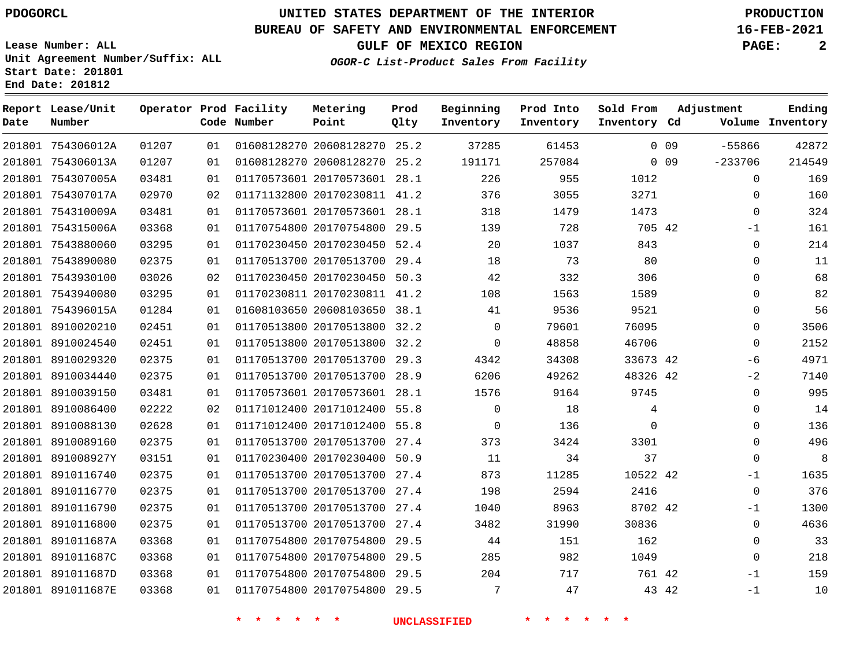**Start Date: 201801 End Date: 201812**

# **UNITED STATES DEPARTMENT OF THE INTERIOR PDOGORCL PRODUCTION**

### **BUREAU OF SAFETY AND ENVIRONMENTAL ENFORCEMENT 16-FEB-2021**

**Lease Number: ALL Unit Agreement Number/Suffix: ALL**

**GULF OF MEXICO REGION PAGE: 2**

**OGOR-C List-Product Sales From Facility**

| Date | Report Lease/Unit<br>Number |       |    | Operator Prod Facility<br>Code Number | Metering<br>Point            | Prod<br>Qlty | Beginning<br>Inventory | Prod Into<br>Inventory | Sold From<br>Inventory Cd | Adjustment                   | Ending<br>Volume Inventory |
|------|-----------------------------|-------|----|---------------------------------------|------------------------------|--------------|------------------------|------------------------|---------------------------|------------------------------|----------------------------|
|      | 201801 754306012A           | 01207 | 01 |                                       | 01608128270 20608128270 25.2 |              | 37285                  | 61453                  |                           | $-55866$<br>0 <sub>09</sub>  | 42872                      |
|      | 201801 754306013A           | 01207 | 01 |                                       | 01608128270 20608128270 25.2 |              | 191171                 | 257084                 |                           | $-233706$<br>0 <sub>09</sub> | 214549                     |
|      | 201801 754307005A           | 03481 | 01 |                                       | 01170573601 20170573601 28.1 |              | 226                    | 955                    | 1012                      | 0                            | 169                        |
|      | 201801 754307017A           | 02970 | 02 |                                       | 01171132800 20170230811 41.2 |              | 376                    | 3055                   | 3271                      | 0                            | 160                        |
|      | 201801 754310009A           | 03481 | 01 |                                       | 01170573601 20170573601 28.1 |              | 318                    | 1479                   | 1473                      | 0                            | 324                        |
|      | 201801 754315006A           | 03368 | 01 |                                       | 01170754800 20170754800 29.5 |              | 139                    | 728                    | 705 42                    | $-1$                         | 161                        |
|      | 201801 7543880060           | 03295 | 01 |                                       | 01170230450 20170230450 52.4 |              | 20                     | 1037                   | 843                       | 0                            | 214                        |
|      | 201801 7543890080           | 02375 | 01 |                                       | 01170513700 20170513700 29.4 |              | 18                     | 73                     | 80                        | 0                            | 11                         |
|      | 201801 7543930100           | 03026 | 02 |                                       | 01170230450 20170230450      | 50.3         | 42                     | 332                    | 306                       | $\Omega$                     | 68                         |
|      | 201801 7543940080           | 03295 | 01 |                                       | 01170230811 20170230811 41.2 |              | 108                    | 1563                   | 1589                      | 0                            | 82                         |
|      | 201801 754396015A           | 01284 | 01 |                                       | 01608103650 20608103650 38.1 |              | 41                     | 9536                   | 9521                      | 0                            | 56                         |
|      | 201801 8910020210           | 02451 | 01 |                                       | 01170513800 20170513800 32.2 |              | $\overline{0}$         | 79601                  | 76095                     | 0                            | 3506                       |
|      | 201801 8910024540           | 02451 | 01 |                                       | 01170513800 20170513800 32.2 |              | $\mathbf 0$            | 48858                  | 46706                     | $\Omega$                     | 2152                       |
|      | 201801 8910029320           | 02375 | 01 |                                       | 01170513700 20170513700 29.3 |              | 4342                   | 34308                  | 33673 42                  | -6                           | 4971                       |
|      | 201801 8910034440           | 02375 | 01 |                                       | 01170513700 20170513700 28.9 |              | 6206                   | 49262                  | 48326 42                  | $-2$                         | 7140                       |
|      | 201801 8910039150           | 03481 | 01 |                                       | 01170573601 20170573601 28.1 |              | 1576                   | 9164                   | 9745                      | 0                            | 995                        |
|      | 201801 8910086400           | 02222 | 02 |                                       | 01171012400 20171012400 55.8 |              | $\mathbf 0$            | 18                     | 4                         | 0                            | 14                         |
|      | 201801 8910088130           | 02628 | 01 |                                       | 01171012400 20171012400 55.8 |              | $\mathbf 0$            | 136                    | $\Omega$                  | 0                            | 136                        |
|      | 201801 8910089160           | 02375 | 01 |                                       | 01170513700 20170513700 27.4 |              | 373                    | 3424                   | 3301                      | 0                            | 496                        |
|      | 201801 891008927Y           | 03151 | 01 |                                       | 01170230400 20170230400 50.9 |              | 11                     | 34                     | 37                        | 0                            | 8                          |
|      | 201801 8910116740           | 02375 | 01 |                                       | 01170513700 20170513700 27.4 |              | 873                    | 11285                  | 10522 42                  | $-1$                         | 1635                       |
|      | 201801 8910116770           | 02375 | 01 |                                       | 01170513700 20170513700 27.4 |              | 198                    | 2594                   | 2416                      | $\mathbf 0$                  | 376                        |
|      | 201801 8910116790           | 02375 | 01 |                                       | 01170513700 20170513700 27.4 |              | 1040                   | 8963                   | 8702 42                   | $-1$                         | 1300                       |
|      | 201801 8910116800           | 02375 | 01 |                                       | 01170513700 20170513700      | 27.4         | 3482                   | 31990                  | 30836                     | $\Omega$                     | 4636                       |
|      | 201801 891011687A           | 03368 | 01 |                                       | 01170754800 20170754800      | 29.5         | 44                     | 151                    | 162                       | 0                            | 33                         |
|      | 201801 891011687C           | 03368 | 01 |                                       | 01170754800 20170754800      | 29.5         | 285                    | 982                    | 1049                      | $\Omega$                     | 218                        |
|      | 201801 891011687D           | 03368 | 01 |                                       | 01170754800 20170754800      | 29.5         | 204                    | 717                    | 761 42                    | $-1$                         | 159                        |
|      | 201801 891011687E           | 03368 | 01 |                                       | 01170754800 20170754800 29.5 |              | 7                      | 47                     | 43 42                     | $-1$                         | 10                         |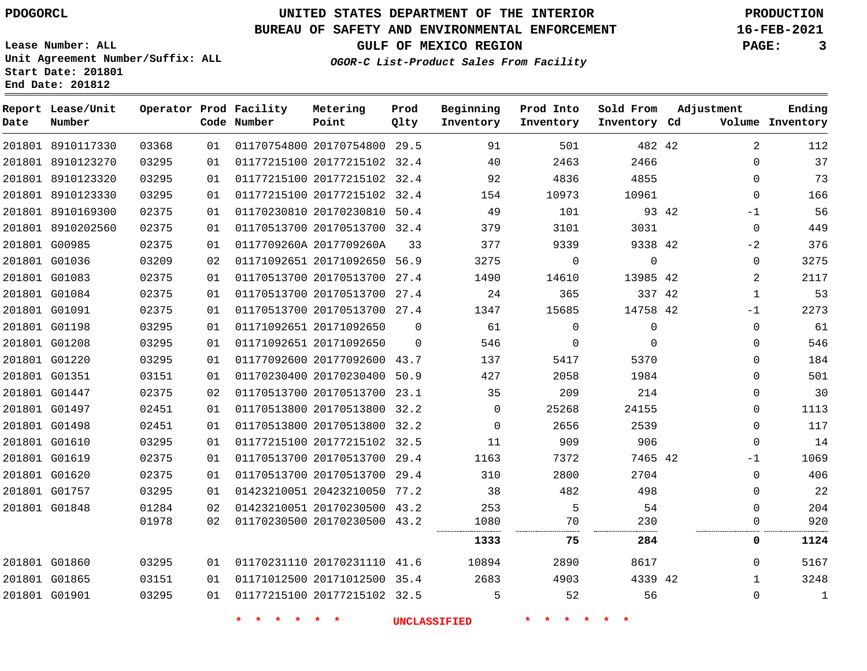# **UNITED STATES DEPARTMENT OF THE INTERIOR PDOGORCL PRODUCTION**

**Prod Qlty**

#### **BUREAU OF SAFETY AND ENVIRONMENTAL ENFORCEMENT 16-FEB-2021**

**OGOR-C List-Product Sales From Facility**

**Beginning Inventory**

> 

 

**Lease Number: ALL Unit Agreement Number/Suffix: ALL Start Date: 201801**

> 

**Operator Prod Facility**

**Code Number**

 20170754800 29.5 20177215102 32.4 20177215102 32.4

**Metering Point**

 

 

 

**End Date: 201812**

**Report Lease/Unit**

**Number**

 G01860 G01865 G01901 **GULF OF MEXICO REGION PAGE: 3**

 

**Prod Into Inventory**

42

 

**Sold From Inventory**

7465 42

42

**75 284 0 1124**

**Inventory Cd Volume**

**Adjustment**

  $\Omega$  $\Omega$  $\Omega$ -1  $\Omega$  $-2$  $\Omega$  -1  $\Omega$  $\Omega$  $\Omega$  $\Omega$  $\Omega$  $\Omega$  $\cap$  $\Omega$  $-1$  

**Ending**

 

 $\Omega$   $\Omega$ 

| 03295 | 01 | 01177215100 20177215102 |             | 32.4        | 154      | 10973       | 10961    |       |
|-------|----|-------------------------|-------------|-------------|----------|-------------|----------|-------|
| 02375 | 01 | 01170230810 20170230810 |             | 50.4        | 49       | 101         |          | 93 42 |
| 02375 | 01 | 01170513700 20170513700 |             | 32.4        | 379      | 3101        | 3031     |       |
| 02375 | 01 | 0117709260A 2017709260A |             | 33          | 377      | 9339        | 9338 42  |       |
| 03209 | 02 | 01171092651 20171092650 |             | 56.9        | 3275     | $\Omega$    | $\Omega$ |       |
| 02375 | 01 | 01170513700 20170513700 |             | 27.4        | 1490     | 14610       | 13985 42 |       |
| 02375 | 01 | 01170513700 20170513700 |             | 27.4        | 24       | 365         | 337 42   |       |
| 02375 | 01 | 01170513700 20170513700 |             | 27.4        | 1347     | 15685       | 14758 42 |       |
| 03295 | 01 | 01171092651 20171092650 |             | $\mathbf 0$ | 61       | $\mathbf 0$ | 0        |       |
| 03295 | 01 | 01171092651 20171092650 |             | $\Omega$    | 546      | $\Omega$    | 0        |       |
| 03295 | 01 | 01177092600 20177092600 |             | 43.7        | 137      | 5417        | 5370     |       |
| 03151 | 01 | 01170230400 20170230400 |             | 50.9        | 427      | 2058        | 1984     |       |
| 02375 | 02 | 01170513700 20170513700 |             | 23.1        | 35       | 209         | 214      |       |
| 02451 | 01 | 01170513800 20170513800 |             | 32.2        | 0        | 25268       | 24155    |       |
| 02451 | 01 | 01170513800             | 20170513800 | 32.2        | $\Omega$ | 2656        | 2539     |       |
| 03295 | 01 | 01177215100 20177215102 |             | 32.5        | 11       | 909         | 906      |       |

**\* \* \* \* \* \* UNCLASSIFIED \* \* \* \* \* \***

 20170513700 29.4 20170513700 29.4 20423210050 77.2 20170230500 43.2 20170230500 43.2

 20170231110 41.6 20171012500 35.4 20177215102 32.5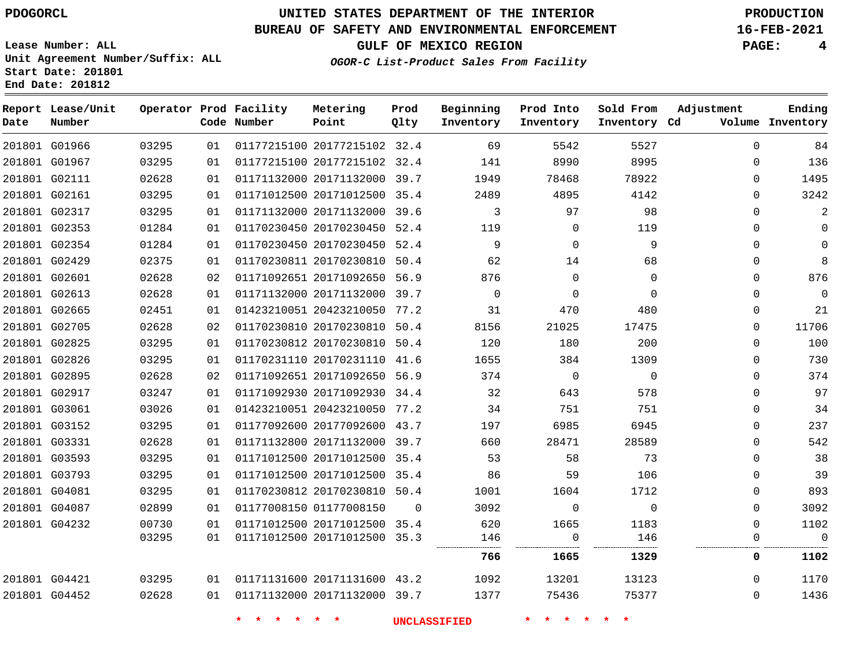### **BUREAU OF SAFETY AND ENVIRONMENTAL ENFORCEMENT 16-FEB-2021**

**OGOR-C List-Product Sales From Facility**

**GULF OF MEXICO REGION PAGE: 4**

**Lease Number: ALL Unit Agreement Number/Suffix: ALL Start Date: 201801 End Date: 201812**

| Date          | Report Lease/Unit<br>Number |       |    | Operator Prod Facility<br>Code Number | Metering<br>Point            | Prod<br>Qlty | Beginning<br>Inventory | Prod Into<br>Inventory | Sold From<br>Inventory Cd | Adjustment   | Ending<br>Volume Inventory |
|---------------|-----------------------------|-------|----|---------------------------------------|------------------------------|--------------|------------------------|------------------------|---------------------------|--------------|----------------------------|
|               | 201801 G01966               | 03295 | 01 |                                       | 01177215100 20177215102 32.4 |              | 69                     | 5542                   | 5527                      | $\Omega$     | 84                         |
|               | 201801 G01967               | 03295 | 01 |                                       | 01177215100 20177215102 32.4 |              | 141                    | 8990                   | 8995                      | $\Omega$     | 136                        |
|               | 201801 G02111               | 02628 | 01 |                                       | 01171132000 20171132000 39.7 |              | 1949                   | 78468                  | 78922                     | $\mathbf{0}$ | 1495                       |
|               | 201801 G02161               | 03295 | 01 |                                       | 01171012500 20171012500 35.4 |              | 2489                   | 4895                   | 4142                      | $\Omega$     | 3242                       |
|               | 201801 G02317               | 03295 | 01 |                                       | 01171132000 20171132000 39.6 |              | 3                      | 97                     | 98                        | $\Omega$     | 2                          |
|               | 201801 G02353               | 01284 | 01 |                                       | 01170230450 20170230450 52.4 |              | 119                    | $\mathbf 0$            | 119                       | $\Omega$     | $\mathbf 0$                |
|               | 201801 G02354               | 01284 | 01 |                                       | 01170230450 20170230450 52.4 |              | 9                      | $\mathbf 0$            | 9                         | $\mathbf 0$  | $\mathbf 0$                |
|               | 201801 G02429               | 02375 | 01 |                                       | 01170230811 20170230810 50.4 |              | 62                     | 14                     | 68                        | $\mathbf{0}$ | 8                          |
|               | 201801 G02601               | 02628 | 02 |                                       | 01171092651 20171092650 56.9 |              | 876                    | $\mathbf 0$            | $\mathbf 0$               | 0            | 876                        |
| 201801 G02613 |                             | 02628 | 01 |                                       | 01171132000 20171132000 39.7 |              | $\mathbf 0$            | $\mathbf 0$            | $\Omega$                  | $\mathbf{0}$ | $\mathbf 0$                |
|               | 201801 G02665               | 02451 | 01 |                                       | 01423210051 20423210050 77.2 |              | 31                     | 470                    | 480                       | $\mathbf{0}$ | 21                         |
| 201801 G02705 |                             | 02628 | 02 |                                       | 01170230810 20170230810 50.4 |              | 8156                   | 21025                  | 17475                     | 0            | 11706                      |
|               | 201801 G02825               | 03295 | 01 |                                       | 01170230812 20170230810 50.4 |              | 120                    | 180                    | 200                       | $\Omega$     | 100                        |
|               | 201801 G02826               | 03295 | 01 |                                       | 01170231110 20170231110 41.6 |              | 1655                   | 384                    | 1309                      | $\mathbf 0$  | 730                        |
|               | 201801 G02895               | 02628 | 02 |                                       | 01171092651 20171092650 56.9 |              | 374                    | $\mathbf 0$            | $\mathbf 0$               | $\mathbf 0$  | 374                        |
|               | 201801 G02917               | 03247 | 01 |                                       | 01171092930 20171092930 34.4 |              | 32                     | 643                    | 578                       | $\Omega$     | 97                         |
|               | 201801 G03061               | 03026 | 01 |                                       | 01423210051 20423210050 77.2 |              | 34                     | 751                    | 751                       | $\Omega$     | 34                         |
|               | 201801 G03152               | 03295 | 01 |                                       | 01177092600 20177092600 43.7 |              | 197                    | 6985                   | 6945                      | $\mathbf{0}$ | 237                        |
| 201801 G03331 |                             | 02628 | 01 |                                       | 01171132800 20171132000 39.7 |              | 660                    | 28471                  | 28589                     | $\mathbf{0}$ | 542                        |
|               | 201801 G03593               | 03295 | 01 |                                       | 01171012500 20171012500 35.4 |              | 53                     | 58                     | 73                        | $\Omega$     | 38                         |
|               | 201801 G03793               | 03295 | 01 |                                       | 01171012500 20171012500 35.4 |              | 86                     | 59                     | 106                       | $\Omega$     | 39                         |
|               | 201801 G04081               | 03295 | 01 |                                       | 01170230812 20170230810 50.4 |              | 1001                   | 1604                   | 1712                      | 0            | 893                        |
|               | 201801 G04087               | 02899 | 01 | 01177008150 01177008150               |                              | $\Omega$     | 3092                   | $\mathbf 0$            | $\mathbf 0$               | $\mathbf 0$  | 3092                       |
|               | 201801 G04232               | 00730 | 01 |                                       | 01171012500 20171012500 35.4 |              | 620                    | 1665                   | 1183                      | $\Omega$     | 1102                       |
|               |                             | 03295 | 01 |                                       | 01171012500 20171012500 35.3 |              | 146                    | $\Omega$               | 146                       | $\Omega$     | $\Omega$                   |
|               |                             |       |    |                                       |                              |              | 766                    | 1665                   | 1329                      | 0            | 1102                       |
|               | 201801 G04421               | 03295 | 01 |                                       | 01171131600 20171131600 43.2 |              | 1092                   | 13201                  | 13123                     | $\Omega$     | 1170                       |
|               | 201801 G04452               | 02628 | 01 | 01171132000 20171132000 39.7          |                              |              | 1377                   | 75436                  | 75377                     | 0            | 1436                       |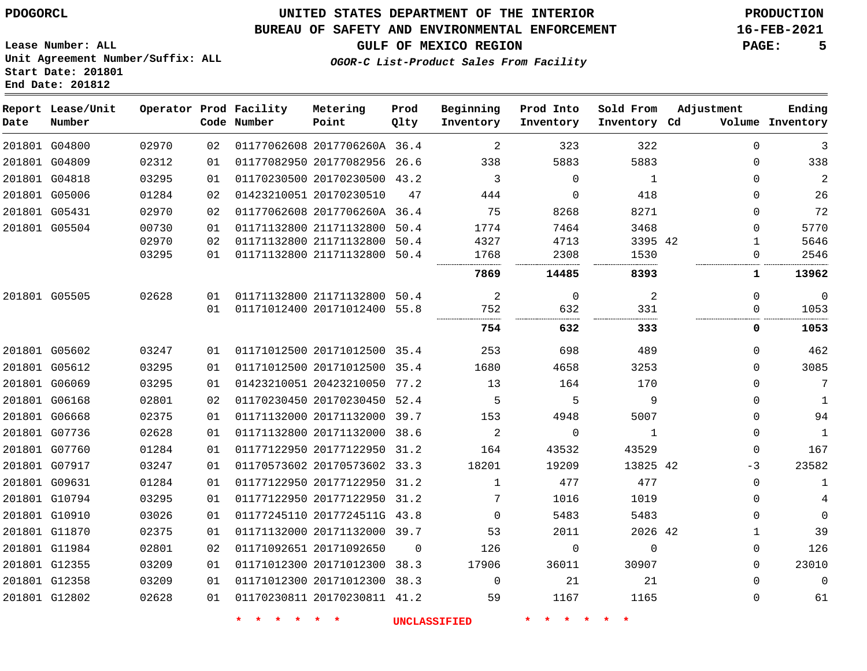**Start Date: 201801 End Date: 201812**

### **UNITED STATES DEPARTMENT OF THE INTERIOR PDOGORCL PRODUCTION**

### **BUREAU OF SAFETY AND ENVIRONMENTAL ENFORCEMENT 16-FEB-2021**

**Lease Number: ALL Unit Agreement Number/Suffix: ALL**

**GULF OF MEXICO REGION PAGE: 5**

**OGOR-C List-Product Sales From Facility**

| Date | Report Lease/Unit<br>Number |       |    | Operator Prod Facility<br>Code Number | Metering<br>Point            | Prod<br>Qlty | Beginning<br>Inventory | Prod Into<br>Inventory | Sold From<br>Inventory Cd | Adjustment   | Ending<br>Volume Inventory |
|------|-----------------------------|-------|----|---------------------------------------|------------------------------|--------------|------------------------|------------------------|---------------------------|--------------|----------------------------|
|      | 201801 G04800               | 02970 | 02 |                                       | 01177062608 2017706260A 36.4 |              | 2                      | 323                    | 322                       | $\Omega$     | 3                          |
|      | 201801 G04809               | 02312 | 01 |                                       | 01177082950 20177082956 26.6 |              | 338                    | 5883                   | 5883                      | $\mathbf 0$  | 338                        |
|      | 201801 G04818               | 03295 | 01 |                                       | 01170230500 20170230500 43.2 |              | 3                      | $\mathbf{0}$           | 1                         | $\Omega$     | $\overline{c}$             |
|      | 201801 G05006               | 01284 | 02 |                                       | 01423210051 20170230510      | 47           | 444                    | $\Omega$               | 418                       | $\Omega$     | 26                         |
|      | 201801 G05431               | 02970 | 02 |                                       | 01177062608 2017706260A 36.4 |              | 75                     | 8268                   | 8271                      | $\Omega$     | 72                         |
|      | 201801 G05504               | 00730 | 01 |                                       | 01171132800 21171132800 50.4 |              | 1774                   | 7464                   | 3468                      | $\Omega$     | 5770                       |
|      |                             | 02970 | 02 |                                       | 01171132800 21171132800 50.4 |              | 4327                   | 4713                   | 3395 42                   | 1            | 5646                       |
|      |                             | 03295 | 01 |                                       | 01171132800 21171132800 50.4 |              | 1768                   | 2308                   | 1530                      | $\Omega$     | 2546                       |
|      |                             |       |    |                                       |                              |              | 7869                   | 14485                  | 8393                      | $\mathbf{1}$ | 13962                      |
|      | 201801 G05505               | 02628 | 01 |                                       | 01171132800 21171132800 50.4 |              | 2                      | $\Omega$               | 2                         | $\Omega$     | $\mathbf{0}$               |
|      |                             |       | 01 |                                       | 01171012400 20171012400 55.8 |              | 752                    | 632                    | 331                       | 0            | 1053                       |
|      |                             |       |    |                                       |                              |              | 754                    | 632                    | 333                       | 0            | 1053                       |
|      | 201801 G05602               | 03247 | 01 |                                       | 01171012500 20171012500 35.4 |              | 253                    | 698                    | 489                       | $\Omega$     | 462                        |
|      | 201801 G05612               | 03295 | 01 |                                       | 01171012500 20171012500 35.4 |              | 1680                   | 4658                   | 3253                      | $\mathbf 0$  | 3085                       |
|      | 201801 G06069               | 03295 | 01 |                                       | 01423210051 20423210050 77.2 |              | 13                     | 164                    | 170                       | $\Omega$     | 7                          |
|      | 201801 G06168               | 02801 | 02 |                                       | 01170230450 20170230450 52.4 |              | 5                      | 5                      | 9                         | $\Omega$     | $\mathbf{1}$               |
|      | 201801 G06668               | 02375 | 01 |                                       | 01171132000 20171132000 39.7 |              | 153                    | 4948                   | 5007                      | $\Omega$     | 94                         |
|      | 201801 G07736               | 02628 | 01 |                                       | 01171132800 20171132000 38.6 |              | 2                      | $\mathbf 0$            | $\mathbf{1}$              | $\Omega$     | $\mathbf{1}$               |
|      | 201801 G07760               | 01284 | 01 |                                       | 01177122950 20177122950 31.2 |              | 164                    | 43532                  | 43529                     | $\Omega$     | 167                        |
|      | 201801 G07917               | 03247 | 01 |                                       | 01170573602 20170573602 33.3 |              | 18201                  | 19209                  | 13825 42                  | $-3$         | 23582                      |
|      | 201801 G09631               | 01284 | 01 |                                       | 01177122950 20177122950 31.2 |              | $\mathbf{1}$           | 477                    | 477                       | $\mathbf 0$  | $\mathbf{1}$               |
|      | 201801 G10794               | 03295 | 01 |                                       | 01177122950 20177122950 31.2 |              | 7                      | 1016                   | 1019                      | $\Omega$     | 4                          |
|      | 201801 G10910               | 03026 | 01 |                                       | 01177245110 2017724511G 43.8 |              | $\Omega$               | 5483                   | 5483                      | $\Omega$     | $\Omega$                   |
|      | 201801 G11870               | 02375 | 01 |                                       | 01171132000 20171132000 39.7 |              | 53                     | 2011                   | 2026 42                   | 1            | 39                         |
|      | 201801 G11984               | 02801 | 02 |                                       | 01171092651 20171092650      | $\Omega$     | 126                    | $\Omega$               | $\mathbf 0$               | $\mathbf{0}$ | 126                        |
|      | 201801 G12355               | 03209 | 01 |                                       | 01171012300 20171012300 38.3 |              | 17906                  | 36011                  | 30907                     | $\mathbf 0$  | 23010                      |
|      | 201801 G12358               | 03209 | 01 |                                       | 01171012300 20171012300 38.3 |              | $\Omega$               | 21                     | 21                        | $\Omega$     | $\mathbf 0$                |
|      | 201801 G12802               | 02628 | 01 |                                       | 01170230811 20170230811 41.2 |              | 59                     | 1167                   | 1165                      | $\Omega$     | 61                         |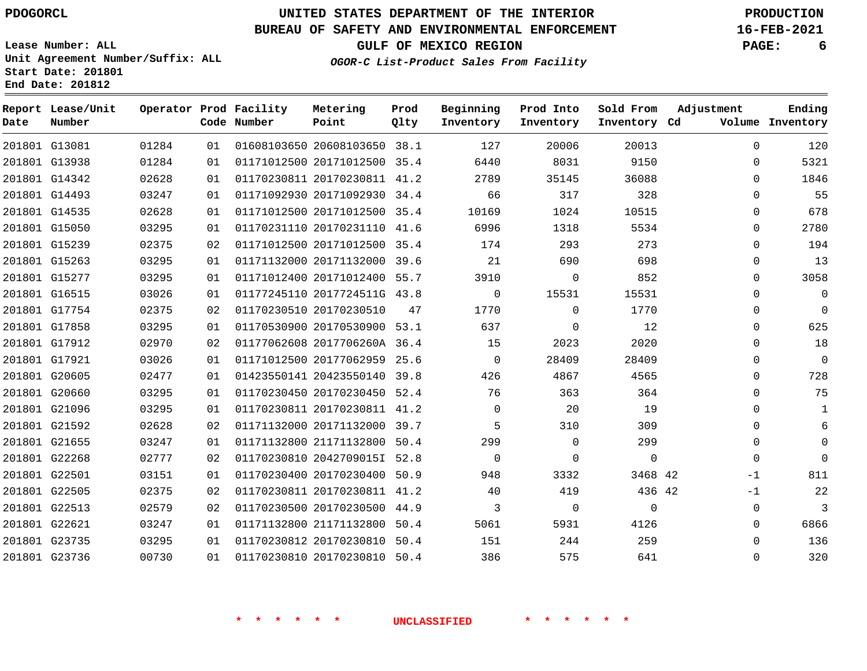### **BUREAU OF SAFETY AND ENVIRONMENTAL ENFORCEMENT 16-FEB-2021**

**OGOR-C List-Product Sales From Facility**

**GULF OF MEXICO REGION PAGE: 6**

**Lease Number: ALL Unit Agreement Number/Suffix: ALL Start Date: 201801 End Date: 201812**

| Date | Report Lease/Unit<br>Number |       |    | Operator Prod Facility<br>Code Number | Metering<br>Point            | Prod<br>Qlty | Beginning<br>Inventory | Prod Into<br>Inventory | Sold From<br>Inventory Cd | Adjustment   | Ending<br>Volume Inventory |
|------|-----------------------------|-------|----|---------------------------------------|------------------------------|--------------|------------------------|------------------------|---------------------------|--------------|----------------------------|
|      | 201801 G13081               | 01284 | 01 |                                       | 01608103650 20608103650 38.1 |              | 127                    | 20006                  | 20013                     | $\Omega$     | 120                        |
|      | 201801 G13938               | 01284 | 01 |                                       | 01171012500 20171012500 35.4 |              | 6440                   | 8031                   | 9150                      | 0            | 5321                       |
|      | 201801 G14342               | 02628 | 01 |                                       | 01170230811 20170230811 41.2 |              | 2789                   | 35145                  | 36088                     | 0            | 1846                       |
|      | 201801 G14493               | 03247 | 01 |                                       | 01171092930 20171092930 34.4 |              | 66                     | 317                    | 328                       | 0            | 55                         |
|      | 201801 G14535               | 02628 | 01 |                                       | 01171012500 20171012500 35.4 |              | 10169                  | 1024                   | 10515                     | $\mathbf{0}$ | 678                        |
|      | 201801 G15050               | 03295 | 01 |                                       | 01170231110 20170231110 41.6 |              | 6996                   | 1318                   | 5534                      | $\Omega$     | 2780                       |
|      | 201801 G15239               | 02375 | 02 |                                       | 01171012500 20171012500 35.4 |              | 174                    | 293                    | 273                       | 0            | 194                        |
|      | 201801 G15263               | 03295 | 01 |                                       | 01171132000 20171132000 39.6 |              | 21                     | 690                    | 698                       | $\mathbf{0}$ | 13                         |
|      | 201801 G15277               | 03295 | 01 |                                       | 01171012400 20171012400 55.7 |              | 3910                   | $\Omega$               | 852                       | $\Omega$     | 3058                       |
|      | 201801 G16515               | 03026 | 01 |                                       | 01177245110 2017724511G 43.8 |              | 0                      | 15531                  | 15531                     | 0            | 0                          |
|      | 201801 G17754               | 02375 | 02 |                                       | 01170230510 20170230510      | 47           | 1770                   | $\Omega$               | 1770                      | $\mathbf{0}$ | $\mathbf 0$                |
|      | 201801 G17858               | 03295 | 01 |                                       | 01170530900 20170530900 53.1 |              | 637                    | $\Omega$               | 12                        | $\Omega$     | 625                        |
|      | 201801 G17912               | 02970 | 02 |                                       | 01177062608 2017706260A 36.4 |              | 15                     | 2023                   | 2020                      | 0            | 18                         |
|      | 201801 G17921               | 03026 | 01 |                                       | 01171012500 20177062959 25.6 |              | $\Omega$               | 28409                  | 28409                     | $\mathbf{0}$ | $\mathbf 0$                |
|      | 201801 G20605               | 02477 | 01 |                                       | 01423550141 20423550140 39.8 |              | 426                    | 4867                   | 4565                      | $\Omega$     | 728                        |
|      | 201801 G20660               | 03295 | 01 |                                       | 01170230450 20170230450 52.4 |              | 76                     | 363                    | 364                       | 0            | 75                         |
|      | 201801 G21096               | 03295 | 01 |                                       | 01170230811 20170230811 41.2 |              | $\Omega$               | 20                     | 19                        | $\mathbf{0}$ | $\mathbf{1}$               |
|      | 201801 G21592               | 02628 | 02 |                                       | 01171132000 20171132000 39.7 |              | 5                      | 310                    | 309                       | $\Omega$     | 6                          |
|      | 201801 G21655               | 03247 | 01 |                                       | 01171132800 21171132800 50.4 |              | 299                    | $\Omega$               | 299                       | 0            | $\Omega$                   |
|      | 201801 G22268               | 02777 | 02 |                                       | 01170230810 2042709015I 52.8 |              | $\Omega$               | $\Omega$               | $\Omega$                  | $\Omega$     | $\Omega$                   |
|      | 201801 G22501               | 03151 | 01 |                                       | 01170230400 20170230400 50.9 |              | 948                    | 3332                   | 3468 42                   | $-1$         | 811                        |
|      | 201801 G22505               | 02375 | 02 |                                       | 01170230811 20170230811 41.2 |              | 40                     | 419                    | 436 42                    | $-1$         | 22                         |
|      | 201801 G22513               | 02579 | 02 |                                       | 01170230500 20170230500 44.9 |              | 3                      | $\Omega$               | $\Omega$                  | $\mathbf 0$  | 3                          |
|      | 201801 G22621               | 03247 | 01 |                                       | 01171132800 21171132800 50.4 |              | 5061                   | 5931                   | 4126                      | $\mathbf 0$  | 6866                       |
|      | 201801 G23735               | 03295 | 01 |                                       | 01170230812 20170230810 50.4 |              | 151                    | 244                    | 259                       | $\Omega$     | 136                        |
|      | 201801 G23736               | 00730 | 01 |                                       | 01170230810 20170230810 50.4 |              | 386                    | 575                    | 641                       | $\Omega$     | 320                        |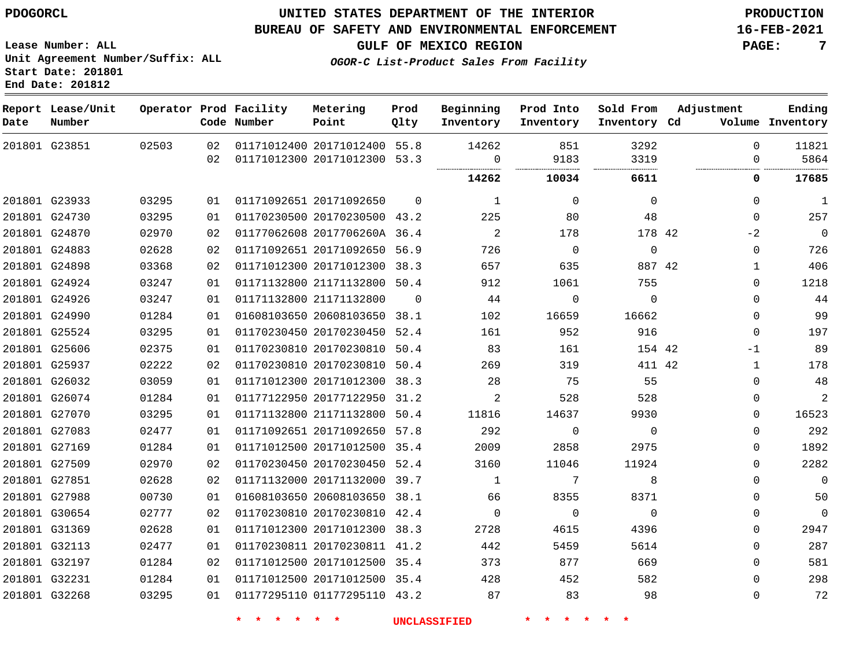**Start Date: 201801 End Date: 201812**

### **UNITED STATES DEPARTMENT OF THE INTERIOR PDOGORCL PRODUCTION**

#### **BUREAU OF SAFETY AND ENVIRONMENTAL ENFORCEMENT 16-FEB-2021**

**Lease Number: ALL Unit Agreement Number/Suffix: ALL**

**GULF OF MEXICO REGION PAGE: 7**

**OGOR-C List-Product Sales From Facility**

| Date          | Report Lease/Unit<br>Number |       |    | Operator Prod Facility<br>Code Number | Metering<br>Point            | Prod<br>Qlty | Beginning<br>Inventory | Prod Into<br>Inventory | Sold From<br>Inventory Cd | Adjustment   | Ending<br>Volume Inventory |
|---------------|-----------------------------|-------|----|---------------------------------------|------------------------------|--------------|------------------------|------------------------|---------------------------|--------------|----------------------------|
|               | 201801 G23851               | 02503 | 02 |                                       | 01171012400 20171012400 55.8 |              | 14262                  | 851                    | 3292                      | $\Omega$     | 11821                      |
|               |                             |       | 02 |                                       | 01171012300 20171012300 53.3 |              | $\Omega$<br>           | 9183<br>.              | 3319<br>                  | $\Omega$     | 5864                       |
|               |                             |       |    |                                       |                              |              | 14262                  | 10034                  | 6611                      | 0            | 17685                      |
|               | 201801 G23933               | 03295 | 01 |                                       | 01171092651 20171092650      | $\Omega$     | 1                      | $\Omega$               | $\Omega$                  | $\Omega$     | 1                          |
|               | 201801 G24730               | 03295 | 01 |                                       | 01170230500 20170230500 43.2 |              | 225                    | 80                     | 48                        | $\mathbf 0$  | 257                        |
|               | 201801 G24870               | 02970 | 02 |                                       | 01177062608 2017706260A 36.4 |              | 2                      | 178                    | 178 42                    | $-2$         | $\overline{0}$             |
|               | 201801 G24883               | 02628 | 02 |                                       | 01171092651 20171092650 56.9 |              | 726                    | $\Omega$               | $\Omega$                  | $\Omega$     | 726                        |
|               | 201801 G24898               | 03368 | 02 |                                       | 01171012300 20171012300      | 38.3         | 657                    | 635                    | 887 42                    | $\mathbf{1}$ | 406                        |
|               | 201801 G24924               | 03247 | 01 |                                       | 01171132800 21171132800 50.4 |              | 912                    | 1061                   | 755                       | $\Omega$     | 1218                       |
|               | 201801 G24926               | 03247 | 01 |                                       | 01171132800 21171132800      | $\Omega$     | 44                     | $\mathbf 0$            | $\mathbf 0$               | $\mathbf 0$  | 44                         |
|               | 201801 G24990               | 01284 | 01 |                                       | 01608103650 20608103650 38.1 |              | 102                    | 16659                  | 16662                     | $\mathbf 0$  | 99                         |
|               | 201801 G25524               | 03295 | 01 |                                       | 01170230450 20170230450      | 52.4         | 161                    | 952                    | 916                       | $\Omega$     | 197                        |
|               | 201801 G25606               | 02375 | 01 |                                       | 01170230810 20170230810      | 50.4         | 83                     | 161                    | 154 42                    | -1           | 89                         |
|               | 201801 G25937               | 02222 | 02 |                                       | 01170230810 20170230810      | 50.4         | 269                    | 319                    | 411 42                    | 1            | 178                        |
|               | 201801 G26032               | 03059 | 01 |                                       | 01171012300 20171012300      | 38.3         | 28                     | 75                     | 55                        | 0            | 48                         |
|               | 201801 G26074               | 01284 | 01 |                                       | 01177122950 20177122950 31.2 |              | 2                      | 528                    | 528                       | $\mathbf{0}$ | $\overline{c}$             |
|               | 201801 G27070               | 03295 | 01 |                                       | 01171132800 21171132800      | 50.4         | 11816                  | 14637                  | 9930                      | $\Omega$     | 16523                      |
|               | 201801 G27083               | 02477 | 01 |                                       | 01171092651 20171092650 57.8 |              | 292                    | $\Omega$               | $\Omega$                  | $\Omega$     | 292                        |
|               | 201801 G27169               | 01284 | 01 |                                       | 01171012500 20171012500      | 35.4         | 2009                   | 2858                   | 2975                      | $\Omega$     | 1892                       |
|               | 201801 G27509               | 02970 | 02 |                                       | 01170230450 20170230450      | 52.4         | 3160                   | 11046                  | 11924                     | 0            | 2282                       |
| 201801 G27851 |                             | 02628 | 02 |                                       | 01171132000 20171132000 39.7 |              | $\mathbf{1}$           | 7                      | 8                         | $\Omega$     | $\mathbf 0$                |
|               | 201801 G27988               | 00730 | 01 |                                       | 01608103650 20608103650      | 38.1         | 66                     | 8355                   | 8371                      | 0            | 50                         |
|               | 201801 G30654               | 02777 | 02 |                                       | 01170230810 20170230810 42.4 |              | $\Omega$               | $\Omega$               | $\Omega$                  | 0            | $\mathbf 0$                |
|               | 201801 G31369               | 02628 | 01 |                                       | 01171012300 20171012300      | 38.3         | 2728                   | 4615                   | 4396                      | $\Omega$     | 2947                       |
|               | 201801 G32113               | 02477 | 01 |                                       | 01170230811 20170230811 41.2 |              | 442                    | 5459                   | 5614                      | $\Omega$     | 287                        |
|               | 201801 G32197               | 01284 | 02 |                                       | 01171012500 20171012500      | 35.4         | 373                    | 877                    | 669                       | $\mathbf{0}$ | 581                        |
| 201801 G32231 |                             | 01284 | 01 |                                       | 01171012500 20171012500      | 35.4         | 428                    | 452                    | 582                       | $\Omega$     | 298                        |
|               | 201801 G32268               | 03295 | 01 |                                       | 01177295110 01177295110 43.2 |              | 87                     | 83                     | 98                        | $\Omega$     | 72                         |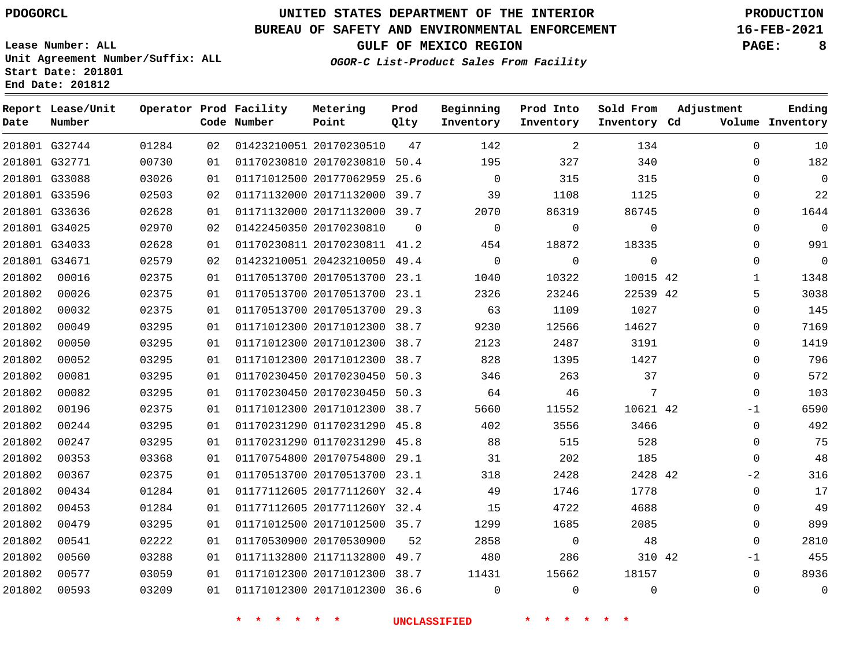### **BUREAU OF SAFETY AND ENVIRONMENTAL ENFORCEMENT 16-FEB-2021**

**Lease Number: ALL Unit Agreement Number/Suffix: ALL Start Date: 201801 End Date: 201812**

**OGOR-C List-Product Sales From Facility**

**GULF OF MEXICO REGION PAGE: 8**

| Date   | Report Lease/Unit<br>Number |       |    | Operator Prod Facility<br>Code Number | Metering<br>Point            | Prod<br>Qlty | Beginning<br>Inventory | Prod Into<br>Inventory | Sold From<br>Inventory Cd | Adjustment   | Ending<br>Volume Inventory |
|--------|-----------------------------|-------|----|---------------------------------------|------------------------------|--------------|------------------------|------------------------|---------------------------|--------------|----------------------------|
|        | 201801 G32744               | 01284 | 02 |                                       | 01423210051 20170230510      | 47           | 142                    | 2                      | 134                       | $\Omega$     | 10                         |
|        | 201801 G32771               | 00730 | 01 |                                       | 01170230810 20170230810 50.4 |              | 195                    | 327                    | 340                       | 0            | 182                        |
|        | 201801 G33088               | 03026 | 01 |                                       | 01171012500 20177062959 25.6 |              | $\Omega$               | 315                    | 315                       | $\Omega$     | $\mathbf 0$                |
|        | 201801 G33596               | 02503 | 02 |                                       | 01171132000 20171132000 39.7 |              | 39                     | 1108                   | 1125                      | $\Omega$     | 22                         |
|        | 201801 G33636               | 02628 | 01 |                                       | 01171132000 20171132000 39.7 |              | 2070                   | 86319                  | 86745                     | $\Omega$     | 1644                       |
|        | 201801 G34025               | 02970 | 02 |                                       | 01422450350 20170230810      | $\Omega$     | $\mathbf 0$            | $\mathbf 0$            | $\mathbf 0$               | $\mathbf 0$  | $\mathbf 0$                |
|        | 201801 G34033               | 02628 | 01 |                                       | 01170230811 20170230811 41.2 |              | 454                    | 18872                  | 18335                     | $\Omega$     | 991                        |
|        | 201801 G34671               | 02579 | 02 |                                       | 01423210051 20423210050 49.4 |              | $\mathbf 0$            | 0                      | $\mathbf 0$               | $\mathbf 0$  | $\mathsf{O}$               |
| 201802 | 00016                       | 02375 | 01 |                                       | 01170513700 20170513700 23.1 |              | 1040                   | 10322                  | 10015 42                  | $\mathbf{1}$ | 1348                       |
| 201802 | 00026                       | 02375 | 01 |                                       | 01170513700 20170513700 23.1 |              | 2326                   | 23246                  | 22539 42                  | 5            | 3038                       |
| 201802 | 00032                       | 02375 | 01 |                                       | 01170513700 20170513700 29.3 |              | 63                     | 1109                   | 1027                      | $\mathbf 0$  | 145                        |
| 201802 | 00049                       | 03295 | 01 |                                       | 01171012300 20171012300 38.7 |              | 9230                   | 12566                  | 14627                     | $\Omega$     | 7169                       |
| 201802 | 00050                       | 03295 | 01 |                                       | 01171012300 20171012300 38.7 |              | 2123                   | 2487                   | 3191                      | $\Omega$     | 1419                       |
| 201802 | 00052                       | 03295 | 01 |                                       | 01171012300 20171012300 38.7 |              | 828                    | 1395                   | 1427                      | $\mathbf 0$  | 796                        |
| 201802 | 00081                       | 03295 | 01 |                                       | 01170230450 20170230450 50.3 |              | 346                    | 263                    | 37                        | $\mathbf 0$  | 572                        |
| 201802 | 00082                       | 03295 | 01 |                                       | 01170230450 20170230450 50.3 |              | 64                     | 46                     | 7                         | $\Omega$     | 103                        |
| 201802 | 00196                       | 02375 | 01 |                                       | 01171012300 20171012300 38.7 |              | 5660                   | 11552                  | 10621 42                  | $-1$         | 6590                       |
| 201802 | 00244                       | 03295 | 01 |                                       | 01170231290 01170231290 45.8 |              | 402                    | 3556                   | 3466                      | $\mathbf 0$  | 492                        |
| 201802 | 00247                       | 03295 | 01 |                                       | 01170231290 01170231290 45.8 |              | 88                     | 515                    | 528                       | $\Omega$     | 75                         |
| 201802 | 00353                       | 03368 | 01 |                                       | 01170754800 20170754800 29.1 |              | 31                     | 202                    | 185                       | $\mathbf 0$  | 48                         |
| 201802 | 00367                       | 02375 | 01 |                                       | 01170513700 20170513700 23.1 |              | 318                    | 2428                   | 2428 42                   | $-2$         | 316                        |
| 201802 | 00434                       | 01284 | 01 |                                       | 01177112605 2017711260Y 32.4 |              | 49                     | 1746                   | 1778                      | $\Omega$     | 17                         |
| 201802 | 00453                       | 01284 | 01 |                                       | 01177112605 2017711260Y 32.4 |              | 15                     | 4722                   | 4688                      | $\mathbf 0$  | 49                         |
| 201802 | 00479                       | 03295 | 01 |                                       | 01171012500 20171012500 35.7 |              | 1299                   | 1685                   | 2085                      | $\mathbf 0$  | 899                        |
| 201802 | 00541                       | 02222 | 01 |                                       | 01170530900 20170530900      | 52           | 2858                   | $\mathbf 0$            | 48                        | $\Omega$     | 2810                       |
| 201802 | 00560                       | 03288 | 01 |                                       | 01171132800 21171132800 49.7 |              | 480                    | 286                    | 310 42                    | $-1$         | 455                        |
| 201802 | 00577                       | 03059 | 01 |                                       | 01171012300 20171012300 38.7 |              | 11431                  | 15662                  | 18157                     | $\mathbf 0$  | 8936                       |
| 201802 | 00593                       | 03209 | 01 |                                       | 01171012300 20171012300 36.6 |              | $\mathbf 0$            | $\Omega$               | $\Omega$                  | $\mathbf 0$  | $\mathbf 0$                |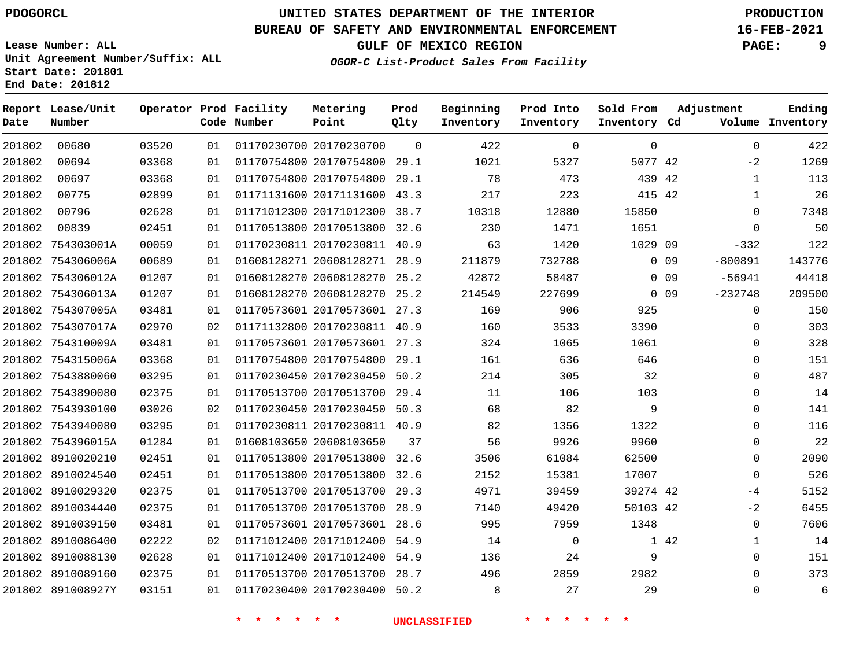### **BUREAU OF SAFETY AND ENVIRONMENTAL ENFORCEMENT 16-FEB-2021**

**Lease Number: ALL Unit Agreement Number/Suffix: ALL**

**GULF OF MEXICO REGION PAGE: 9**

**OGOR-C List-Product Sales From Facility**

**Start Date: 201801 End Date: 201812**

| Number |                                                                                                                                                                                                                                                                                                                                                                                                                                                                                                 |    | Metering<br>Point                     | Prod<br>Qlty                                                                                                                                                                              | Beginning<br>Inventory                                                                                                                                                                                                                                                                                                                                                                                                                                                                                                                                                                                                                                                                          | Prod Into<br>Inventory | Sold From   | Adjustment  | Ending<br>Volume Inventory                                                                                                                                                |
|--------|-------------------------------------------------------------------------------------------------------------------------------------------------------------------------------------------------------------------------------------------------------------------------------------------------------------------------------------------------------------------------------------------------------------------------------------------------------------------------------------------------|----|---------------------------------------|-------------------------------------------------------------------------------------------------------------------------------------------------------------------------------------------|-------------------------------------------------------------------------------------------------------------------------------------------------------------------------------------------------------------------------------------------------------------------------------------------------------------------------------------------------------------------------------------------------------------------------------------------------------------------------------------------------------------------------------------------------------------------------------------------------------------------------------------------------------------------------------------------------|------------------------|-------------|-------------|---------------------------------------------------------------------------------------------------------------------------------------------------------------------------|
| 00680  | 03520                                                                                                                                                                                                                                                                                                                                                                                                                                                                                           | 01 |                                       | $\mathbf 0$                                                                                                                                                                               | 422                                                                                                                                                                                                                                                                                                                                                                                                                                                                                                                                                                                                                                                                                             | $\mathbf 0$            | $\mathbf 0$ | $\mathbf 0$ | 422                                                                                                                                                                       |
| 00694  | 03368                                                                                                                                                                                                                                                                                                                                                                                                                                                                                           | 01 |                                       |                                                                                                                                                                                           | 1021                                                                                                                                                                                                                                                                                                                                                                                                                                                                                                                                                                                                                                                                                            | 5327                   |             | $-2$        | 1269                                                                                                                                                                      |
| 00697  | 03368                                                                                                                                                                                                                                                                                                                                                                                                                                                                                           | 01 |                                       |                                                                                                                                                                                           | 78                                                                                                                                                                                                                                                                                                                                                                                                                                                                                                                                                                                                                                                                                              | 473                    |             |             | 113                                                                                                                                                                       |
| 00775  | 02899                                                                                                                                                                                                                                                                                                                                                                                                                                                                                           | 01 |                                       | 43.3                                                                                                                                                                                      | 217                                                                                                                                                                                                                                                                                                                                                                                                                                                                                                                                                                                                                                                                                             | 223                    |             |             | 26                                                                                                                                                                        |
| 00796  | 02628                                                                                                                                                                                                                                                                                                                                                                                                                                                                                           | 01 |                                       |                                                                                                                                                                                           | 10318                                                                                                                                                                                                                                                                                                                                                                                                                                                                                                                                                                                                                                                                                           | 12880                  | 15850       | $\Omega$    | 7348                                                                                                                                                                      |
| 00839  | 02451                                                                                                                                                                                                                                                                                                                                                                                                                                                                                           | 01 |                                       |                                                                                                                                                                                           | 230                                                                                                                                                                                                                                                                                                                                                                                                                                                                                                                                                                                                                                                                                             | 1471                   | 1651        | $\Omega$    | 50                                                                                                                                                                        |
|        | 00059                                                                                                                                                                                                                                                                                                                                                                                                                                                                                           | 01 |                                       |                                                                                                                                                                                           | 63                                                                                                                                                                                                                                                                                                                                                                                                                                                                                                                                                                                                                                                                                              | 1420                   |             | $-332$      | 122                                                                                                                                                                       |
|        | 00689                                                                                                                                                                                                                                                                                                                                                                                                                                                                                           | 01 |                                       |                                                                                                                                                                                           | 211879                                                                                                                                                                                                                                                                                                                                                                                                                                                                                                                                                                                                                                                                                          | 732788                 |             | $-800891$   | 143776                                                                                                                                                                    |
|        | 01207                                                                                                                                                                                                                                                                                                                                                                                                                                                                                           | 01 |                                       |                                                                                                                                                                                           | 42872                                                                                                                                                                                                                                                                                                                                                                                                                                                                                                                                                                                                                                                                                           | 58487                  |             | $-56941$    | 44418                                                                                                                                                                     |
|        | 01207                                                                                                                                                                                                                                                                                                                                                                                                                                                                                           | 01 |                                       | 25.2                                                                                                                                                                                      | 214549                                                                                                                                                                                                                                                                                                                                                                                                                                                                                                                                                                                                                                                                                          | 227699                 |             |             | 209500                                                                                                                                                                    |
|        | 03481                                                                                                                                                                                                                                                                                                                                                                                                                                                                                           | 01 |                                       |                                                                                                                                                                                           | 169                                                                                                                                                                                                                                                                                                                                                                                                                                                                                                                                                                                                                                                                                             | 906                    | 925         | $\Omega$    | 150                                                                                                                                                                       |
|        | 02970                                                                                                                                                                                                                                                                                                                                                                                                                                                                                           | 02 |                                       |                                                                                                                                                                                           | 160                                                                                                                                                                                                                                                                                                                                                                                                                                                                                                                                                                                                                                                                                             | 3533                   | 3390        | $\Omega$    | 303                                                                                                                                                                       |
|        | 03481                                                                                                                                                                                                                                                                                                                                                                                                                                                                                           | 01 |                                       |                                                                                                                                                                                           | 324                                                                                                                                                                                                                                                                                                                                                                                                                                                                                                                                                                                                                                                                                             | 1065                   | 1061        | $\Omega$    | 328                                                                                                                                                                       |
|        | 03368                                                                                                                                                                                                                                                                                                                                                                                                                                                                                           | 01 |                                       |                                                                                                                                                                                           | 161                                                                                                                                                                                                                                                                                                                                                                                                                                                                                                                                                                                                                                                                                             | 636                    | 646         | $\Omega$    | 151                                                                                                                                                                       |
|        | 03295                                                                                                                                                                                                                                                                                                                                                                                                                                                                                           | 01 |                                       |                                                                                                                                                                                           | 214                                                                                                                                                                                                                                                                                                                                                                                                                                                                                                                                                                                                                                                                                             | 305                    | 32          | $\Omega$    | 487                                                                                                                                                                       |
|        | 02375                                                                                                                                                                                                                                                                                                                                                                                                                                                                                           | 01 |                                       |                                                                                                                                                                                           | 11                                                                                                                                                                                                                                                                                                                                                                                                                                                                                                                                                                                                                                                                                              | 106                    | 103         | $\mathbf 0$ | 14                                                                                                                                                                        |
|        | 03026                                                                                                                                                                                                                                                                                                                                                                                                                                                                                           | 02 |                                       |                                                                                                                                                                                           | 68                                                                                                                                                                                                                                                                                                                                                                                                                                                                                                                                                                                                                                                                                              | 82                     | 9           | $\mathbf 0$ | 141                                                                                                                                                                       |
|        | 03295                                                                                                                                                                                                                                                                                                                                                                                                                                                                                           | 01 |                                       |                                                                                                                                                                                           | 82                                                                                                                                                                                                                                                                                                                                                                                                                                                                                                                                                                                                                                                                                              | 1356                   | 1322        | $\Omega$    | 116                                                                                                                                                                       |
|        | 01284                                                                                                                                                                                                                                                                                                                                                                                                                                                                                           | 01 |                                       | 37                                                                                                                                                                                        | 56                                                                                                                                                                                                                                                                                                                                                                                                                                                                                                                                                                                                                                                                                              | 9926                   | 9960        | $\mathbf 0$ | 22                                                                                                                                                                        |
|        | 02451                                                                                                                                                                                                                                                                                                                                                                                                                                                                                           | 01 |                                       |                                                                                                                                                                                           | 3506                                                                                                                                                                                                                                                                                                                                                                                                                                                                                                                                                                                                                                                                                            | 61084                  | 62500       | $\mathbf 0$ | 2090                                                                                                                                                                      |
|        | 02451                                                                                                                                                                                                                                                                                                                                                                                                                                                                                           | 01 |                                       | 32.6                                                                                                                                                                                      | 2152                                                                                                                                                                                                                                                                                                                                                                                                                                                                                                                                                                                                                                                                                            | 15381                  | 17007       | $\Omega$    | 526                                                                                                                                                                       |
|        | 02375                                                                                                                                                                                                                                                                                                                                                                                                                                                                                           | 01 |                                       |                                                                                                                                                                                           | 4971                                                                                                                                                                                                                                                                                                                                                                                                                                                                                                                                                                                                                                                                                            | 39459                  |             | -4          | 5152                                                                                                                                                                      |
|        | 02375                                                                                                                                                                                                                                                                                                                                                                                                                                                                                           | 01 |                                       | 28.9                                                                                                                                                                                      | 7140                                                                                                                                                                                                                                                                                                                                                                                                                                                                                                                                                                                                                                                                                            | 49420                  |             | $-2$        | 6455                                                                                                                                                                      |
|        | 03481                                                                                                                                                                                                                                                                                                                                                                                                                                                                                           | 01 |                                       |                                                                                                                                                                                           | 995                                                                                                                                                                                                                                                                                                                                                                                                                                                                                                                                                                                                                                                                                             | 7959                   | 1348        | $\mathbf 0$ | 7606                                                                                                                                                                      |
|        | 02222                                                                                                                                                                                                                                                                                                                                                                                                                                                                                           | 02 |                                       |                                                                                                                                                                                           | 14                                                                                                                                                                                                                                                                                                                                                                                                                                                                                                                                                                                                                                                                                              | $\mathbf 0$            |             | 1           | 14                                                                                                                                                                        |
|        | 02628                                                                                                                                                                                                                                                                                                                                                                                                                                                                                           | 01 |                                       | 54.9                                                                                                                                                                                      | 136                                                                                                                                                                                                                                                                                                                                                                                                                                                                                                                                                                                                                                                                                             | 24                     | 9           | $\mathbf 0$ | 151                                                                                                                                                                       |
|        | 02375                                                                                                                                                                                                                                                                                                                                                                                                                                                                                           | 01 |                                       |                                                                                                                                                                                           | 496                                                                                                                                                                                                                                                                                                                                                                                                                                                                                                                                                                                                                                                                                             | 2859                   | 2982        | $\Omega$    | 373                                                                                                                                                                       |
|        | 03151                                                                                                                                                                                                                                                                                                                                                                                                                                                                                           | 01 |                                       |                                                                                                                                                                                           | 8                                                                                                                                                                                                                                                                                                                                                                                                                                                                                                                                                                                                                                                                                               | 27                     | 29          | $\mathbf 0$ | 6                                                                                                                                                                         |
|        | Report Lease/Unit<br>201802 754303001A<br>201802 754306006A<br>201802 754306012A<br>201802 754306013A<br>201802 754307005A<br>201802 754307017A<br>201802 754310009A<br>201802 754315006A<br>201802 7543880060<br>201802 7543890080<br>201802 7543930100<br>201802 7543940080<br>201802 754396015A<br>201802 8910020210<br>201802 8910024540<br>201802 8910029320<br>201802 8910034440<br>201802 8910039150<br>201802 8910086400<br>201802 8910088130<br>201802 8910089160<br>201802 891008927Y |    | Operator Prod Facility<br>Code Number | 01170230700 20170230700<br>01171131600 20171131600<br>01170230450 20170230450<br>01608103650 20608103650<br>01170513800 20170513800<br>01170513700 20170513700<br>01171012400 20171012400 | 01170754800 20170754800 29.1<br>01170754800 20170754800 29.1<br>01171012300 20171012300 38.7<br>01170513800 20170513800 32.6<br>01170230811 20170230811 40.9<br>01608128271 20608128271 28.9<br>01608128270 20608128270 25.2<br>01608128270 20608128270<br>01170573601 20170573601 27.3<br>01171132800 20170230811 40.9<br>01170573601 20170573601 27.3<br>01170754800 20170754800 29.1<br>01170230450 20170230450 50.2<br>01170513700 20170513700 29.4<br>50.3<br>01170230811 20170230811 40.9<br>01170513800 20170513800 32.6<br>01170513700 20170513700 29.3<br>01170573601 20170573601 28.6<br>01171012400 20171012400 54.9<br>01170513700 20170513700 28.7<br>01170230400 20170230400 50.2 |                        |             |             | Inventory Cd<br>5077 42<br>439 42<br>$\mathbf{1}$<br>415 42<br>$\mathbf{1}$<br>1029 09<br>$0\quad09$<br>$0\quad09$<br>$-232748$<br>$0$ 09<br>39274 42<br>50103 42<br>1 42 |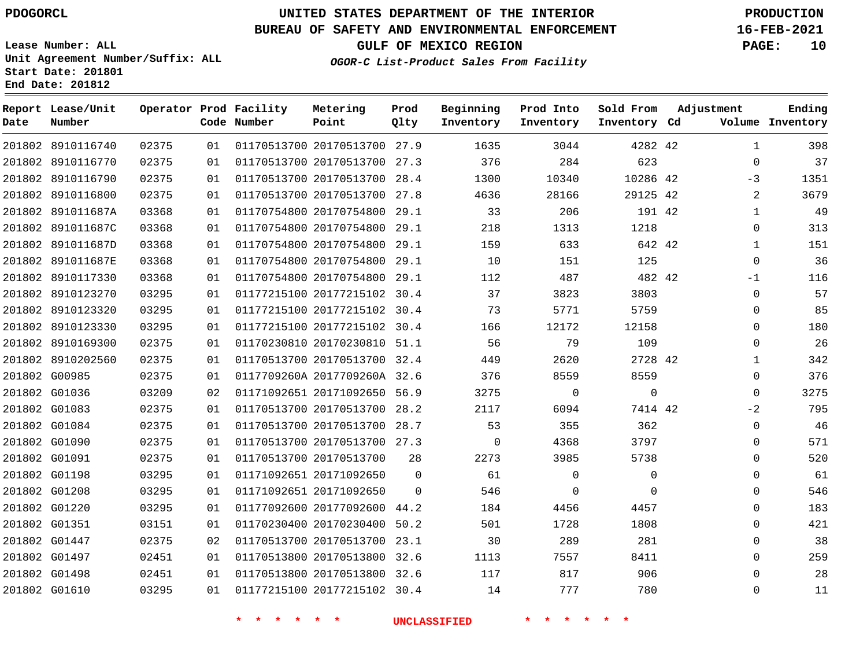**Report Lease/Unit**

**Number**

## **UNITED STATES DEPARTMENT OF THE INTERIOR PDOGORCL PRODUCTION**

#### **BUREAU OF SAFETY AND ENVIRONMENTAL ENFORCEMENT 16-FEB-2021**

**Lease Number: ALL Unit Agreement Number/Suffix: ALL Start Date: 201801 End Date: 201812**

**Operator Prod Facility**

**Code Number**

20170513700 27.9

**Metering Point**

 

**OGOR-C List-Product Sales From Facility**

 

**Prod Into Inventory**

**Beginning Inventory**

**GULF OF MEXICO REGION PAGE: 10**

**Inventory Cd Volume**

**Adjustment**

  $\Omega$ -3  $\Omega$   $\Omega$ -1  $\Omega$  $\Omega$  $\Omega$  $\Omega$   $\Omega$  $\overline{0}$  $-2$  $\Omega$  $\Omega$  $\Omega$   $\Omega$   $\Omega$ 

**Ending**

| 02375 | 01 | 01170513700 20170513700 | 27.3 | 376  | 284      | 623            |
|-------|----|-------------------------|------|------|----------|----------------|
| 02375 | 01 | 01170513700 20170513700 | 28.4 | 1300 | 10340    | 10286          |
| 02375 | 01 | 01170513700 20170513700 | 27.8 | 4636 | 28166    | 29125          |
| 03368 | 01 | 01170754800 20170754800 | 29.1 | 33   | 206      | 191            |
| 03368 | 01 | 01170754800 20170754800 | 29.1 | 218  | 1313     | 1218           |
| 03368 | 01 | 01170754800 20170754800 | 29.1 | 159  | 633      | 642            |
| 03368 | 01 | 01170754800 20170754800 | 29.1 | 10   | 151      | 125            |
| 03368 | 01 | 01170754800 20170754800 | 29.1 | 112  | 487      | 482            |
| 03295 | 01 | 01177215100 20177215102 | 30.4 | 37   | 3823     | 3803           |
| 03295 | 01 | 01177215100 20177215102 | 30.4 | 73   | 5771     | 5759           |
| 03295 | 01 | 01177215100 20177215102 | 30.4 | 166  | 12172    | 12158          |
| 02375 | 01 | 01170230810 20170230810 | 51.1 | 56   | 79       | 109            |
| 02375 | 01 | 01170513700 20170513700 | 32.4 | 449  | 2620     | 2728           |
| 02375 | 01 | 0117709260A 2017709260A | 32.6 | 376  | 8559     | 8559           |
| 03209 | 02 | 01171092651 20171092650 | 56.9 | 3275 | $\Omega$ | $\overline{0}$ |
| 02375 | 01 | 01170513700 20170513700 | 28.2 | 2117 | 6094     | 7414           |

**Prod Qlty**

> 

20177215102 30.4

 20170513700 28.7 20170513700 27.3

 20177092600 44.2 20170230400 50.2 20170513700 23.1 20170513800 32.6 20170513800 32.6

 20170513700 20171092650 20171092650

**\* \* \* \* \* \* UNCLASSIFIED \* \* \* \* \* \***

42

**Sold From Inventory**

>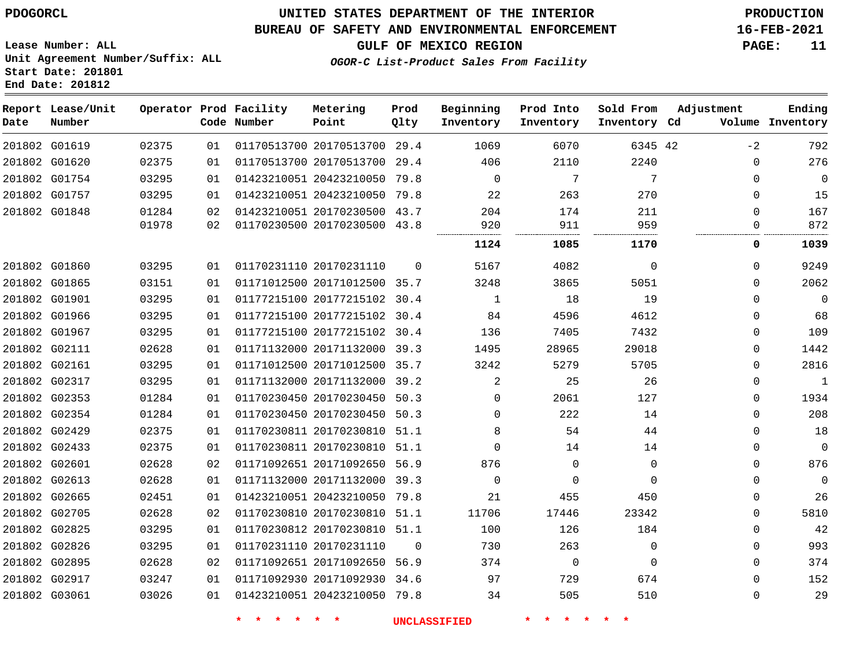### **BUREAU OF SAFETY AND ENVIRONMENTAL ENFORCEMENT 16-FEB-2021**

**Lease Number: ALL Unit Agreement Number/Suffix: ALL Start Date: 201801 End Date: 201812**

**GULF OF MEXICO REGION PAGE: 11**

**OGOR-C List-Product Sales From Facility**

| Date | Report Lease/Unit<br>Number |       |    | Operator Prod Facility<br>Code Number | Metering<br>Point            | Prod<br>Qlty | Beginning<br>Inventory | Prod Into<br>Inventory | Sold From<br>Inventory Cd | Adjustment | Ending<br>Volume Inventory |
|------|-----------------------------|-------|----|---------------------------------------|------------------------------|--------------|------------------------|------------------------|---------------------------|------------|----------------------------|
|      | 201802 G01619               | 02375 | 01 |                                       | 01170513700 20170513700      | 29.4         | 1069                   | 6070                   | 6345 42                   | $-2$       | 792                        |
|      | 201802 G01620               | 02375 | 01 |                                       | 01170513700 20170513700 29.4 |              | 406                    | 2110                   | 2240                      | $\Omega$   | 276                        |
|      | 201802 G01754               | 03295 | 01 |                                       | 01423210051 20423210050      | 79.8         | $\Omega$               | 7                      | 7                         | $\Omega$   | $\mathbf 0$                |
|      | 201802 G01757               | 03295 | 01 |                                       | 01423210051 20423210050 79.8 |              | 22                     | 263                    | 270                       | $\Omega$   | 15                         |
|      | 201802 G01848               | 01284 | 02 |                                       | 01423210051 20170230500 43.7 |              | 204                    | 174                    | 211                       | $\Omega$   | 167                        |
|      |                             | 01978 | 02 |                                       | 01170230500 20170230500 43.8 |              | 920                    | 911                    | 959<br>                   | 0          | 872                        |
|      |                             |       |    |                                       |                              |              | 1124                   | 1085                   | 1170                      | 0          | 1039                       |
|      | 201802 G01860               | 03295 | 01 |                                       | 01170231110 20170231110      | $\Omega$     | 5167                   | 4082                   | $\Omega$                  | $\Omega$   | 9249                       |
|      | 201802 G01865               | 03151 | 01 |                                       | 01171012500 20171012500 35.7 |              | 3248                   | 3865                   | 5051                      | $\Omega$   | 2062                       |
|      | 201802 G01901               | 03295 | 01 |                                       | 01177215100 20177215102 30.4 |              | 1                      | 18                     | 19                        | $\Omega$   | $\mathbf 0$                |
|      | 201802 G01966               | 03295 | 01 |                                       | 01177215100 20177215102 30.4 |              | 84                     | 4596                   | 4612                      | $\Omega$   | 68                         |
|      | 201802 G01967               | 03295 | 01 |                                       | 01177215100 20177215102 30.4 |              | 136                    | 7405                   | 7432                      | $\Omega$   | 109                        |
|      | 201802 G02111               | 02628 | 01 |                                       | 01171132000 20171132000 39.3 |              | 1495                   | 28965                  | 29018                     | 0          | 1442                       |
|      | 201802 G02161               | 03295 | 01 |                                       | 01171012500 20171012500 35.7 |              | 3242                   | 5279                   | 5705                      | $\Omega$   | 2816                       |
|      | 201802 G02317               | 03295 | 01 |                                       | 01171132000 20171132000 39.2 |              | $\overline{2}$         | 25                     | 26                        | 0          | $\mathbf{1}$               |
|      | 201802 G02353               | 01284 | 01 |                                       | 01170230450 20170230450 50.3 |              | $\Omega$               | 2061                   | 127                       | $\Omega$   | 1934                       |
|      | 201802 G02354               | 01284 | 01 |                                       | 01170230450 20170230450 50.3 |              | $\Omega$               | 222                    | 14                        | $\Omega$   | 208                        |
|      | 201802 G02429               | 02375 | 01 |                                       | 01170230811 20170230810 51.1 |              | 8                      | 54                     | 44                        | 0          | 18                         |
|      | 201802 G02433               | 02375 | 01 |                                       | 01170230811 20170230810 51.1 |              | $\Omega$               | 14                     | 14                        | $\Omega$   | $\mathbf 0$                |
|      | 201802 G02601               | 02628 | 02 |                                       | 01171092651 20171092650 56.9 |              | 876                    | $\mathbf 0$            | $\mathbf 0$               | 0          | 876                        |
|      | 201802 G02613               | 02628 | 01 |                                       | 01171132000 20171132000 39.3 |              | $\Omega$               | $\mathbf 0$            | $\Omega$                  | $\Omega$   | 0                          |
|      | 201802 G02665               | 02451 | 01 |                                       | 01423210051 20423210050      | 79.8         | 21                     | 455                    | 450                       | 0          | 26                         |
|      | 201802 G02705               | 02628 | 02 |                                       | 01170230810 20170230810 51.1 |              | 11706                  | 17446                  | 23342                     | $\Omega$   | 5810                       |
|      | 201802 G02825               | 03295 | 01 |                                       | 01170230812 20170230810 51.1 |              | 100                    | 126                    | 184                       | $\Omega$   | 42                         |
|      | 201802 G02826               | 03295 | 01 |                                       | 01170231110 20170231110      | $\Omega$     | 730                    | 263                    | $\Omega$                  | $\Omega$   | 993                        |
|      | 201802 G02895               | 02628 | 02 |                                       | 01171092651 20171092650 56.9 |              | 374                    | $\mathbf 0$            | $\Omega$                  | $\Omega$   | 374                        |
|      | 201802 G02917               | 03247 | 01 |                                       | 01171092930 20171092930 34.6 |              | 97                     | 729                    | 674                       | $\Omega$   | 152                        |
|      | 201802 G03061               | 03026 | 01 |                                       | 01423210051 20423210050 79.8 |              | 34                     | 505                    | 510                       | $\Omega$   | 29                         |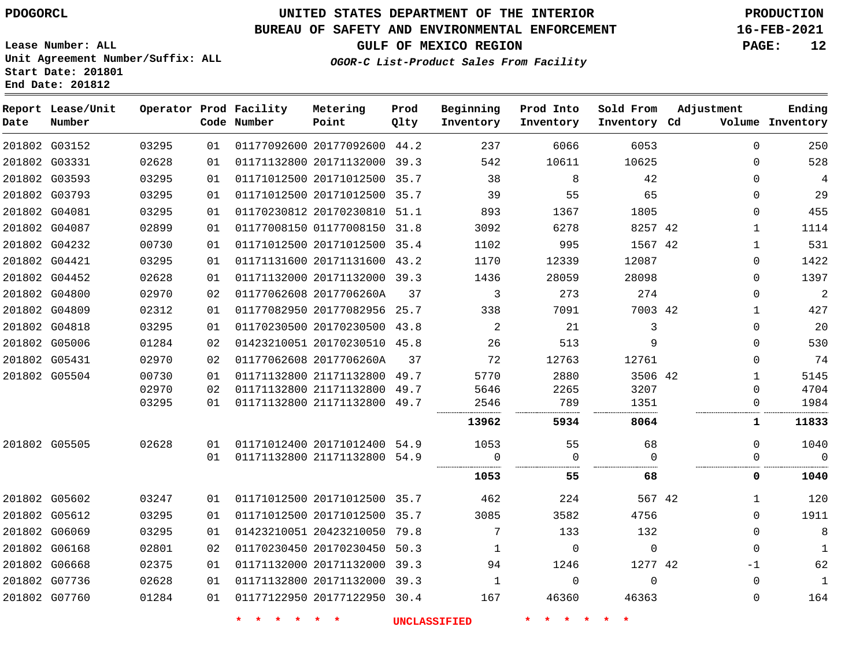### **BUREAU OF SAFETY AND ENVIRONMENTAL ENFORCEMENT 16-FEB-2021**

**Lease Number: ALL Unit Agreement Number/Suffix: ALL Start Date: 201801 End Date: 201812**

**GULF OF MEXICO REGION PAGE: 12**

**OGOR-C List-Product Sales From Facility**

| Date | Report Lease/Unit<br>Number |       |    | Operator Prod Facility<br>Code Number | Metering<br>Point            | Prod<br>Qlty | Beginning<br>Inventory | Prod Into<br>Inventory | Sold From<br>Inventory Cd | Adjustment |              | Ending<br>Volume Inventory |
|------|-----------------------------|-------|----|---------------------------------------|------------------------------|--------------|------------------------|------------------------|---------------------------|------------|--------------|----------------------------|
|      | 201802 G03152               | 03295 | 01 |                                       | 01177092600 20177092600 44.2 |              | 237                    | 6066                   | 6053                      |            | $\mathbf{0}$ | 250                        |
|      | 201802 G03331               | 02628 | 01 |                                       | 01171132800 20171132000 39.3 |              | 542                    | 10611                  | 10625                     |            | $\Omega$     | 528                        |
|      | 201802 G03593               | 03295 | 01 |                                       | 01171012500 20171012500      | 35.7         | 38                     | 8                      | 42                        |            | $\Omega$     | 4                          |
|      | 201802 G03793               | 03295 | 01 |                                       | 01171012500 20171012500 35.7 |              | 39                     | 55                     | 65                        |            | 0            | 29                         |
|      | 201802 G04081               | 03295 | 01 |                                       | 01170230812 20170230810 51.1 |              | 893                    | 1367                   | 1805                      |            | $\Omega$     | 455                        |
|      | 201802 G04087               | 02899 | 01 |                                       | 01177008150 01177008150 31.8 |              | 3092                   | 6278                   | 8257 42                   |            | $\mathbf{1}$ | 1114                       |
|      | 201802 G04232               | 00730 | 01 |                                       | 01171012500 20171012500 35.4 |              | 1102                   | 995                    | 1567 42                   |            | 1            | 531                        |
|      | 201802 G04421               | 03295 | 01 |                                       | 01171131600 20171131600 43.2 |              | 1170                   | 12339                  | 12087                     |            | 0            | 1422                       |
|      | 201802 G04452               | 02628 | 01 |                                       | 01171132000 20171132000 39.3 |              | 1436                   | 28059                  | 28098                     |            | 0            | 1397                       |
|      | 201802 G04800               | 02970 | 02 |                                       | 01177062608 2017706260A      | 37           | 3                      | 273                    | 274                       |            | $\Omega$     | $\overline{a}$             |
|      | 201802 G04809               | 02312 | 01 |                                       | 01177082950 20177082956 25.7 |              | 338                    | 7091                   | 7003 42                   |            | 1            | 427                        |
|      | 201802 G04818               | 03295 | 01 |                                       | 01170230500 20170230500 43.8 |              | 2                      | 21                     | 3                         |            | $\mathbf{0}$ | 20                         |
|      | 201802 G05006               | 01284 | 02 |                                       | 01423210051 20170230510 45.8 |              | 26                     | 513                    | 9                         |            | $\mathbf{0}$ | 530                        |
|      | 201802 G05431               | 02970 | 02 |                                       | 01177062608 2017706260A      | 37           | 72                     | 12763                  | 12761                     |            | $\Omega$     | 74                         |
|      | 201802 G05504               | 00730 | 01 |                                       | 01171132800 21171132800      | 49.7         | 5770                   | 2880                   | 3506 42                   |            | $\mathbf{1}$ | 5145                       |
|      |                             | 02970 | 02 |                                       | 01171132800 21171132800      | 49.7         | 5646                   | 2265                   | 3207                      |            | $\Omega$     | 4704                       |
|      |                             | 03295 | 01 |                                       | 01171132800 21171132800      | 49.7         | 2546<br>               | 789                    | 1351                      |            | 0            | 1984                       |
|      |                             |       |    |                                       |                              |              | 13962                  | 5934                   | 8064                      |            | 1            | 11833                      |
|      | 201802 G05505               | 02628 | 01 |                                       | 01171012400 20171012400 54.9 |              | 1053                   | 55                     | 68                        |            | $\Omega$     | 1040                       |
|      |                             |       | 01 |                                       | 01171132800 21171132800      | 54.9         | $\Omega$               | $\Omega$               | $\Omega$                  |            | $\Omega$     | $\Omega$                   |
|      |                             |       |    |                                       |                              |              | 1053                   | 55                     | 68                        |            | 0            | 1040                       |
|      | 201802 G05602               | 03247 | 01 |                                       | 01171012500 20171012500 35.7 |              | 462                    | 224                    | 567 42                    |            | $\mathbf 1$  | 120                        |
|      | 201802 G05612               | 03295 | 01 |                                       | 01171012500 20171012500 35.7 |              | 3085                   | 3582                   | 4756                      |            | $\Omega$     | 1911                       |
|      | 201802 G06069               | 03295 | 01 |                                       | 01423210051 20423210050 79.8 |              | 7                      | 133                    | 132                       |            | $\Omega$     | $\,8\,$                    |
|      | 201802 G06168               | 02801 | 02 |                                       | 01170230450 20170230450 50.3 |              | 1                      | $\mathbf 0$            | $\mathbf 0$               |            | $\mathbf 0$  | 1                          |
|      | 201802 G06668               | 02375 | 01 |                                       | 01171132000 20171132000 39.3 |              | 94                     | 1246                   | 1277 42                   |            | -1           | 62                         |
|      | 201802 G07736               | 02628 | 01 |                                       | 01171132800 20171132000 39.3 |              | $\mathbf{1}$           | 0                      | $\Omega$                  |            | $\mathbf 0$  | $\mathbf{1}$               |
|      | 201802 G07760               | 01284 | 01 |                                       | 01177122950 20177122950 30.4 |              | 167                    | 46360                  | 46363                     |            | $\mathbf 0$  | 164                        |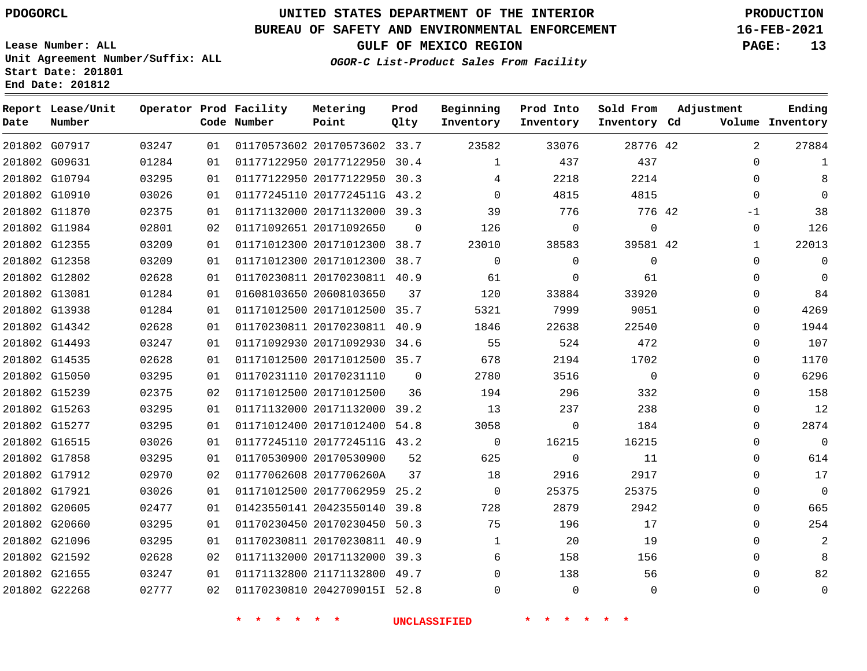G07917

**Date**

**Report Lease/Unit**

**Number**

## **UNITED STATES DEPARTMENT OF THE INTERIOR PDOGORCL PRODUCTION**

**Prod Qlty**

#### **BUREAU OF SAFETY AND ENVIRONMENTAL ENFORCEMENT 16-FEB-2021**

**Lease Number: ALL Unit Agreement Number/Suffix: ALL Start Date: 201801 End Date: 201812**

**Operator Prod Facility**

**Code Number**

20170573602 33.7

**Metering Point**

**GULF OF MEXICO REGION PAGE: 13**

**Inventory Cd Volume**

**Adjustment**

  $\Omega$ 

**Ending**

42

**Sold From Inventory**

**OGOR-C List-Product Sales From Facility**

**Prod Into Inventory**

**Beginning Inventory**

| 201802 G09631 | 01284 | 01 | 01177122950 20177122950 30.4 |          | $\mathbf{1}$ | 437      | 437      | 0        |                |
|---------------|-------|----|------------------------------|----------|--------------|----------|----------|----------|----------------|
| 201802 G10794 | 03295 | 01 | 01177122950 20177122950 30.3 |          | 4            | 2218     | 2214     | 0        | 8              |
| 201802 G10910 | 03026 | 01 | 01177245110 2017724511G 43.2 |          | $\Omega$     | 4815     | 4815     | $\Omega$ | $\Omega$       |
| 201802 G11870 | 02375 | 01 | 01171132000 20171132000 39.3 |          | 39           | 776      | 776 42   | $-1$     | 38             |
| 201802 G11984 | 02801 | 02 | 01171092651 20171092650      | $\Omega$ | 126          | 0        | 0        | 0        | 126            |
| 201802 G12355 | 03209 | 01 | 01171012300 20171012300 38.7 |          | 23010        | 38583    | 39581 42 | 1        | 22013          |
| 201802 G12358 | 03209 | 01 | 01171012300 20171012300 38.7 |          | $\Omega$     | $\Omega$ | $\Omega$ | 0        | $\mathbf 0$    |
| 201802 G12802 | 02628 | 01 | 01170230811 20170230811 40.9 |          | 61           | $\Omega$ | 61       | $\Omega$ | $\Omega$       |
| 201802 G13081 | 01284 | 01 | 01608103650 20608103650      | 37       | 120          | 33884    | 33920    | $\Omega$ | 84             |
| 201802 G13938 | 01284 | 01 | 01171012500 20171012500 35.7 |          | 5321         | 7999     | 9051     | 0        | 4269           |
| 201802 G14342 | 02628 | 01 | 01170230811 20170230811 40.9 |          | 1846         | 22638    | 22540    | 0        | 1944           |
| 201802 G14493 | 03247 | 01 | 01171092930 20171092930 34.6 |          | 55           | 524      | 472      | 0        | 107            |
| 201802 G14535 | 02628 | 01 | 01171012500 20171012500 35.7 |          | 678          | 2194     | 1702     | $\Omega$ | 1170           |
| 201802 G15050 | 03295 | 01 | 01170231110 20170231110      | $\Omega$ | 2780         | 3516     | $\Omega$ | 0        | 6296           |
| 201802 G15239 | 02375 | 02 | 01171012500 20171012500      | 36       | 194          | 296      | 332      | $\Omega$ | 158            |
| 201802 G15263 | 03295 | 01 | 01171132000 20171132000 39.2 |          | 13           | 237      | 238      | $\Omega$ | 12             |
| 201802 G15277 | 03295 | 01 | 01171012400 20171012400      | 54.8     | 3058         | $\Omega$ | 184      | $\Omega$ | 2874           |
| 201802 G16515 | 03026 | 01 | 01177245110 2017724511G 43.2 |          | $\Omega$     | 16215    | 16215    | $\Omega$ | $\mathbf 0$    |
| 201802 G17858 | 03295 | 01 | 01170530900 20170530900      | 52       | 625          | $\Omega$ | 11       | 0        | 614            |
| 201802 G17912 | 02970 | 02 | 01177062608 2017706260A      | 37       | 18           | 2916     | 2917     | $\Omega$ | 17             |
| 201802 G17921 | 03026 | 01 | 01171012500 20177062959 25.2 |          | $\mathbf 0$  | 25375    | 25375    | 0        | $\mathbf 0$    |
| 201802 G20605 | 02477 | 01 | 01423550141 20423550140 39.8 |          | 728          | 2879     | 2942     | $\Omega$ | 665            |
| 201802 G20660 | 03295 | 01 | 01170230450 20170230450 50.3 |          | 75           | 196      | 17       | 0        | 254            |
| 201802 G21096 | 03295 | 01 | 01170230811 20170230811 40.9 |          | 1            | 20       | 19       | $\Omega$ | $\overline{2}$ |

 G21592 G21655 G22268 20171132000 39.3 21171132800 49.7 2042709015I 52.8  $\Omega$  $\Omega$   $\Omega$   $\Omega$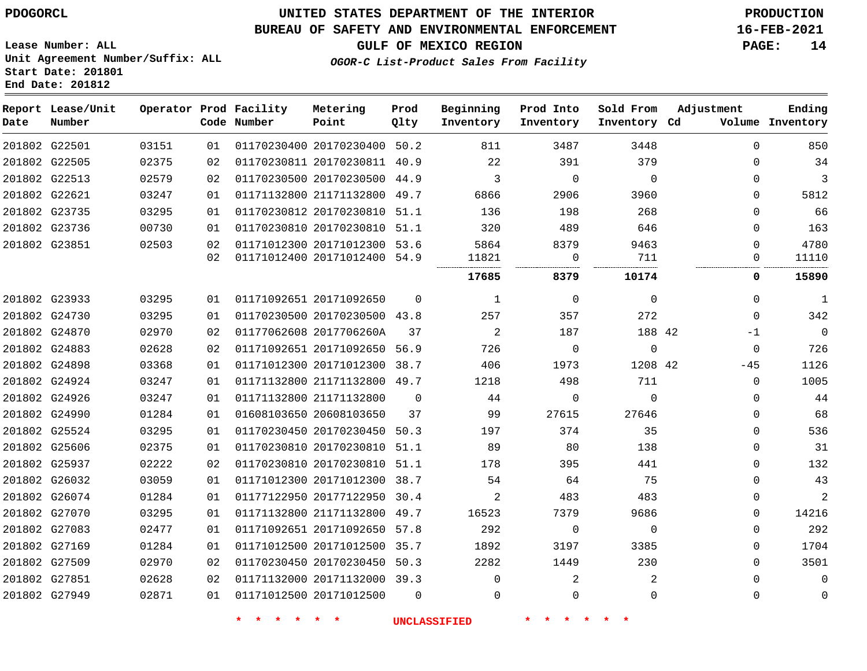**Start Date: 201801 End Date: 201812**

### **UNITED STATES DEPARTMENT OF THE INTERIOR PDOGORCL PRODUCTION**

### **BUREAU OF SAFETY AND ENVIRONMENTAL ENFORCEMENT 16-FEB-2021**

**Lease Number: ALL Unit Agreement Number/Suffix: ALL**

**GULF OF MEXICO REGION PAGE: 14**

**OGOR-C List-Product Sales From Facility**

| Date | Report Lease/Unit<br>Number |       |    | Operator Prod Facility<br>Code Number | Metering<br>Point            | Prod<br>01ty | Beginning<br>Inventory | Prod Into<br>Inventory | Sold From<br>Inventory Cd | Adjustment   | Ending<br>Volume Inventory |
|------|-----------------------------|-------|----|---------------------------------------|------------------------------|--------------|------------------------|------------------------|---------------------------|--------------|----------------------------|
|      | 201802 G22501               | 03151 | 01 |                                       | 01170230400 20170230400 50.2 |              | 811                    | 3487                   | 3448                      | $\Omega$     | 850                        |
|      | 201802 G22505               | 02375 | 02 |                                       | 01170230811 20170230811 40.9 |              | 22                     | 391                    | 379                       | $\Omega$     | 34                         |
|      | 201802 G22513               | 02579 | 02 |                                       | 01170230500 20170230500 44.9 |              | 3                      | $\Omega$               | $\Omega$                  | $\Omega$     | 3                          |
|      | 201802 G22621               | 03247 | 01 |                                       | 01171132800 21171132800 49.7 |              | 6866                   | 2906                   | 3960                      | $\Omega$     | 5812                       |
|      | 201802 G23735               | 03295 | 01 |                                       | 01170230812 20170230810 51.1 |              | 136                    | 198                    | 268                       | $\Omega$     | 66                         |
|      | 201802 G23736               | 00730 | 01 |                                       | 01170230810 20170230810 51.1 |              | 320                    | 489                    | 646                       | 0            | 163                        |
|      | 201802 G23851               | 02503 | 02 |                                       | 01171012300 20171012300 53.6 |              | 5864                   | 8379                   | 9463                      | $\Omega$     | 4780                       |
|      |                             |       | 02 |                                       | 01171012400 20171012400 54.9 |              | 11821<br>.             | $\overline{0}$         | 711                       | 0            | 11110                      |
|      |                             |       |    |                                       |                              |              | 17685                  | 8379                   | 10174                     | 0            | 15890                      |
|      | 201802 G23933               | 03295 | 01 |                                       | 01171092651 20171092650      | $\Omega$     | 1                      | $\overline{0}$         | $\Omega$                  | $\mathbf{0}$ | $\mathbf{1}$               |
|      | 201802 G24730               | 03295 | 01 |                                       | 01170230500 20170230500 43.8 |              | 257                    | 357                    | 272                       | $\Omega$     | 342                        |
|      | 201802 G24870               | 02970 | 02 |                                       | 01177062608 2017706260A      | 37           | 2                      | 187                    | 188 42                    | -1           | $\mathbf 0$                |
|      | 201802 G24883               | 02628 | 02 |                                       | 01171092651 20171092650 56.9 |              | 726                    | $\overline{0}$         | $\mathbf 0$               | $\mathbf{0}$ | 726                        |
|      | 201802 G24898               | 03368 | 01 |                                       | 01171012300 20171012300 38.7 |              | 406                    | 1973                   | 1208 42                   | $-45$        | 1126                       |
|      | 201802 G24924               | 03247 | 01 |                                       | 01171132800 21171132800 49.7 |              | 1218                   | 498                    | 711                       | $\mathbf{0}$ | 1005                       |
|      | 201802 G24926               | 03247 | 01 |                                       | 01171132800 21171132800      | $\Omega$     | 44                     | $\Omega$               | $\Omega$                  | $\Omega$     | 44                         |
|      | 201802 G24990               | 01284 | 01 |                                       | 01608103650 20608103650      | 37           | 99                     | 27615                  | 27646                     | 0            | 68                         |
|      | 201802 G25524               | 03295 | 01 |                                       | 01170230450 20170230450 50.3 |              | 197                    | 374                    | 35                        | 0            | 536                        |
|      | 201802 G25606               | 02375 | 01 |                                       | 01170230810 20170230810 51.1 |              | 89                     | 80                     | 138                       | 0            | 31                         |
|      | 201802 G25937               | 02222 | 02 |                                       | 01170230810 20170230810 51.1 |              | 178                    | 395                    | 441                       | $\mathbf 0$  | 132                        |
|      | 201802 G26032               | 03059 | 01 |                                       | 01171012300 20171012300 38.7 |              | 54                     | 64                     | 75                        | $\Omega$     | 43                         |
|      | 201802 G26074               | 01284 | 01 |                                       | 01177122950 20177122950 30.4 |              | 2                      | 483                    | 483                       | $\Omega$     | 2                          |
|      | 201802 G27070               | 03295 | 01 |                                       | 01171132800 21171132800 49.7 |              | 16523                  | 7379                   | 9686                      | $\Omega$     | 14216                      |
|      | 201802 G27083               | 02477 | 01 |                                       | 01171092651 20171092650 57.8 |              | 292                    | 0                      | $\mathbf 0$               | 0            | 292                        |
|      | 201802 G27169               | 01284 | 01 |                                       | 01171012500 20171012500 35.7 |              | 1892                   | 3197                   | 3385                      | 0            | 1704                       |
|      | 201802 G27509               | 02970 | 02 |                                       | 01170230450 20170230450 50.3 |              | 2282                   | 1449                   | 230                       | $\Omega$     | 3501                       |
|      | 201802 G27851               | 02628 | 02 |                                       | 01171132000 20171132000 39.3 |              | $\mathbf 0$            | 2                      | 2                         | 0            | $\mathbf 0$                |
|      | 201802 G27949               | 02871 | 01 |                                       | 01171012500 20171012500      | $\Omega$     | 0                      | $\mathbf 0$            | $\mathbf 0$               | 0            | 0                          |
|      |                             |       |    |                                       |                              |              |                        |                        |                           |              |                            |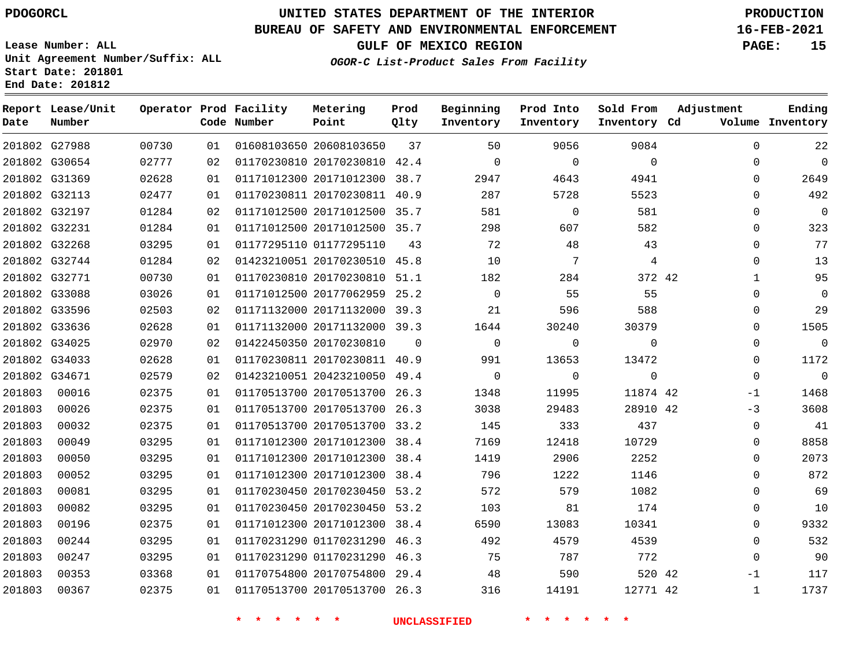G27988 G30654 G31369 G32113 G32197 G32231 G32268 G32744 G32771 G33088 G33596 G33636 G34025 G34033 G34671

**Date**

**Report Lease/Unit**

**Number**

### **UNITED STATES DEPARTMENT OF THE INTERIOR PDOGORCL PRODUCTION**

**Prod Qlty**

#### **BUREAU OF SAFETY AND ENVIRONMENTAL ENFORCEMENT 16-FEB-2021**

**Lease Number: ALL Unit Agreement Number/Suffix: ALL Start Date: 201801 End Date: 201812**

**Operator Prod Facility**

**Code Number**

20608103650

01177295110

 20170230810 42.4 20171012300 38.7 20170230811 40.9 20171012500 35.7 20171012500 35.7

**Metering Point**

**OGOR-C List-Product Sales From Facility**

**Prod Into Inventory**

**Beginning Inventory**

**GULF OF MEXICO REGION PAGE: 15**

**Inventory Cd Volume**

**Adjustment**

  $\Omega$  $\Omega$  $\Omega$  $\Omega$  $\Omega$  $\Omega$  $\Omega$   $\Omega$  $\Omega$  $\Omega$  $\overline{0}$   $\Omega$ -1  $-3$  $\Omega$  $\Omega$  $\Omega$   $\Omega$  $\Omega$   $\Omega$  -1 

**Ending**

42

**Sold From Inventory**

> 42 42

42 42

| 01284 | 02 |                         | 01423210051 20170230510 45.8 |                     | 10       | 7        |   |
|-------|----|-------------------------|------------------------------|---------------------|----------|----------|---|
| 00730 | 01 |                         | 01170230810 20170230810      | 51.1                | 182      | 284      |   |
| 03026 | 01 |                         | 01171012500 20177062959      | 25.2                | $\Omega$ | 55       |   |
| 02503 | 02 |                         | 01171132000 20171132000      | 39.3                | 21       | 596      |   |
| 02628 | 01 |                         | 01171132000 20171132000      | 39.3                | 1644     | 30240    |   |
| 02970 | 02 | 01422450350 20170230810 |                              | $\Omega$            | $\Omega$ | $\Omega$ |   |
| 02628 | 01 |                         | 01170230811 20170230811      | 40.9                | 991      | 13653    | 1 |
| 02579 | 02 |                         | 01423210051 20423210050      | 49.4                | $\Omega$ | $\Omega$ |   |
| 02375 | 01 |                         | 01170513700 20170513700      | 26.3                | 1348     | 11995    | 1 |
| 02375 | 01 |                         | 01170513700 20170513700      | 26.3                | 3038     | 29483    | 2 |
| 02375 | 01 |                         | 01170513700 20170513700      | 33.2                | 145      | 333      |   |
| 03295 | 01 |                         | 01171012300 20171012300      | 38.4                | 7169     | 12418    | 1 |
| 03295 | 01 |                         | 01171012300 20171012300      | 38.4                | 1419     | 2906     |   |
| 03295 | 01 |                         | 01171012300 20171012300      | 38.4                | 796      | 1222     |   |
| 03295 | 01 |                         | 01170230450 20170230450      | 53.2                | 572      | 579      |   |
| 03295 | 01 |                         | 01170230450 20170230450      | 53.2                | 103      | 81       |   |
| 02375 | 01 |                         | 01171012300 20171012300      | 38.4                | 6590     | 13083    | 1 |
| 03295 | 01 |                         | 01170231290 01170231290      | 46.3                | 492      | 4579     |   |
| 03295 | 01 |                         | 01170231290 01170231290      | 46.3                | 75       | 787      |   |
| 03368 | 01 |                         | 01170754800 20170754800      | 29.4                | 48       | 590      |   |
| 02375 | 01 |                         | 01170513700 20170513700      | 26.3                | 316      | 14191    | 1 |
|       |    |                         |                              | <b>UNCLASSIFIED</b> |          |          |   |
|       |    |                         |                              |                     |          |          |   |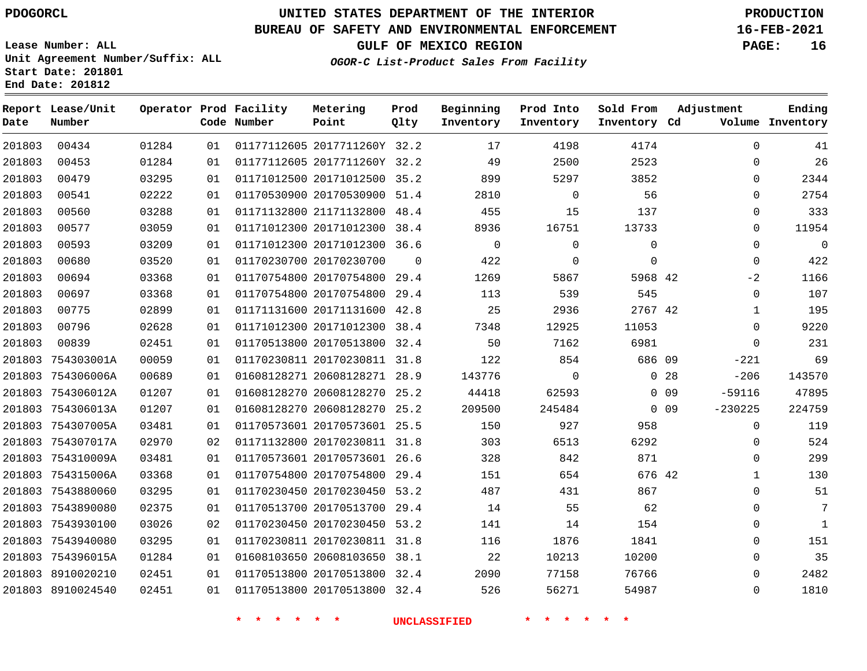**Report Lease/Unit**

**Number**

**Date**

## **UNITED STATES DEPARTMENT OF THE INTERIOR PDOGORCL PRODUCTION**

**Prod Qlty**

#### **BUREAU OF SAFETY AND ENVIRONMENTAL ENFORCEMENT 16-FEB-2021**

**Lease Number: ALL Unit Agreement Number/Suffix: ALL Start Date: 201801 End Date: 201812**

**Operator Prod Facility**

**Code Number**

2017711260Y 32.2

**Metering Point**

**OGOR-C List-Product Sales From Facility**

**Sold From Inventory**

**Prod Into Inventory**

**Beginning Inventory**

**GULF OF MEXICO REGION PAGE: 16**

**Inventory Cd Volume**

**Adjustment**

  $\Omega$   $-2$   $\Omega$  $\Omega$ -221 -206 -59116

**Ending**

| 201803 | 00453             | 01284 | 01 |                    | 01177112605 2017711260Y 32.2 |             | 49                  | 2500               | 2523         |                 | 0            |
|--------|-------------------|-------|----|--------------------|------------------------------|-------------|---------------------|--------------------|--------------|-----------------|--------------|
| 201803 | 00479             | 03295 | 01 |                    | 01171012500 20171012500 35.2 |             | 899                 | 5297               | 3852         |                 | $\mathbf 0$  |
| 201803 | 00541             | 02222 | 01 |                    | 01170530900 20170530900 51.4 |             | 2810                | $\Omega$           | 56           |                 | 0            |
| 201803 | 00560             | 03288 | 01 |                    | 01171132800 21171132800 48.4 |             | 455                 | 15                 | 137          |                 | $\mathbf 0$  |
| 201803 | 00577             | 03059 | 01 |                    | 01171012300 20171012300 38.4 |             | 8936                | 16751              | 13733        |                 | 0            |
| 201803 | 00593             | 03209 | 01 |                    | 01171012300 20171012300 36.6 |             | $\overline{0}$      | $\mathbf 0$        | $\mathbb O$  |                 | $\mathbf 0$  |
| 201803 | 00680             | 03520 | 01 |                    | 01170230700 20170230700      | $\mathbf 0$ | 422                 | $\mathbf 0$        | $\mathsf{O}$ |                 | $\mathbf 0$  |
| 201803 | 00694             | 03368 | 01 |                    | 01170754800 20170754800 29.4 |             | 1269                | 5867               | 5968 42      |                 | $-2$         |
| 201803 | 00697             | 03368 | 01 |                    | 01170754800 20170754800 29.4 |             | 113                 | 539                | 545          |                 | $\mathbf 0$  |
| 201803 | 00775             | 02899 | 01 |                    | 01171131600 20171131600 42.8 |             | 25                  | 2936               | 2767 42      |                 | $\mathbf{1}$ |
| 201803 | 00796             | 02628 | 01 |                    | 01171012300 20171012300 38.4 |             | 7348                | 12925              | 11053        |                 | $\mathbf 0$  |
| 201803 | 00839             | 02451 | 01 |                    | 01170513800 20170513800 32.4 |             | 50                  | 7162               | 6981         |                 | $\mathbf 0$  |
|        | 201803 754303001A | 00059 | 01 |                    | 01170230811 20170230811 31.8 |             | 122                 | 854                | 686 09       |                 | $-221$       |
|        | 201803 754306006A | 00689 | 01 |                    | 01608128271 20608128271 28.9 |             | 143776              | $\overline{0}$     |              | 0 <sub>28</sub> | $-206$       |
|        | 201803 754306012A | 01207 | 01 |                    | 01608128270 20608128270 25.2 |             | 44418               | 62593              |              | $0$ 09          | $-59116$     |
|        | 201803 754306013A | 01207 | 01 |                    | 01608128270 20608128270 25.2 |             | 209500              | 245484             |              | $0$ 09          | $-230225$    |
|        | 201803 754307005A | 03481 | 01 |                    | 01170573601 20170573601 25.5 |             | 150                 | 927                | 958          |                 | $\mathbf 0$  |
|        | 201803 754307017A | 02970 | 02 |                    | 01171132800 20170230811 31.8 |             | 303                 | 6513               | 6292         |                 | $\mathbf 0$  |
|        | 201803 754310009A | 03481 | 01 |                    | 01170573601 20170573601 26.6 |             | 328                 | 842                | 871          |                 | $\mathbf 0$  |
|        | 201803 754315006A | 03368 | 01 |                    | 01170754800 20170754800 29.4 |             | 151                 | 654                | 676 42       |                 | $\mathbf{1}$ |
|        | 201803 7543880060 | 03295 | 01 |                    | 01170230450 20170230450 53.2 |             | 487                 | 431                | 867          |                 | $\mathbf 0$  |
|        | 201803 7543890080 | 02375 | 01 |                    | 01170513700 20170513700 29.4 |             | 14                  | 55                 | 62           |                 | $\mathbf 0$  |
|        | 201803 7543930100 | 03026 | 02 |                    | 01170230450 20170230450 53.2 |             | 141                 | 14                 | 154          |                 | $\mathbf 0$  |
|        | 201803 7543940080 | 03295 | 01 |                    | 01170230811 20170230811 31.8 |             | 116                 | 1876               | 1841         |                 | $\mathbf 0$  |
|        | 201803 754396015A | 01284 | 01 |                    | 01608103650 20608103650 38.1 |             | 22                  | 10213              | 10200        |                 | $\mathbf 0$  |
|        | 201803 8910020210 | 02451 | 01 |                    | 01170513800 20170513800 32.4 |             | 2090                | 77158              | 76766        |                 | $\mathbf 0$  |
|        | 201803 8910024540 | 02451 | 01 |                    | 01170513800 20170513800 32.4 |             | 526                 | 56271              | 54987        |                 | $\mathbf 0$  |
|        |                   |       |    | $\star$<br>$\star$ | $\star$                      |             | <b>UNCLASSIFIED</b> | $\star$<br>$\star$ |              |                 |              |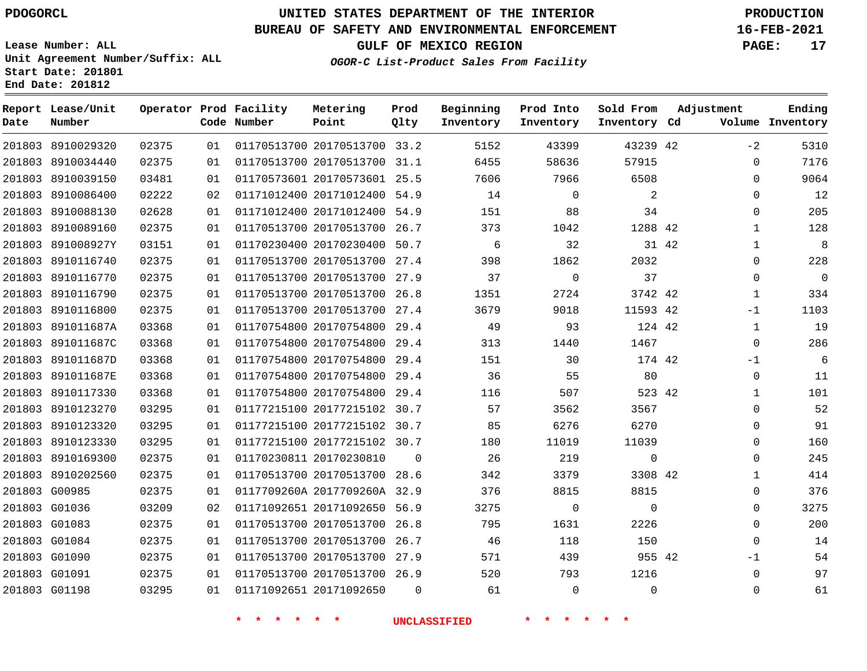**Report Lease/Unit**

**Number**

# **UNITED STATES DEPARTMENT OF THE INTERIOR PDOGORCL PRODUCTION**

**Prod Qlty**

### **BUREAU OF SAFETY AND ENVIRONMENTAL ENFORCEMENT 16-FEB-2021**

**Lease Number: ALL Unit Agreement Number/Suffix: ALL Start Date: 201801 End Date: 201812**

**Operator Prod Facility**

**Code Number**

**OGOR-C List-Product Sales From Facility**

**Beginning Inventory** **Prod Into Inventory**

**Sold From Inventory**

**GULF OF MEXICO REGION PAGE: 17**

**Inventory Cd Volume**

**Adjustment**

 $-2$  $\Omega$  $\Omega$  $\Omega$  $\Omega$   $\Omega$  -1  $\Omega$ -1  $\Omega$   $\Omega$  $\Omega$  $\Omega$  $\Omega$   $\Omega$  $\Omega$  -1  $\Omega$ 

**Ending**

| 201803 8910029320 02375 |       |    |                                       |  | 01  01170513700  20170513700  33.2  5152       | 43399          | 43239 42                 |  |
|-------------------------|-------|----|---------------------------------------|--|------------------------------------------------|----------------|--------------------------|--|
| 201803 8910034440       | 02375 |    |                                       |  | 01 01170513700 20170513700 31.1 6455           | 58636          | 57915                    |  |
| 201803 8910039150       | 03481 | 01 |                                       |  | 01170573601 20170573601 25.5 7606 7966 6508    |                |                          |  |
| 201803 8910086400       | 02222 |    |                                       |  | 02 01171012400 20171012400 54.9 14             | $\overline{0}$ | $\overline{\phantom{a}}$ |  |
| 201803 8910088130       | 02628 | 01 |                                       |  | 01171012400 20171012400 54.9 151 88            |                | 34                       |  |
| 201803 8910089160       | 02375 |    | 01   01170513700   20170513700   26.7 |  | 373                                            | 1042           | 1288 42                  |  |
| 201803 891008927Y       | 03151 |    |                                       |  | 01 01170230400 20170230400 50.7 6 32           |                | 31 42                    |  |
| 201803 8910116740       | 02375 |    |                                       |  | 01 01170513700 20170513700 27.4 398 1862       |                | 2032                     |  |
| 201803 8910116770       | 02375 |    |                                       |  | 01 01170513700 20170513700 27.9 37 0           |                | 37                       |  |
| 201803 8910116790       | 02375 |    |                                       |  | 01 01170513700 20170513700 26.8 1351           |                | 2724 3742 42             |  |
| 201803 8910116800       | 02375 |    |                                       |  | 01  01170513700  20170513700  27.4  3679       | 9018           | 11593 42                 |  |
| 201803 891011687A       | 03368 |    |                                       |  | 01 01170754800 20170754800 29.4 49 93          |                | 124 42                   |  |
| 201803 891011687C       | 03368 |    |                                       |  | 01 01170754800 20170754800 29.4 313 1440       |                | 1467                     |  |
| 201803 891011687D       | 03368 |    |                                       |  | 01 01170754800 20170754800 29.4 151 30         |                | 174 42                   |  |
| 201803 891011687E       | 03368 |    |                                       |  | 01 01170754800 20170754800 29.4 36 55 80       |                |                          |  |
| 201803 8910117330       | 03368 |    |                                       |  | 01 01170754800 20170754800 29.4 116 507 523 42 |                |                          |  |
| 201803 8910123270       | 03295 |    |                                       |  | 01 01177215100 20177215102 30.7 57             | 3562           | 3567                     |  |
| 201803 8910123320       | 03295 |    |                                       |  | 01 01177215100 20177215102 30.7 85 6276        |                | 6270                     |  |
| 201803 8910123330       | 03295 |    |                                       |  | 01  01177215100  20177215102  30.7  180        | 11019          | 11039                    |  |
| 201803 8910169300       | 02375 |    |                                       |  | 01 01170230811 20170230810 0 26 219            |                | $\overline{0}$           |  |
| 201803 8910202560       | 02375 |    |                                       |  | 01 01170513700 20170513700 28.6 342            | 3379           | 3308 42                  |  |
| 201803 G00985           | 02375 |    |                                       |  | 01 0117709260A 2017709260A 32.9 376 8815       |                | 8815                     |  |
| 201803 G01036           | 03209 |    |                                       |  | 02 01171092651 20171092650 56.9 3275 0         |                | $\overline{0}$           |  |
| 201803 G01083           | 02375 |    |                                       |  | 01  01170513700  20170513700  26.8  795        | 1631           | 2226                     |  |
| 201803 G01084           | 02375 |    |                                       |  | 01  01170513700  20170513700  26.7   46        | 118            | 150                      |  |
| 201803 G01090           | 02375 |    | 01   01170513700   20170513700   27.9 |  | 571                                            | 439            | 955 42                   |  |
| 201803 G01091 02375     |       |    |                                       |  | 01 01170513700 20170513700 26.9 520 793 1216   |                |                          |  |
|                         |       |    |                                       |  |                                                | $\overline{0}$ | $\overline{0}$           |  |
|                         |       |    |                                       |  |                                                |                |                          |  |

**Metering Point**

 $\overline{\text{UNCLASSIFIED}}$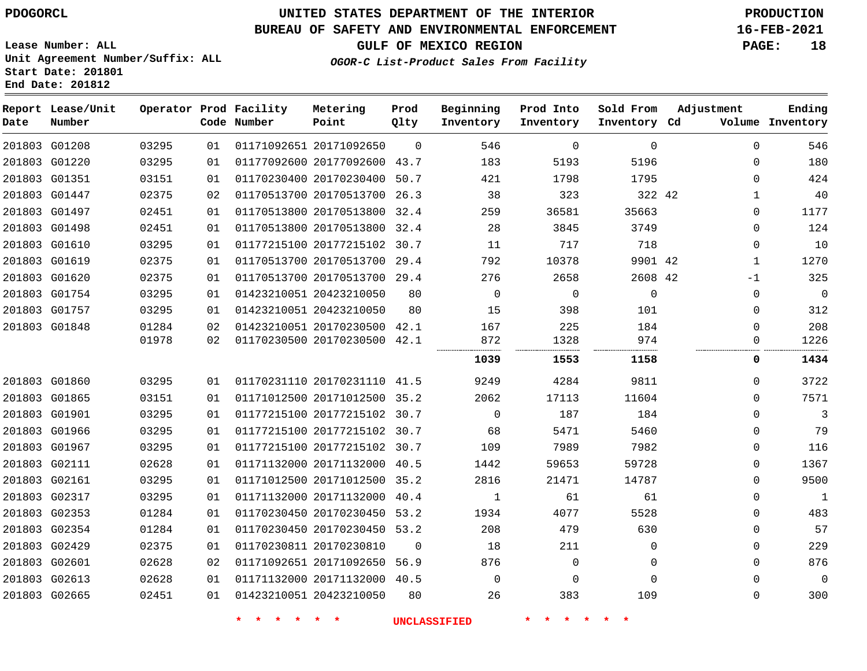### **BUREAU OF SAFETY AND ENVIRONMENTAL ENFORCEMENT 16-FEB-2021**

**Lease Number: ALL Unit Agreement Number/Suffix: ALL Start Date: 201801 End Date: 201812**

**GULF OF MEXICO REGION PAGE: 18**

**OGOR-C List-Product Sales From Facility**

| Date | Report Lease/Unit<br>Number |       |    | Operator Prod Facility<br>Code Number | Metering<br>Point            | Prod<br>Qlty | Beginning<br>Inventory | Prod Into<br>Inventory | Sold From<br>Inventory Cd | Adjustment   | Ending<br>Volume Inventory |
|------|-----------------------------|-------|----|---------------------------------------|------------------------------|--------------|------------------------|------------------------|---------------------------|--------------|----------------------------|
|      | 201803 G01208               | 03295 | 01 |                                       | 01171092651 20171092650      | $\mathbf 0$  | 546                    | $\mathbf 0$            | $\mathbf 0$               | $\Omega$     | 546                        |
|      | 201803 G01220               | 03295 | 01 |                                       | 01177092600 20177092600 43.7 |              | 183                    | 5193                   | 5196                      | $\Omega$     | 180                        |
|      | 201803 G01351               | 03151 | 01 |                                       | 01170230400 20170230400 50.7 |              | 421                    | 1798                   | 1795                      | $\Omega$     | 424                        |
|      | 201803 G01447               | 02375 | 02 |                                       | 01170513700 20170513700 26.3 |              | 38                     | 323                    | 322 42                    | 1            | 40                         |
|      | 201803 G01497               | 02451 | 01 |                                       | 01170513800 20170513800 32.4 |              | 259                    | 36581                  | 35663                     | 0            | 1177                       |
|      | 201803 G01498               | 02451 | 01 |                                       | 01170513800 20170513800 32.4 |              | 28                     | 3845                   | 3749                      | $\mathbf{0}$ | 124                        |
|      | 201803 G01610               | 03295 | 01 |                                       | 01177215100 20177215102 30.7 |              | 11                     | 717                    | 718                       | $\mathbf{0}$ | 10                         |
|      | 201803 G01619               | 02375 | 01 |                                       | 01170513700 20170513700 29.4 |              | 792                    | 10378                  | 9901 42                   | $\mathbf{1}$ | 1270                       |
|      | 201803 G01620               | 02375 | 01 |                                       | 01170513700 20170513700 29.4 |              | 276                    | 2658                   | 2608 42                   | $-1$         | 325                        |
|      | 201803 G01754               | 03295 | 01 |                                       | 01423210051 20423210050      | 80           | $\mathbf 0$            | $\mathbf 0$            | $\mathbf 0$               | 0            | $\mathbf 0$                |
|      | 201803 G01757               | 03295 | 01 |                                       | 01423210051 20423210050      | 80           | 15                     | 398                    | 101                       | $\Omega$     | 312                        |
|      | 201803 G01848               | 01284 | 02 |                                       | 01423210051 20170230500 42.1 |              | 167                    | 225                    | 184                       | $\mathbf{0}$ | 208                        |
|      |                             | 01978 | 02 |                                       | 01170230500 20170230500 42.1 |              | 872                    | 1328                   | 974                       | 0            | 1226                       |
|      |                             |       |    |                                       |                              |              | 1039                   | 1553                   | 1158                      | 0            | 1434                       |
|      | 201803 G01860               | 03295 | 01 |                                       | 01170231110 20170231110 41.5 |              | 9249                   | 4284                   | 9811                      | $\Omega$     | 3722                       |
|      | 201803 G01865               | 03151 | 01 |                                       | 01171012500 20171012500 35.2 |              | 2062                   | 17113                  | 11604                     | $\Omega$     | 7571                       |
|      | 201803 G01901               | 03295 | 01 |                                       | 01177215100 20177215102 30.7 |              | $\Omega$               | 187                    | 184                       | $\Omega$     | 3                          |
|      | 201803 G01966               | 03295 | 01 |                                       | 01177215100 20177215102 30.7 |              | 68                     | 5471                   | 5460                      | $\Omega$     | 79                         |
|      | 201803 G01967               | 03295 | 01 |                                       | 01177215100 20177215102 30.7 |              | 109                    | 7989                   | 7982                      | 0            | 116                        |
|      | 201803 G02111               | 02628 | 01 |                                       | 01171132000 20171132000 40.5 |              | 1442                   | 59653                  | 59728                     | 0            | 1367                       |
|      | 201803 G02161               | 03295 | 01 |                                       | 01171012500 20171012500 35.2 |              | 2816                   | 21471                  | 14787                     | $\mathbf{0}$ | 9500                       |
|      | 201803 G02317               | 03295 | 01 |                                       | 01171132000 20171132000 40.4 |              | 1                      | 61                     | 61                        | $\Omega$     | $\mathbf{1}$               |
|      | 201803 G02353               | 01284 | 01 |                                       | 01170230450 20170230450 53.2 |              | 1934                   | 4077                   | 5528                      | 0            | 483                        |
|      | 201803 G02354               | 01284 | 01 |                                       | 01170230450 20170230450 53.2 |              | 208                    | 479                    | 630                       | $\mathbf{0}$ | 57                         |
|      | 201803 G02429               | 02375 | 01 |                                       | 01170230811 20170230810      | $\mathbf 0$  | 18                     | 211                    | 0                         | $\mathbf{0}$ | 229                        |
|      | 201803 G02601               | 02628 | 02 |                                       | 01171092651 20171092650 56.9 |              | 876                    | $\Omega$               | $\Omega$                  | $\Omega$     | 876                        |
|      | 201803 G02613               | 02628 | 01 |                                       | 01171132000 20171132000 40.5 |              | $\Omega$               | $\Omega$               | $\Omega$                  | $\Omega$     | $\mathbf 0$                |
|      | 201803 G02665               | 02451 | 01 |                                       | 01423210051 20423210050      | 80           | 26                     | 383                    | 109                       | 0            | 300                        |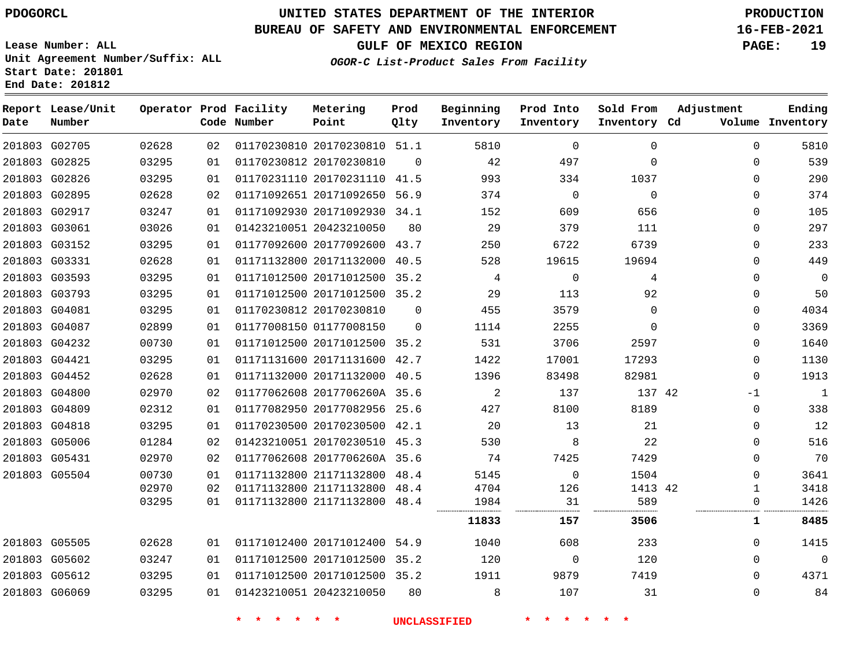**Report Lease/Unit**

**Number**

## **UNITED STATES DEPARTMENT OF THE INTERIOR PDOGORCL PRODUCTION**

**Prod Qlty**

#### **BUREAU OF SAFETY AND ENVIRONMENTAL ENFORCEMENT 16-FEB-2021**

**Lease Number: ALL Unit Agreement Number/Suffix: ALL Start Date: 201801 End Date: 201812**

**Operator Prod Facility**

**Code Number**

**Metering Point**

**OGOR-C List-Product Sales From Facility**

**Beginning Inventory**

**Prod Into Inventory**

**Sold From Inventory**

**GULF OF MEXICO REGION PAGE: 19**

**Inventory Cd Volume**

**Adjustment**

**Ending**

| 02628<br>03295 | 03295<br>03295<br>02899<br>00730<br>03295<br>02628<br>02970<br>02312<br>03295<br>01284<br>02970<br>00730<br>02970<br>03295<br>02628<br>03247<br>03295<br>03295 | 01<br>01<br>01<br>01<br>01<br>01<br>01<br>01<br>01<br>02<br>01<br>01<br>02<br>02<br>01<br>02<br>01<br>01<br>01<br>01<br>01 | 01177092600 20177092600 43.7<br>01423210051 20423210050 | 01171132800 20171132000 40.5<br>01171012500 20171012500 35.2<br>01171012500 20171012500 35.2<br>01170230812 20170230810<br>01177008150 01177008150<br>01171012500 20171012500 35.2<br>01171131600 20171131600 42.7<br>01171132000 20171132000 40.5<br>01177062608 2017706260A 35.6<br>01177082950 20177082956 25.6<br>01170230500 20170230500 42.1<br>01423210051 20170230510 45.3<br>01177062608 2017706260A 35.6<br>01171132800 21171132800 48.4<br>01171132800 21171132800 48.4<br>01171132800 21171132800 48.4<br>01171012400 20171012400 54.9<br>01171012500 20171012500 35.2<br>01171012500 20171012500 35.2 | $\Omega$<br>$\mathbf{0}$<br>80 | 4<br>29<br>455<br>1114<br>531<br>1422<br>1396<br>$\overline{\phantom{a}}$<br>427<br>20<br>530<br>74<br>5145<br>4704<br>1984<br>11833<br>1040<br>120<br>1911<br>8 | 113<br>3579<br>2255<br>3706<br>17001<br>83498<br>137<br>8100<br>13<br>8<br>7425<br>$\overline{0}$<br>126<br>31<br>157<br>608<br>$\overline{0}$<br>9879<br>107 | 4<br>92<br>$\mathbf 0$<br>$\mathbf 0$<br>2597<br>17293<br>82981<br>137 42<br>8189<br>21<br>22<br>7429<br>1504<br>1413 42<br>589<br>3506<br>233<br>120<br>7419<br>31 | 0<br>0<br>0<br>0<br>$\mathbf 0$<br>$-1$<br>$\mathbf 0$<br>$\Omega$<br>0<br>$\Omega$<br>$\Omega$<br>1<br>0<br>1<br>0<br>0<br>0<br>0 | 50<br>4034<br>3369<br>1640<br>1130<br>1913<br>$\mathbf{1}$<br>338<br>12<br>516<br>70<br>3641<br>3418<br>1426<br>8485<br>1415<br>$\mathbf 0$<br>4371<br>84 |
|----------------|----------------------------------------------------------------------------------------------------------------------------------------------------------------|----------------------------------------------------------------------------------------------------------------------------|---------------------------------------------------------|--------------------------------------------------------------------------------------------------------------------------------------------------------------------------------------------------------------------------------------------------------------------------------------------------------------------------------------------------------------------------------------------------------------------------------------------------------------------------------------------------------------------------------------------------------------------------------------------------------------------|--------------------------------|------------------------------------------------------------------------------------------------------------------------------------------------------------------|---------------------------------------------------------------------------------------------------------------------------------------------------------------|---------------------------------------------------------------------------------------------------------------------------------------------------------------------|------------------------------------------------------------------------------------------------------------------------------------|-----------------------------------------------------------------------------------------------------------------------------------------------------------|
|                |                                                                                                                                                                |                                                                                                                            |                                                         |                                                                                                                                                                                                                                                                                                                                                                                                                                                                                                                                                                                                                    |                                |                                                                                                                                                                  |                                                                                                                                                               |                                                                                                                                                                     |                                                                                                                                    |                                                                                                                                                           |
|                |                                                                                                                                                                |                                                                                                                            |                                                         |                                                                                                                                                                                                                                                                                                                                                                                                                                                                                                                                                                                                                    |                                |                                                                                                                                                                  |                                                                                                                                                               |                                                                                                                                                                     |                                                                                                                                    |                                                                                                                                                           |
|                |                                                                                                                                                                |                                                                                                                            |                                                         |                                                                                                                                                                                                                                                                                                                                                                                                                                                                                                                                                                                                                    |                                |                                                                                                                                                                  |                                                                                                                                                               |                                                                                                                                                                     |                                                                                                                                    |                                                                                                                                                           |
|                |                                                                                                                                                                |                                                                                                                            |                                                         |                                                                                                                                                                                                                                                                                                                                                                                                                                                                                                                                                                                                                    |                                |                                                                                                                                                                  |                                                                                                                                                               |                                                                                                                                                                     |                                                                                                                                    |                                                                                                                                                           |
|                |                                                                                                                                                                |                                                                                                                            |                                                         |                                                                                                                                                                                                                                                                                                                                                                                                                                                                                                                                                                                                                    |                                |                                                                                                                                                                  |                                                                                                                                                               |                                                                                                                                                                     |                                                                                                                                    |                                                                                                                                                           |
|                |                                                                                                                                                                |                                                                                                                            |                                                         |                                                                                                                                                                                                                                                                                                                                                                                                                                                                                                                                                                                                                    |                                |                                                                                                                                                                  |                                                                                                                                                               |                                                                                                                                                                     |                                                                                                                                    |                                                                                                                                                           |
|                |                                                                                                                                                                |                                                                                                                            |                                                         |                                                                                                                                                                                                                                                                                                                                                                                                                                                                                                                                                                                                                    |                                |                                                                                                                                                                  |                                                                                                                                                               |                                                                                                                                                                     |                                                                                                                                    |                                                                                                                                                           |
|                |                                                                                                                                                                |                                                                                                                            |                                                         |                                                                                                                                                                                                                                                                                                                                                                                                                                                                                                                                                                                                                    |                                |                                                                                                                                                                  |                                                                                                                                                               |                                                                                                                                                                     |                                                                                                                                    |                                                                                                                                                           |
|                |                                                                                                                                                                |                                                                                                                            |                                                         |                                                                                                                                                                                                                                                                                                                                                                                                                                                                                                                                                                                                                    |                                |                                                                                                                                                                  |                                                                                                                                                               |                                                                                                                                                                     |                                                                                                                                    |                                                                                                                                                           |
|                |                                                                                                                                                                |                                                                                                                            |                                                         |                                                                                                                                                                                                                                                                                                                                                                                                                                                                                                                                                                                                                    |                                |                                                                                                                                                                  |                                                                                                                                                               |                                                                                                                                                                     |                                                                                                                                    |                                                                                                                                                           |
|                |                                                                                                                                                                |                                                                                                                            |                                                         |                                                                                                                                                                                                                                                                                                                                                                                                                                                                                                                                                                                                                    |                                |                                                                                                                                                                  |                                                                                                                                                               |                                                                                                                                                                     |                                                                                                                                    |                                                                                                                                                           |
|                |                                                                                                                                                                |                                                                                                                            |                                                         |                                                                                                                                                                                                                                                                                                                                                                                                                                                                                                                                                                                                                    |                                |                                                                                                                                                                  |                                                                                                                                                               |                                                                                                                                                                     |                                                                                                                                    |                                                                                                                                                           |
|                |                                                                                                                                                                |                                                                                                                            |                                                         |                                                                                                                                                                                                                                                                                                                                                                                                                                                                                                                                                                                                                    |                                |                                                                                                                                                                  |                                                                                                                                                               |                                                                                                                                                                     |                                                                                                                                    |                                                                                                                                                           |
|                |                                                                                                                                                                |                                                                                                                            |                                                         |                                                                                                                                                                                                                                                                                                                                                                                                                                                                                                                                                                                                                    |                                |                                                                                                                                                                  |                                                                                                                                                               |                                                                                                                                                                     |                                                                                                                                    |                                                                                                                                                           |
|                |                                                                                                                                                                |                                                                                                                            |                                                         |                                                                                                                                                                                                                                                                                                                                                                                                                                                                                                                                                                                                                    |                                |                                                                                                                                                                  |                                                                                                                                                               |                                                                                                                                                                     |                                                                                                                                    |                                                                                                                                                           |
|                |                                                                                                                                                                |                                                                                                                            |                                                         |                                                                                                                                                                                                                                                                                                                                                                                                                                                                                                                                                                                                                    |                                |                                                                                                                                                                  |                                                                                                                                                               |                                                                                                                                                                     |                                                                                                                                    |                                                                                                                                                           |
|                |                                                                                                                                                                |                                                                                                                            |                                                         |                                                                                                                                                                                                                                                                                                                                                                                                                                                                                                                                                                                                                    |                                |                                                                                                                                                                  |                                                                                                                                                               |                                                                                                                                                                     |                                                                                                                                    |                                                                                                                                                           |
|                |                                                                                                                                                                |                                                                                                                            |                                                         |                                                                                                                                                                                                                                                                                                                                                                                                                                                                                                                                                                                                                    |                                |                                                                                                                                                                  |                                                                                                                                                               |                                                                                                                                                                     |                                                                                                                                    |                                                                                                                                                           |
|                |                                                                                                                                                                |                                                                                                                            |                                                         |                                                                                                                                                                                                                                                                                                                                                                                                                                                                                                                                                                                                                    |                                |                                                                                                                                                                  |                                                                                                                                                               |                                                                                                                                                                     | 0                                                                                                                                  |                                                                                                                                                           |
|                |                                                                                                                                                                |                                                                                                                            |                                                         |                                                                                                                                                                                                                                                                                                                                                                                                                                                                                                                                                                                                                    |                                |                                                                                                                                                                  | $\mathbf{0}$                                                                                                                                                  |                                                                                                                                                                     | 0                                                                                                                                  | 0                                                                                                                                                         |
|                | 03295                                                                                                                                                          |                                                                                                                            |                                                         |                                                                                                                                                                                                                                                                                                                                                                                                                                                                                                                                                                                                                    |                                | 250<br>528                                                                                                                                                       | 6722<br>19615                                                                                                                                                 | 6739<br>19694                                                                                                                                                       | 0<br>0                                                                                                                             | 233<br>449                                                                                                                                                |
|                |                                                                                                                                                                |                                                                                                                            |                                                         |                                                                                                                                                                                                                                                                                                                                                                                                                                                                                                                                                                                                                    |                                |                                                                                                                                                                  |                                                                                                                                                               |                                                                                                                                                                     |                                                                                                                                    | 297                                                                                                                                                       |
|                |                                                                                                                                                                |                                                                                                                            |                                                         |                                                                                                                                                                                                                                                                                                                                                                                                                                                                                                                                                                                                                    |                                |                                                                                                                                                                  |                                                                                                                                                               |                                                                                                                                                                     |                                                                                                                                    | 105                                                                                                                                                       |
|                |                                                                                                                                                                |                                                                                                                            |                                                         |                                                                                                                                                                                                                                                                                                                                                                                                                                                                                                                                                                                                                    |                                |                                                                                                                                                                  |                                                                                                                                                               |                                                                                                                                                                     | 0                                                                                                                                  |                                                                                                                                                           |
|                |                                                                                                                                                                |                                                                                                                            |                                                         | 01170231110 20170231110 41.5                                                                                                                                                                                                                                                                                                                                                                                                                                                                                                                                                                                       |                                |                                                                                                                                                                  |                                                                                                                                                               |                                                                                                                                                                     |                                                                                                                                    |                                                                                                                                                           |
|                |                                                                                                                                                                |                                                                                                                            |                                                         |                                                                                                                                                                                                                                                                                                                                                                                                                                                                                                                                                                                                                    |                                |                                                                                                                                                                  |                                                                                                                                                               |                                                                                                                                                                     |                                                                                                                                    | 374                                                                                                                                                       |
|                | 03295                                                                                                                                                          | 01                                                                                                                         |                                                         | 01170230812 20170230810                                                                                                                                                                                                                                                                                                                                                                                                                                                                                                                                                                                            | $\overline{0}$                 | 42<br>993                                                                                                                                                        | 497<br>334                                                                                                                                                    | $\mathbf 0$<br>1037                                                                                                                                                 | 0<br>$\Omega$                                                                                                                      | 539<br>290                                                                                                                                                |
|                |                                                                                                                                                                | 03295<br>02628<br>03247<br>03026                                                                                           | 01<br>02<br>01<br>01                                    |                                                                                                                                                                                                                                                                                                                                                                                                                                                                                                                                                                                                                    |                                | 01171092651 20171092650 56.9<br>01171092930 20171092930 34.1<br>01423210051 20423210050<br>80                                                                    | 152<br>29                                                                                                                                                     | $\overline{0}$<br>609<br>379                                                                                                                                        | 374<br>$\overline{0}$<br>656<br>111                                                                                                | 0<br>0                                                                                                                                                    |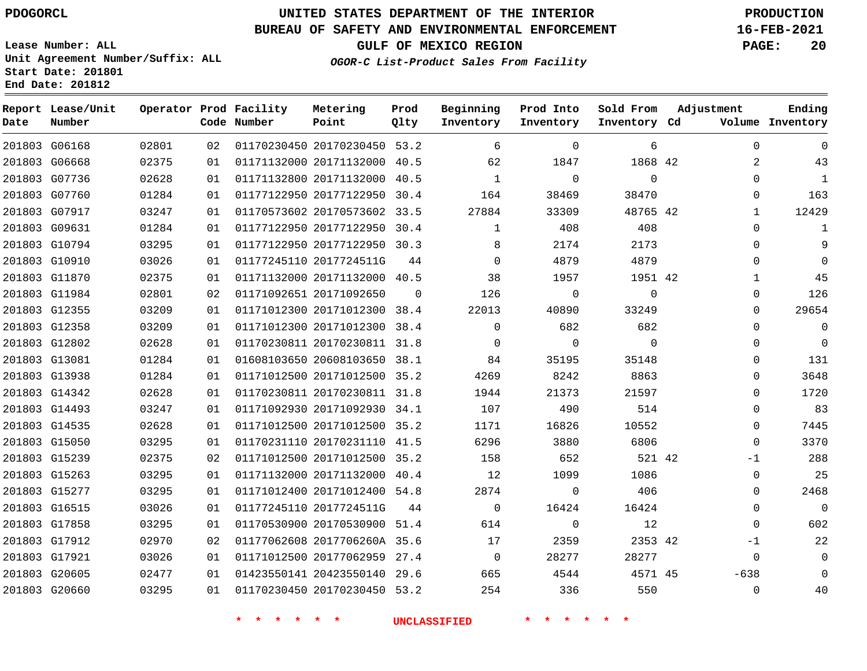### **BUREAU OF SAFETY AND ENVIRONMENTAL ENFORCEMENT 16-FEB-2021**

**Lease Number: ALL Unit Agreement Number/Suffix: ALL Start Date: 201801 End Date: 201812**

**GULF OF MEXICO REGION PAGE: 20**

**OGOR-C List-Product Sales From Facility**

| Date | Report Lease/Unit<br>Number |       |    | Operator Prod Facility<br>Code Number | Metering<br>Point            | Prod<br>Qlty | Beginning<br>Inventory | Prod Into<br>Inventory | Sold From<br>Inventory Cd | Adjustment | Ending<br>Volume Inventory |
|------|-----------------------------|-------|----|---------------------------------------|------------------------------|--------------|------------------------|------------------------|---------------------------|------------|----------------------------|
|      | 201803 G06168               | 02801 | 02 |                                       | 01170230450 20170230450 53.2 |              | 6                      | $\mathbf 0$            | 6                         |            | $\Omega$<br>$\Omega$       |
|      | 201803 G06668               | 02375 | 01 |                                       | 01171132000 20171132000 40.5 |              | 62                     | 1847                   | 1868 42                   |            | 43<br>2                    |
|      | 201803 G07736               | 02628 | 01 |                                       | 01171132800 20171132000      | 40.5         | 1                      | $\Omega$               | $\mathbf 0$               |            | $\Omega$<br>1              |
|      | 201803 G07760               | 01284 | 01 |                                       | 01177122950 20177122950 30.4 |              | 164                    | 38469                  | 38470                     |            | 163<br>$\Omega$            |
|      | 201803 G07917               | 03247 | 01 |                                       | 01170573602 20170573602 33.5 |              | 27884                  | 33309                  | 48765 42                  |            | 12429<br>$\mathbf{1}$      |
|      | 201803 G09631               | 01284 | 01 |                                       | 01177122950 20177122950 30.4 |              | 1                      | 408                    | 408                       |            | $\Omega$<br>1              |
|      | 201803 G10794               | 03295 | 01 |                                       | 01177122950 20177122950 30.3 |              | 8                      | 2174                   | 2173                      |            | 9<br>$\Omega$              |
|      | 201803 G10910               | 03026 | 01 |                                       | 01177245110 2017724511G      | 44           | $\Omega$               | 4879                   | 4879                      |            | $\Omega$<br>$\Omega$       |
|      | 201803 G11870               | 02375 | 01 |                                       | 01171132000 20171132000 40.5 |              | 38                     | 1957                   | 1951 42                   |            | 45<br>$\mathbf{1}$         |
|      | 201803 G11984               | 02801 | 02 |                                       | 01171092651 20171092650      | $\Omega$     | 126                    | $\mathbf 0$            | $\mathbf 0$               |            | 126<br>$\mathbf 0$         |
|      | 201803 G12355               | 03209 | 01 |                                       | 01171012300 20171012300 38.4 |              | 22013                  | 40890                  | 33249                     |            | 29654<br>$\Omega$          |
|      | 201803 G12358               | 03209 | 01 |                                       | 01171012300 20171012300      | 38.4         | $\Omega$               | 682                    | 682                       |            | $\mathbb O$<br>$\Omega$    |
|      | 201803 G12802               | 02628 | 01 |                                       | 01170230811 20170230811 31.8 |              | $\overline{0}$         | $\overline{0}$         | $\overline{0}$            |            | $\mathbf 0$<br>$\Omega$    |
|      | 201803 G13081               | 01284 | 01 |                                       | 01608103650 20608103650 38.1 |              | 84                     | 35195                  | 35148                     |            | 131<br>$\Omega$            |
|      | 201803 G13938               | 01284 | 01 |                                       | 01171012500 20171012500 35.2 |              | 4269                   | 8242                   | 8863                      |            | 3648<br>$\Omega$           |
|      | 201803 G14342               | 02628 | 01 |                                       | 01170230811 20170230811 31.8 |              | 1944                   | 21373                  | 21597                     |            | 1720<br>$\Omega$           |
|      | 201803 G14493               | 03247 | 01 |                                       | 01171092930 20171092930 34.1 |              | 107                    | 490                    | 514                       |            | 83<br>$\Omega$             |
|      | 201803 G14535               | 02628 | 01 |                                       | 01171012500 20171012500 35.2 |              | 1171                   | 16826                  | 10552                     |            | 7445<br>$\Omega$           |
|      | 201803 G15050               | 03295 | 01 |                                       | 01170231110 20170231110 41.5 |              | 6296                   | 3880                   | 6806                      |            | 3370<br>$\Omega$           |
|      | 201803 G15239               | 02375 | 02 |                                       | 01171012500 20171012500 35.2 |              | 158                    | 652                    | 521 42                    |            | 288<br>$-1$                |
|      | 201803 G15263               | 03295 | 01 |                                       | 01171132000 20171132000 40.4 |              | 12                     | 1099                   | 1086                      |            | 25<br>$\mathbf 0$          |
|      | 201803 G15277               | 03295 | 01 |                                       | 01171012400 20171012400 54.8 |              | 2874                   | $\mathbf 0$            | 406                       |            | 2468<br>$\Omega$           |
|      | 201803 G16515               | 03026 | 01 |                                       | 01177245110 2017724511G      | 44           | $\mathbf 0$            | 16424                  | 16424                     |            | $\mathbf 0$<br>$\Omega$    |
|      | 201803 G17858               | 03295 | 01 |                                       | 01170530900 20170530900 51.4 |              | 614                    | $\mathbf 0$            | 12                        |            | 602<br>$\Omega$            |
|      | 201803 G17912               | 02970 | 02 |                                       | 01177062608 2017706260A 35.6 |              | 17                     | 2359                   | 2353 42                   |            | 22<br>$-1$                 |
|      | 201803 G17921               | 03026 | 01 |                                       | 01171012500 20177062959 27.4 |              | $\overline{0}$         | 28277                  | 28277                     |            | $\Omega$<br>$\mathbf 0$    |
|      | 201803 G20605               | 02477 | 01 |                                       | 01423550141 20423550140 29.6 |              | 665                    | 4544                   | 4571 45                   | $-638$     | $\Omega$                   |
|      | 201803 G20660               | 03295 | 01 |                                       | 01170230450 20170230450 53.2 |              | 254                    | 336                    | 550                       |            | 40<br>$\mathbf{0}$         |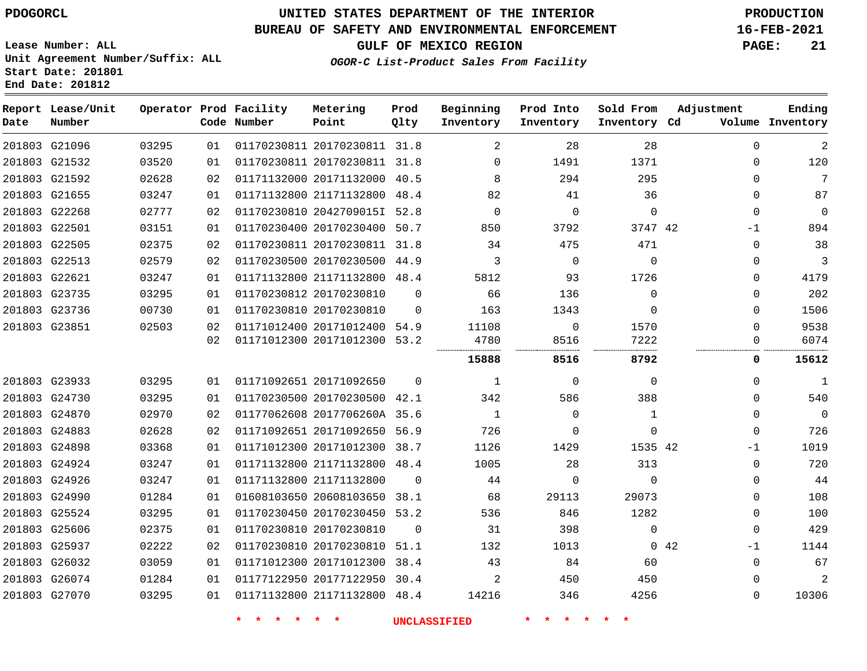### **BUREAU OF SAFETY AND ENVIRONMENTAL ENFORCEMENT 16-FEB-2021**

**Lease Number: ALL Unit Agreement Number/Suffix: ALL Start Date: 201801**

**OGOR-C List-Product Sales From Facility**

**GULF OF MEXICO REGION PAGE: 21**

| Start Date: ZUIBUI |  |  |
|--------------------|--|--|
| End Date: 201812   |  |  |

| Date | Report Lease/Unit<br>Number |       |    | Operator Prod Facility<br>Code Number | Metering<br>Point            | Prod<br>Qlty | Beginning<br>Inventory | Prod Into<br>Inventory | Sold From<br>Inventory Cd | Adjustment          | Ending<br>Volume Inventory |
|------|-----------------------------|-------|----|---------------------------------------|------------------------------|--------------|------------------------|------------------------|---------------------------|---------------------|----------------------------|
|      | 201803 G21096               | 03295 | 01 |                                       | 01170230811 20170230811 31.8 |              | 2                      | 28                     | 28                        | $\Omega$            | $\overline{a}$             |
|      | 201803 G21532               | 03520 | 01 |                                       | 01170230811 20170230811 31.8 |              | $\Omega$               | 1491                   | 1371                      | $\mathbf 0$         | 120                        |
|      | 201803 G21592               | 02628 | 02 |                                       | 01171132000 20171132000 40.5 |              | 8                      | 294                    | 295                       | $\Omega$            | 7                          |
|      | 201803 G21655               | 03247 | 01 |                                       | 01171132800 21171132800 48.4 |              | 82                     | 41                     | 36                        | $\mathbf 0$         | 87                         |
|      | 201803 G22268               | 02777 | 02 |                                       | 01170230810 2042709015I 52.8 |              | $\Omega$               | $\Omega$               | $\mathbf 0$               | $\Omega$            | $\Omega$                   |
|      | 201803 G22501               | 03151 | 01 |                                       | 01170230400 20170230400 50.7 |              | 850                    | 3792                   | 3747 42                   | -1                  | 894                        |
|      | 201803 G22505               | 02375 | 02 |                                       | 01170230811 20170230811 31.8 |              | 34                     | 475                    | 471                       | $\Omega$            | 38                         |
|      | 201803 G22513               | 02579 | 02 |                                       | 01170230500 20170230500 44.9 |              | 3                      | $\mathbf 0$            | $\mathbf 0$               | $\mathbf 0$         | 3                          |
|      | 201803 G22621               | 03247 | 01 |                                       | 01171132800 21171132800 48.4 |              | 5812                   | 93                     | 1726                      | $\Omega$            | 4179                       |
|      | 201803 G23735               | 03295 | 01 |                                       | 01170230812 20170230810      | $\Omega$     | 66                     | 136                    | $\Omega$                  | $\Omega$            | 202                        |
|      | 201803 G23736               | 00730 | 01 |                                       | 01170230810 20170230810      | $\Omega$     | 163                    | 1343                   | $\Omega$                  | $\mathbf 0$         | 1506                       |
|      | 201803 G23851               | 02503 | 02 |                                       | 01171012400 20171012400 54.9 |              | 11108                  | $\Omega$               | 1570                      | $\Omega$            | 9538                       |
|      |                             |       | 02 |                                       | 01171012300 20171012300 53.2 |              | 4780                   | 8516                   | 7222                      | 0                   | 6074                       |
|      |                             |       |    |                                       |                              |              | 15888                  | 8516                   | 8792                      | 0                   | 15612                      |
|      | 201803 G23933               | 03295 | 01 |                                       | 01171092651 20171092650      | $\Omega$     | 1                      | $\Omega$               | $\Omega$                  | $\mathbf 0$         | 1                          |
|      | 201803 G24730               | 03295 | 01 |                                       | 01170230500 20170230500 42.1 |              | 342                    | 586                    | 388                       | $\mathbf 0$         | 540                        |
|      | 201803 G24870               | 02970 | 02 |                                       | 01177062608 2017706260A 35.6 |              | $\overline{1}$         | $\Omega$               | 1                         | $\Omega$            | $\Omega$                   |
|      | 201803 G24883               | 02628 | 02 |                                       | 01171092651 20171092650 56.9 |              | 726                    | $\Omega$               | $\Omega$                  | $\mathbf 0$         | 726                        |
|      | 201803 G24898               | 03368 | 01 |                                       | 01171012300 20171012300      | 38.7         | 1126                   | 1429                   | 1535 42                   | $-1$                | 1019                       |
|      | 201803 G24924               | 03247 | 01 |                                       | 01171132800 21171132800      | 48.4         | 1005                   | 28                     | 313                       | $\mathbf 0$         | 720                        |
|      | 201803 G24926               | 03247 | 01 |                                       | 01171132800 21171132800      | $\Omega$     | 44                     | $\Omega$               | $\Omega$                  | $\Omega$            | 44                         |
|      | 201803 G24990               | 01284 | 01 |                                       | 01608103650 20608103650 38.1 |              | 68                     | 29113                  | 29073                     | $\mathbf 0$         | 108                        |
|      | 201803 G25524               | 03295 | 01 |                                       | 01170230450 20170230450 53.2 |              | 536                    | 846                    | 1282                      | $\mathbf 0$         | 100                        |
|      | 201803 G25606               | 02375 | 01 |                                       | 01170230810 20170230810      | $\Omega$     | 31                     | 398                    | $\Omega$                  | $\mathbf 0$         | 429                        |
|      | 201803 G25937               | 02222 | 02 |                                       | 01170230810 20170230810      | 51.1         | 132                    | 1013                   |                           | $0\quad 42$<br>$-1$ | 1144                       |
|      | 201803 G26032               | 03059 | 01 |                                       | 01171012300 20171012300      | 38.4         | 43                     | 84                     | 60                        | 0                   | 67                         |
|      | 201803 G26074               | 01284 | 01 |                                       | 01177122950 20177122950 30.4 |              | 2                      | 450                    | 450                       | $\Omega$            | $\overline{2}$             |
|      | 201803 G27070               | 03295 | 01 |                                       | 01171132800 21171132800 48.4 |              | 14216                  | 346                    | 4256                      | $\mathbf 0$         | 10306                      |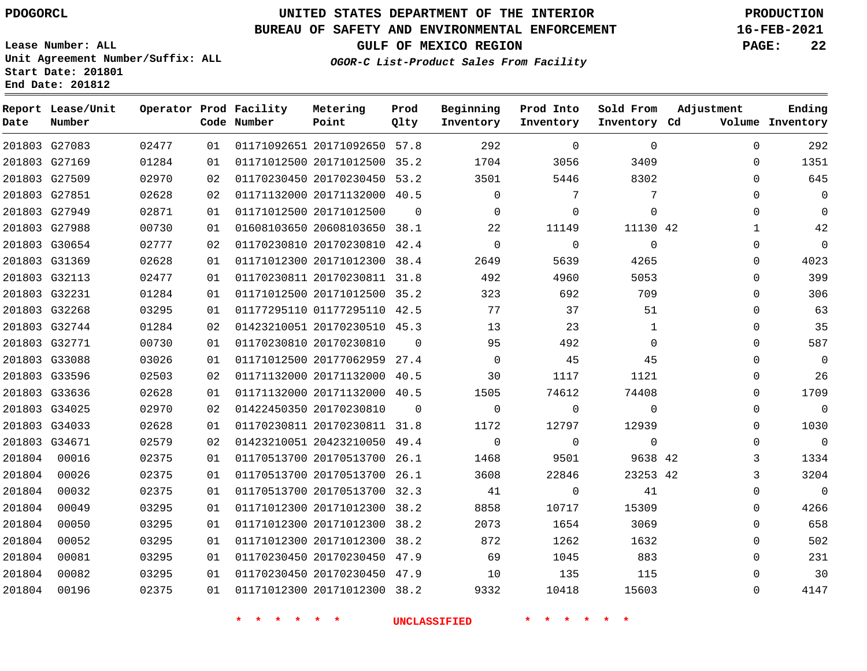**Report Lease/Unit**

**Number**

### **UNITED STATES DEPARTMENT OF THE INTERIOR PDOGORCL PRODUCTION**

**Prod Qlty**

### **BUREAU OF SAFETY AND ENVIRONMENTAL ENFORCEMENT 16-FEB-2021**

**Lease Number: ALL Unit Agreement Number/Suffix: ALL Start Date: 201801 End Date: 201812**

**Operator Prod Facility**

**Code Number**

**OGOR-C List-Product Sales From Facility**

**Beginning Inventory** **Prod Into Inventory** **Sold From Inventory**

**GULF OF MEXICO REGION PAGE: 22**

**Inventory Cd Volume**

**Adjustment**

**Ending**

|        | 201803 G27083 | 02477 | 01 |                          | 01171092651 20171092650 57.8 | 292                               | $\overline{0}$ | $\overline{0}$           |  |
|--------|---------------|-------|----|--------------------------|------------------------------|-----------------------------------|----------------|--------------------------|--|
|        | 201803 G27169 | 01284 | 01 |                          | 01171012500 20171012500 35.2 | 1704                              | 3056 700       | 3409                     |  |
|        | 201803 G27509 | 02970 | 02 |                          |                              | 01170230450 20170230450 53.2 3501 | 5446           | 8302                     |  |
|        | 201803 G27851 | 02628 | 02 |                          |                              | 01171132000 20171132000 40.5 0    | 7              | 7                        |  |
|        | 201803 G27949 | 02871 | 01 |                          | 01171012500 20171012500 0    | $\overline{0}$                    | $\overline{0}$ | $\overline{0}$           |  |
|        | 201803 G27988 | 00730 | 01 |                          |                              | 01608103650 20608103650 38.1 22   | 11149          | 11130 42                 |  |
|        | 201803 G30654 | 02777 | 02 |                          | 01170230810 20170230810 42.4 | $\overline{0}$                    | $\overline{0}$ | $\overline{0}$           |  |
|        | 201803 G31369 | 02628 | 01 |                          | 01171012300 20171012300 38.4 | 2649                              | 5639           | 4265                     |  |
|        | 201803 G32113 | 02477 | 01 |                          |                              | 01170230811 20170230811 31.8 492  | 4960           | 5053                     |  |
|        | 201803 G32231 | 01284 | 01 |                          |                              | 01171012500 20171012500 35.2 323  | 692 692        | 709                      |  |
|        | 201803 G32268 | 03295 | 01 |                          | 01177295110 01177295110 42.5 | 77                                | 37             | 51                       |  |
|        | 201803 G32744 | 01284 | 02 |                          | 01423210051 20170230510 45.3 | 13                                | 23             | 1                        |  |
|        | 201803 G32771 | 00730 | 01 |                          | 01170230810 20170230810 0    | 95                                | 492            | $\overline{0}$           |  |
|        | 201803 G33088 | 03026 | 01 |                          |                              | 01171012500 20177062959 27.4 0    | 45             | 45                       |  |
|        | 201803 G33596 | 02503 | 02 |                          |                              | 01171132000 20171132000 40.5 30   | 1117           | 1121                     |  |
|        | 201803 G33636 | 02628 | 01 |                          | 01171132000 20171132000 40.5 | 1505                              | 74612          | 74408                    |  |
|        | 201803 G34025 | 02970 | 02 |                          | 01422450350 20170230810 0    | $\overline{0}$                    | $\overline{0}$ | $\overline{0}$           |  |
|        | 201803 G34033 | 02628 | 01 |                          | 01170230811 20170230811 31.8 | 1172                              | 12797          | 12939                    |  |
|        | 201803 G34671 | 02579 | 02 |                          | 01423210051 20423210050 49.4 | $\overline{0}$                    | $\overline{0}$ | $\overline{\phantom{0}}$ |  |
|        | 201804 00016  | 02375 | 01 |                          | 01170513700 20170513700 26.1 | 1468                              | 9501           | 9638 42                  |  |
|        | 201804 00026  | 02375 | 01 |                          | 01170513700 20170513700 26.1 | 3608                              | 22846          | 23253 42                 |  |
| 201804 | 00032         | 02375 | 01 |                          | 01170513700 20170513700 32.3 | 41                                | $\overline{0}$ | 41                       |  |
| 201804 | 00049         | 03295 | 01 |                          | 01171012300 20171012300 38.2 | 8858                              | 10717          | 15309                    |  |
| 201804 | 00050         | 03295 | 01 |                          | 01171012300 20171012300 38.2 | 2073                              | 1654           | 3069                     |  |
| 201804 | 00052         | 03295 | 01 |                          |                              | 01171012300 20171012300 38.2 872  | 1262 200       | 1632                     |  |
| 201804 | 00081         | 03295 | 01 |                          |                              | 01170230450 20170230450 47.9 69   |                | 1045 883                 |  |
| 201804 | 00082         | 03295 | 01 |                          |                              | 01170230450 20170230450 47.9 10   | 135            | 115                      |  |
| 201804 | 00196         | 02375 | 01 |                          | 01171012300 20171012300 38.2 | 9332                              | 10418          | 15603                    |  |
|        |               |       |    | $\star$<br>$\rightarrow$ | $\star$ $\star$              | UNCLASSIFIED                      | * * * *        |                          |  |

**Metering Point**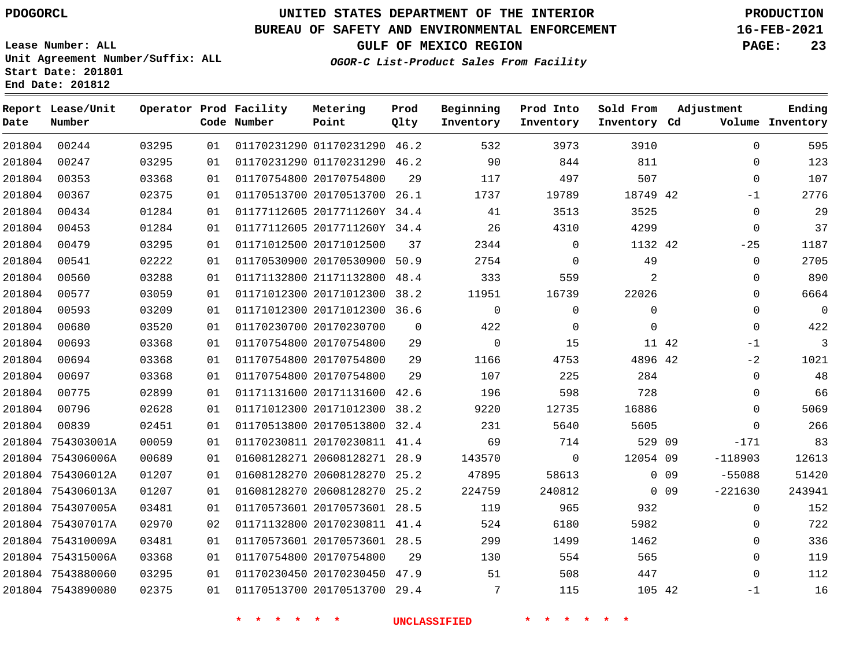**Report Lease/Unit**

**Number**

**Date**

### **UNITED STATES DEPARTMENT OF THE INTERIOR PDOGORCL PRODUCTION**

**Prod Qlty**

#### **BUREAU OF SAFETY AND ENVIRONMENTAL ENFORCEMENT 16-FEB-2021**

**Lease Number: ALL Unit Agreement Number/Suffix: ALL Start Date: 201801 End Date: 201812**

> 

**Operator Prod Facility**

**Code Number**

 01170231290 46.2 01170231290 46.2

**Metering Point**

20170754800

  **OGOR-C List-Product Sales From Facility**

 

 

**Prod Into Inventory**

**Beginning Inventory**

**GULF OF MEXICO REGION PAGE: 23**

**Inventory Cd Volume**

**Adjustment**

  $\Omega$  -1  $\Omega$   $-25$   $\Omega$ -1  $-2$  $\Omega$  $\overline{0}$  $\Omega$  $\Omega$ -171 -118903 -55088 -221630

**Ending**

 

**Sold From Inventory**

 

| 18749       | 19789  | 1737                | 26.1 | 01170513700 20170513700      | 01 | 02375 | 00367             | 201804 |
|-------------|--------|---------------------|------|------------------------------|----|-------|-------------------|--------|
| 3525        | 3513   | 41                  |      | 01177112605 2017711260Y 34.4 | 01 | 01284 | 00434             | 201804 |
| 4299        | 4310   | 26                  |      | 01177112605 2017711260Y 34.4 | 01 | 01284 | 00453             | 201804 |
| 1132        | 0      | 2344                | 37   | 01171012500 20171012500      | 01 | 03295 | 00479             | 201804 |
| 49          | 0      | 2754                | 50.9 | 01170530900 20170530900      | 01 | 02222 | 00541             | 201804 |
| 2           | 559    | 333                 | 48.4 | 01171132800 21171132800      | 01 | 03288 | 00560             | 201804 |
| 22026       | 16739  | 11951               | 38.2 | 01171012300 20171012300      | 01 | 03059 | 00577             | 201804 |
| 0           | 0      | $\mathbf 0$         | 36.6 | 01171012300 20171012300      | 01 | 03209 | 00593             | 201804 |
| $\mathbf 0$ | 0      | 422                 | 0    | 01170230700 20170230700      | 01 | 03520 | 00680             | 201804 |
| 11          | 15     | 0                   | 29   | 01170754800 20170754800      | 01 | 03368 | 00693             | 201804 |
| 4896        | 4753   | 1166                | 29   | 01170754800 20170754800      | 01 | 03368 | 00694             | 201804 |
| 284         | 225    | 107                 | 29   | 01170754800 20170754800      | 01 | 03368 | 00697             | 201804 |
| 728         | 598    | 196                 | 42.6 | 01171131600 20171131600      | 01 | 02899 | 00775             | 201804 |
| 16886       | 12735  | 9220                | 38.2 | 01171012300 20171012300      | 01 | 02628 | 00796             | 201804 |
| 5605        | 5640   | 231                 | 32.4 | 01170513800 20170513800      | 01 | 02451 | 00839             | 201804 |
| 529         | 714    | 69                  | 41.4 | 01170230811 20170230811      | 01 | 00059 | 201804 754303001A |        |
| 12054       | 0      | 143570              | 28.9 | 01608128271 20608128271      | 01 | 00689 | 201804 754306006A |        |
| 0           | 58613  | 47895               | 25.2 | 01608128270 20608128270      | 01 | 01207 | 201804 754306012A |        |
| $\mathbf 0$ | 240812 | 224759              | 25.2 | 01608128270 20608128270      | 01 | 01207 | 201804 754306013A |        |
| 932         | 965    | 119                 | 28.5 | 01170573601 20170573601      | 01 | 03481 | 201804 754307005A |        |
| 5982        | 6180   | 524                 | 41.4 | 01171132800 20170230811      | 02 | 02970 | 201804 754307017A |        |
| 1462        | 1499   | 299                 | 28.5 | 01170573601 20170573601      | 01 | 03481 | 201804 754310009A |        |
| 565         | 554    | 130                 | 29   | 01170754800 20170754800      | 01 | 03368 | 201804 754315006A |        |
| 447         | 508    | 51                  |      | 01170230450 20170230450 47.9 | 01 | 03295 | 201804 7543880060 |        |
| 105         | 115    | 7                   | 29.4 | 01170513700 20170513700      | 01 | 02375 | 201804 7543890080 |        |
|             |        | <b>UNCLASSIFIED</b> |      |                              |    |       |                   |        |
|             |        |                     |      |                              |    |       |                   |        |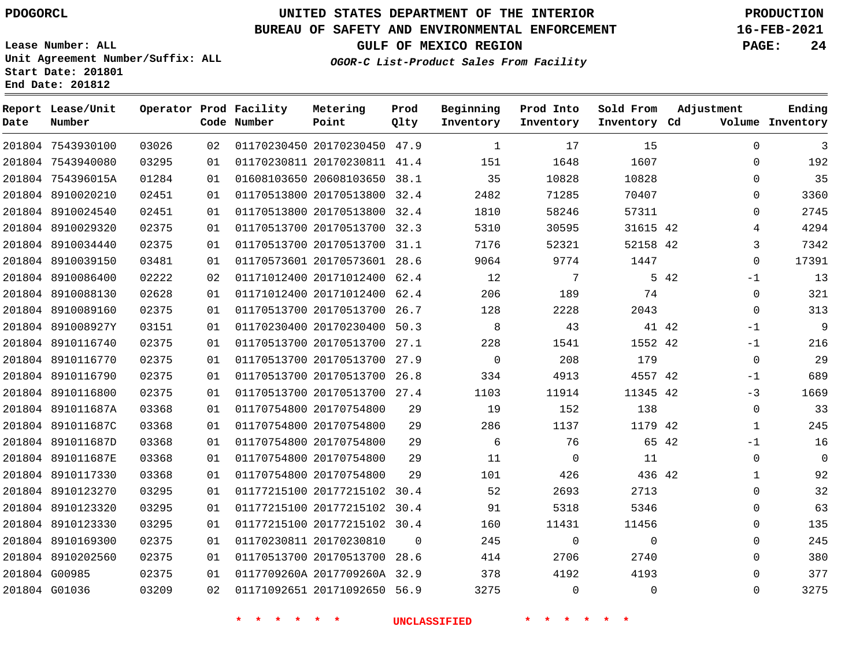7543930100 7543940080 754396015A 8910020210

**Report Lease/Unit**

**Number**

# **UNITED STATES DEPARTMENT OF THE INTERIOR PDOGORCL PRODUCTION**

**Prod Qlty**

#### **BUREAU OF SAFETY AND ENVIRONMENTAL ENFORCEMENT 16-FEB-2021**

**Lease Number: ALL Unit Agreement Number/Suffix: ALL Start Date: 201801 End Date: 201812**

**Operator Prod Facility**

**Code Number**

 20170230450 47.9 20170230811 41.4 20608103650 38.1 20170513800 32.4

**Metering Point**

**OGOR-C List-Product Sales From Facility**

**Sold From Inventory**

**Prod Into Inventory**

**Beginning Inventory**

**GULF OF MEXICO REGION PAGE: 24**

**Inventory Cd Volume**

**Adjustment**

  $\Omega$  $\Omega$  $\Omega$  $\Omega$  -1 -1 -1  $\Omega$  $-1$ -3  $\Omega$  -1  $\Omega$   $\Omega$  $\Omega$   $\Omega$   $\Omega$ 

**Ending**

| 201804 8910024540 | 02451 | 01 | 01170513800 20170513800 32.4 |          | 1810                | 58246           | 57311       |  |
|-------------------|-------|----|------------------------------|----------|---------------------|-----------------|-------------|--|
| 201804 8910029320 | 02375 | 01 | 01170513700 20170513700 32.3 |          | 5310                | 30595           | 31615 42    |  |
| 201804 8910034440 | 02375 | 01 | 01170513700 20170513700 31.1 |          | 7176                | 52321           | 52158 42    |  |
| 201804 8910039150 | 03481 | 01 | 01170573601 20170573601 28.6 |          | 9064                | 9774            | 1447        |  |
| 201804 8910086400 | 02222 | 02 | 01171012400 20171012400 62.4 |          | 12                  | $7\overline{ }$ | 5 42        |  |
| 201804 8910088130 | 02628 | 01 | 01171012400 20171012400 62.4 |          | 206                 | 189             | 74          |  |
| 201804 8910089160 | 02375 | 01 | 01170513700 20170513700 26.7 |          | 128                 | 2228            | 2043        |  |
| 201804 891008927Y | 03151 | 01 | 01170230400 20170230400 50.3 |          | 8                   | 43              | 41 42       |  |
| 201804 8910116740 | 02375 | 01 | 01170513700 20170513700 27.1 |          | 228                 | 1541            | 1552 42     |  |
| 201804 8910116770 | 02375 | 01 | 01170513700 20170513700 27.9 |          | $\mathbf 0$         | 208             | 179         |  |
| 201804 8910116790 | 02375 | 01 | 01170513700 20170513700 26.8 |          | 334                 | 4913            | 4557 42     |  |
| 201804 8910116800 | 02375 | 01 | 01170513700 20170513700 27.4 |          | 1103                | 11914           | 11345 42    |  |
| 201804 891011687A | 03368 | 01 | 01170754800 20170754800      | 29       | 19                  | 152             | 138         |  |
| 201804 891011687C | 03368 | 01 | 01170754800 20170754800      | 29       | 286                 | 1137            | 1179 42     |  |
| 201804 891011687D | 03368 | 01 | 01170754800 20170754800      | 29       | 6                   | 76              | 65 42       |  |
| 201804 891011687E | 03368 | 01 | 01170754800 20170754800      | 29       | 11                  | $\mathbf 0$     | 11          |  |
| 201804 8910117330 | 03368 | 01 | 01170754800 20170754800      | 29       | 101                 | 426             | 436 42      |  |
| 201804 8910123270 | 03295 | 01 | 01177215100 20177215102 30.4 |          | 52                  | 2693            | 2713        |  |
| 201804 8910123320 | 03295 | 01 | 01177215100 20177215102 30.4 |          | 91                  | 5318            | 5346        |  |
| 201804 8910123330 | 03295 | 01 | 01177215100 20177215102 30.4 |          | 160                 | 11431           | 11456       |  |
| 201804 8910169300 | 02375 | 01 | 01170230811 20170230810      | $\Omega$ | 245                 | 0               | $\mathbf 0$ |  |
| 201804 8910202560 | 02375 | 01 | 01170513700 20170513700 28.6 |          | 414                 | 2706            | 2740        |  |
| 201804 G00985     | 02375 | 01 | 0117709260A 2017709260A 32.9 |          | 378                 | 4192            | 4193        |  |
| 201804 G01036     | 03209 | 02 | 01171092651 20171092650 56.9 |          | 3275                | $\mathbf 0$     | 0           |  |
|                   |       |    |                              |          | <b>UNCLASSIFIED</b> |                 |             |  |
|                   |       |    |                              |          |                     |                 |             |  |
|                   |       |    |                              |          |                     |                 |             |  |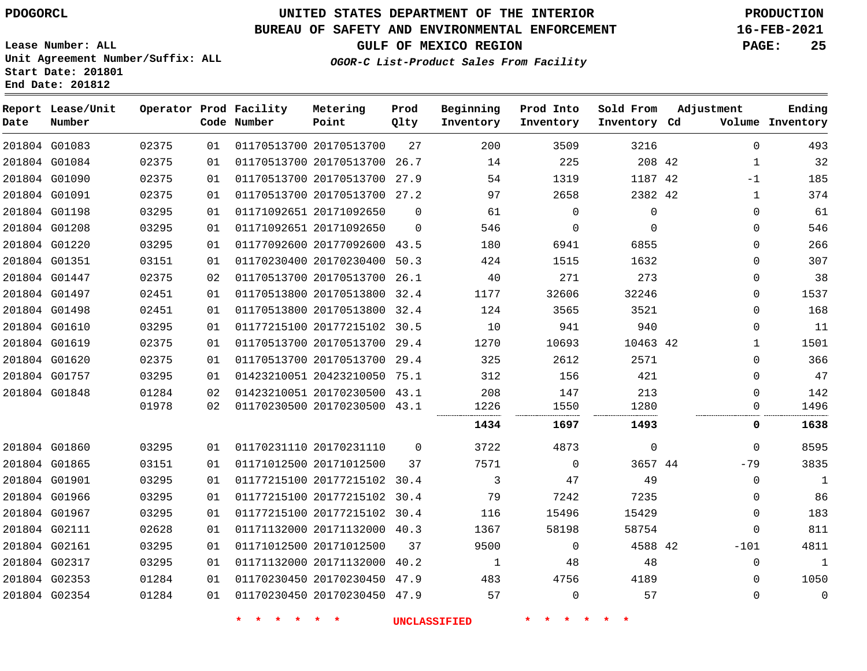### **UNITED STATES DEPARTMENT OF THE INTERIOR PDOGORCL PRODUCTION**

#### **BUREAU OF SAFETY AND ENVIRONMENTAL ENFORCEMENT 16-FEB-2021**

**Lease Number: ALL Unit Agreement Number/Suffix: ALL Start Date: 201801 End Date: 201812**

**Prod**

**GULF OF MEXICO REGION PAGE: 25**

**Adjustment**

**Ending**

**OGOR-C List-Product Sales From Facility**

| Date | Report Lease/Unit<br>Number |       |    | Operator Prod Facility<br>Code Number | Metering<br>Point            | Prod<br>Qlty | Beginning<br>Inventory | Prod Into<br>Inventory | Sold From<br>Inventory Cd | Adjustment   | Ending<br>Volume Inventory |
|------|-----------------------------|-------|----|---------------------------------------|------------------------------|--------------|------------------------|------------------------|---------------------------|--------------|----------------------------|
|      | 201804 G01083               | 02375 | 01 |                                       | 01170513700 20170513700      | 27           | 200                    | 3509                   | 3216                      | $\mathbf{0}$ | 493                        |
|      | 201804 G01084               | 02375 | 01 |                                       | 01170513700 20170513700 26.7 |              | 14                     | 225                    | 208 42                    | 1            | 32                         |
|      | 201804 G01090               | 02375 | 01 |                                       | 01170513700 20170513700 27.9 |              | 54                     | 1319                   | 1187 42                   | $-1$         | 185                        |
|      | 201804 G01091               | 02375 | 01 |                                       | 01170513700 20170513700 27.2 |              | 97                     | 2658                   | 2382 42                   | 1            | 374                        |
|      | 201804 G01198               | 03295 | 01 |                                       | 01171092651 20171092650      | $\Omega$     | 61                     | $\Omega$               | $\mathbf 0$               | $\mathbf{0}$ | 61                         |
|      | 201804 G01208               | 03295 | 01 |                                       | 01171092651 20171092650      | $\mathbf 0$  | 546                    | $\mathbf 0$            | $\Omega$                  | $\mathbf{0}$ | 546                        |
|      | 201804 G01220               | 03295 | 01 |                                       | 01177092600 20177092600 43.5 |              | 180                    | 6941                   | 6855                      | 0            | 266                        |
|      | 201804 G01351               | 03151 | 01 |                                       | 01170230400 20170230400 50.3 |              | 424                    | 1515                   | 1632                      | $\mathbf{0}$ | 307                        |
|      | 201804 G01447               | 02375 | 02 |                                       | 01170513700 20170513700 26.1 |              | 40                     | 271                    | 273                       | 0            | 38                         |
|      | 201804 G01497               | 02451 | 01 |                                       | 01170513800 20170513800 32.4 |              | 1177                   | 32606                  | 32246                     | $\mathbf{0}$ | 1537                       |
|      | 201804 G01498               | 02451 | 01 |                                       | 01170513800 20170513800 32.4 |              | 124                    | 3565                   | 3521                      | 0            | 168                        |
|      | 201804 G01610               | 03295 | 01 |                                       | 01177215100 20177215102 30.5 |              | 10                     | 941                    | 940                       | 0            | 11                         |
|      | 201804 G01619               | 02375 | 01 |                                       | 01170513700 20170513700 29.4 |              | 1270                   | 10693                  | 10463 42                  | $\mathbf{1}$ | 1501                       |
|      | 201804 G01620               | 02375 | 01 |                                       | 01170513700 20170513700 29.4 |              | 325                    | 2612                   | 2571                      | 0            | 366                        |
|      | 201804 G01757               | 03295 | 01 |                                       | 01423210051 20423210050 75.1 |              | 312                    | 156                    | 421                       | 0            | 47                         |
|      | 201804 G01848               | 01284 | 02 |                                       | 01423210051 20170230500 43.1 |              | 208                    | 147                    | 213                       | $\mathbf{0}$ | 142                        |
|      |                             | 01978 | 02 |                                       | 01170230500 20170230500 43.1 |              | 1226                   | 1550                   | 1280                      | 0            | 1496                       |
|      |                             |       |    |                                       |                              |              | 1434                   | 1697                   | 1493                      | 0            | 1638                       |
|      | 201804 G01860               | 03295 | 01 |                                       | 01170231110 20170231110      | $\Omega$     | 3722                   | 4873                   | $\mathbf 0$               | 0            | 8595                       |
|      | 201804 G01865               | 03151 | 01 |                                       | 01171012500 20171012500      | 37           | 7571                   | $\Omega$               | 3657 44                   | $-79$        | 3835                       |
|      | 201804 G01901               | 03295 | 01 |                                       | 01177215100 20177215102 30.4 |              | 3                      | 47                     | 49                        | 0            | $\mathbf{1}$               |
|      | 201804 G01966               | 03295 | 01 |                                       | 01177215100 20177215102 30.4 |              | 79                     | 7242                   | 7235                      | 0            | 86                         |
|      | 201804 G01967               | 03295 | 01 |                                       | 01177215100 20177215102 30.4 |              | 116                    | 15496                  | 15429                     | $\mathbf{0}$ | 183                        |
|      | 201804 G02111               | 02628 | 01 |                                       | 01171132000 20171132000 40.3 |              | 1367                   | 58198                  | 58754                     | $\mathbf{0}$ | 811                        |
|      | 201804 G02161               | 03295 | 01 |                                       | 01171012500 20171012500      | 37           | 9500                   | $\Omega$               | 4588 42                   | $-101$       | 4811                       |
|      | 201804 G02317               | 03295 | 01 |                                       | 01171132000 20171132000 40.2 |              | 1                      | 48                     | 48                        | 0            | $\mathbf{1}$               |
|      | 201804 G02353               | 01284 | 01 |                                       | 01170230450 20170230450 47.9 |              | 483                    | 4756                   | 4189                      | 0            | 1050                       |
|      | 201804 G02354               | 01284 | 01 |                                       | 01170230450 20170230450 47.9 |              | 57                     | $\Omega$               | 57                        | $\Omega$     | $\mathbf 0$                |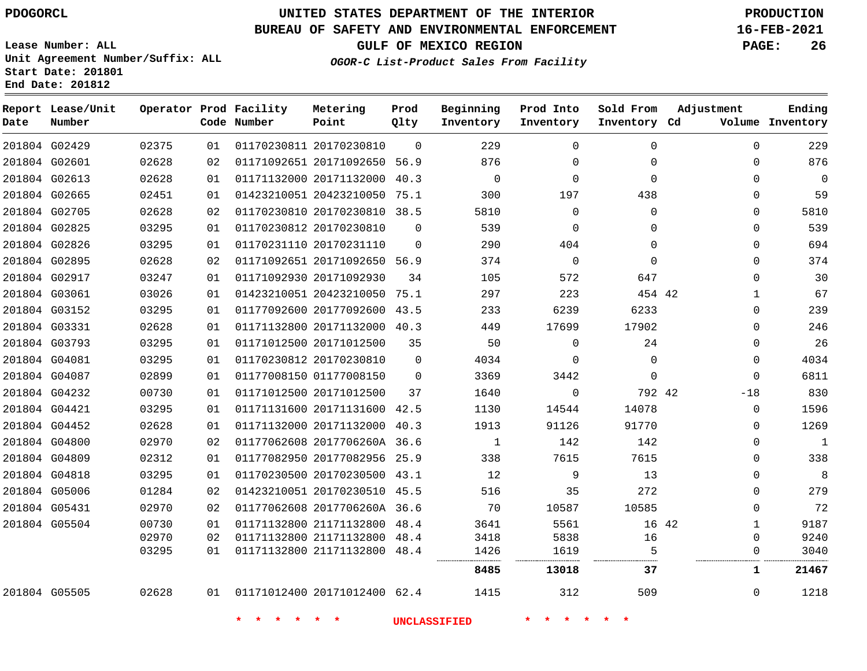**Report Lease/Unit**

## **UNITED STATES DEPARTMENT OF THE INTERIOR PDOGORCL PRODUCTION**

**Prod**

#### **BUREAU OF SAFETY AND ENVIRONMENTAL ENFORCEMENT 16-FEB-2021**

**Lease Number: ALL Unit Agreement Number/Suffix: ALL Start Date: 201801 End Date: 201812**

**Operator Prod Facility Metering**

**OGOR-C List-Product Sales From Facility**

**Beginning Prod Into Sold From**

**GULF OF MEXICO REGION PAGE: 26**

**Adjustment**

**Ending Inventory**

| Date | Number        |       |    | Code Number              | Point                        | Qlty        | Inventory           | Inventory                           | Inventory Cd    |       |              | Volume Inventory |
|------|---------------|-------|----|--------------------------|------------------------------|-------------|---------------------|-------------------------------------|-----------------|-------|--------------|------------------|
|      | 201804 G02429 | 02375 | 01 |                          | 01170230811 20170230810      | $\Omega$    | 229                 | $\Omega$                            | $\Omega$        |       | $\Omega$     | 229              |
|      | 201804 G02601 | 02628 | 02 |                          | 01171092651 20171092650 56.9 |             | 876                 | 0                                   | 0               |       | 0            | 876              |
|      | 201804 G02613 | 02628 | 01 |                          | 01171132000 20171132000 40.3 |             | $\Omega$            | $\mathbf 0$                         | $\Omega$        |       | $\Omega$     | 0                |
|      | 201804 G02665 | 02451 | 01 |                          | 01423210051 20423210050 75.1 |             | 300                 | 197                                 | 438             |       | 0            | 59               |
|      | 201804 G02705 | 02628 | 02 |                          | 01170230810 20170230810 38.5 |             | 5810                | $\mathbf 0$                         | $\mathbf{0}$    |       | $\mathbf 0$  | 5810             |
|      | 201804 G02825 | 03295 | 01 |                          | 01170230812 20170230810      | $\Omega$    | 539                 | $\mathbf 0$                         | $\Omega$        |       | $\Omega$     | 539              |
|      | 201804 G02826 | 03295 | 01 |                          | 01170231110 20170231110      | $\mathbf 0$ | 290                 | 404                                 | $\Omega$        |       | 0            | 694              |
|      | 201804 G02895 | 02628 | 02 |                          | 01171092651 20171092650 56.9 |             | 374                 | $\overline{0}$                      | $\Omega$        |       | 0            | 374              |
|      | 201804 G02917 | 03247 | 01 |                          | 01171092930 20171092930      | 34          | 105                 | 572                                 | 647             |       | $\Omega$     | 30               |
|      | 201804 G03061 | 03026 | 01 |                          | 01423210051 20423210050 75.1 |             | 297                 | 223                                 | 454 42          |       | 1            | 67               |
|      | 201804 G03152 | 03295 | 01 |                          | 01177092600 20177092600 43.5 |             | 233                 | 6239                                | 6233            |       | 0            | 239              |
|      | 201804 G03331 | 02628 | 01 |                          | 01171132800 20171132000 40.3 |             | 449                 | 17699                               | 17902           |       | 0            | 246              |
|      | 201804 G03793 | 03295 | 01 |                          | 01171012500 20171012500      | 35          | 50                  | $\Omega$                            | 24              |       | $\Omega$     | 26               |
|      | 201804 G04081 | 03295 | 01 |                          | 01170230812 20170230810      | $\mathbf 0$ | 4034                | $\mathbf 0$                         | $\mathbf 0$     |       | 0            | 4034             |
|      | 201804 G04087 | 02899 | 01 |                          | 01177008150 01177008150      | $\Omega$    | 3369                | 3442                                | $\mathbf 0$     |       | $\Omega$     | 6811             |
|      | 201804 G04232 | 00730 | 01 |                          | 01171012500 20171012500      | 37          | 1640                | $\mathbf 0$                         | 792 42          |       | $-18$        | 830              |
|      | 201804 G04421 | 03295 | 01 |                          | 01171131600 20171131600 42.5 |             | 1130                | 14544                               | 14078           |       | 0            | 1596             |
|      | 201804 G04452 | 02628 | 01 |                          | 01171132000 20171132000 40.3 |             | 1913                | 91126                               | 91770           |       | $\Omega$     | 1269             |
|      | 201804 G04800 | 02970 | 02 |                          | 01177062608 2017706260A 36.6 |             | 1                   | 142                                 | 142             |       | 0            | $\mathbf{1}$     |
|      | 201804 G04809 | 02312 | 01 |                          | 01177082950 20177082956 25.9 |             | 338                 | 7615                                | 7615            |       | 0            | 338              |
|      | 201804 G04818 | 03295 | 01 |                          | 01170230500 20170230500 43.1 |             | 12                  | 9                                   | 13              |       | 0            | 8                |
|      | 201804 G05006 | 01284 | 02 |                          | 01423210051 20170230510 45.5 |             | 516                 | 35                                  | 272             |       | 0            | 279              |
|      | 201804 G05431 | 02970 | 02 |                          | 01177062608 2017706260A 36.6 |             | 70                  | 10587                               | 10585           |       | 0            | 72               |
|      | 201804 G05504 | 00730 | 01 |                          | 01171132800 21171132800 48.4 |             | 3641                | 5561                                |                 | 16 42 | $\mathbf{1}$ | 9187             |
|      |               | 02970 | 02 |                          | 01171132800 21171132800 48.4 |             | 3418                | 5838                                | 16              |       | $\Omega$     | 9240             |
|      |               | 03295 | 01 |                          | 01171132800 21171132800 48.4 |             | 1426                | 1619                                | 5               |       | 0            | 3040             |
|      |               |       |    |                          |                              |             | 8485                | 13018                               | 37              |       | $\mathbf{1}$ | 21467            |
|      | 201804 G05505 | 02628 | 01 |                          | 01171012400 20171012400 62.4 |             | 1415                | 312                                 | 509             |       | $\mathbf{0}$ | 1218             |
|      |               |       |    | $\star$<br>$\star$<br>一大 | $\star$ $\star$              |             | <b>UNCLASSIFIED</b> | $\star$<br>$\star$<br>$\rightarrow$ | $\star$ $\star$ |       |              |                  |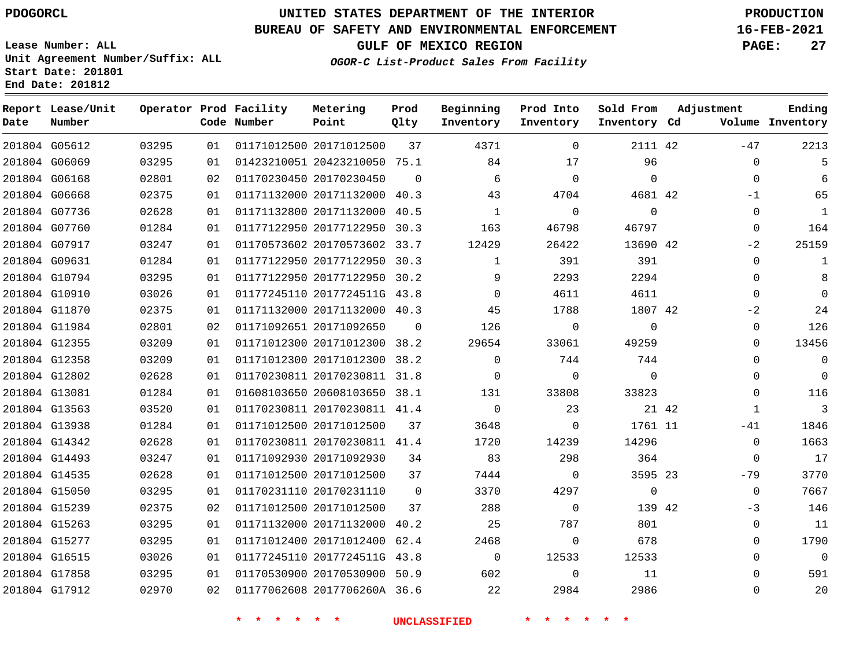## **UNITED STATES DEPARTMENT OF THE INTERIOR PDOGORCL PRODUCTION**

#### **BUREAU OF SAFETY AND ENVIRONMENTAL ENFORCEMENT 16-FEB-2021**

**Lease Number: ALL Unit Agreement Number/Suffix: ALL Start Date: 201801**

**Operator Prod Facility**

**Code Number**

**End Date: 201812**

**Report Lease/Unit**

**Number**

**GULF OF MEXICO REGION PAGE: 27**

**Prod Qlty**

**Metering Point**

**Inventory Cd Volume**

**Adjustment**

**Ending**

**OGOR-C List-Product Sales From Facility**

**Inventory**

**Beginning Prod Into**

**Inventory**

**Sold From Inventory**

| 201804 G05612 | 03295 | 01 | 01171012500 20171012500      | 37          | 4371           | $\mathbf 0$ | 2111 42        |       | $-47$        | 2213           |
|---------------|-------|----|------------------------------|-------------|----------------|-------------|----------------|-------|--------------|----------------|
| 201804 G06069 | 03295 | 01 | 01423210051 20423210050 75.1 |             | 84             | 17          | 96             |       | 0            | 5              |
| 201804 G06168 | 02801 | 02 | 01170230450 20170230450      | $\Omega$    | 6              | $\Omega$    | $\Omega$       |       | $\Omega$     | 6              |
| 201804 G06668 | 02375 | 01 | 01171132000 20171132000 40.3 |             | 43             | 4704        | 4681 42        |       | $-1$         | 65             |
| 201804 G07736 | 02628 | 01 | 01171132800 20171132000 40.5 |             | 1              | $\mathbf 0$ | $\mathbf 0$    |       | 0            | $\mathbf{1}$   |
| 201804 G07760 | 01284 | 01 | 01177122950 20177122950 30.3 |             | 163            | 46798       | 46797          |       | 0            | 164            |
| 201804 G07917 | 03247 | 01 | 01170573602 20170573602 33.7 |             | 12429          | 26422       | 13690 42       |       | $-2$         | 25159          |
| 201804 G09631 | 01284 | 01 | 01177122950 20177122950 30.3 |             | $\mathbf{1}$   | 391         | 391            |       | $\mathbf{0}$ | 1              |
| 201804 G10794 | 03295 | 01 | 01177122950 20177122950 30.2 |             | 9              | 2293        | 2294           |       | $\Omega$     | 8              |
| 201804 G10910 | 03026 | 01 | 01177245110 2017724511G 43.8 |             | 0              | 4611        | 4611           |       | 0            |                |
| 201804 G11870 | 02375 | 01 | 01171132000 20171132000 40.3 |             | 45             | 1788        | 1807 42        |       | $-2$         | 24             |
| 201804 G11984 | 02801 | 02 | 01171092651 20171092650      | $\Omega$    | 126            | $\Omega$    | $\Omega$       |       | 0            | 126            |
| 201804 G12355 | 03209 | 01 | 01171012300 20171012300 38.2 |             | 29654          | 33061       | 49259          |       | $\Omega$     | 13456          |
| 201804 G12358 | 03209 | 01 | 01171012300 20171012300 38.2 |             | $\mathbf{0}$   | 744         | 744            |       | 0            | 0              |
| 201804 G12802 | 02628 | 01 | 01170230811 20170230811 31.8 |             | $\Omega$       | $\Omega$    | $\Omega$       |       | $\Omega$     | $\mathbf 0$    |
| 201804 G13081 | 01284 | 01 | 01608103650 20608103650 38.1 |             | 131            | 33808       | 33823          |       | $\Omega$     | 116            |
| 201804 G13563 | 03520 | 01 | 01170230811 20170230811 41.4 |             | $\overline{0}$ | 23          |                | 21 42 | 1            | $\overline{3}$ |
| 201804 G13938 | 01284 | 01 | 01171012500 20171012500      | 37          | 3648           | $\mathbf 0$ | 1761 11        |       | $-41$        | 1846           |
| 201804 G14342 | 02628 | 01 | 01170230811 20170230811 41.4 |             | 1720           | 14239       | 14296          |       | $\Omega$     | 1663           |
| 201804 G14493 | 03247 | 01 | 01171092930 20171092930      | 34          | 83             | 298         | 364            |       | $\Omega$     | 17             |
| 201804 G14535 | 02628 | 01 | 01171012500 20171012500      | 37          | 7444           | $\Omega$    | 3595 23        |       | $-79$        | 3770           |
| 201804 G15050 | 03295 | 01 | 01170231110 20170231110      | $\mathbf 0$ | 3370           | 4297        | $\overline{0}$ |       | $\mathbf 0$  | 7667           |
| 201804 G15239 | 02375 | 02 | 01171012500 20171012500      | 37          | 288            | 0           | 139 42         |       | -3           | 146            |
| 201804 G15263 | 03295 | 01 | 01171132000 20171132000 40.2 |             | 25             | 787         | 801            |       | $\mathbf{0}$ | 11             |
| 201804 G15277 | 03295 | 01 | 01171012400 20171012400 62.4 |             | 2468           | 0           | 678            |       | 0            | 1790           |
| 201804 G16515 | 03026 | 01 | 01177245110 2017724511G 43.8 |             | $\overline{0}$ | 12533       | 12533          |       | $\Omega$     | $\mathbf 0$    |
| 201804 G17858 | 03295 | 01 | 01170530900 20170530900 50.9 |             | 602            | $\Omega$    | 11             |       | $\Omega$     | 591            |
| 201804 G17912 | 02970 | 02 | 01177062608 2017706260A 36.6 |             | 22             | 2984        | 2986           |       | $\Omega$     | 20             |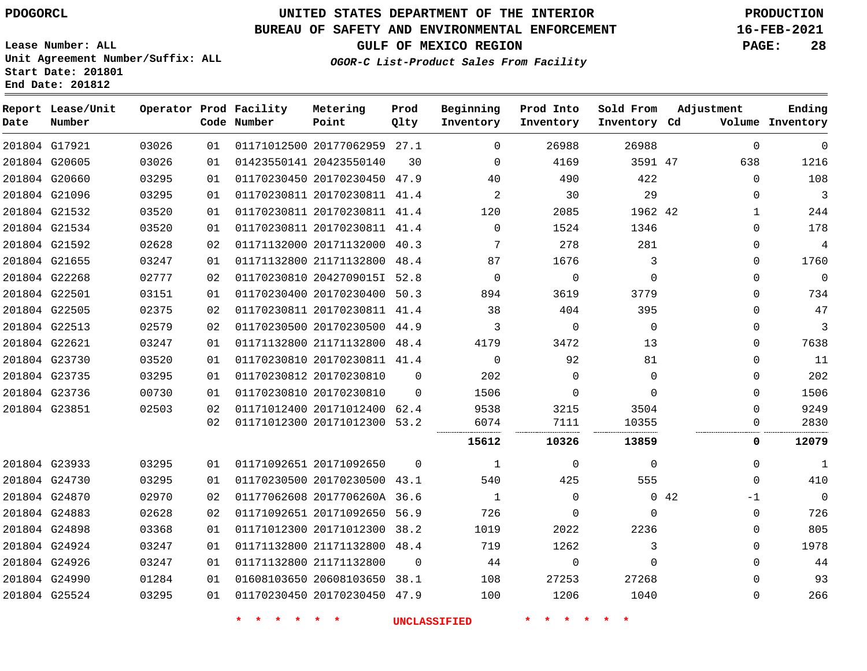G17921

**Date**

**Report Lease/Unit**

**Number**

 G24926 G24990 G25524

## **UNITED STATES DEPARTMENT OF THE INTERIOR PDOGORCL PRODUCTION**

### **BUREAU OF SAFETY AND ENVIRONMENTAL ENFORCEMENT 16-FEB-2021**

**Lease Number: ALL Unit Agreement Number/Suffix: ALL Start Date: 201801 End Date: 201812**

**Operator Prod Facility**

**Code Number**

20177062959 27.1

**Metering Point**

   

**Prod Qlty**

**GULF OF MEXICO REGION PAGE: 28**

**Inventory Cd Volume**

**Adjustment**

 $\Omega$  $\Omega$  $\Omega$ 

**Ending**

**OGOR-C List-Product Sales From Facility**

**Beginning Inventory**

 $\Omega$ 

**Sold From Inventory**

**Prod Into Inventory**

| 201804 G20605 | 03026 | 01  | 01423550141 20423550140      | 30       | $\Omega$ | 4169     | 3591 47  |             | 638      | 1216     |
|---------------|-------|-----|------------------------------|----------|----------|----------|----------|-------------|----------|----------|
| 201804 G20660 | 03295 | 01  | 01170230450 20170230450 47.9 |          | 40       | 490      | 422      |             | $\Omega$ | 108      |
| 201804 G21096 | 03295 | 01  | 01170230811 20170230811 41.4 |          | 2        | 30       | 29       |             | 0        | 3        |
| 201804 G21532 | 03520 | 01  | 01170230811 20170230811      | 41.4     | 120      | 2085     | 1962 42  |             | 1        | 244      |
| 201804 G21534 | 03520 | 01  | 01170230811 20170230811 41.4 |          | $\Omega$ | 1524     | 1346     |             | 0        | 178      |
| 201804 G21592 | 02628 | 02  | 01171132000 20171132000 40.3 |          |          | 278      | 281      |             | $\Omega$ | 4        |
| 201804 G21655 | 03247 | 01  | 01171132800 21171132800 48.4 |          | 87       | 1676     | 3        |             | 0        | 1760     |
| 201804 G22268 | 02777 | 02  | 01170230810 2042709015I 52.8 |          | $\Omega$ | $\Omega$ | 0        |             | $\Omega$ | $\Omega$ |
| 201804 G22501 | 03151 | 01  | 01170230400 20170230400      | 50.3     | 894      | 3619     | 3779     |             | $\Omega$ | 734      |
| 201804 G22505 | 02375 | 02  | 01170230811 20170230811 41.4 |          | 38       | 404      | 395      |             | 0        | 47       |
| 201804 G22513 | 02579 | 02  | 01170230500 20170230500 44.9 |          | 3        | 0        | $\Omega$ |             | $\Omega$ | 3        |
| 201804 G22621 | 03247 | 01. | 01171132800 21171132800 48.4 |          | 4179     | 3472     | 13       |             | 0        | 7638     |
| 201804 G23730 | 03520 | 01  | 01170230810 20170230811 41.4 |          | $\Omega$ | 92       | 81       |             | 0        | 11       |
| 201804 G23735 | 03295 | 01  | 01170230812 20170230810      | $\Omega$ | 202      | 0        | 0        |             | $\Omega$ | 202      |
| 201804 G23736 | 00730 | 01  | 01170230810 20170230810      | $\Omega$ | 1506     | 0        | 0        |             | 0        | 1506     |
| 201804 G23851 | 02503 | 02  | 01171012400 20171012400 62.4 |          | 9538     | 3215     | 3504     |             | 0        | 9249     |
|               |       | 02  | 01171012300 20171012300 53.2 |          | 6074     | 7111     | 10355    |             |          | 2830     |
|               |       |     |                              |          | 15612    | 10326    | 13859    |             | 0        | 12079    |
| 201804 G23933 | 03295 | 01  | 01171092651 20171092650      | $\Omega$ |          | 0        | 0        |             | $\Omega$ |          |
| 201804 G24730 | 03295 | 01. | 01170230500 20170230500 43.1 |          | 540      | 425      | 555      |             | $\Omega$ | 410      |
| 201804 G24870 | 02970 | 02  | 01177062608 2017706260A 36.6 |          |          | 0        |          | $0\quad 42$ | -1       | 0        |
| 201804 G24883 | 02628 | 02  | 01171092651 20171092650 56.9 |          | 726      | 0        | 0        |             | $\Omega$ | 726      |
| 201804 G24898 | 03368 | 01  | 01171012300 20171012300      | 38.2     | 1019     | 2022     | 2236     |             | 0        | 805      |
| 201804 G24924 | 03247 | 01  | 01171132800 21171132800 48.4 |          | 719      | 1262     | 3        |             | $\Omega$ | 1978     |

**\* \* \* \* \* \* UNCLASSIFIED \* \* \* \* \* \***

21171132800

 20608103650 38.1 20170230450 47.9

 

 $\Omega$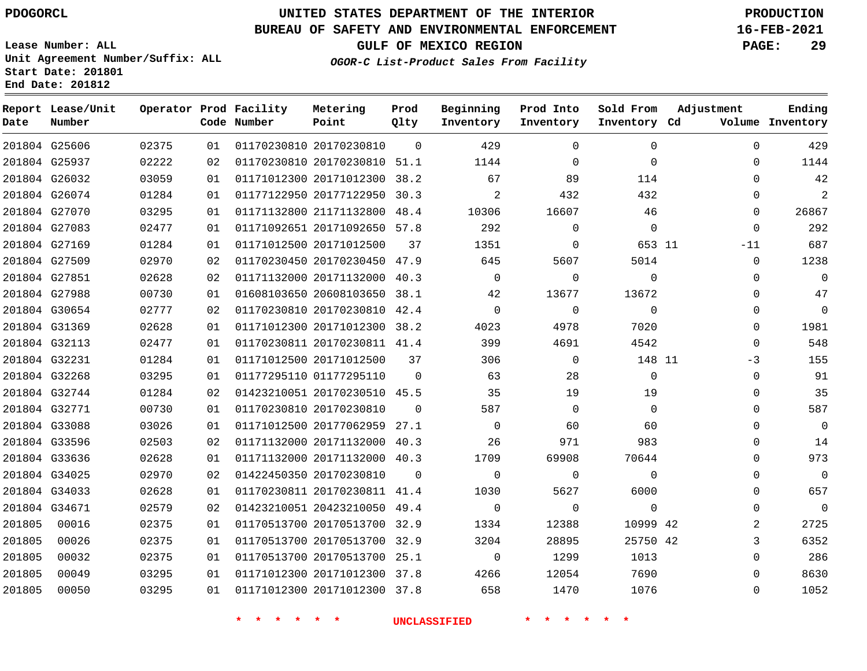G25606 G25937 G26032 G26074 G27070 G27083 G27169

**Date**

**Report Lease/Unit**

**Number**

G34671

### **UNITED STATES DEPARTMENT OF THE INTERIOR PDOGORCL PRODUCTION**

#### **BUREAU OF SAFETY AND ENVIRONMENTAL ENFORCEMENT 16-FEB-2021**

**Lease Number: ALL Unit Agreement Number/Suffix: ALL Start Date: 201801 End Date: 201812**

**Operator Prod Facility**

**Code Number**

20170230810

20171012300

20171012500

20170230810 51.1

**Metering Point**

 20177122950 30.3 21171132800 48.4 20171092650 57.8

 $\Omega$ 

38.2

**Prod Qlty**

**Inventory Cd Volume**

**Adjustment**

 $\Omega$  $\Omega$  $\Omega$  $\Omega$  $\Omega$  $\Omega$  $-11$  $\Omega$  $\Omega$  $\Omega$  $\Omega$  $\Omega$  $\Omega$ -3  $\Omega$  $\overline{0}$  $\Omega$  $\Omega$  $\Omega$  $\Omega$   $\Omega$  $\Omega$   $\Omega$  $\Omega$ 

**GULF OF MEXICO REGION PAGE: 29**

**Ending**

**OGOR-C List-Product Sales From Facility**

**Beginning Inventory**

 $\Omega$  $\Omega$   $\Omega$  $\Omega$ 

**Prod Into Inventory**

| 201804 G27509 | 02970 | 02 | 01170230450 20170230450      | 47.9     | 645      | 5607     | 5014   |  |
|---------------|-------|----|------------------------------|----------|----------|----------|--------|--|
| 201804 G27851 | 02628 | 02 | 01171132000 20171132000      | 40.3     |          | 0        |        |  |
| 201804 G27988 | 00730 | 01 | 01608103650 20608103650      | 38.1     | 42       | 13677    | 13672  |  |
| 201804 G30654 | 02777 | 02 | 01170230810 20170230810      | 42.4     | $\Omega$ | 0        |        |  |
| 201804 G31369 | 02628 | 01 | 01171012300 20171012300      | 38.2     | 4023     | 4978     | 7020   |  |
| 201804 G32113 | 02477 | 01 | 01170230811 20170230811      | 41.4     | 399      | 4691     | 4542   |  |
| 201804 G32231 | 01284 | 01 | 01171012500 20171012500      | 37       | 306      |          | 148 11 |  |
| 201804 G32268 | 03295 | 01 | 01177295110 01177295110      | $\Omega$ | 63       | 28       |        |  |
| 201804 G32744 | 01284 | 02 | 01423210051 20170230510 45.5 |          | 35       | 19       | 19     |  |
| 201804 G32771 | 00730 | 01 | 01170230810 20170230810      | $\Omega$ | 587      | $\Omega$ |        |  |
| 201804 G33088 | 03026 | 01 | 01171012500 20177062959      | 27.1     |          | 60       | 60     |  |
| 201804 G33596 | 02503 | 02 | 01171132000 20171132000      | 40.3     | 26       | 971      | 983    |  |
| 201804 G33636 | 02628 | 01 | 01171132000 20171132000      | 40.3     | 1709     | 69908    | 70644  |  |
| 201804 G34025 | 02970 | 02 | 01422450350 20170230810      | $\Omega$ | $\Omega$ |          |        |  |
| 201804 G34033 | 02628 | 01 | 01170230811 20170230811 41.4 |          | 1030     | 5627     | 6000   |  |
|               |       |    |                              |          |          |          |        |  |

**\* \* \* \* \* \* UNCLASSIFIED \* \* \* \* \* \***

 20423210050 49.4 20170513700 32.9 20170513700 32.9 20170513700 25.1 20171012300 37.8 20171012300 37.8

11

**Sold From Inventory**

> 42 42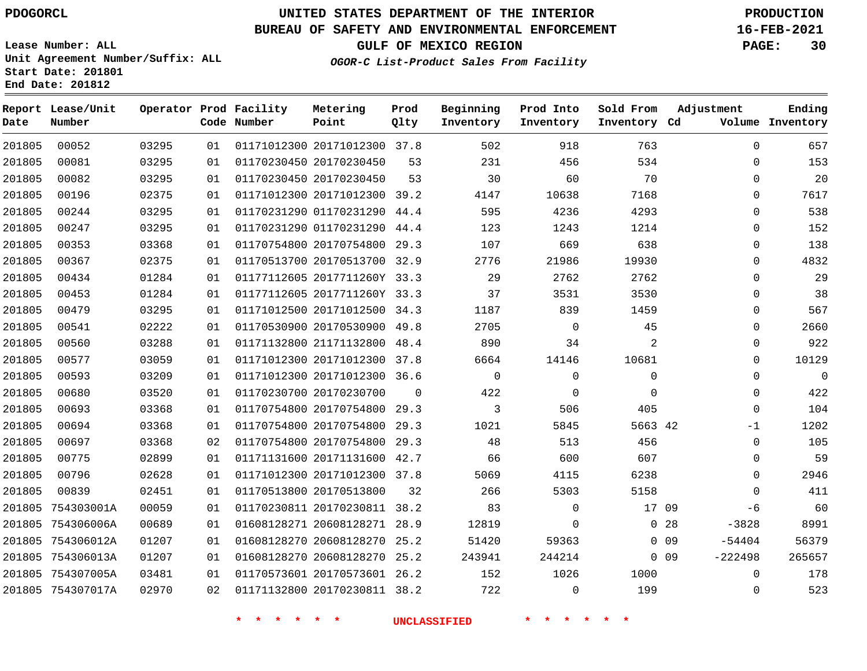**Report Lease/Unit**

 

**Number**

**Date**

### **UNITED STATES DEPARTMENT OF THE INTERIOR PDOGORCL PRODUCTION**

**Prod Qlty**

#### **BUREAU OF SAFETY AND ENVIRONMENTAL ENFORCEMENT 16-FEB-2021**

**Lease Number: ALL Unit Agreement Number/Suffix: ALL Start Date: 201801 End Date: 201812**

> 

**Operator Prod Facility**

**Code Number**

20171012300 37.8

**Metering Point**

  **OGOR-C List-Product Sales From Facility**

     

**Sold From Inventory**

**Prod Into Inventory**

**Beginning Inventory**

**GULF OF MEXICO REGION PAGE: 30**

**Inventory Cd Volume**

**Adjustment**

  $\Omega$  $\Omega$  $\Omega$  $\Omega$  $\Omega$  $\Omega$  $\Omega$  $\Omega$  $\Omega$   $\Omega$  $\overline{0}$  $\overline{0}$  $\Omega$  $\overline{0}$  $\Omega$  $-1$  $\Omega$  $\Omega$  -6 -3828 -54404 -222498

> 

**Ending**

|        |                   |       |    | $\star$ | 一大                           |      | <b>UNCLASSIFIED</b> |             |             |                 |
|--------|-------------------|-------|----|---------|------------------------------|------|---------------------|-------------|-------------|-----------------|
|        | 201805 754307017A | 02970 | 02 |         | 01171132800 20170230811 38.2 |      | 722                 | $\mathbf 0$ | 199         |                 |
|        | 201805 754307005A | 03481 | 01 |         | 01170573601 20170573601      | 26.2 | 152                 | 1026        | 1000        |                 |
| 201805 | 754306013A        | 01207 | 01 |         | 01608128270 20608128270      | 25.2 | 243941              | 244214      |             | 0 <sub>09</sub> |
| 201805 | 754306012A        | 01207 | 01 |         | 01608128270 20608128270 25.2 |      | 51420               | 59363       |             | $0$ 09          |
| 201805 | 754306006A        | 00689 | 01 |         | 01608128271 20608128271      | 28.9 | 12819               | $\Omega$    | 0           | 28              |
| 201805 | 754303001A        | 00059 | 01 |         | 01170230811 20170230811      | 38.2 | 83                  | $\mathbf 0$ | 17 09       |                 |
| 201805 | 00839             | 02451 | 01 |         | 01170513800 20170513800      | 32   | 266                 | 5303        | 5158        |                 |
| 201805 | 00796             | 02628 | 01 |         | 01171012300 20171012300      | 37.8 | 5069                | 4115        | 6238        |                 |
| 201805 | 00775             | 02899 | 01 |         | 01171131600 20171131600      | 42.7 | 66                  | 600         | 607         |                 |
| 201805 | 00697             | 03368 | 02 |         | 01170754800 20170754800      | 29.3 | 48                  | 513         | 456         |                 |
| 201805 | 00694             | 03368 | 01 |         | 01170754800 20170754800      | 29.3 | 1021                | 5845        | 5663 42     |                 |
| 201805 | 00693             | 03368 | 01 |         | 01170754800 20170754800      | 29.3 | 3                   | 506         | 405         |                 |
| 201805 | 00680             | 03520 | 01 |         | 01170230700 20170230700      | 0    | 422                 | 0           | $\mathbf 0$ |                 |
| 201805 | 00593             | 03209 | 01 |         | 01171012300 20171012300 36.6 |      | 0                   | $\mathbf 0$ | 0           |                 |
| 201805 | 00577             | 03059 | 01 |         | 01171012300 20171012300      | 37.8 | 6664                | 14146       | 10681       |                 |
| 201805 | 00560             | 03288 | 01 |         | 01171132800 21171132800      | 48.4 | 890                 | 34          | 2           |                 |
| 201805 | 00541             | 02222 | 01 |         | 01170530900 20170530900 49.8 |      | 2705                | $\mathbf 0$ | 45          |                 |
| 201805 | 00479             | 03295 | 01 |         | 01171012500 20171012500      | 34.3 | 1187                | 839         | 1459        |                 |
| 201805 | 00453             | 01284 | 01 |         | 01177112605 2017711260Y 33.3 |      | 37                  | 3531        | 3530        |                 |
| 201805 | 00434             | 01284 | 01 |         | 01177112605 2017711260Y 33.3 |      | 29                  | 2762        | 2762        |                 |
| 201805 | 00367             | 02375 | 01 |         | 01170513700 20170513700 32.9 |      | 2776                | 21986       | 19930       |                 |
| 201805 | 00353             | 03368 | 01 |         | 01170754800 20170754800      | 29.3 | 107                 | 669         | 638         |                 |
| 201805 | 00247             | 03295 | 01 |         | 01170231290 01170231290      | 44.4 | 123                 | 1243        | 1214        |                 |
| 201805 | 00244             | 03295 | 01 |         | 01170231290 01170231290      | 44.4 | 595                 | 4236        | 4293        |                 |
| 201805 | 00196             | 02375 | 01 |         | 01171012300 20171012300 39.2 |      | 4147                | 10638       | 7168        |                 |
| 201805 | 00082             | 03295 | 01 |         | 01170230450 20170230450      | 53   | 30                  | 60          | 70          |                 |
| 201805 | 00081             | 03295 | 01 |         | 01170230450 20170230450      | 53   | 231                 | 456         | 534         |                 |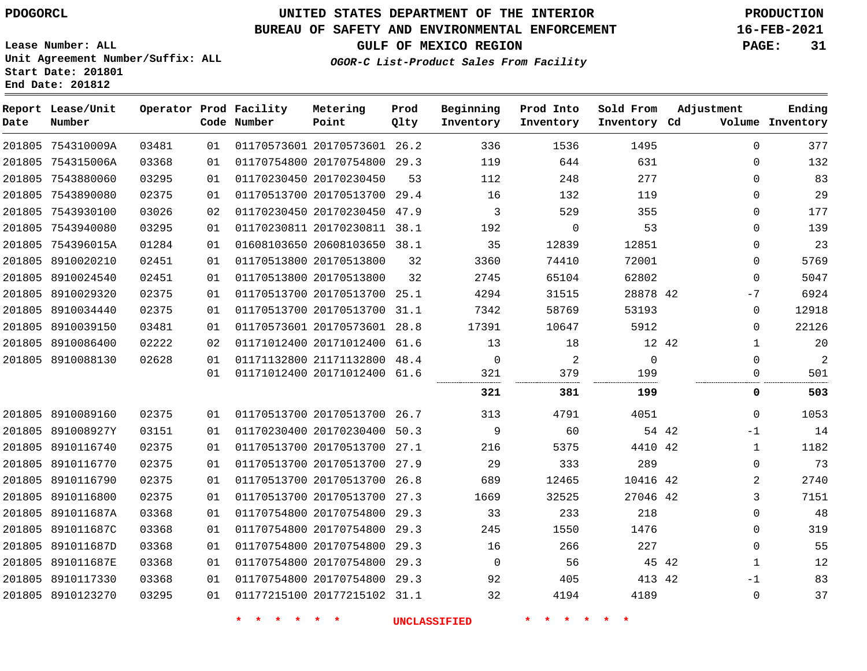**Report Lease/Unit**

**Number**

## **UNITED STATES DEPARTMENT OF THE INTERIOR PDOGORCL PRODUCTION**

**Prod Qlty**

### **BUREAU OF SAFETY AND ENVIRONMENTAL ENFORCEMENT 16-FEB-2021**

**Lease Number: ALL Unit Agreement Number/Suffix: ALL Start Date: 201801 End Date: 201812**

**Operator Prod Facility**

**Code Number**

**OGOR-C List-Product Sales From Facility**

**Beginning Inventory** **Prod Into Inventory** **Sold From Inventory**

**GULF OF MEXICO REGION PAGE: 31**

**Inventory Cd Volume**

**Adjustment**

**Ending**

| 201805 754310009A | 03481 | 01 |                    | 01170573601 20170573601 26.2 |    | 336                 | 1536                       | 1495        |       | 0            | 377            |
|-------------------|-------|----|--------------------|------------------------------|----|---------------------|----------------------------|-------------|-------|--------------|----------------|
| 201805 754315006A | 03368 | 01 |                    | 01170754800 20170754800 29.3 |    | 119                 | 644                        | 631         |       | 0            | 132            |
| 201805 7543880060 | 03295 | 01 |                    | 01170230450 20170230450      | 53 | 112                 | 248                        | 277         |       | $\Omega$     | 83             |
| 201805 7543890080 | 02375 | 01 |                    | 01170513700 20170513700 29.4 |    | 16                  | 132                        | 119         |       | 0            | 29             |
| 201805 7543930100 | 03026 | 02 |                    | 01170230450 20170230450 47.9 |    | 3                   | 529                        | 355         |       | $\Omega$     | 177            |
| 201805 7543940080 | 03295 | 01 |                    | 01170230811 20170230811 38.1 |    | 192                 | $\mathbf 0$                | 53          |       | $\Omega$     | 139            |
| 201805 754396015A | 01284 | 01 |                    | 01608103650 20608103650 38.1 |    | 35                  | 12839                      | 12851       |       | 0            | 23             |
| 201805 8910020210 | 02451 | 01 |                    | 01170513800 20170513800      | 32 | 3360                | 74410                      | 72001       |       | 0            | 5769           |
| 201805 8910024540 | 02451 | 01 |                    | 01170513800 20170513800      | 32 | 2745                | 65104                      | 62802       |       | $\Omega$     | 5047           |
| 201805 8910029320 | 02375 | 01 |                    | 01170513700 20170513700 25.1 |    | 4294                | 31515                      | 28878 42    |       | $-7$         | 6924           |
| 201805 8910034440 | 02375 | 01 |                    | 01170513700 20170513700 31.1 |    | 7342                | 58769                      | 53193       |       | 0            | 12918          |
| 201805 8910039150 | 03481 | 01 |                    | 01170573601 20170573601 28.8 |    | 17391               | 10647                      | 5912        |       | $\Omega$     | 22126          |
| 201805 8910086400 | 02222 | 02 |                    | 01171012400 20171012400 61.6 |    | 13                  | 18                         |             | 12 42 | 1            | 20             |
| 201805 8910088130 | 02628 | 01 |                    | 01171132800 21171132800 48.4 |    | $\overline{0}$      | 2                          | $\mathbf 0$ |       | 0            | $\overline{2}$ |
|                   |       | 01 |                    | 01171012400 20171012400 61.6 |    | 321                 | 379<br>                    | 199         |       | $\Omega$     | 501            |
|                   |       |    |                    |                              |    | 321                 | 381                        | 199         |       | 0            | 503            |
| 201805 8910089160 | 02375 | 01 |                    | 01170513700 20170513700 26.7 |    | 313                 | 4791                       | 4051        |       | $\Omega$     | 1053           |
| 201805 891008927Y | 03151 | 01 |                    | 01170230400 20170230400 50.3 |    | 9                   | 60                         |             | 54 42 | -1           | 14             |
| 201805 8910116740 | 02375 | 01 |                    | 01170513700 20170513700 27.1 |    | 216                 | 5375                       | 4410 42     |       | $\mathbf{1}$ | 1182           |
| 201805 8910116770 | 02375 | 01 |                    | 01170513700 20170513700 27.9 |    | 29                  | 333                        | 289         |       | $\Omega$     | 73             |
| 201805 8910116790 | 02375 | 01 |                    | 01170513700 20170513700 26.8 |    | 689                 | 12465                      | 10416 42    |       | 2            | 2740           |
| 201805 8910116800 | 02375 | 01 |                    | 01170513700 20170513700 27.3 |    | 1669                | 32525                      | 27046 42    |       | 3            | 7151           |
| 201805 891011687A | 03368 | 01 |                    | 01170754800 20170754800 29.3 |    | 33                  | 233                        | 218         |       | 0            | 48             |
| 201805 891011687C | 03368 | 01 |                    | 01170754800 20170754800 29.3 |    | 245                 | 1550                       | 1476        |       | 0            | 319            |
| 201805 891011687D | 03368 | 01 |                    | 01170754800 20170754800 29.3 |    | 16                  | 266                        | 227         |       | 0            | 55             |
| 201805 891011687E | 03368 | 01 |                    | 01170754800 20170754800 29.3 |    | $\Omega$            | 56                         |             | 45 42 | 1            | 12             |
| 201805 8910117330 | 03368 | 01 |                    | 01170754800 20170754800 29.3 |    | 92                  | 405                        | 413 42      |       | $-1$         | 83             |
| 201805 8910123270 | 03295 | 01 |                    | 01177215100 20177215102 31.1 |    | 32                  | 4194                       | 4189        |       | 0            | 37             |
|                   |       |    | $\star$<br>$\star$ | $\star$                      |    | <b>UNCLASSIFIED</b> | $\star$ $\star$<br>$\star$ |             |       |              |                |
|                   |       |    |                    |                              |    |                     |                            |             |       |              |                |

**Metering Point**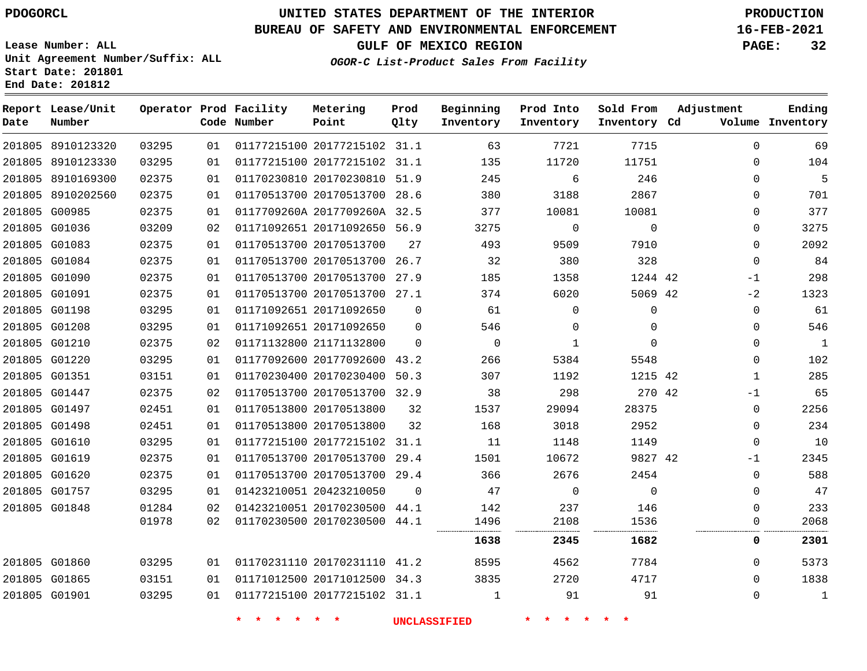**End Date: 201812**

## **UNITED STATES DEPARTMENT OF THE INTERIOR PDOGORCL PRODUCTION**

### **BUREAU OF SAFETY AND ENVIRONMENTAL ENFORCEMENT 16-FEB-2021**

**Lease Number: ALL Unit Agreement Number/Suffix: ALL Start Date: 201801**

**GULF OF MEXICO REGION PAGE: 32**

**OGOR-C List-Product Sales From Facility**

| Date          | Report Lease/Unit<br>Number |       |    | Operator Prod Facility<br>Code Number | Metering<br>Point            | Prod<br>Qlty | Beginning<br>Inventory | Prod Into<br>Inventory | Sold From<br>Inventory Cd | Adjustment | Ending<br>Volume Inventory |
|---------------|-----------------------------|-------|----|---------------------------------------|------------------------------|--------------|------------------------|------------------------|---------------------------|------------|----------------------------|
|               | 201805 8910123320           | 03295 | 01 |                                       | 01177215100 20177215102 31.1 |              | 63                     | 7721                   | 7715                      |            | $\Omega$<br>69             |
|               | 201805 8910123330           | 03295 | 01 |                                       | 01177215100 20177215102 31.1 |              | 135                    | 11720                  | 11751                     |            | 104<br>$\Omega$            |
|               | 201805 8910169300           | 02375 | 01 |                                       | 01170230810 20170230810 51.9 |              | 245                    | 6                      | 246                       |            | 5<br>0                     |
|               | 201805 8910202560           | 02375 | 01 |                                       | 01170513700 20170513700 28.6 |              | 380                    | 3188                   | 2867                      |            | 701<br>$\Omega$            |
|               | 201805 G00985               | 02375 | 01 |                                       | 0117709260A 2017709260A 32.5 |              | 377                    | 10081                  | 10081                     |            | 377<br>$\Omega$            |
| 201805 G01036 |                             | 03209 | 02 |                                       | 01171092651 20171092650 56.9 |              | 3275                   | 0                      | $\mathbf 0$               |            | 3275<br>0                  |
| 201805 G01083 |                             | 02375 | 01 |                                       | 01170513700 20170513700      | 27           | 493                    | 9509                   | 7910                      |            | 2092<br>0                  |
|               | 201805 G01084               | 02375 | 01 |                                       | 01170513700 20170513700      | 26.7         | 32                     | 380                    | 328                       |            | 84<br>$\mathbf 0$          |
| 201805 G01090 |                             | 02375 | 01 |                                       | 01170513700 20170513700 27.9 |              | 185                    | 1358                   | 1244 42                   | -1         | 298                        |
|               | 201805 G01091               | 02375 | 01 |                                       | 01170513700 20170513700 27.1 |              | 374                    | 6020                   | 5069 42                   | $-2$       | 1323                       |
| 201805 G01198 |                             | 03295 | 01 |                                       | 01171092651 20171092650      | $\Omega$     | 61                     | $\Omega$               | $\mathbf 0$               |            | 61<br>0                    |
| 201805 G01208 |                             | 03295 | 01 |                                       | 01171092651 20171092650      | 0            | 546                    | 0                      | $\Omega$                  |            | 546<br>0                   |
| 201805 G01210 |                             | 02375 | 02 |                                       | 01171132800 21171132800      | $\Omega$     | $\mathbf 0$            | 1                      | $\Omega$                  |            | $\mathbf{1}$<br>$\Omega$   |
| 201805 G01220 |                             | 03295 | 01 |                                       | 01177092600 20177092600 43.2 |              | 266                    | 5384                   | 5548                      |            | 102<br>$\Omega$            |
| 201805 G01351 |                             | 03151 | 01 |                                       | 01170230400 20170230400      | 50.3         | 307                    | 1192                   | 1215 42                   |            | 285<br>1                   |
| 201805 G01447 |                             | 02375 | 02 |                                       | 01170513700 20170513700 32.9 |              | 38                     | 298                    | 270 42                    | -1         | 65                         |
|               | 201805 G01497               | 02451 | 01 |                                       | 01170513800 20170513800      | 32           | 1537                   | 29094                  | 28375                     |            | 2256<br>$\mathbf 0$        |
|               | 201805 G01498               | 02451 | 01 |                                       | 01170513800 20170513800      | 32           | 168                    | 3018                   | 2952                      |            | 234<br>0                   |
| 201805 G01610 |                             | 03295 | 01 |                                       | 01177215100 20177215102 31.1 |              | 11                     | 1148                   | 1149                      |            | 10<br>$\Omega$             |
| 201805 G01619 |                             | 02375 | 01 |                                       | 01170513700 20170513700 29.4 |              | 1501                   | 10672                  | 9827 42                   | $-1$       | 2345                       |
| 201805 G01620 |                             | 02375 | 01 |                                       | 01170513700 20170513700 29.4 |              | 366                    | 2676                   | 2454                      |            | 588<br>$\Omega$            |
|               | 201805 G01757               | 03295 | 01 |                                       | 01423210051 20423210050      | $\Omega$     | 47                     | $\Omega$               | $\Omega$                  |            | 47<br>$\Omega$             |
| 201805 G01848 |                             | 01284 | 02 |                                       | 01423210051 20170230500      | 44.1         | 142                    | 237                    | 146                       |            | 233<br>0                   |
|               |                             | 01978 | 02 |                                       | 01170230500 20170230500 44.1 |              | 1496                   | 2108                   | 1536                      |            | 2068<br>0                  |
|               |                             |       |    |                                       |                              |              | 1638                   | 2345                   | 1682                      |            | 2301<br>0                  |
| 201805 G01860 |                             | 03295 | 01 |                                       | 01170231110 20170231110 41.2 |              | 8595                   | 4562                   | 7784                      |            | 5373<br>$\Omega$           |
| 201805 G01865 |                             | 03151 | 01 |                                       | 01171012500 20171012500 34.3 |              | 3835                   | 2720                   | 4717                      |            | 1838<br>$\Omega$           |
| 201805 G01901 |                             | 03295 | 01 |                                       | 01177215100 20177215102 31.1 |              | 1                      | 91                     | 91                        |            | 1<br>0                     |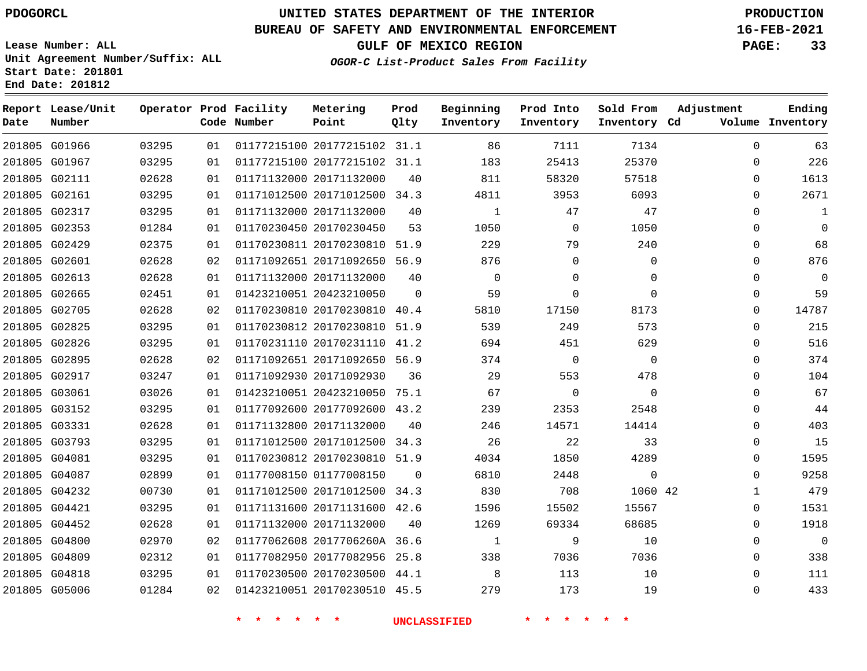G01966 G01967

**Date**

**Report Lease/Unit**

**Number**

### **UNITED STATES DEPARTMENT OF THE INTERIOR PDOGORCL PRODUCTION**

**Prod Qlty**

#### **BUREAU OF SAFETY AND ENVIRONMENTAL ENFORCEMENT 16-FEB-2021**

**Lease Number: ALL Unit Agreement Number/Suffix: ALL Start Date: 201801 End Date: 201812**

> 

**Operator Prod Facility**

**Code Number**

 

**OGOR-C List-Product Sales From Facility**

 

 

 

**Sold From Inventory**

**Prod Into Inventory**

**Beginning Inventory**

**GULF OF MEXICO REGION PAGE: 33**

**Inventory Cd Volume**

**Adjustment**

  $\Omega$  $\Omega$   $\Omega$  $\Omega$  $\Omega$   $\Omega$   $\Omega$  $\overline{0}$   $\Omega$  $\overline{0}$  $\Omega$  $\Omega$  $\Omega$  $\Omega$   $\Omega$ 

**Ending**

|               |       |    | $\star$<br>$\star$<br>$\star$ | $\star$<br>$\star$           |                | <b>UNCLASSIFIED</b> | $\star$<br>$\star$ |                |  |
|---------------|-------|----|-------------------------------|------------------------------|----------------|---------------------|--------------------|----------------|--|
| 201805 G05006 | 01284 | 02 |                               | 01423210051 20170230510 45.5 |                | 279                 | 173                | 19             |  |
| 201805 G04818 | 03295 | 01 |                               | 01170230500 20170230500 44.1 |                | 8                   | 113                | 10             |  |
| 201805 G04809 | 02312 | 01 |                               | 01177082950 20177082956 25.8 |                | 338                 | 7036               | 7036           |  |
| 201805 G04800 | 02970 | 02 |                               | 01177062608 2017706260A 36.6 |                | 1                   | 9                  | 10             |  |
| 201805 G04452 | 02628 | 01 |                               | 01171132000 20171132000      | 40             | 1269                | 69334              | 68685          |  |
| 201805 G04421 | 03295 | 01 |                               | 01171131600 20171131600 42.6 |                | 1596                | 15502              | 15567          |  |
| 201805 G04232 | 00730 | 01 |                               | 01171012500 20171012500 34.3 |                | 830                 | 708                | 1060 42        |  |
| 201805 G04087 | 02899 | 01 |                               | 01177008150 01177008150      | $\Omega$       | 6810                | 2448               | $\mathbf 0$    |  |
| 201805 G04081 | 03295 | 01 |                               | 01170230812 20170230810 51.9 |                | 4034                | 1850               | 4289           |  |
| 201805 G03793 | 03295 | 01 |                               | 01171012500 20171012500 34.3 |                | 26                  | 22                 | 33             |  |
| 201805 G03331 | 02628 | 01 |                               | 01171132800 20171132000      | 40             | 246                 | 14571              | 14414          |  |
| 201805 G03152 | 03295 | 01 |                               | 01177092600 20177092600 43.2 |                | 239                 | 2353               | 2548           |  |
| 201805 G03061 | 03026 | 01 |                               | 01423210051 20423210050 75.1 |                | 67                  | 0                  | $\mathbf 0$    |  |
| 201805 G02917 | 03247 | 01 |                               | 01171092930 20171092930      | 36             | 29                  | 553                | 478            |  |
| 201805 G02895 | 02628 | 02 |                               | 01171092651 20171092650 56.9 |                | 374                 | $\mathbf 0$        | $\overline{0}$ |  |
| 201805 G02826 | 03295 | 01 |                               | 01170231110 20170231110 41.2 |                | 694                 | 451                | 629            |  |
| 201805 G02825 | 03295 | 01 |                               | 01170230812 20170230810 51.9 |                | 539                 | 249                | 573            |  |
| 201805 G02705 | 02628 | 02 |                               | 01170230810 20170230810 40.4 |                | 5810                | 17150              | 8173           |  |
| 201805 G02665 | 02451 | 01 |                               | 01423210051 20423210050      | $\overline{0}$ | 59                  | $\mathbf 0$        | $\mathbf 0$    |  |
| 201805 G02613 | 02628 | 01 |                               | 01171132000 20171132000      | 40             | $\Omega$            | $\Omega$           | 0              |  |
| 201805 G02601 | 02628 | 02 |                               | 01171092651 20171092650 56.9 |                | 876                 | 0                  | $\mathbf 0$    |  |
| 201805 G02429 | 02375 | 01 |                               | 01170230811 20170230810 51.9 |                | 229                 | 79                 | 240            |  |
| 201805 G02353 | 01284 | 01 |                               | 01170230450 20170230450      | 53             | 1050                | $\Omega$           | 1050           |  |
| 201805 G02317 | 03295 | 01 |                               | 01171132000 20171132000      | 40             | 1                   | 47                 | 47             |  |
| 201805 G02161 | 03295 | 01 |                               | 01171012500 20171012500 34.3 |                | 4811                | 3953               | 6093           |  |
| 201805 G02111 | 02628 | 01 |                               | 01171132000 20171132000      | 40             | 811                 | 58320              | 57518          |  |

 20177215102 31.1 20177215102 31.1

**Metering Point**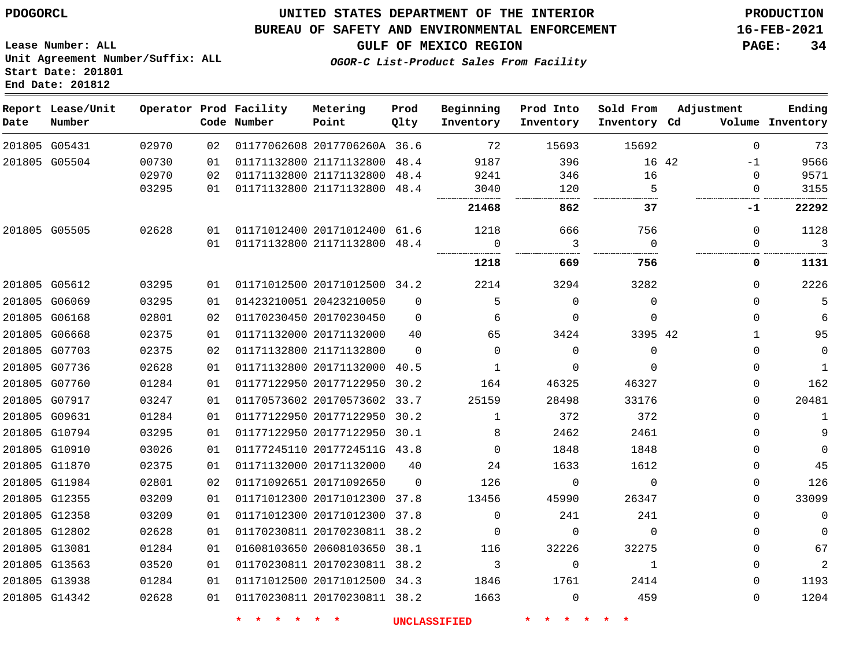#### **BUREAU OF SAFETY AND ENVIRONMENTAL ENFORCEMENT 16-FEB-2021**

**Lease Number: ALL Unit Agreement Number/Suffix: ALL Start Date: 201801 End Date: 201812**

**GULF OF MEXICO REGION PAGE: 34**

**OGOR-C List-Product Sales From Facility**

| Date | Report Lease/Unit<br>Number |       |    | Operator Prod Facility<br>Code Number | Metering<br>Point            | Prod<br>Qlty | Beginning<br>Inventory | Prod Into<br>Inventory | Sold From<br>Inventory Cd | Adjustment    | Ending<br>Volume Inventory |
|------|-----------------------------|-------|----|---------------------------------------|------------------------------|--------------|------------------------|------------------------|---------------------------|---------------|----------------------------|
|      | 201805 G05431               | 02970 | 02 |                                       | 01177062608 2017706260A 36.6 |              | 72                     | 15693                  | 15692                     | $\Omega$      | 73                         |
|      | 201805 G05504               | 00730 | 01 |                                       | 01171132800 21171132800 48.4 |              | 9187                   | 396                    |                           | 16 42<br>$-1$ | 9566                       |
|      |                             | 02970 | 02 |                                       | 01171132800 21171132800 48.4 |              | 9241                   | 346                    | 16                        | $\Omega$      | 9571                       |
|      |                             | 03295 | 01 |                                       | 01171132800 21171132800      | 48.4         | 3040                   | 120                    | 5                         | 0             | 3155                       |
|      |                             |       |    |                                       |                              |              | 21468                  | 862                    | 37                        | -1            | 22292                      |
|      | 201805 G05505               | 02628 | 01 |                                       | 01171012400 20171012400 61.6 |              | 1218                   | 666                    | 756                       | 0             | 1128                       |
|      |                             |       | 01 |                                       | 01171132800 21171132800 48.4 |              | 0                      | 3                      | $\Omega$                  | 0             | 3                          |
|      |                             |       |    |                                       |                              |              | 1218                   | 669                    | 756                       | 0             | 1131                       |
|      | 201805 G05612               | 03295 | 01 |                                       | 01171012500 20171012500 34.2 |              | 2214                   | 3294                   | 3282                      | $\Omega$      | 2226                       |
|      | 201805 G06069               | 03295 | 01 | 01423210051 20423210050               |                              | $\Omega$     | 5                      | $\mathbf 0$            | $\mathbf 0$               | 0             | 5                          |
|      | 201805 G06168               | 02801 | 02 |                                       | 01170230450 20170230450      | $\Omega$     | 6                      | $\Omega$               | $\Omega$                  | $\Omega$      | 6                          |
|      | 201805 G06668               | 02375 | 01 | 01171132000 20171132000               |                              | 40           | 65                     | 3424                   | 3395 42                   | $\mathbf{1}$  | 95                         |
|      | 201805 G07703               | 02375 | 02 |                                       | 01171132800 21171132800      | $\Omega$     | $\mathbf 0$            | $\Omega$               | $\mathbf 0$               | 0             | $\mathsf 0$                |
|      | 201805 G07736               | 02628 | 01 |                                       | 01171132800 20171132000 40.5 |              | 1                      | $\Omega$               | $\Omega$                  | $\Omega$      | $\mathbf{1}$               |
|      | 201805 G07760               | 01284 | 01 |                                       | 01177122950 20177122950 30.2 |              | 164                    | 46325                  | 46327                     | 0             | 162                        |
|      | 201805 G07917               | 03247 | 01 |                                       | 01170573602 20170573602 33.7 |              | 25159                  | 28498                  | 33176                     | 0             | 20481                      |
|      | 201805 G09631               | 01284 | 01 |                                       | 01177122950 20177122950 30.2 |              | 1                      | 372                    | 372                       | $\Omega$      | $\mathbf{1}$               |
|      | 201805 G10794               | 03295 | 01 |                                       | 01177122950 20177122950 30.1 |              | 8                      | 2462                   | 2461                      | $\Omega$      | 9                          |
|      | 201805 G10910               | 03026 | 01 |                                       | 01177245110 2017724511G 43.8 |              | $\Omega$               | 1848                   | 1848                      | $\Omega$      | $\mathbf 0$                |
|      | 201805 G11870               | 02375 | 01 |                                       | 01171132000 20171132000      | 40           | 24                     | 1633                   | 1612                      | 0             | 45                         |
|      | 201805 G11984               | 02801 | 02 |                                       | 01171092651 20171092650      | $\mathbf 0$  | 126                    | 0                      | $\mathbf 0$               | 0             | 126                        |
|      | 201805 G12355               | 03209 | 01 |                                       | 01171012300 20171012300 37.8 |              | 13456                  | 45990                  | 26347                     | 0             | 33099                      |
|      | 201805 G12358               | 03209 | 01 |                                       | 01171012300 20171012300 37.8 |              | $\mathbf 0$            | 241                    | 241                       | $\Omega$      | $\mathsf 0$                |
|      | 201805 G12802               | 02628 | 01 |                                       | 01170230811 20170230811 38.2 |              | $\mathbf 0$            | 0                      | $\mathbf 0$               | 0             | $\mathbf 0$                |
|      | 201805 G13081               | 01284 | 01 |                                       | 01608103650 20608103650 38.1 |              | 116                    | 32226                  | 32275                     | 0             | 67                         |
|      | 201805 G13563               | 03520 | 01 |                                       | 01170230811 20170230811 38.2 |              | 3                      | 0                      | $\mathbf{1}$              | 0             | $\sqrt{2}$                 |
|      | 201805 G13938               | 01284 | 01 |                                       | 01171012500 20171012500 34.3 |              | 1846                   | 1761                   | 2414                      | $\Omega$      | 1193                       |
|      | 201805 G14342               | 02628 | 01 |                                       | 01170230811 20170230811 38.2 |              | 1663                   | $\Omega$               | 459                       | $\Omega$      | 1204                       |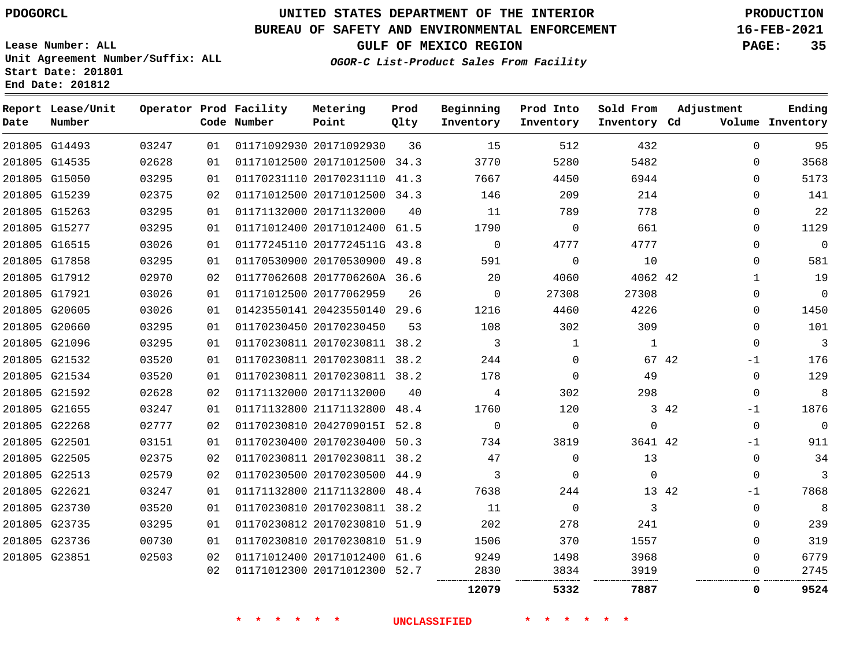### **BUREAU OF SAFETY AND ENVIRONMENTAL ENFORCEMENT 16-FEB-2021**

**Lease Number: ALL Unit Agreement Number/Suffix: ALL Start Date: 201801 End Date: 201812**

**GULF OF MEXICO REGION PAGE: 35**

**OGOR-C List-Product Sales From Facility**

| Date          | Report Lease/Unit<br>Number |       |    | Operator Prod Facility<br>Code Number | Metering<br>Point            | Prod<br>Qlty | Beginning<br>Inventory | Prod Into<br>Inventory | Sold From<br>Inventory Cd | Adjustment    | Ending<br>Volume Inventory |
|---------------|-----------------------------|-------|----|---------------------------------------|------------------------------|--------------|------------------------|------------------------|---------------------------|---------------|----------------------------|
|               | 201805 G14493               | 03247 | 01 |                                       | 01171092930 20171092930      | 36           | 15                     | 512                    | 432                       | $\Omega$      | 95                         |
|               | 201805 G14535               | 02628 | 01 |                                       | 01171012500 20171012500 34.3 |              | 3770                   | 5280                   | 5482                      | $\Omega$      | 3568                       |
|               | 201805 G15050               | 03295 | 01 |                                       | 01170231110 20170231110 41.3 |              | 7667                   | 4450                   | 6944                      | $\Omega$      | 5173                       |
|               | 201805 G15239               | 02375 | 02 |                                       | 01171012500 20171012500 34.3 |              | 146                    | 209                    | 214                       | $\Omega$      | 141                        |
|               | 201805 G15263               | 03295 | 01 |                                       | 01171132000 20171132000      | 40           | 11                     | 789                    | 778                       | $\Omega$      | 22                         |
|               | 201805 G15277               | 03295 | 01 |                                       | 01171012400 20171012400 61.5 |              | 1790                   | $\mathbf 0$            | 661                       | $\mathbf 0$   | 1129                       |
|               | 201805 G16515               | 03026 | 01 |                                       | 01177245110 2017724511G 43.8 |              | $\mathbf 0$            | 4777                   | 4777                      | $\mathbf 0$   | $\mathbf 0$                |
|               | 201805 G17858               | 03295 | 01 |                                       | 01170530900 20170530900 49.8 |              | 591                    | $\mathbf 0$            | 10                        | $\mathbf 0$   | 581                        |
|               | 201805 G17912               | 02970 | 02 |                                       | 01177062608 2017706260A 36.6 |              | 20                     | 4060                   | 4062 42                   | $\mathbf{1}$  | 19                         |
|               | 201805 G17921               | 03026 | 01 |                                       | 01171012500 20177062959      | 26           | $\mathbf 0$            | 27308                  | 27308                     | $\mathbf 0$   | $\mathbf 0$                |
|               | 201805 G20605               | 03026 | 01 |                                       | 01423550141 20423550140 29.6 |              | 1216                   | 4460                   | 4226                      | $\mathbf 0$   | 1450                       |
|               | 201805 G20660               | 03295 | 01 |                                       | 01170230450 20170230450      | 53           | 108                    | 302                    | 309                       | $\mathbf 0$   | 101                        |
|               | 201805 G21096               | 03295 | 01 |                                       | 01170230811 20170230811 38.2 |              | 3                      |                        | 1                         | $\Omega$      | 3                          |
|               | 201805 G21532               | 03520 | 01 |                                       | 01170230811 20170230811 38.2 |              | 244                    | $\Omega$               |                           | 67 42<br>$-1$ | 176                        |
|               | 201805 G21534               | 03520 | 01 |                                       | 01170230811 20170230811 38.2 |              | 178                    | $\Omega$               | 49                        | $\mathbf 0$   | 129                        |
|               | 201805 G21592               | 02628 | 02 |                                       | 01171132000 20171132000      | 40           | 4                      | 302                    | 298                       | $\mathbf 0$   | 8                          |
|               | 201805 G21655               | 03247 | 01 |                                       | 01171132800 21171132800 48.4 |              | 1760                   | 120                    |                           | 3 42<br>-1    | 1876                       |
|               | 201805 G22268               | 02777 | 02 |                                       | 01170230810 2042709015I 52.8 |              | $\mathbf 0$            | $\mathbf 0$            | $\Omega$                  | $\mathbf 0$   | $\Omega$                   |
| 201805 G22501 |                             | 03151 | 01 |                                       | 01170230400 20170230400 50.3 |              | 734                    | 3819                   | 3641 42                   | -1            | 911                        |
|               | 201805 G22505               | 02375 | 02 |                                       | 01170230811 20170230811 38.2 |              | 47                     | $\mathbf 0$            | 13                        | $\mathbf 0$   | 34                         |
|               | 201805 G22513               | 02579 | 02 |                                       | 01170230500 20170230500 44.9 |              | 3                      | $\Omega$               | $\Omega$                  | $\mathbf 0$   | 3                          |
| 201805 G22621 |                             | 03247 | 01 |                                       | 01171132800 21171132800 48.4 |              | 7638                   | 244                    |                           | 13 42<br>-1   | 7868                       |
|               | 201805 G23730               | 03520 | 01 |                                       | 01170230810 20170230811 38.2 |              | 11                     | $\mathbf 0$            | 3                         | $\mathbf 0$   | 8                          |
|               | 201805 G23735               | 03295 | 01 |                                       | 01170230812 20170230810 51.9 |              | 202                    | 278                    | 241                       | 0             | 239                        |
|               | 201805 G23736               | 00730 | 01 |                                       | 01170230810 20170230810 51.9 |              | 1506                   | 370                    | 1557                      | 0             | 319                        |
| 201805 G23851 |                             | 02503 | 02 |                                       | 01171012400 20171012400 61.6 |              | 9249                   | 1498                   | 3968                      | $\mathbf 0$   | 6779                       |
|               |                             |       | 02 |                                       | 01171012300 20171012300 52.7 |              | 2830                   | 3834                   | 3919                      | 0             | 2745                       |
|               |                             |       |    |                                       |                              |              | 12079                  | 5332                   | 7887                      | 0             | 9524                       |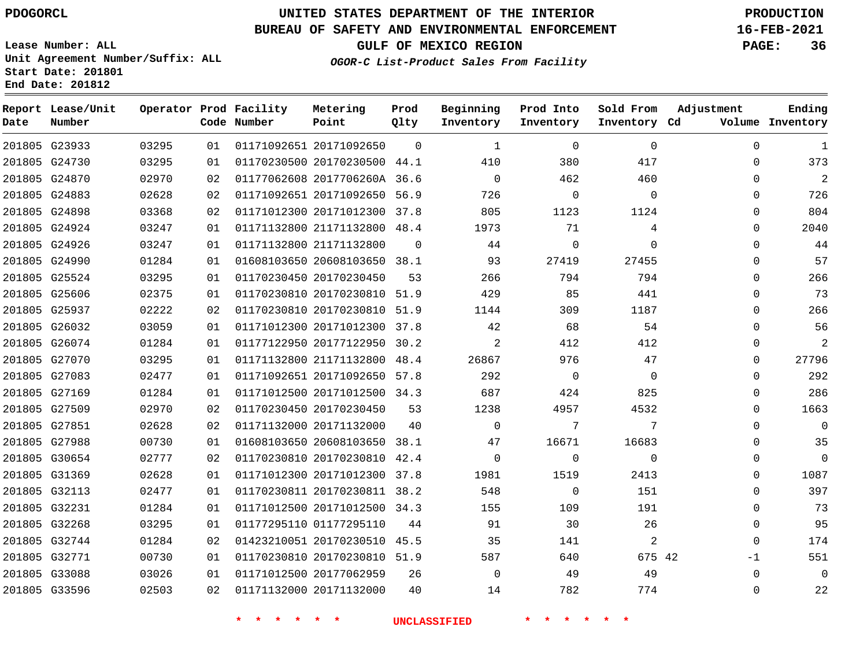**Report Lease/Unit**

**Number**

## **UNITED STATES DEPARTMENT OF THE INTERIOR PDOGORCL PRODUCTION**

**Prod Qlty**

### **BUREAU OF SAFETY AND ENVIRONMENTAL ENFORCEMENT 16-FEB-2021**

**Lease Number: ALL Unit Agreement Number/Suffix: ALL Start Date: 201801 End Date: 201812**

**Operator Prod Facility**

**Code Number**

**OGOR-C List-Product Sales From Facility**

**Beginning Inventory**

**Prod Into Inventory**

**Sold From Inventory**

**GULF OF MEXICO REGION PAGE: 36**

**Inventory Cd Volume**

**Adjustment**

  $\Omega$  $\Omega$   $\Omega$  $\Omega$  $\Omega$  $\Omega$  $\Omega$  $\Omega$  $\Omega$  $\Omega$  $\Omega$  $\Omega$  $\Omega$  $\Omega$  $\Omega$  $\Omega$  $\Omega$  $\Omega$  $\Omega$  -1  $\Omega$ 

**Ending**

|                     |       |  |  | $201805$ G23933 $03295$ 01 01171092651 20171092650 0 1 0 1                                                                                                                                                                                            | $\overline{0}$ |  |
|---------------------|-------|--|--|-------------------------------------------------------------------------------------------------------------------------------------------------------------------------------------------------------------------------------------------------------|----------------|--|
|                     |       |  |  | ${\tt 201805} \quad {\tt G24730} \qquad \qquad {\tt 03295} \qquad \qquad {\tt 01} \quad {\tt 01170230500} \quad {\tt 20170230500} \quad {\tt 44.1} \qquad \qquad {\tt 410} \qquad \qquad {\tt 380} \qquad \qquad {\tt 417}$                           |                |  |
| 201805 G24870 02970 |       |  |  | 02 01177062608 2017706260A 36.6 0 0 462 460                                                                                                                                                                                                           |                |  |
| 201805 G24883 02628 |       |  |  | 02 01171092651 20171092650 56.9 726 0                                                                                                                                                                                                                 | $\overline{0}$ |  |
| 201805 G24898 03368 |       |  |  | 02  01171012300  20171012300  37.8  805  1123  1124                                                                                                                                                                                                   |                |  |
| 201805 G24924       | 03247 |  |  | 01  01171132800  21171132800  48.4  1973  71                                                                                                                                                                                                          | $\overline{4}$ |  |
| 201805 G24926       | 03247 |  |  | $01 \quad 01171132800 \quad 21171132800 \qquad 0 \qquad \qquad 44 \qquad \qquad 0 \qquad \qquad 0$                                                                                                                                                    |                |  |
| 201805 G24990 01284 |       |  |  | 01  01608103650  20608103650  38.1  93  27419  27455                                                                                                                                                                                                  |                |  |
| 201805 G25524 03295 |       |  |  | 01 01170230450 20170230450 53 266 794 794                                                                                                                                                                                                             |                |  |
| 201805 G25606       | 02375 |  |  | 01 01170230810 20170230810 51.9 429 85 441                                                                                                                                                                                                            |                |  |
| 201805 G25937       | 02222 |  |  | 02  01170230810  20170230810  51.9  1144  309  1187                                                                                                                                                                                                   |                |  |
| 201805 G26032 03059 |       |  |  | $01 \quad 01171012300 \quad 20171012300 \quad 37.8 \qquad \qquad 42 \qquad \qquad 68 \qquad \qquad 54$                                                                                                                                                |                |  |
| 201805 G26074       | 01284 |  |  | 01 01177122950 20177122950 30.2 2 412 412                                                                                                                                                                                                             |                |  |
| 201805 G27070       | 03295 |  |  | 01  01171132800  21171132800  48.4  26867  976  47                                                                                                                                                                                                    |                |  |
| 201805 G27083       | 02477 |  |  | 01 01171092651 20171092650 57.8 292 0 0 0                                                                                                                                                                                                             |                |  |
| 201805 G27169 01284 |       |  |  | 01 01171012500 20171012500 34.3 687 424 825                                                                                                                                                                                                           |                |  |
| 201805 G27509       | 02970 |  |  | 02 01170230450 20170230450 53 1238 4957 4532                                                                                                                                                                                                          |                |  |
| 201805 G27851       | 02628 |  |  | 02 01171132000 20171132000 40 0 7                                                                                                                                                                                                                     | $\overline{7}$ |  |
| 201805 G27988       | 00730 |  |  | $01 \quad 01608103650 \quad 20608103650 \quad 38.1 \qquad \qquad 47 \qquad \qquad 16671 \qquad \qquad 16683$                                                                                                                                          |                |  |
| 201805 G30654       | 02777 |  |  | 02 01170230810 20170230810 42.4 0 0 0 0 0                                                                                                                                                                                                             |                |  |
| 201805 G31369       | 02628 |  |  | 01 01171012300 20171012300 37.8 1981 1519                                                                                                                                                                                                             | 2413           |  |
| 201805 G32113       | 02477 |  |  | $01 \quad 01170230811 \quad 20170230811 \quad 38.2 \qquad \qquad 548 \qquad \qquad 0 \qquad \qquad 151$                                                                                                                                               |                |  |
| 201805 G32231       | 01284 |  |  | 01 01171012500 20171012500 34.3 155 109 191                                                                                                                                                                                                           |                |  |
| 201805 G32268       | 03295 |  |  | 01 01177295110 01177295110 44 91 30 26                                                                                                                                                                                                                |                |  |
| 201805 G32744       | 01284 |  |  | 02 01423210051 20170230510 45.5 35                                                                                                                                                                                                                    | 141 2          |  |
| 201805 G32771       | 00730 |  |  | 01 01170230810 20170230810 51.9 587 640 675 42                                                                                                                                                                                                        |                |  |
| 201805 G33088 03026 |       |  |  | 01 01171012500 20177062959 26 0 49 49                                                                                                                                                                                                                 |                |  |
|                     |       |  |  | ${\bf 201805} \quad {\bf G33596} \qquad \qquad {\bf 02503} \qquad \qquad {\bf 02} \quad \qquad {\bf 01171132000} \quad {\bf 20171132000} \qquad \qquad {\bf 40} \qquad \qquad {\bf 14} \qquad \qquad {\bf 782} \qquad \qquad {\bf 774} \qquad \qquad$ |                |  |
|                     |       |  |  | * * * * * * UNCLASSIFIED * * * * * *                                                                                                                                                                                                                  |                |  |

**Metering Point**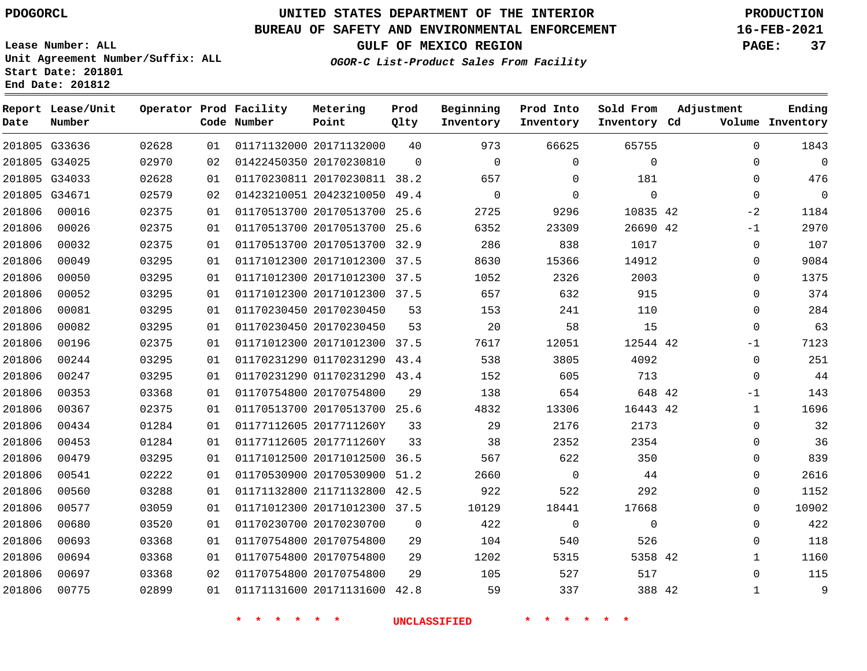## **UNITED STATES DEPARTMENT OF THE INTERIOR PDOGORCL PRODUCTION**

**Prod Qlty**

**Metering Point**

#### **BUREAU OF SAFETY AND ENVIRONMENTAL ENFORCEMENT 16-FEB-2021**

**Lease Number: ALL Unit Agreement Number/Suffix: ALL Start Date: 201801**

**Operator Prod Facility**

**End Date: 201812**

**Report Lease/Unit**

**Number**

**GULF OF MEXICO REGION PAGE: 37**

**Ending**

**OGOR-C List-Product Sales From Facility**

**Beginning Inventory**

**Prod Into Inventory**

**Sold From Inventory**

**Adjustment**

| Date   | Number        |       |    | Code Number | Point                        | Qlty        | Inventory | Inventory   | Inventory Cd |              | Volume Inventory |
|--------|---------------|-------|----|-------------|------------------------------|-------------|-----------|-------------|--------------|--------------|------------------|
|        | 201805 G33636 | 02628 | 01 |             | 01171132000 20171132000      | 40          | 973       | 66625       | 65755        | $\Omega$     | 1843             |
|        | 201805 G34025 | 02970 | 02 |             | 01422450350 20170230810      | $\mathbf 0$ | 0         | $\mathbf 0$ | $\mathbf 0$  | 0            | $\Omega$         |
|        | 201805 G34033 | 02628 | 01 |             | 01170230811 20170230811 38.2 |             | 657       | $\Omega$    | 181          | 0            | 476              |
|        | 201805 G34671 | 02579 | 02 |             | 01423210051 20423210050      | 49.4        | 0         | $\mathbf 0$ | 0            | 0            | $\overline{0}$   |
| 201806 | 00016         | 02375 | 01 |             | 01170513700 20170513700      | 25.6        | 2725      | 9296        | 10835 42     | $-2$         | 1184             |
| 201806 | 00026         | 02375 | 01 |             | 01170513700 20170513700      | 25.6        | 6352      | 23309       | 26690 42     | $-1$         | 2970             |
| 201806 | 00032         | 02375 | 01 |             | 01170513700 20170513700      | 32.9        | 286       | 838         | 1017         | 0            | 107              |
| 201806 | 00049         | 03295 | 01 |             | 01171012300 20171012300 37.5 |             | 8630      | 15366       | 14912        | 0            | 9084             |
| 201806 | 00050         | 03295 | 01 |             | 01171012300 20171012300      | 37.5        | 1052      | 2326        | 2003         | 0            | 1375             |
| 201806 | 00052         | 03295 | 01 |             | 01171012300 20171012300 37.5 |             | 657       | 632         | 915          | 0            | 374              |
| 201806 | 00081         | 03295 | 01 |             | 01170230450 20170230450      | 53          | 153       | 241         | 110          | 0            | 284              |
| 201806 | 00082         | 03295 | 01 |             | 01170230450 20170230450      | 53          | 20        | 58          | 15           | 0            | 63               |
| 201806 | 00196         | 02375 | 01 |             | 01171012300 20171012300      | 37.5        | 7617      | 12051       | 12544 42     | $-1$         | 7123             |
| 201806 | 00244         | 03295 | 01 |             | 01170231290 01170231290      | 43.4        | 538       | 3805        | 4092         | 0            | 251              |
| 201806 | 00247         | 03295 | 01 |             | 01170231290 01170231290 43.4 |             | 152       | 605         | 713          | $\mathbf 0$  | 44               |
| 201806 | 00353         | 03368 | 01 |             | 01170754800 20170754800      | 29          | 138       | 654         | 648 42       | $-1$         | 143              |
| 201806 | 00367         | 02375 | 01 |             | 01170513700 20170513700 25.6 |             | 4832      | 13306       | 16443 42     | $\mathbf{1}$ | 1696             |
| 201806 | 00434         | 01284 | 01 |             | 01177112605 2017711260Y      | 33          | 29        | 2176        | 2173         | 0            | 32               |
| 201806 | 00453         | 01284 | 01 |             | 01177112605 2017711260Y      | 33          | 38        | 2352        | 2354         | 0            | 36               |
| 201806 | 00479         | 03295 | 01 |             | 01171012500 20171012500      | 36.5        | 567       | 622         | 350          | 0            | 839              |
| 201806 | 00541         | 02222 | 01 |             | 01170530900 20170530900      | 51.2        | 2660      | $\mathbf 0$ | 44           | 0            | 2616             |
| 201806 | 00560         | 03288 | 01 |             | 01171132800 21171132800      | 42.5        | 922       | 522         | 292          | 0            | 1152             |
| 201806 | 00577         | 03059 | 01 |             | 01171012300 20171012300 37.5 |             | 10129     | 18441       | 17668        | 0            | 10902            |
| 201806 | 00680         | 03520 | 01 |             | 01170230700 20170230700      | 0           | 422       | $\mathbf 0$ | $\mathbf 0$  | 0            | 422              |
| 201806 | 00693         | 03368 | 01 |             | 01170754800 20170754800      | 29          | 104       | 540         | 526          | 0            | 118              |
| 201806 | 00694         | 03368 | 01 |             | 01170754800 20170754800      | 29          | 1202      | 5315        | 5358 42      | $\mathbf 1$  | 1160             |
| 201806 | 00697         | 03368 | 02 |             | 01170754800 20170754800      | 29          | 105       | 527         | 517          | $\mathbf 0$  | 115              |
| 201806 | 00775         | 02899 | 01 |             | 01171131600 20171131600      | 42.8        | 59        | 337         | 388 42       | $\mathbf 1$  | 9                |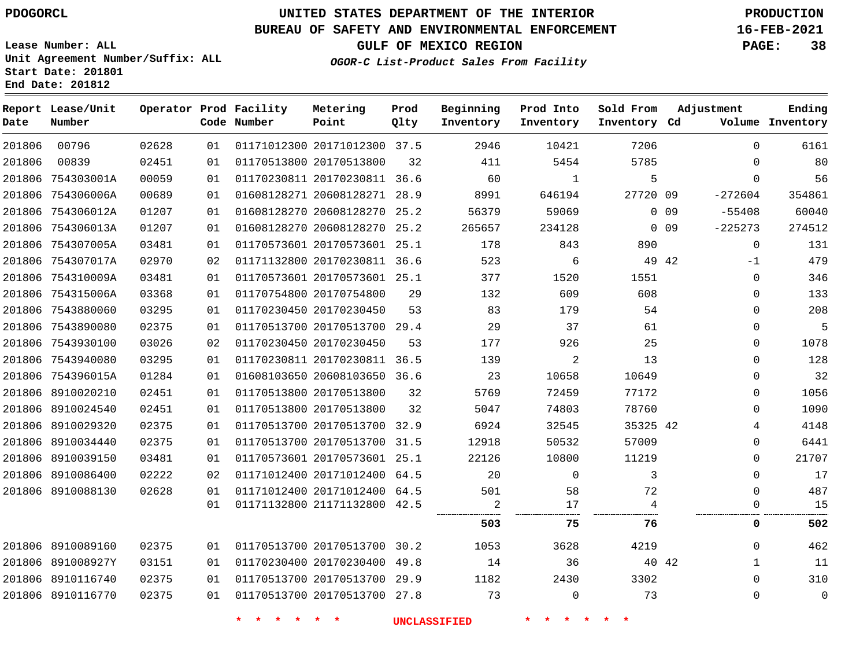**Report Lease/Unit**

## **UNITED STATES DEPARTMENT OF THE INTERIOR PDOGORCL PRODUCTION**

#### **BUREAU OF SAFETY AND ENVIRONMENTAL ENFORCEMENT 16-FEB-2021**

**Lease Number: ALL Unit Agreement Number/Suffix: ALL Start Date: 201801 End Date: 201812**

**Prod**

**GULF OF MEXICO REGION PAGE: 38**

**Adjustment**

**Ending**

**OGOR-C List-Product Sales From Facility**

**Beginning Prod Into Sold From**

| Date   | Number            |       |    | Code Number | Point                        | Qlty | Inventory      | Inventory | Inventory Cd |                 |             | Volume Inventory |
|--------|-------------------|-------|----|-------------|------------------------------|------|----------------|-----------|--------------|-----------------|-------------|------------------|
| 201806 | 00796             | 02628 | 01 |             | 01171012300 20171012300 37.5 |      | 2946           | 10421     | 7206         |                 | $\Omega$    | 6161             |
| 201806 | 00839             | 02451 | 01 |             | 01170513800 20170513800      | 32   | 411            | 5454      | 5785         |                 | 0           | 80               |
|        | 201806 754303001A | 00059 | 01 |             | 01170230811 20170230811 36.6 |      | 60             | 1         | 5            |                 | $\Omega$    | 56               |
|        | 201806 754306006A | 00689 | 01 |             | 01608128271 20608128271      | 28.9 | 8991           | 646194    | 27720 09     |                 | $-272604$   | 354861           |
|        | 201806 754306012A | 01207 | 01 |             | 01608128270 20608128270 25.2 |      | 56379          | 59069     |              | 0 <sub>09</sub> | $-55408$    | 60040            |
|        | 201806 754306013A | 01207 | 01 |             | 01608128270 20608128270      | 25.2 | 265657         | 234128    |              | $0$ 09          | $-225273$   | 274512           |
|        | 201806 754307005A | 03481 | 01 |             | 01170573601 20170573601 25.1 |      | 178            | 843       | 890          |                 | $\Omega$    | 131              |
|        | 201806 754307017A | 02970 | 02 |             | 01171132800 20170230811 36.6 |      | 523            | 6         |              | 49 42           | $-1$        | 479              |
|        | 201806 754310009A | 03481 | 01 |             | 01170573601 20170573601 25.1 |      | 377            | 1520      | 1551         |                 | $\mathbf 0$ | 346              |
|        | 201806 754315006A | 03368 | 01 |             | 01170754800 20170754800      | 29   | 132            | 609       | 608          |                 | $\mathbf 0$ | 133              |
|        | 201806 7543880060 | 03295 | 01 |             | 01170230450 20170230450      | 53   | 83             | 179       | 54           |                 | 0           | 208              |
|        | 201806 7543890080 | 02375 | 01 |             | 01170513700 20170513700 29.4 |      | 29             | 37        | 61           |                 | $\Omega$    | 5                |
|        | 201806 7543930100 | 03026 | 02 |             | 01170230450 20170230450      | 53   | 177            | 926       | 25           |                 | 0           | 1078             |
|        | 201806 7543940080 | 03295 | 01 |             | 01170230811 20170230811 36.5 |      | 139            | 2         | 13           |                 | $\Omega$    | 128              |
|        | 201806 754396015A | 01284 | 01 |             | 01608103650 20608103650 36.6 |      | 23             | 10658     | 10649        |                 | 0           | 32               |
|        | 201806 8910020210 | 02451 | 01 |             | 01170513800 20170513800      | 32   | 5769           | 72459     | 77172        |                 | $\Omega$    | 1056             |
|        | 201806 8910024540 | 02451 | 01 |             | 01170513800 20170513800      | 32   | 5047           | 74803     | 78760        |                 | 0           | 1090             |
|        | 201806 8910029320 | 02375 | 01 |             | 01170513700 20170513700 32.9 |      | 6924           | 32545     | 35325 42     |                 | 4           | 4148             |
|        | 201806 8910034440 | 02375 | 01 |             | 01170513700 20170513700      | 31.5 | 12918          | 50532     | 57009        |                 | 0           | 6441             |
|        | 201806 8910039150 | 03481 | 01 |             | 01170573601 20170573601 25.1 |      | 22126          | 10800     | 11219        |                 | $\Omega$    | 21707            |
|        | 201806 8910086400 | 02222 | 02 |             | 01171012400 20171012400 64.5 |      | 20             | 0         | 3            |                 | 0           | 17               |
|        | 201806 8910088130 | 02628 | 01 |             | 01171012400 20171012400 64.5 |      | 501            | 58        | 72           |                 | $\Omega$    | 487              |
|        |                   |       | 01 |             | 01171132800 21171132800 42.5 |      | $\overline{c}$ | 17        | 4            |                 | 0           | 15               |
|        |                   |       |    |             |                              |      | 503            | 75        | 76           |                 | 0           | 502              |
|        | 201806 8910089160 | 02375 | 01 |             | 01170513700 20170513700 30.2 |      | 1053           | 3628      | 4219         |                 | $\Omega$    | 462              |
|        | 201806 891008927Y | 03151 | 01 |             | 01170230400 20170230400      | 49.8 | 14             | 36        |              | 40 42           | $\mathbf 1$ | 11               |
|        | 201806 8910116740 | 02375 | 01 |             | 01170513700 20170513700 29.9 |      | 1182           | 2430      | 3302         |                 | $\Omega$    | 310              |
|        | 201806 8910116770 | 02375 | 01 |             | 01170513700 20170513700      | 27.8 | 73             | $\Omega$  | 73           |                 | $\Omega$    | $\mathbf 0$      |

**\* \* \* \* \* \* UNCLASSIFIED \* \* \* \* \* \***

**Operator Prod Facility Metering**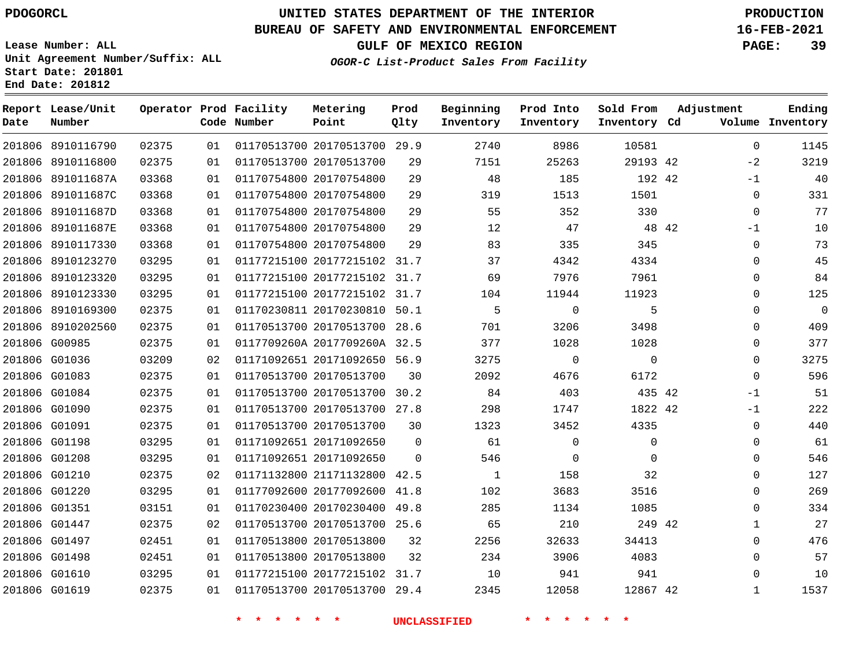**Report Lease/Unit**

**Number**

G01619

## **UNITED STATES DEPARTMENT OF THE INTERIOR PDOGORCL PRODUCTION**

#### **BUREAU OF SAFETY AND ENVIRONMENTAL ENFORCEMENT 16-FEB-2021**

**Lease Number: ALL Unit Agreement Number/Suffix: ALL Start Date: 201801 End Date: 201812**

**Operator Prod Facility**

**Code Number**

**GULF OF MEXICO REGION PAGE: 39**

**Prod Qlty**

**Metering Point**

**Inventory Cd Volume**

**Adjustment**

 $\Omega$ 

**Ending**

**OGOR-C List-Product Sales From Facility**

**Beginning Inventory**

**Sold From Inventory**

**Prod Into Inventory**

| 201806 8910116790 | 02375 | 01 | 01170513700 20170513700 29.9 |                              |          | 2740 | 8986         | 10581    |       | 0           | 1145        |
|-------------------|-------|----|------------------------------|------------------------------|----------|------|--------------|----------|-------|-------------|-------------|
| 201806 8910116800 | 02375 | 01 | 01170513700 20170513700      |                              | 29       | 7151 | 25263        | 29193 42 |       | $-2$        | 3219        |
| 201806 891011687A | 03368 | 01 | 01170754800 20170754800      |                              | 29       | 48   | 185          | 192 42   |       | $-1$        | 40          |
| 201806 891011687C | 03368 | 01 | 01170754800 20170754800      |                              | 29       | 319  | 1513         | 1501     |       | $\Omega$    | 331         |
| 201806 891011687D | 03368 | 01 | 01170754800 20170754800      |                              | 29       | 55   | 352          | 330      |       | $\Omega$    | 77          |
| 201806 891011687E | 03368 | 01 | 01170754800 20170754800      |                              | 29       | 12   | 47           |          | 48 42 | $-1$        | 10          |
| 201806 8910117330 | 03368 | 01 | 01170754800 20170754800      |                              | 29       | 83   | 335          | 345      |       | $\mathbf 0$ | 73          |
| 201806 8910123270 | 03295 | 01 |                              | 01177215100 20177215102 31.7 |          | 37   | 4342         | 4334     |       | $\Omega$    | 45          |
| 201806 8910123320 | 03295 | 01 |                              | 01177215100 20177215102 31.7 |          | 69   | 7976         | 7961     |       | 0           | 84          |
| 201806 8910123330 | 03295 | 01 | 01177215100 20177215102 31.7 |                              |          | 104  | 11944        | 11923    |       | 0           | 125         |
| 201806 8910169300 | 02375 | 01 |                              | 01170230811 20170230810 50.1 |          | 5    | $\mathbf{0}$ | 5        |       | $\Omega$    | $\mathbf 0$ |
| 201806 8910202560 | 02375 | 01 |                              | 01170513700 20170513700 28.6 |          | 701  | 3206         | 3498     |       | $\Omega$    | 409         |
| 201806 G00985     | 02375 | 01 |                              | 0117709260A 2017709260A 32.5 |          | 377  | 1028         | 1028     |       | $\Omega$    | 377         |
| 201806 G01036     | 03209 | 02 |                              | 01171092651 20171092650 56.9 |          | 3275 | $\Omega$     | $\Omega$ |       | $\Omega$    | 3275        |
| 201806 G01083     | 02375 | 01 | 01170513700 20170513700      |                              | 30       | 2092 | 4676         | 6172     |       | $\Omega$    | 596         |
| 201806 G01084     | 02375 | 01 | 01170513700 20170513700 30.2 |                              |          | 84   | 403          | 435 42   |       | $-1$        | 51          |
| 201806 G01090     | 02375 | 01 | 01170513700 20170513700 27.8 |                              |          | 298  | 1747         | 1822 42  |       | $-1$        | 222         |
| 201806 G01091     | 02375 | 01 | 01170513700 20170513700      |                              | 30       | 1323 | 3452         | 4335     |       | $\Omega$    | 440         |
| 201806 G01198     | 03295 | 01 | 01171092651 20171092650      |                              | $\Omega$ | 61   | $\Omega$     | 0        |       | 0           | 61          |
| 201806 G01208     | 03295 | 01 | 01171092651 20171092650      |                              | $\Omega$ | 546  | $\Omega$     | $\Omega$ |       | 0           | 546         |
| 201806 G01210     | 02375 | 02 |                              | 01171132800 21171132800 42.5 |          | 1    | 158          | 32       |       | 0           | 127         |
| 201806 G01220     | 03295 | 01 | 01177092600 20177092600      |                              | 41.8     | 102  | 3683         | 3516     |       | 0           | 269         |
| 201806 G01351     | 03151 | 01 |                              | 01170230400 20170230400 49.8 |          | 285  | 1134         | 1085     |       | $\Omega$    | 334         |
| 201806 G01447     | 02375 | 02 |                              | 01170513700 20170513700 25.6 |          | 65   | 210          | 249 42   |       | 1           | 27          |
| 201806 G01497     | 02451 | 01 | 01170513800 20170513800      |                              | 32       | 2256 | 32633        | 34413    |       | 0           | 476         |
| 201806 G01498     | 02451 | 01 | 01170513800 20170513800      |                              | 32       | 234  | 3906         | 4083     |       | $\Omega$    | 57          |
| 201806 G01610     | 03295 | 01 |                              | 01177215100 20177215102 31.7 |          | 10   | 941          | 941      |       | $\Omega$    | 10          |

**\* \* \* \* \* \* UNCLASSIFIED \* \* \* \* \* \***

20170513700 29.4

42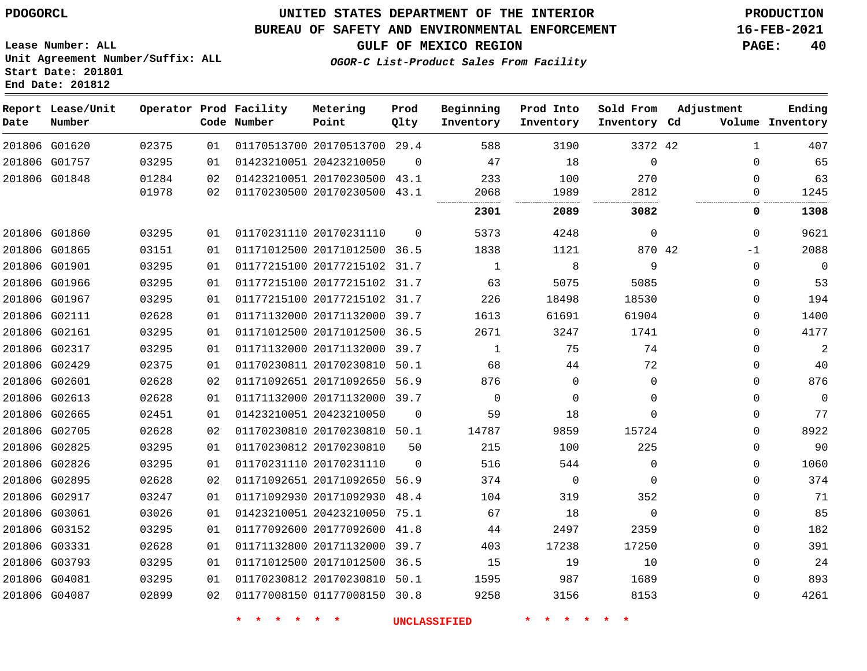#### **BUREAU OF SAFETY AND ENVIRONMENTAL ENFORCEMENT 16-FEB-2021**

**Lease Number: ALL Unit Agreement Number/Suffix: ALL Start Date: 201801 End Date: 201812**

**OGOR-C List-Product Sales From Facility**

**GULF OF MEXICO REGION PAGE: 40**

| Date | Report Lease/Unit<br>Number |       |    | Operator Prod Facility<br>Code Number | Metering<br>Point            | Prod<br>Qlty | Beginning<br>Inventory | Prod Into<br>Inventory | Sold From<br>Inventory Cd | Adjustment   | Ending<br>Volume Inventory |
|------|-----------------------------|-------|----|---------------------------------------|------------------------------|--------------|------------------------|------------------------|---------------------------|--------------|----------------------------|
|      | 201806 G01620               | 02375 | 01 |                                       | 01170513700 20170513700 29.4 |              | 588                    | 3190                   | 3372 42                   | $\mathbf{1}$ | 407                        |
|      | 201806 G01757               | 03295 | 01 |                                       | 01423210051 20423210050      | $\Omega$     | 47                     | 18                     | $\mathbf 0$               | $\Omega$     | 65                         |
|      | 201806 G01848               | 01284 | 02 |                                       | 01423210051 20170230500      | 43.1         | 233                    | 100                    | 270                       | $\Omega$     | 63                         |
|      |                             | 01978 | 02 |                                       | 01170230500 20170230500 43.1 |              | 2068                   | 1989                   | 2812                      | 0            | 1245                       |
|      |                             |       |    |                                       |                              |              | 2301                   | 2089                   | 3082                      | 0            | 1308                       |
|      | 201806 G01860               | 03295 | 01 |                                       | 01170231110 20170231110      | $\Omega$     | 5373                   | 4248                   | $\mathbf 0$               | $\Omega$     | 9621                       |
|      | 201806 G01865               | 03151 | 01 |                                       | 01171012500 20171012500 36.5 |              | 1838                   | 1121                   | 870 42                    | $-1$         | 2088                       |
|      | 201806 G01901               | 03295 | 01 |                                       | 01177215100 20177215102 31.7 |              | $\mathbf{1}$           | 8                      | 9                         | $\Omega$     | 0                          |
|      | 201806 G01966               | 03295 | 01 |                                       | 01177215100 20177215102 31.7 |              | 63                     | 5075                   | 5085                      | $\Omega$     | 53                         |
|      | 201806 G01967               | 03295 | 01 |                                       | 01177215100 20177215102 31.7 |              | 226                    | 18498                  | 18530                     | $\Omega$     | 194                        |
|      | 201806 G02111               | 02628 | 01 |                                       | 01171132000 20171132000 39.7 |              | 1613                   | 61691                  | 61904                     | $\Omega$     | 1400                       |
|      | 201806 G02161               | 03295 | 01 |                                       | 01171012500 20171012500 36.5 |              | 2671                   | 3247                   | 1741                      | $\Omega$     | 4177                       |
|      | 201806 G02317               | 03295 | 01 |                                       | 01171132000 20171132000 39.7 |              | $\mathbf 1$            | 75                     | 74                        | 0            | $\overline{a}$             |
|      | 201806 G02429               | 02375 | 01 |                                       | 01170230811 20170230810 50.1 |              | 68                     | 44                     | 72                        | $\Omega$     | 40                         |
|      | 201806 G02601               | 02628 | 02 |                                       | 01171092651 20171092650 56.9 |              | 876                    | 0                      | $\mathbf{0}$              | $\Omega$     | 876                        |
|      | 201806 G02613               | 02628 | 01 |                                       | 01171132000 20171132000 39.7 |              | $\Omega$               | 0                      | $\Omega$                  | 0            | 0                          |
|      | 201806 G02665               | 02451 | 01 |                                       | 01423210051 20423210050      | $\mathbf 0$  | 59                     | 18                     | $\Omega$                  | $\Omega$     | 77                         |
|      | 201806 G02705               | 02628 | 02 |                                       | 01170230810 20170230810 50.1 |              | 14787                  | 9859                   | 15724                     | $\Omega$     | 8922                       |
|      | 201806 G02825               | 03295 | 01 |                                       | 01170230812 20170230810      | 50           | 215                    | 100                    | 225                       | $\Omega$     | 90                         |
|      | 201806 G02826               | 03295 | 01 |                                       | 01170231110 20170231110      | $\mathbf 0$  | 516                    | 544                    | $\mathbf 0$               | $\Omega$     | 1060                       |
|      | 201806 G02895               | 02628 | 02 |                                       | 01171092651 20171092650 56.9 |              | 374                    | $\mathbf 0$            | $\Omega$                  | $\Omega$     | 374                        |
|      | 201806 G02917               | 03247 | 01 |                                       | 01171092930 20171092930      | 48.4         | 104                    | 319                    | 352                       | $\Omega$     | 71                         |
|      | 201806 G03061               | 03026 | 01 |                                       | 01423210051 20423210050 75.1 |              | 67                     | 18                     | $\Omega$                  | 0            | 85                         |
|      | 201806 G03152               | 03295 | 01 |                                       | 01177092600 20177092600      | 41.8         | 44                     | 2497                   | 2359                      | $\Omega$     | 182                        |
|      | 201806 G03331               | 02628 | 01 |                                       | 01171132800 20171132000 39.7 |              | 403                    | 17238                  | 17250                     | 0            | 391                        |
|      | 201806 G03793               | 03295 | 01 |                                       | 01171012500 20171012500 36.5 |              | 15                     | 19                     | 10                        | $\Omega$     | 24                         |
|      | 201806 G04081               | 03295 | 01 |                                       | 01170230812 20170230810 50.1 |              | 1595                   | 987                    | 1689                      | $\Omega$     | 893                        |
|      | 201806 G04087               | 02899 | 02 |                                       | 01177008150 01177008150 30.8 |              | 9258                   | 3156                   | 8153                      | $\Omega$     | 4261                       |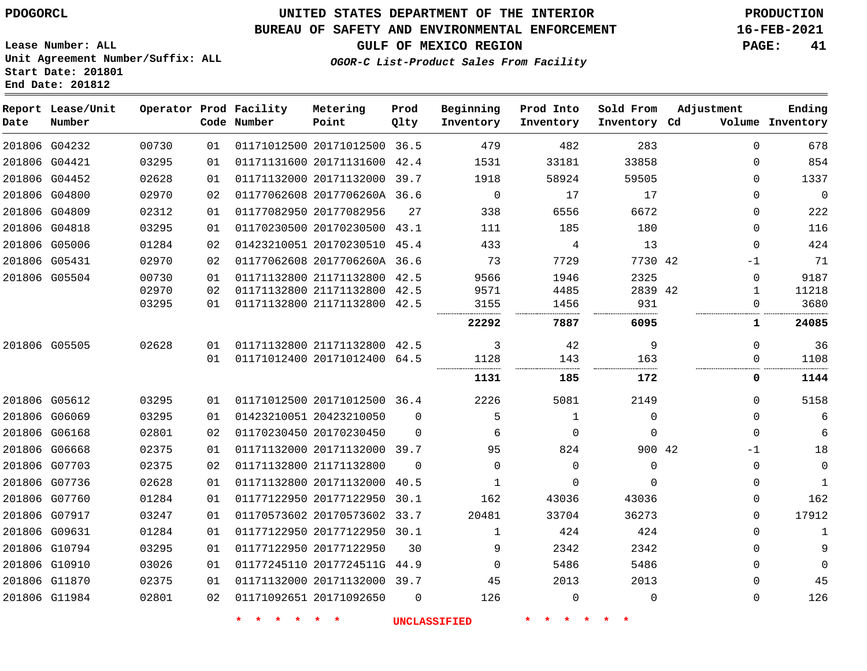#### **BUREAU OF SAFETY AND ENVIRONMENTAL ENFORCEMENT 16-FEB-2021**

**Lease Number: ALL Unit Agreement Number/Suffix: ALL Start Date: 201801**

**End Date: 201812**

**Report Lease/Unit**

**GULF OF MEXICO REGION PAGE: 41**

**Prod**

**Adjustment**

**Ending**

**OGOR-C List-Product Sales From Facility**

**Beginning Prod Into Sold From**

| Date | Number        |       |    | Code Number | Point                        | Qlty     | Inventory      | Inventory   | Inventory Cd |              | Volume Inventory |
|------|---------------|-------|----|-------------|------------------------------|----------|----------------|-------------|--------------|--------------|------------------|
|      | 201806 G04232 | 00730 | 01 |             | 01171012500 20171012500 36.5 |          | 479            | 482         | 283          | $\Omega$     | 678              |
|      | 201806 G04421 | 03295 | 01 |             | 01171131600 20171131600 42.4 |          | 1531           | 33181       | 33858        | $\Omega$     | 854              |
|      | 201806 G04452 | 02628 | 01 |             | 01171132000 20171132000 39.7 |          | 1918           | 58924       | 59505        | $\Omega$     | 1337             |
|      | 201806 G04800 | 02970 | 02 |             | 01177062608 2017706260A 36.6 |          | $\overline{0}$ | 17          | 17           | $\Omega$     | 0                |
|      | 201806 G04809 | 02312 | 01 |             | 01177082950 20177082956      | 27       | 338            | 6556        | 6672         | $\Omega$     | 222              |
|      | 201806 G04818 | 03295 | 01 |             | 01170230500 20170230500 43.1 |          | 111            | 185         | 180          | $\Omega$     | 116              |
|      | 201806 G05006 | 01284 | 02 |             | 01423210051 20170230510 45.4 |          | 433            | 4           | 13           | $\Omega$     | 424              |
|      | 201806 G05431 | 02970 | 02 |             | 01177062608 2017706260A 36.6 |          | 73             | 7729        | 7730 42      | -1           | 71               |
|      | 201806 G05504 | 00730 | 01 |             | 01171132800 21171132800 42.5 |          | 9566           | 1946        | 2325         | $\Omega$     | 9187             |
|      |               | 02970 | 02 |             | 01171132800 21171132800 42.5 |          | 9571           | 4485        | 2839 42      | 1            | 11218            |
|      |               | 03295 | 01 |             | 01171132800 21171132800 42.5 |          | 3155           | 1456        | 931          | 0            | 3680             |
|      |               |       |    |             |                              |          | 22292          | 7887        | 6095         | 1            | 24085            |
|      | 201806 G05505 | 02628 | 01 |             | 01171132800 21171132800 42.5 |          | 3              | 42          | 9            | $\mathbf{0}$ | 36               |
|      |               |       | 01 |             | 01171012400 20171012400 64.5 |          | 1128           | 143         | 163          | 0            | 1108             |
|      |               |       |    |             |                              |          | 1131           | 185         | 172          | 0            | 1144             |
|      | 201806 G05612 | 03295 | 01 |             | 01171012500 20171012500 36.4 |          | 2226           | 5081        | 2149         | $\Omega$     | 5158             |
|      | 201806 G06069 | 03295 | 01 |             | 01423210051 20423210050      | $\Omega$ | 5              | 1           | $\mathbf 0$  | $\Omega$     | 6                |
|      | 201806 G06168 | 02801 | 02 |             | 01170230450 20170230450      | $\Omega$ | 6              | 0           | $\Omega$     | $\Omega$     | 6                |
|      | 201806 G06668 | 02375 | 01 |             | 01171132000 20171132000 39.7 |          | 95             | 824         | 900 42       | -1           | 18               |
|      | 201806 G07703 | 02375 | 02 |             | 01171132800 21171132800      | $\Omega$ | $\Omega$       | $\Omega$    | $\Omega$     | $\Omega$     | 0                |
|      | 201806 G07736 | 02628 | 01 |             | 01171132800 20171132000      | 40.5     | 1              | 0           | $\Omega$     | 0            | 1                |
|      | 201806 G07760 | 01284 | 01 |             | 01177122950 20177122950 30.1 |          | 162            | 43036       | 43036        | 0            | 162              |
|      | 201806 G07917 | 03247 | 01 |             | 01170573602 20170573602 33.7 |          | 20481          | 33704       | 36273        | $\Omega$     | 17912            |
|      | 201806 G09631 | 01284 | 01 |             | 01177122950 20177122950 30.1 |          | 1              | 424         | 424          | $\Omega$     | 1                |
|      | 201806 G10794 | 03295 | 01 |             | 01177122950 20177122950      | 30       | 9              | 2342        | 2342         | $\Omega$     | 9                |
|      | 201806 G10910 | 03026 | 01 |             | 01177245110 2017724511G 44.9 |          | $\Omega$       | 5486        | 5486         | $\Omega$     | $\Omega$         |
|      | 201806 G11870 | 02375 | 01 |             | 01171132000 20171132000 39.7 |          | 45             | 2013        | 2013         | $\Omega$     | 45               |
|      | 201806 G11984 | 02801 | 02 |             | 01171092651 20171092650      | $\Omega$ | 126            | $\mathbf 0$ | $\mathbf{0}$ | 0            | 126              |

**\* \* \* \* \* \* UNCLASSIFIED \* \* \* \* \* \***

**Operator Prod Facility Metering**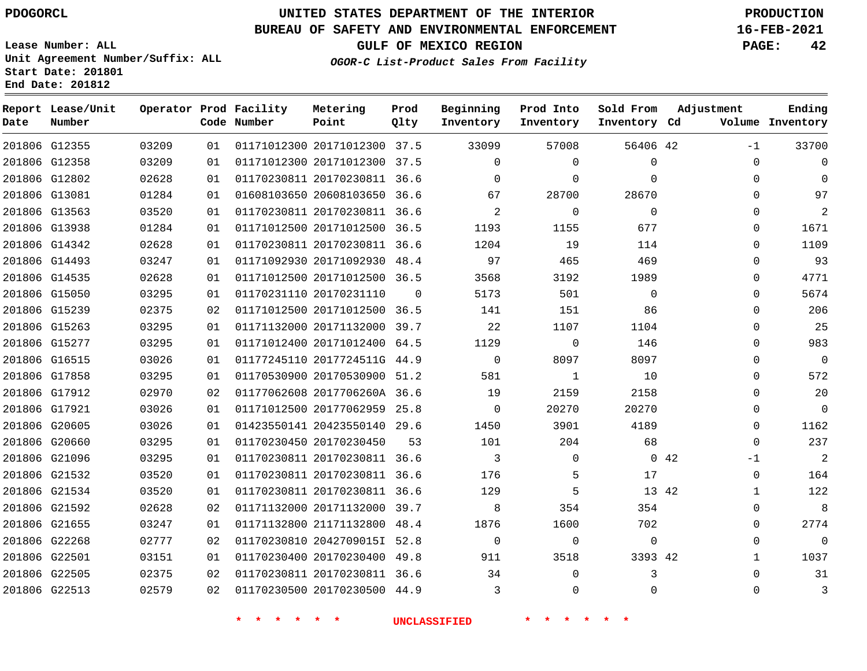**Report Lease/Unit**

## **UNITED STATES DEPARTMENT OF THE INTERIOR PDOGORCL PRODUCTION**

#### **BUREAU OF SAFETY AND ENVIRONMENTAL ENFORCEMENT 16-FEB-2021**

**GULF OF MEXICO REGION PAGE: 42**

**Prod**  $Q1 + 3r$ 

**Metering Point**

**Lease Number: ALL Unit Agreement Number/Suffix: ALL Start Date: 201801 End Date: 201812**

**Operator Prod Facility**

**Ending**

**OGOR-C List-Product Sales From Facility**

**Beginning**

**Prod Into Inventory**

**Sold From Inventory**

**Adjustment**

| Date | Number        |       |    | Code Number | Point                        | Qlty     | Inventory   | Inventory    | Inventory Cd |     |                | Volume Inventory |
|------|---------------|-------|----|-------------|------------------------------|----------|-------------|--------------|--------------|-----|----------------|------------------|
|      | 201806 G12355 | 03209 | 01 |             | 01171012300 20171012300 37.5 |          | 33099       | 57008        | 56406 42     |     | $-1$           | 33700            |
|      | 201806 G12358 | 03209 | 01 |             | 01171012300 20171012300 37.5 |          | $\Omega$    | $\mathbf{0}$ | $\mathbf 0$  |     | $\Omega$       | $\Omega$         |
|      | 201806 G12802 | 02628 | 01 |             | 01170230811 20170230811 36.6 |          | $\Omega$    | $\Omega$     | $\Omega$     |     | $\Omega$       | $\Omega$         |
|      | 201806 G13081 | 01284 | 01 |             | 01608103650 20608103650 36.6 |          | 67          | 28700        | 28670        |     | $\Omega$       | 97               |
|      | 201806 G13563 | 03520 | 01 |             | 01170230811 20170230811 36.6 |          | 2           | $\mathbf 0$  | $\Omega$     |     | $\Omega$       | 2                |
|      | 201806 G13938 | 01284 | 01 |             | 01171012500 20171012500 36.5 |          | 1193        | 1155         | 677          |     | $\Omega$       | 1671             |
|      | 201806 G14342 | 02628 | 01 |             | 01170230811 20170230811 36.6 |          | 1204        | 19           | 114          |     | $\Omega$       | 1109             |
|      | 201806 G14493 | 03247 | 01 |             | 01171092930 20171092930 48.4 |          | 97          | 465          | 469          |     | $\Omega$       | 93               |
|      | 201806 G14535 | 02628 | 01 |             | 01171012500 20171012500 36.5 |          | 3568        | 3192         | 1989         |     | 0              | 4771             |
|      | 201806 G15050 | 03295 | 01 |             | 01170231110 20170231110      | $\Omega$ | 5173        | 501          | $\Omega$     |     | $\Omega$       | 5674             |
|      | 201806 G15239 | 02375 | 02 |             | 01171012500 20171012500 36.5 |          | 141         | 151          | 86           |     | $\Omega$       | 206              |
|      | 201806 G15263 | 03295 | 01 |             | 01171132000 20171132000 39.7 |          | 22          | 1107         | 1104         |     | $\Omega$       | 25               |
|      | 201806 G15277 | 03295 | 01 |             | 01171012400 20171012400 64.5 |          | 1129        | $\mathbf 0$  | 146          |     | $\Omega$       | 983              |
|      | 201806 G16515 | 03026 | 01 |             | 01177245110 2017724511G 44.9 |          | $\mathbf 0$ | 8097         | 8097         |     | $\mathbf 0$    | $\overline{0}$   |
|      | 201806 G17858 | 03295 | 01 |             | 01170530900 20170530900 51.2 |          | 581         | 1            | 10           |     | $\Omega$       | 572              |
|      | 201806 G17912 | 02970 | 02 |             | 01177062608 2017706260A 36.6 |          | 19          | 2159         | 2158         |     | $\mathbf 0$    | 20               |
|      | 201806 G17921 | 03026 | 01 |             | 01171012500 20177062959 25.8 |          | $\mathbf 0$ | 20270        | 20270        |     | $\mathbf 0$    | $\mathsf{O}$     |
|      | 201806 G20605 | 03026 | 01 |             | 01423550141 20423550140 29.6 |          | 1450        | 3901         | 4189         |     | $\Omega$       | 1162             |
|      | 201806 G20660 | 03295 | 01 |             | 01170230450 20170230450      | 53       | 101         | 204          | 68           |     | $\mathbf 0$    | 237              |
|      | 201806 G21096 | 03295 | 01 |             | 01170230811 20170230811 36.6 |          | 3           | $\mathbf 0$  |              | 042 | $-1$           | $\overline{2}$   |
|      | 201806 G21532 | 03520 | 01 |             | 01170230811 20170230811 36.6 |          | 176         | 5            | 17           |     | $\mathbf 0$    | 164              |
|      | 201806 G21534 | 03520 | 01 |             | 01170230811 20170230811 36.6 |          | 129         | 5            | 13 42        |     | $\mathbf{1}$   | 122              |
|      | 201806 G21592 | 02628 | 02 |             | 01171132000 20171132000 39.7 |          | 8           | 354          | 354          |     | $\overline{0}$ | 8                |
|      | 201806 G21655 | 03247 | 01 |             | 01171132800 21171132800 48.4 |          | 1876        | 1600         | 702          |     | $\overline{0}$ | 2774             |
|      | 201806 G22268 | 02777 | 02 |             | 01170230810 2042709015I 52.8 |          | $\mathbf 0$ | $\mathbf 0$  | $\mathbf 0$  |     | $\Omega$       | $\mathbf 0$      |
|      | 201806 G22501 | 03151 | 01 |             | 01170230400 20170230400 49.8 |          | 911         | 3518         | 3393 42      |     | $\mathbf{1}$   | 1037             |
|      | 201806 G22505 | 02375 | 02 |             | 01170230811 20170230811 36.6 |          | 34          | $\Omega$     | 3            |     | $\Omega$       | 31               |
|      | 201806 G22513 | 02579 | 02 |             | 01170230500 20170230500 44.9 |          | 3           | $\mathbf 0$  | $\Omega$     |     | $\mathbf 0$    | $\mathbf{3}$     |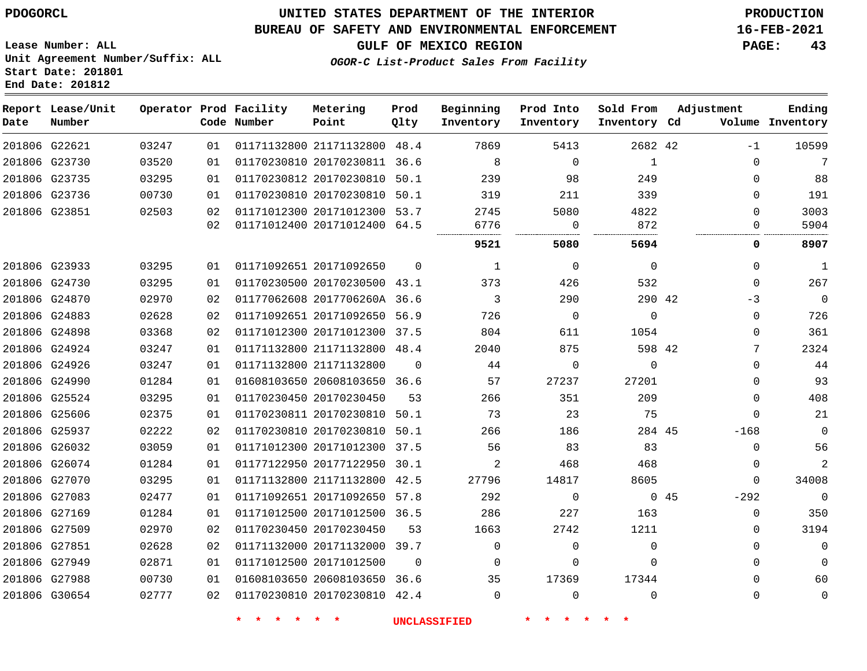#### **BUREAU OF SAFETY AND ENVIRONMENTAL ENFORCEMENT 16-FEB-2021**

**Lease Number: ALL Unit Agreement Number/Suffix: ALL Start Date: 201801**

**End Date: 201812**

**GULF OF MEXICO REGION PAGE: 43**

**OGOR-C List-Product Sales From Facility**

| Date          | Report Lease/Unit<br>Number |       |    | Operator Prod Facility<br>Code Number | Metering<br>Point            | Prod<br>Qlty | Beginning<br>Inventory | Prod Into<br>Inventory | Sold From<br>Inventory Cd | Adjustment |          | Ending<br>Volume Inventory |
|---------------|-----------------------------|-------|----|---------------------------------------|------------------------------|--------------|------------------------|------------------------|---------------------------|------------|----------|----------------------------|
| 201806 G22621 |                             | 03247 | 01 |                                       | 01171132800 21171132800 48.4 |              | 7869                   | 5413                   | 2682 42                   |            | $-1$     | 10599                      |
| 201806 G23730 |                             | 03520 | 01 |                                       | 01170230810 20170230811 36.6 |              | 8                      | $\mathbf 0$            | $\mathbf{1}$              |            | 0        | 7                          |
| 201806 G23735 |                             | 03295 | 01 |                                       | 01170230812 20170230810 50.1 |              | 239                    | 98                     | 249                       |            | $\Omega$ | 88                         |
|               | 201806 G23736               | 00730 | 01 |                                       | 01170230810 20170230810 50.1 |              | 319                    | 211                    | 339                       |            | 0        | 191                        |
| 201806 G23851 |                             | 02503 | 02 |                                       | 01171012300 20171012300 53.7 |              | 2745                   | 5080                   | 4822                      |            | 0        | 3003                       |
|               |                             |       | 02 |                                       | 01171012400 20171012400 64.5 |              | 6776                   | 0                      | 872                       |            | 0        | 5904                       |
|               |                             |       |    |                                       |                              |              | 9521                   | 5080                   | 5694                      |            | 0        | 8907                       |
| 201806 G23933 |                             | 03295 | 01 |                                       | 01171092651 20171092650      | $\Omega$     | 1                      | $\mathbf 0$            | $\mathbf 0$               |            | 0        | $\mathbf{1}$               |
|               | 201806 G24730               | 03295 | 01 |                                       | 01170230500 20170230500 43.1 |              | 373                    | 426                    | 532                       |            | 0        | 267                        |
| 201806 G24870 |                             | 02970 | 02 |                                       | 01177062608 2017706260A 36.6 |              | 3                      | 290                    | 290 42                    |            | $-3$     | $\mathbf 0$                |
| 201806 G24883 |                             | 02628 | 02 |                                       | 01171092651 20171092650 56.9 |              | 726                    | $\mathbf 0$            | $\mathbf 0$               |            | 0        | 726                        |
| 201806 G24898 |                             | 03368 | 02 |                                       | 01171012300 20171012300 37.5 |              | 804                    | 611                    | 1054                      |            | $\Omega$ | 361                        |
| 201806 G24924 |                             | 03247 | 01 |                                       | 01171132800 21171132800 48.4 |              | 2040                   | 875                    | 598 42                    |            | 7        | 2324                       |
|               | 201806 G24926               | 03247 | 01 |                                       | 01171132800 21171132800      | $\Omega$     | 44                     | $\mathbf 0$            | $\Omega$                  |            | 0        | 44                         |
| 201806 G24990 |                             | 01284 | 01 |                                       | 01608103650 20608103650 36.6 |              | 57                     | 27237                  | 27201                     |            | 0        | 93                         |
| 201806 G25524 |                             | 03295 | 01 |                                       | 01170230450 20170230450      | 53           | 266                    | 351                    | 209                       |            | 0        | 408                        |
| 201806 G25606 |                             | 02375 | 01 |                                       | 01170230811 20170230810 50.1 |              | 73                     | 23                     | 75                        |            | $\Omega$ | 21                         |
| 201806 G25937 |                             | 02222 | 02 |                                       | 01170230810 20170230810 50.1 |              | 266                    | 186                    | 284 45                    |            | $-168$   | $\Omega$                   |
|               | 201806 G26032               | 03059 | 01 |                                       | 01171012300 20171012300 37.5 |              | 56                     | 83                     | 83                        |            | 0        | 56                         |
|               | 201806 G26074               | 01284 | 01 |                                       | 01177122950 20177122950 30.1 |              | 2                      | 468                    | 468                       |            | 0        | $\overline{a}$             |
| 201806 G27070 |                             | 03295 | 01 |                                       | 01171132800 21171132800 42.5 |              | 27796                  | 14817                  | 8605                      |            | 0        | 34008                      |
| 201806 G27083 |                             | 02477 | 01 |                                       | 01171092651 20171092650 57.8 |              | 292                    | 0                      |                           | 045        | $-292$   | $\mathbf 0$                |
| 201806 G27169 |                             | 01284 | 01 |                                       | 01171012500 20171012500 36.5 |              | 286                    | 227                    | 163                       |            | 0        | 350                        |
| 201806 G27509 |                             | 02970 | 02 |                                       | 01170230450 20170230450      | 53           | 1663                   | 2742                   | 1211                      |            | 0        | 3194                       |
| 201806 G27851 |                             | 02628 | 02 |                                       | 01171132000 20171132000 39.7 |              | $\mathbf 0$            | $\mathbf 0$            | $\mathbf 0$               |            | $\Omega$ | $\Omega$                   |
| 201806 G27949 |                             | 02871 | 01 |                                       | 01171012500 20171012500      | $\Omega$     | $\Omega$               | $\mathbf 0$            | $\Omega$                  |            | 0        | $\Omega$                   |
| 201806 G27988 |                             | 00730 | 01 |                                       | 01608103650 20608103650 36.6 |              | 35                     | 17369                  | 17344                     |            | 0        | 60                         |
| 201806 G30654 |                             | 02777 | 02 |                                       | 01170230810 20170230810 42.4 |              | $\Omega$               | $\Omega$               | $\Omega$                  |            | 0        | $\mathbf 0$                |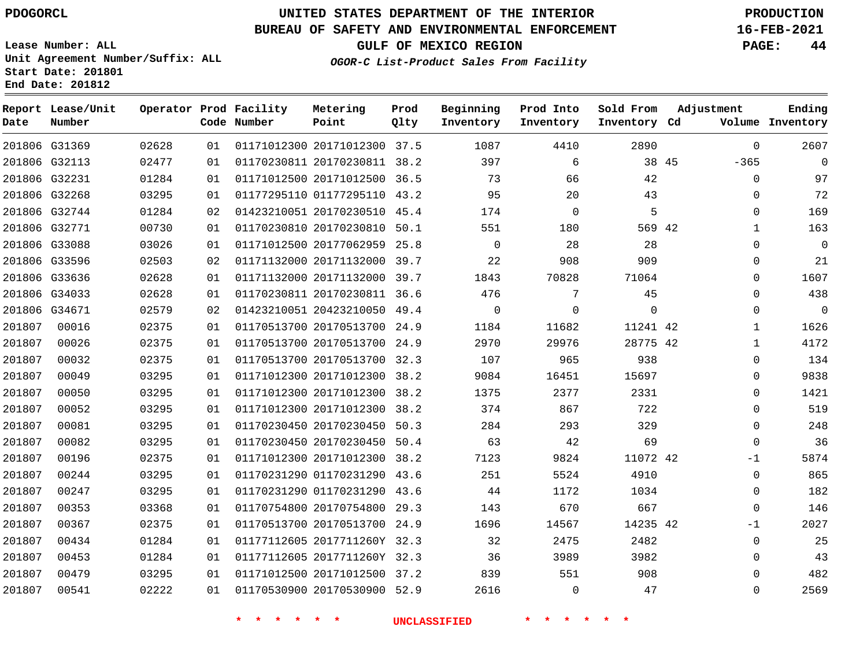**Report Lease/Unit**

**Number**

## **UNITED STATES DEPARTMENT OF THE INTERIOR PDOGORCL PRODUCTION**

**Prod Qlty**

#### **BUREAU OF SAFETY AND ENVIRONMENTAL ENFORCEMENT 16-FEB-2021**

**Lease Number: ALL Unit Agreement Number/Suffix: ALL Start Date: 201801 End Date: 201812**

**Operator Prod Facility**

**Code Number**

**Metering Point**

**GULF OF MEXICO REGION PAGE: 44**

**Sold From Inventory**

**Inventory Cd Volume**

**Adjustment**

 $\Omega$ 

**Ending**

**OGOR-C List-Product Sales From Facility**

**Prod Into Inventory**

**Beginning Inventory**

|        | 201806 G31369 | 02628 | 01 | 01171012300 20171012300      | 37.5 | 1087     | 4410     | 2890     |    | 0            | 2607        |
|--------|---------------|-------|----|------------------------------|------|----------|----------|----------|----|--------------|-------------|
|        | 201806 G32113 | 02477 | 01 | 01170230811 20170230811      | 38.2 | 397      | 6        | 38       | 45 | $-365$       | 0           |
|        | 201806 G32231 | 01284 | 01 | 01171012500 20171012500 36.5 |      | 73       | 66       | 42       |    | 0            | 97          |
|        | 201806 G32268 | 03295 | 01 | 01177295110 01177295110 43.2 |      | 95       | 20       | 43       |    | $\Omega$     | 72          |
|        | 201806 G32744 | 01284 | 02 | 01423210051 20170230510      | 45.4 | 174      | $\Omega$ | 5        |    | $\mathbf 0$  | 169         |
|        | 201806 G32771 | 00730 | 01 | 01170230810 20170230810 50.1 |      | 551      | 180      | 569 42   |    |              | 163         |
|        | 201806 G33088 | 03026 | 01 | 01171012500 20177062959 25.8 |      | $\Omega$ | 28       | 28       |    | $\Omega$     | $\Omega$    |
|        | 201806 G33596 | 02503 | 02 | 01171132000 20171132000 39.7 |      | 22       | 908      | 909      |    | $\Omega$     | 21          |
|        | 201806 G33636 | 02628 | 01 | 01171132000 20171132000      | 39.7 | 1843     | 70828    | 71064    |    | $\Omega$     | 1607        |
|        | 201806 G34033 | 02628 | 01 | 01170230811 20170230811      | 36.6 | 476      |          | 45       |    | $\Omega$     | 438         |
|        | 201806 G34671 | 02579 | 02 | 01423210051 20423210050 49.4 |      | $\Omega$ | $\Omega$ |          |    | $\Omega$     | $\mathbf 0$ |
| 201807 | 00016         | 02375 | 01 | 01170513700 20170513700 24.9 |      | 1184     | 11682    | 11241 42 |    | $\mathbf{1}$ | 1626        |
| 201807 | 00026         | 02375 | 01 | 01170513700 20170513700      | 24.9 | 2970     | 29976    | 28775 42 |    |              | 4172        |
| 201807 | 00032         | 02375 | 01 | 01170513700 20170513700 32.3 |      | 107      | 965      | 938      |    | $\mathbf 0$  | 134         |
| 201807 | 00049         | 03295 | 01 | 01171012300 20171012300 38.2 |      | 9084     | 16451    | 15697    |    | $\Omega$     | 9838        |
| 201807 | 00050         | 03295 | 01 | 01171012300 20171012300 38.2 |      | 1375     | 2377     | 2331     |    | 0            | 1421        |
| 201807 | 00052         | 03295 | 01 | 01171012300 20171012300      | 38.2 | 374      | 867      | 722      |    | $\Omega$     | 519         |
| 201807 | 00081         | 03295 | 01 | 01170230450 20170230450 50.3 |      | 284      | 293      | 329      |    | $\Omega$     | 248         |
| 201807 | 00082         | 03295 | 01 | 01170230450 20170230450 50.4 |      | 63       | 42       | 69       |    | $\Omega$     | 36          |
| 201807 | 00196         | 02375 | 01 | 01171012300 20171012300      | 38.2 | 7123     | 9824     | 11072 42 |    | $-1$         | 5874        |
| 201807 | 00244         | 03295 | 01 | 01170231290 01170231290      | 43.6 | 251      | 5524     | 4910     |    | $\mathbf 0$  | 865         |
| 201807 | 00247         | 03295 | 01 | 01170231290 01170231290 43.6 |      | 44       | 1172     | 1034     |    | $\Omega$     | 182         |

 20170754800 29.3 20170513700 24.9 2017711260Y 32.3 2017711260Y 32.3 20171012500 37.2 20170530900 52.9 42  $\Omega$  -1  $\Omega$   $\Omega$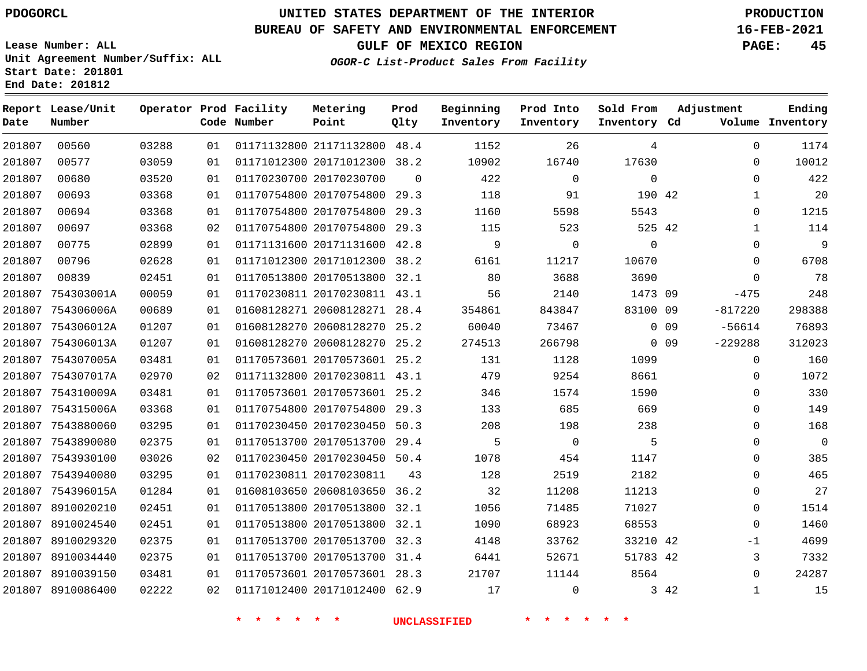## **UNITED STATES DEPARTMENT OF THE INTERIOR PDOGORCL PRODUCTION**

#### **BUREAU OF SAFETY AND ENVIRONMENTAL ENFORCEMENT 16-FEB-2021**

**Lease Number: ALL Unit Agreement Number/Suffix: ALL Start Date: 201801 End Date: 201812**

**GULF OF MEXICO REGION PAGE: 45**

**OGOR-C List-Product Sales From Facility**

| Date   | Report Lease/Unit<br>Number |       |    | Operator Prod Facility<br>Code Number | Metering<br>Point            | Prod<br>Qlty | Beginning<br>Inventory | Prod Into<br>Inventory | Sold From<br>Inventory Cd |        | Adjustment   | Ending<br>Volume Inventory |
|--------|-----------------------------|-------|----|---------------------------------------|------------------------------|--------------|------------------------|------------------------|---------------------------|--------|--------------|----------------------------|
| 201807 | 00560                       | 03288 | 01 |                                       | 01171132800 21171132800 48.4 |              | 1152                   | 26                     | 4                         |        | $\Omega$     | 1174                       |
| 201807 | 00577                       | 03059 | 01 |                                       | 01171012300 20171012300 38.2 |              | 10902                  | 16740                  | 17630                     |        | 0            | 10012                      |
| 201807 | 00680                       | 03520 | 01 |                                       | 01170230700 20170230700      | $\Omega$     | 422                    | $\Omega$               | $\mathbf 0$               |        | $\Omega$     | 422                        |
| 201807 | 00693                       | 03368 | 01 |                                       | 01170754800 20170754800      | 29.3         | 118                    | 91                     | 190 42                    |        | $\mathbf 1$  | 20                         |
| 201807 | 00694                       | 03368 | 01 |                                       | 01170754800 20170754800      | 29.3         | 1160                   | 5598                   | 5543                      |        | $\mathbf{0}$ | 1215                       |
| 201807 | 00697                       | 03368 | 02 |                                       | 01170754800 20170754800      | 29.3         | 115                    | 523                    | 525 42                    |        | $\mathbf 1$  | 114                        |
| 201807 | 00775                       | 02899 | 01 |                                       | 01171131600 20171131600 42.8 |              | 9                      | $\Omega$               | $\Omega$                  |        | $\mathbf 0$  | 9                          |
| 201807 | 00796                       | 02628 | 01 |                                       | 01171012300 20171012300      | 38.2         | 6161                   | 11217                  | 10670                     |        | $\Omega$     | 6708                       |
| 201807 | 00839                       | 02451 | 01 |                                       | 01170513800 20170513800 32.1 |              | 80                     | 3688                   | 3690                      |        | $\mathbf 0$  | 78                         |
| 201807 | 754303001A                  | 00059 | 01 |                                       | 01170230811 20170230811 43.1 |              | 56                     | 2140                   | 1473 09                   |        | $-475$       | 248                        |
| 201807 | 754306006A                  | 00689 | 01 |                                       | 01608128271 20608128271 28.4 |              | 354861                 | 843847                 | 83100 09                  |        | $-817220$    | 298388                     |
| 201807 | 754306012A                  | 01207 | 01 |                                       | 01608128270 20608128270 25.2 |              | 60040                  | 73467                  |                           | $0$ 09 | $-56614$     | 76893                      |
| 201807 | 754306013A                  | 01207 | 01 |                                       | 01608128270 20608128270      | 25.2         | 274513                 | 266798                 |                           | $0$ 09 | $-229288$    | 312023                     |
| 201807 | 754307005A                  | 03481 | 01 |                                       | 01170573601 20170573601 25.2 |              | 131                    | 1128                   | 1099                      |        | 0            | 160                        |
|        | 201807 754307017A           | 02970 | 02 |                                       | 01171132800 20170230811 43.1 |              | 479                    | 9254                   | 8661                      |        | 0            | 1072                       |
|        | 201807 754310009A           | 03481 | 01 |                                       | 01170573601 20170573601 25.2 |              | 346                    | 1574                   | 1590                      |        | 0            | 330                        |
|        | 201807 754315006A           | 03368 | 01 |                                       | 01170754800 20170754800 29.3 |              | 133                    | 685                    | 669                       |        | 0            | 149                        |
|        | 201807 7543880060           | 03295 | 01 |                                       | 01170230450 20170230450 50.3 |              | 208                    | 198                    | 238                       |        | $\Omega$     | 168                        |
|        | 201807 7543890080           | 02375 | 01 |                                       | 01170513700 20170513700 29.4 |              | 5                      | $\mathbf 0$            | 5                         |        | 0            | $\mathbf 0$                |
|        | 201807 7543930100           | 03026 | 02 |                                       | 01170230450 20170230450 50.4 |              | 1078                   | 454                    | 1147                      |        | 0            | 385                        |
|        | 201807 7543940080           | 03295 | 01 |                                       | 01170230811 20170230811      | 43           | 128                    | 2519                   | 2182                      |        | $\mathbf{0}$ | 465                        |
|        | 201807 754396015A           | 01284 | 01 |                                       | 01608103650 20608103650 36.2 |              | 32                     | 11208                  | 11213                     |        | $\mathbf 0$  | 27                         |
|        | 201807 8910020210           | 02451 | 01 |                                       | 01170513800 20170513800 32.1 |              | 1056                   | 71485                  | 71027                     |        | 0            | 1514                       |
|        | 201807 8910024540           | 02451 | 01 |                                       | 01170513800 20170513800 32.1 |              | 1090                   | 68923                  | 68553                     |        | $\mathbf 0$  | 1460                       |
|        | 201807 8910029320           | 02375 | 01 |                                       | 01170513700 20170513700 32.3 |              | 4148                   | 33762                  | 33210 42                  |        | $-1$         | 4699                       |
|        | 201807 8910034440           | 02375 | 01 |                                       | 01170513700 20170513700 31.4 |              | 6441                   | 52671                  | 51783 42                  |        | 3            | 7332                       |
|        | 201807 8910039150           | 03481 | 01 |                                       | 01170573601 20170573601 28.3 |              | 21707                  | 11144                  | 8564                      |        | $\mathbf 0$  | 24287                      |
|        | 201807 8910086400           | 02222 | 02 |                                       | 01171012400 20171012400 62.9 |              | 17                     | $\mathbf{0}$           |                           | 3 42   | $\mathbf{1}$ | 15                         |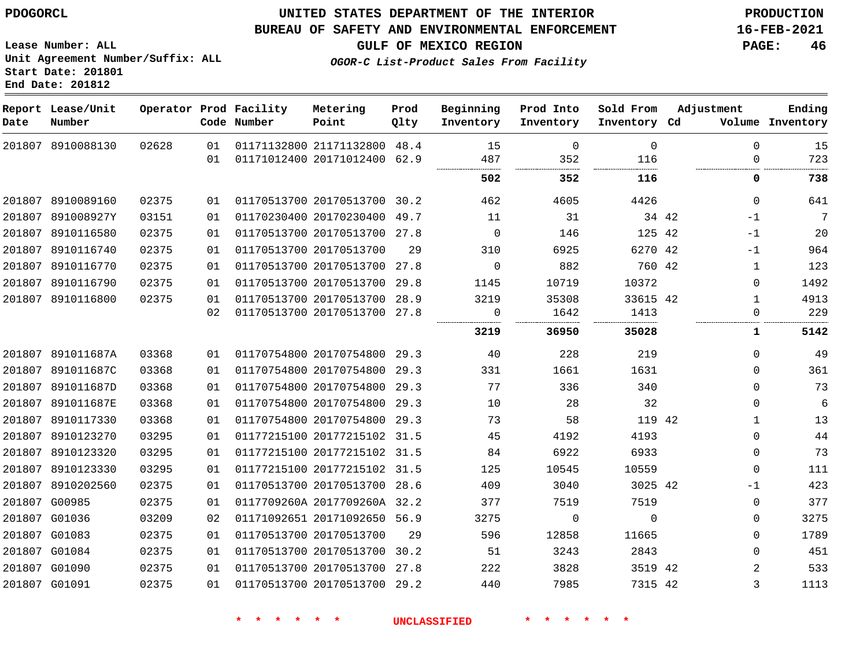#### **BUREAU OF SAFETY AND ENVIRONMENTAL ENFORCEMENT 16-FEB-2021**

**Lease Number: ALL Unit Agreement Number/Suffix: ALL Start Date: 201801**

**OGOR-C List-Product Sales From Facility**

**GULF OF MEXICO REGION PAGE: 46**

**End Date: 201812**

| Date   | Report Lease/Unit<br>Number |       |          | Operator Prod Facility<br>Code Number | Metering<br>Point                                            | Prod<br>Qlty | Beginning<br>Inventory | Prod Into<br>Inventory | Sold From<br>Inventory Cd | Adjustment |                         | Ending<br>Volume Inventory |
|--------|-----------------------------|-------|----------|---------------------------------------|--------------------------------------------------------------|--------------|------------------------|------------------------|---------------------------|------------|-------------------------|----------------------------|
|        | 201807 8910088130           | 02628 | 01<br>01 |                                       | 01171132800 21171132800 48.4<br>01171012400 20171012400 62.9 |              | 15<br>487              | $\mathbf 0$<br>352     | $\mathbf 0$<br>116        |            | $\mathbf 0$<br>$\Omega$ | 15<br>723                  |
|        |                             |       |          |                                       |                                                              |              | 502                    | 352                    | 116                       |            | 0                       | 738                        |
|        | 201807 8910089160           | 02375 | 01       |                                       | 01170513700 20170513700                                      | 30.2         | 462                    | 4605                   | 4426                      |            | $\mathbf 0$             | 641                        |
|        | 201807 891008927Y           | 03151 | 01       |                                       | 01170230400 20170230400                                      | 49.7         | 11                     | 31                     |                           | 34 42      | -1                      | 7                          |
|        | 201807 8910116580           | 02375 | 01       |                                       | 01170513700 20170513700 27.8                                 |              | 0                      | 146                    | 125 42                    |            | -1                      | 20                         |
| 201807 | 8910116740                  | 02375 | 01       |                                       | 01170513700 20170513700                                      | 29           | 310                    | 6925                   | 6270 42                   |            | -1                      | 964                        |
| 201807 | 8910116770                  | 02375 | 01       |                                       | 01170513700 20170513700                                      | 27.8         | $\mathbf 0$            | 882                    | 760 42                    |            | 1                       | 123                        |
|        | 201807 8910116790           | 02375 | 01       |                                       | 01170513700 20170513700                                      | 29.8         | 1145                   | 10719                  | 10372                     |            | $\Omega$                | 1492                       |
|        | 201807 8910116800           | 02375 | 01       |                                       | 01170513700 20170513700                                      | 28.9         | 3219                   | 35308                  | 33615 42                  |            | 1                       | 4913                       |
|        |                             |       | 02       |                                       | 01170513700 20170513700 27.8                                 |              | 0                      | 1642<br>.              | 1413                      |            | $\Omega$                | 229                        |
|        |                             |       |          |                                       |                                                              |              | 3219                   | 36950                  | 35028                     |            | 1                       | 5142                       |
|        | 201807 891011687A           | 03368 | 01       |                                       | 01170754800 20170754800 29.3                                 |              | 40                     | 228                    | 219                       |            | $\Omega$                | 49                         |
|        | 201807 891011687C           | 03368 | 01       |                                       | 01170754800 20170754800 29.3                                 |              | 331                    | 1661                   | 1631                      |            | $\Omega$                | 361                        |
|        | 201807 891011687D           | 03368 | 01       |                                       | 01170754800 20170754800 29.3                                 |              | 77                     | 336                    | 340                       |            | $\Omega$                | 73                         |
| 201807 | 891011687E                  | 03368 | 01       |                                       | 01170754800 20170754800                                      | 29.3         | 10                     | 28                     | 32                        |            | 0                       | 6                          |
|        | 201807 8910117330           | 03368 | 01       |                                       | 01170754800 20170754800 29.3                                 |              | 73                     | 58                     | 119 42                    |            | 1                       | 13                         |
|        | 201807 8910123270           | 03295 | 01       |                                       | 01177215100 20177215102 31.5                                 |              | 45                     | 4192                   | 4193                      |            | 0                       | 44                         |
|        | 201807 8910123320           | 03295 | 01       |                                       | 01177215100 20177215102 31.5                                 |              | 84                     | 6922                   | 6933                      |            | $\mathbf{0}$            | 73                         |
|        | 201807 8910123330           | 03295 | 01       |                                       | 01177215100 20177215102 31.5                                 |              | 125                    | 10545                  | 10559                     |            | $\Omega$                | 111                        |
|        | 201807 8910202560           | 02375 | 01       |                                       | 01170513700 20170513700 28.6                                 |              | 409                    | 3040                   | 3025 42                   |            | $-1$                    | 423                        |
| 201807 | G00985                      | 02375 | 01       |                                       | 0117709260A 2017709260A 32.2                                 |              | 377                    | 7519                   | 7519                      |            | 0                       | 377                        |
|        | 201807 G01036               | 03209 | 02       |                                       | 01171092651 20171092650 56.9                                 |              | 3275                   | $\Omega$               | $\Omega$                  |            | 0                       | 3275                       |
| 201807 | G01083                      | 02375 | 01       |                                       | 01170513700 20170513700                                      | 29           | 596                    | 12858                  | 11665                     |            | $\Omega$                | 1789                       |
|        | 201807 G01084               | 02375 | 01       |                                       | 01170513700 20170513700 30.2                                 |              | 51                     | 3243                   | 2843                      |            | $\Omega$                | 451                        |
|        | 201807 G01090               | 02375 | 01       |                                       | 01170513700 20170513700 27.8                                 |              | 222                    | 3828                   | 3519 42                   |            | 2                       | 533                        |
|        | 201807 G01091               | 02375 | 01       |                                       | 01170513700 20170513700 29.2                                 |              | 440                    | 7985                   | 7315 42                   |            | 3                       | 1113                       |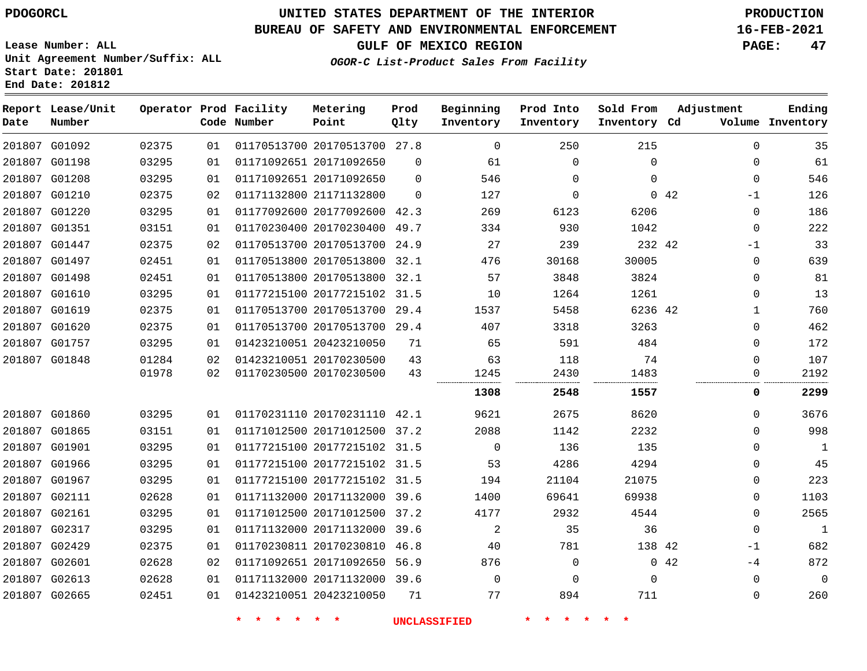**End Date: 201812**

**Report Lease/Unit**

## **UNITED STATES DEPARTMENT OF THE INTERIOR PDOGORCL PRODUCTION**

#### **BUREAU OF SAFETY AND ENVIRONMENTAL ENFORCEMENT 16-FEB-2021**

**Lease Number: ALL Unit Agreement Number/Suffix: ALL Start Date: 201801**

**Operator Prod Facility**

**GULF OF MEXICO REGION PAGE: 47**

**Prod**

**Metering**

**Adjustment**

**Ending**

**OGOR-C List-Product Sales From Facility**

**Beginning Prod Into**

**Sold From**

| Volume Inventory |              |      | Inventory Cd | Inventory   | Inventory   | Qlty     | Point                        | Code Number             |    |       | Number        | Date |
|------------------|--------------|------|--------------|-------------|-------------|----------|------------------------------|-------------------------|----|-------|---------------|------|
| 35               | $\mathbf 0$  |      | 215          | 250         | 0           |          | 01170513700 20170513700 27.8 |                         | 01 | 02375 | 201807 G01092 |      |
| 61               | $\mathbf 0$  |      | $\Omega$     | $\Omega$    | 61          | $\Omega$ |                              | 01171092651 20171092650 | 01 | 03295 | 201807 G01198 |      |
| 546              | $\mathbf 0$  |      | $\Omega$     | $\Omega$    | 546         | $\Omega$ | 01171092651 20171092650      |                         | 01 | 03295 | 201807 G01208 |      |
| 126              | $-1$         | 0.42 |              | $\mathbf 0$ | 127         | $\Omega$ |                              | 01171132800 21171132800 | 02 | 02375 | 201807 G01210 |      |
| 186              | $\mathbf{0}$ |      | 6206         | 6123        | 269         |          | 01177092600 20177092600 42.3 |                         | 01 | 03295 | 201807 G01220 |      |
| 222              | $\mathbf{0}$ |      | 1042         | 930         | 334         |          | 01170230400 20170230400 49.7 |                         | 01 | 03151 | 201807 G01351 |      |
| 33               | $-1$         |      | 232 42       | 239         | 27          |          | 01170513700 20170513700 24.9 |                         | 02 | 02375 | 201807 G01447 |      |
| 639              | $\mathbf 0$  |      | 30005        | 30168       | 476         | 32.1     |                              | 01170513800 20170513800 | 01 | 02451 | 201807 G01497 |      |
| 81               | $\Omega$     |      | 3824         | 3848        | 57          | 32.1     | 01170513800 20170513800      |                         | 01 | 02451 | 201807 G01498 |      |
| 13               | $\mathbf 0$  |      | 1261         | 1264        | 10          |          | 01177215100 20177215102 31.5 |                         | 01 | 03295 | 201807 G01610 |      |
| 760              | 1            |      | 6236 42      | 5458        | 1537        | 29.4     | 01170513700 20170513700      |                         | 01 | 02375 | 201807 G01619 |      |
| 462              | $\mathbf 0$  |      | 3263         | 3318        | 407         |          | 01170513700 20170513700 29.4 |                         | 01 | 02375 | 201807 G01620 |      |
| 172              | $\Omega$     |      | 484          | 591         | 65          | 71       |                              | 01423210051 20423210050 | 01 | 03295 | 201807 G01757 |      |
| 107              | $\Omega$     |      | 74           | 118         | 63          | 43       | 01423210051 20170230500      |                         | 02 | 01284 | 201807 G01848 |      |
| 2192             | 0            |      | 1483         | 2430<br>    | 1245        | 43       |                              | 01170230500 20170230500 | 02 | 01978 |               |      |
| 2299             | 0            |      | 1557         | 2548        | 1308        |          |                              |                         |    |       |               |      |
| 3676             | $\Omega$     |      | 8620         | 2675        | 9621        |          | 01170231110 20170231110 42.1 |                         | 01 | 03295 | 201807 G01860 |      |
| 998              | $\Omega$     |      | 2232         | 1142        | 2088        |          | 01171012500 20171012500 37.2 |                         | 01 | 03151 | 201807 G01865 |      |
| $\mathbf{1}$     | $\Omega$     |      | 135          | 136         | $\Omega$    |          | 01177215100 20177215102 31.5 |                         | 01 | 03295 | 201807 G01901 |      |
| 45               | $\mathbf 0$  |      | 4294         | 4286        | 53          |          | 01177215100 20177215102 31.5 |                         | 01 | 03295 | 201807 G01966 |      |
| 223              | $\mathbf 0$  |      | 21075        | 21104       | 194         |          | 01177215100 20177215102 31.5 |                         | 01 | 03295 | 201807 G01967 |      |
| 1103             | $\mathbf 0$  |      | 69938        | 69641       | 1400        |          | 01171132000 20171132000 39.6 |                         | 01 | 02628 | 201807 G02111 |      |
| 2565             | $\Omega$     |      | 4544         | 2932        | 4177        |          | 01171012500 20171012500 37.2 |                         | 01 | 03295 | 201807 G02161 |      |
| $\mathbf{1}$     | 0            |      | 36           | 35          | 2           |          | 01171132000 20171132000 39.6 |                         | 01 | 03295 | 201807 G02317 |      |
| 682              | $-1$         |      | 138 42       | 781         | 40          | 46.8     |                              | 01170230811 20170230810 | 01 | 02375 | 201807 G02429 |      |
| 872              | -4           | 042  |              | $\mathbf 0$ | 876         |          | 01171092651 20171092650 56.9 |                         | 02 | 02628 | 201807 G02601 |      |
| $\Omega$         | $\mathbf 0$  |      | $\Omega$     | $\Omega$    | $\mathbf 0$ |          | 01171132000 20171132000 39.6 |                         | 01 | 02628 | 201807 G02613 |      |
| 260              | $\mathbf 0$  |      | 711          | 894         | 77          | 71       | 01423210051 20423210050      |                         | 01 | 02451 | 201807 G02665 |      |
|                  |              |      |              |             |             |          |                              |                         |    |       |               |      |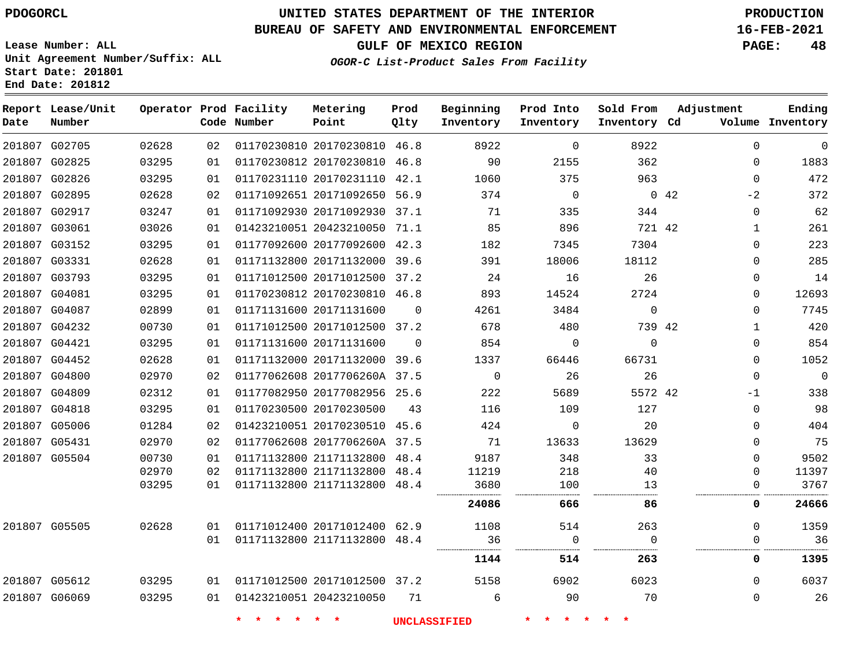**Report Lease/Unit**

**Number**

## **UNITED STATES DEPARTMENT OF THE INTERIOR PDOGORCL PRODUCTION**

#### **BUREAU OF SAFETY AND ENVIRONMENTAL ENFORCEMENT 16-FEB-2021**

**Lease Number: ALL Unit Agreement Number/Suffix: ALL Start Date: 201801 End Date: 201812**

**Operator Prod Facility**

**Code Number**

**Prod Qlty**

**Metering Point**

**GULF OF MEXICO REGION PAGE: 48**

**Inventory Cd Volume**

**Adjustment**

**Ending**

**OGOR-C List-Product Sales From Facility**

**Beginning Inventory** **Prod Into Inventory** **Sold From Inventory**

|               | 201807 G02705 | 02628 | 02   | 01170230810 20170230810 46.8 |          | 8922           | $\Omega$       | 8922        | $\Omega$            | $\mathbf 0$ |
|---------------|---------------|-------|------|------------------------------|----------|----------------|----------------|-------------|---------------------|-------------|
|               | 201807 G02825 | 03295 | 01   | 01170230812 20170230810 46.8 |          | 90             | 2155           | 362         | 0                   | 1883        |
|               | 201807 G02826 | 03295 | 01   | 01170231110 20170231110 42.1 |          | 1060           | 375            | 963         | $\Omega$            | 472         |
|               | 201807 G02895 | 02628 | 02   | 01171092651 20171092650 56.9 |          | 374            | $\overline{0}$ |             | $0\quad 42$<br>$-2$ | 372         |
|               | 201807 G02917 | 03247 | 01   | 01171092930 20171092930 37.1 |          | 71             | 335            | 344         | $\mathbf 0$         | 62          |
|               | 201807 G03061 | 03026 | 01   | 01423210051 20423210050 71.1 |          | 85             | 896            | 721 42      | 1                   | 261         |
|               | 201807 G03152 | 03295 | 01   | 01177092600 20177092600 42.3 |          | 182            | 7345           | 7304        | 0                   | 223         |
| 201807 G03331 |               | 02628 | 01   | 01171132800 20171132000 39.6 |          | 391            | 18006          | 18112       | $\Omega$            | 285         |
|               | 201807 G03793 | 03295 | 01   | 01171012500 20171012500 37.2 |          | 24             | 16             | 26          | $\Omega$            | 14          |
| 201807 G04081 |               | 03295 | 01   | 01170230812 20170230810 46.8 |          | 893            | 14524          | 2724        | 0                   | 12693       |
| 201807 G04087 |               | 02899 | 01   | 01171131600 20171131600      | $\Omega$ | 4261           | 3484           | $\Omega$    | $\Omega$            | 7745        |
|               | 201807 G04232 | 00730 | 01   | 01171012500 20171012500 37.2 |          | 678            | 480            | 739 42      | 1                   | 420         |
| 201807 G04421 |               | 03295 | 01   | 01171131600 20171131600      | $\Omega$ | 854            | $\mathbf 0$    | $\mathbf 0$ | $\mathbf 0$         | 854         |
|               | 201807 G04452 | 02628 | 01   | 01171132000 20171132000 39.6 |          | 1337           | 66446          | 66731       | $\mathbf 0$         | 1052        |
|               | 201807 G04800 | 02970 | 02   | 01177062608 2017706260A 37.5 |          | $\overline{0}$ | 26             | 26          | $\mathbf 0$         | $\mathbf 0$ |
| 201807 G04809 |               | 02312 | 01   | 01177082950 20177082956 25.6 |          | 222            | 5689           | 5572 42     | -1                  | 338         |
| 201807 G04818 |               | 03295 | 01   | 01170230500 20170230500      | 43       | 116            | 109            | 127         | $\Omega$            | 98          |
|               | 201807 G05006 | 01284 | 02   | 01423210051 20170230510 45.6 |          | 424            | 0              | 20          | $\Omega$            | 404         |
| 201807 G05431 |               | 02970 | 02   | 01177062608 2017706260A 37.5 |          | 71             | 13633          | 13629       | $\Omega$            | 75          |
|               | 201807 G05504 | 00730 | 01   | 01171132800 21171132800 48.4 |          | 9187           | 348            | 33          | $\Omega$            | 9502        |
|               |               | 02970 | 02   | 01171132800 21171132800 48.4 |          | 11219          | 218            | 40          | 0                   | 11397       |
|               |               | 03295 | 01   | 01171132800 21171132800 48.4 |          | 3680           | 100            | 13          | $\cup$              | 3767        |
|               |               |       |      |                              |          | 24086          | 666            | 86          | 0                   | 24666       |
|               | 201807 G05505 | 02628 | O 1  | 01171012400 20171012400 62.9 |          | 1108           | 514            | 263         | $\Omega$            | 1359        |
|               |               |       | 01   | 01171132800 21171132800 48.4 |          | 36             | $\Omega$       |             | 0                   | 36          |
|               |               |       |      |                              |          | 1144           | 514            | 263         | 0                   | 1395        |
|               | 201807 G05612 | 03295 | 01 D | 01171012500 20171012500 37.2 |          | 5158           | 6902           | 6023        | $\Omega$            | 6037        |
| 201807 G06069 |               | 03295 | 01   | 01423210051 20423210050      | 71       | 6              | 90             | 70          | $\Omega$            | 26          |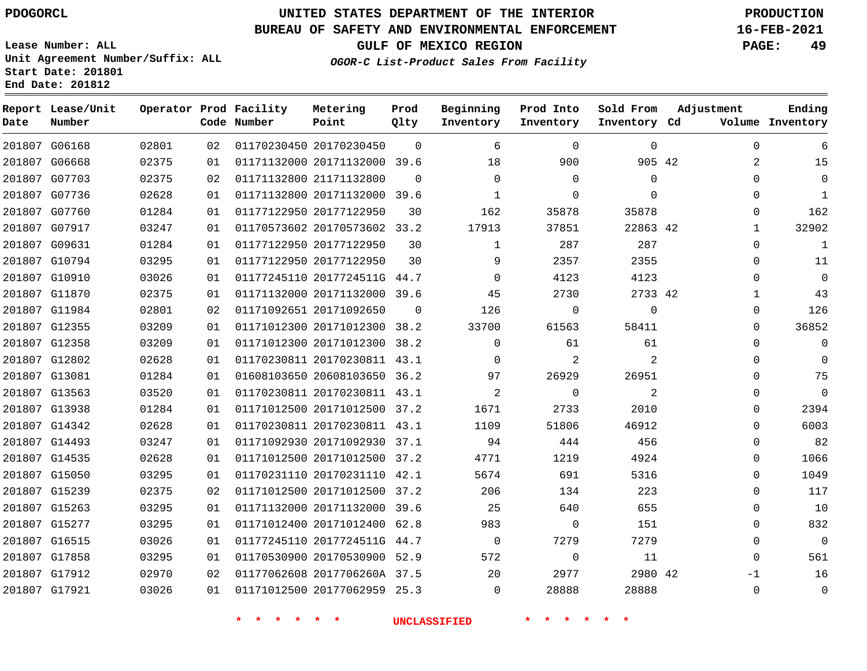#### **BUREAU OF SAFETY AND ENVIRONMENTAL ENFORCEMENT 16-FEB-2021**

**OGOR-C List-Product Sales From Facility**

**GULF OF MEXICO REGION PAGE: 49**

**Lease Number: ALL Unit Agreement Number/Suffix: ALL Start Date: 201801 End Date: 201812**

| Date          | Report Lease/Unit<br>Number |       |    | Operator Prod Facility<br>Code Number | Metering<br>Point            | Prod<br>Qlty | Beginning<br>Inventory | Prod Into<br>Inventory | Sold From<br>Inventory Cd | Adjustment   | Ending<br>Volume Inventory |
|---------------|-----------------------------|-------|----|---------------------------------------|------------------------------|--------------|------------------------|------------------------|---------------------------|--------------|----------------------------|
|               | 201807 G06168               | 02801 | 02 |                                       | 01170230450 20170230450      | $\Omega$     | 6                      | $\Omega$               | $\Omega$                  | $\mathbf 0$  | 6                          |
|               | 201807 G06668               | 02375 | 01 |                                       | 01171132000 20171132000 39.6 |              | 18                     | 900                    | 905 42                    | 2            | 15                         |
|               | 201807 G07703               | 02375 | 02 |                                       | 01171132800 21171132800      | $\Omega$     | $\Omega$               | $\mathbf 0$            | $\Omega$                  | $\Omega$     | $\Omega$                   |
|               | 201807 G07736               | 02628 | 01 |                                       | 01171132800 20171132000 39.6 |              | 1                      | 0                      | $\Omega$                  | $\mathbf 0$  | 1                          |
| 201807 G07760 |                             | 01284 | 01 |                                       | 01177122950 20177122950      | 30           | 162                    | 35878                  | 35878                     | $\Omega$     | 162                        |
| 201807 G07917 |                             | 03247 | 01 |                                       | 01170573602 20170573602 33.2 |              | 17913                  | 37851                  | 22863 42                  | 1            | 32902                      |
| 201807 G09631 |                             | 01284 | 01 |                                       | 01177122950 20177122950      | 30           | $\mathbf{1}$           | 287                    | 287                       | $\Omega$     | $\mathbf{1}$               |
|               | 201807 G10794               | 03295 | 01 |                                       | 01177122950 20177122950      | 30           | 9                      | 2357                   | 2355                      | $\mathbf 0$  | 11                         |
|               | 201807 G10910               | 03026 | 01 |                                       | 01177245110 2017724511G 44.7 |              | $\Omega$               | 4123                   | 4123                      | $\Omega$     | $\mathbf 0$                |
| 201807 G11870 |                             | 02375 | 01 |                                       | 01171132000 20171132000 39.6 |              | 45                     | 2730                   | 2733 42                   | $\mathbf{1}$ | 43                         |
| 201807 G11984 |                             | 02801 | 02 |                                       | 01171092651 20171092650      | $\Omega$     | 126                    | $\Omega$               | $\Omega$                  | $\Omega$     | 126                        |
| 201807 G12355 |                             | 03209 | 01 |                                       | 01171012300 20171012300      | 38.2         | 33700                  | 61563                  | 58411                     | $\Omega$     | 36852                      |
| 201807 G12358 |                             | 03209 | 01 |                                       | 01171012300 20171012300 38.2 |              | 0                      | 61                     | 61                        | $\Omega$     | $\mathbf 0$                |
| 201807 G12802 |                             | 02628 | 01 |                                       | 01170230811 20170230811 43.1 |              | $\Omega$               | $\overline{2}$         | $\overline{2}$            | $\Omega$     | $\Omega$                   |
| 201807 G13081 |                             | 01284 | 01 |                                       | 01608103650 20608103650 36.2 |              | 97                     | 26929                  | 26951                     | 0            | 75                         |
| 201807 G13563 |                             | 03520 | 01 |                                       | 01170230811 20170230811 43.1 |              | 2                      | $\Omega$               | 2                         | $\Omega$     | $\Omega$                   |
| 201807 G13938 |                             | 01284 | 01 |                                       | 01171012500 20171012500 37.2 |              | 1671                   | 2733                   | 2010                      | $\mathbf 0$  | 2394                       |
| 201807 G14342 |                             | 02628 | 01 |                                       | 01170230811 20170230811 43.1 |              | 1109                   | 51806                  | 46912                     | $\mathbf 0$  | 6003                       |
| 201807 G14493 |                             | 03247 | 01 |                                       | 01171092930 20171092930 37.1 |              | 94                     | 444                    | 456                       | $\mathbf 0$  | 82                         |
| 201807 G14535 |                             | 02628 | 01 |                                       | 01171012500 20171012500 37.2 |              | 4771                   | 1219                   | 4924                      | $\mathbf 0$  | 1066                       |
| 201807 G15050 |                             | 03295 | 01 |                                       | 01170231110 20170231110 42.1 |              | 5674                   | 691                    | 5316                      | $\Omega$     | 1049                       |
| 201807 G15239 |                             | 02375 | 02 |                                       | 01171012500 20171012500 37.2 |              | 206                    | 134                    | 223                       | 0            | 117                        |
| 201807 G15263 |                             | 03295 | 01 |                                       | 01171132000 20171132000 39.6 |              | 25                     | 640                    | 655                       | $\mathbf 0$  | 10                         |
| 201807 G15277 |                             | 03295 | 01 |                                       | 01171012400 20171012400 62.8 |              | 983                    | 0                      | 151                       | $\mathbf 0$  | 832                        |
|               | 201807 G16515               | 03026 | 01 |                                       | 01177245110 2017724511G 44.7 |              | $\mathbf 0$            | 7279                   | 7279                      | $\mathbf 0$  | $\overline{0}$             |
| 201807 G17858 |                             | 03295 | 01 |                                       | 01170530900 20170530900 52.9 |              | 572                    | $\Omega$               | 11                        | $\Omega$     | 561                        |
| 201807 G17912 |                             | 02970 | 02 |                                       | 01177062608 2017706260A 37.5 |              | 20                     | 2977                   | 2980 42                   | -1           | 16                         |
| 201807 G17921 |                             | 03026 | 01 |                                       | 01171012500 20177062959 25.3 |              | $\Omega$               | 28888                  | 28888                     | $\mathbf 0$  | $\mathsf 0$                |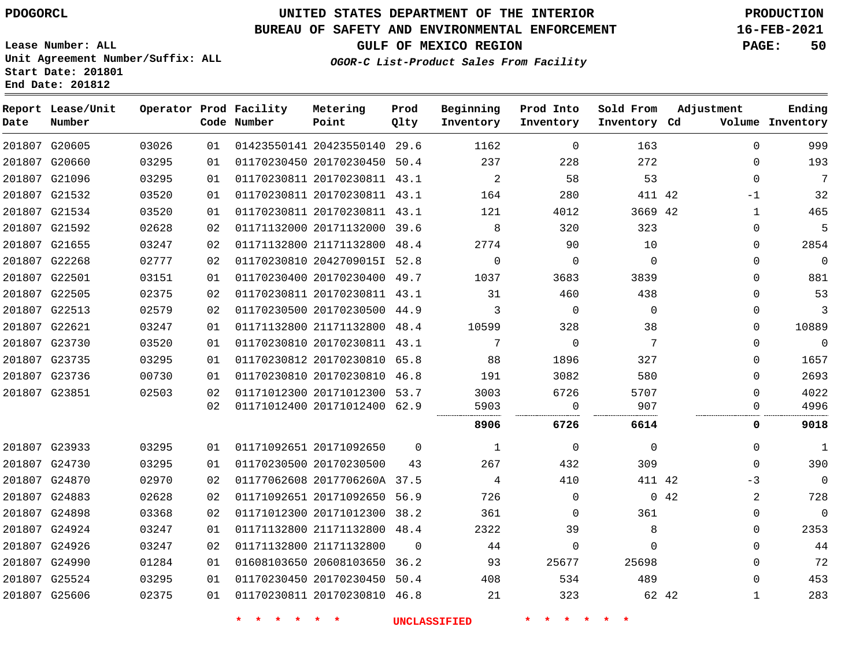### **BUREAU OF SAFETY AND ENVIRONMENTAL ENFORCEMENT 16-FEB-2021**

**Lease Number: ALL Unit Agreement Number/Suffix: ALL Start Date: 201801 End Date: 201812**

**OGOR-C List-Product Sales From Facility**

|  |                       | FETY AND ENVIRONMENTAL ENFORCEMENT | 16-FEB-2021  |    |
|--|-----------------------|------------------------------------|--------------|----|
|  | GULF OF MEXICO REGION |                                    | <b>PAGE:</b> | 50 |

| Date | Report Lease/Unit<br>Number |       |    | Operator Prod Facility<br>Code Number | Metering<br>Point            | Prod<br>Qlty | Beginning<br>Inventory | Prod Into<br>Inventory | Sold From<br>Inventory Cd | Adjustment  | Ending<br>Volume Inventory   |
|------|-----------------------------|-------|----|---------------------------------------|------------------------------|--------------|------------------------|------------------------|---------------------------|-------------|------------------------------|
|      | 201807 G20605               | 03026 | 01 |                                       | 01423550141 20423550140 29.6 |              | 1162                   | $\mathbf 0$            | 163                       |             | 999<br>$\Omega$              |
|      | 201807 G20660               | 03295 | 01 |                                       | 01170230450 20170230450 50.4 |              | 237                    | 228                    | 272                       |             | 193<br>$\mathbf 0$           |
|      | 201807 G21096               | 03295 | 01 |                                       | 01170230811 20170230811 43.1 |              | 2                      | 58                     | 53                        |             | 7<br>$\Omega$                |
|      | 201807 G21532               | 03520 | 01 |                                       | 01170230811 20170230811 43.1 |              | 164                    | 280                    | 411 42                    | $-1$        | 32                           |
|      | 201807 G21534               | 03520 | 01 |                                       | 01170230811 20170230811 43.1 |              | 121                    | 4012                   | 3669 42                   |             | 465<br>$\mathbf{1}$          |
|      | 201807 G21592               | 02628 | 02 |                                       | 01171132000 20171132000 39.6 |              | 8                      | 320                    | 323                       |             | 5<br>$\mathbf 0$             |
|      | 201807 G21655               | 03247 | 02 |                                       | 01171132800 21171132800 48.4 |              | 2774                   | 90                     | 10                        |             | 2854<br>$\Omega$             |
|      | 201807 G22268               | 02777 | 02 |                                       | 01170230810 2042709015I 52.8 |              | $\mathbf 0$            | $\mathbf 0$            | $\Omega$                  |             | $\mathbf 0$<br>$\mathbf 0$   |
|      | 201807 G22501               | 03151 | 01 |                                       | 01170230400 20170230400 49.7 |              | 1037                   | 3683                   | 3839                      |             | 881<br>$\Omega$              |
|      | 201807 G22505               | 02375 | 02 |                                       | 01170230811 20170230811 43.1 |              | 31                     | 460                    | 438                       |             | 53<br>$\Omega$               |
|      | 201807 G22513               | 02579 | 02 |                                       | 01170230500 20170230500 44.9 |              | 3                      | $\mathbf 0$            | $\mathbf 0$               |             | 3<br>$\mathbf 0$             |
|      | 201807 G22621               | 03247 | 01 |                                       | 01171132800 21171132800 48.4 |              | 10599                  | 328                    | 38                        |             | 10889<br>$\Omega$            |
|      | 201807 G23730               | 03520 | 01 |                                       | 01170230810 20170230811 43.1 |              | 7                      | $\mathsf{O}$           | 7                         |             | $\mathbf 0$<br>$\Omega$      |
|      | 201807 G23735               | 03295 | 01 |                                       | 01170230812 20170230810 65.8 |              | 88                     | 1896                   | 327                       |             | 1657<br>$\Omega$             |
|      | 201807 G23736               | 00730 | 01 |                                       | 01170230810 20170230810 46.8 |              | 191                    | 3082                   | 580                       |             | 2693<br>$\mathbf 0$          |
|      | 201807 G23851               | 02503 | 02 |                                       | 01171012300 20171012300 53.7 |              | 3003                   | 6726                   | 5707                      |             | 4022<br>$\Omega$             |
|      |                             |       | 02 |                                       | 01171012400 20171012400 62.9 |              | 5903                   | $\mathbf 0$            | 907                       |             | 4996<br>$\Omega$             |
|      |                             |       |    |                                       |                              |              | 8906                   | 6726                   | 6614                      |             | 9018<br>0                    |
|      | 201807 G23933               | 03295 | 01 |                                       | 01171092651 20171092650      | $\Omega$     | $\mathbf{1}$           | $\mathbf 0$            | $\mathbf 0$               |             | $\mathbf{1}$<br>$\Omega$     |
|      | 201807 G24730               | 03295 | 01 |                                       | 01170230500 20170230500      | 43           | 267                    | 432                    | 309                       |             | 390<br>$\Omega$              |
|      | 201807 G24870               | 02970 | 02 |                                       | 01177062608 2017706260A 37.5 |              | 4                      | 410                    | 411 42                    |             | $-3$<br>$\mathbf 0$          |
|      | 201807 G24883               | 02628 | 02 |                                       | 01171092651 20171092650 56.9 |              | 726                    | $\mathbf{0}$           |                           | $0\quad 42$ | 728<br>2                     |
|      | 201807 G24898               | 03368 | 02 |                                       | 01171012300 20171012300 38.2 |              | 361                    | $\Omega$               | 361                       |             | $\boldsymbol{0}$<br>$\Omega$ |
|      | 201807 G24924               | 03247 | 01 |                                       | 01171132800 21171132800 48.4 |              | 2322                   | 39                     | 8                         |             | 2353<br>$\Omega$             |
|      | 201807 G24926               | 03247 | 02 |                                       | 01171132800 21171132800      | $\Omega$     | 44                     | $\mathbf 0$            | $\Omega$                  |             | 44<br>$\Omega$               |
|      | 201807 G24990               | 01284 | 01 |                                       | 01608103650 20608103650 36.2 |              | 93                     | 25677                  | 25698                     |             | 72<br>$\Omega$               |
|      | 201807 G25524               | 03295 | 01 |                                       | 01170230450 20170230450 50.4 |              | 408                    | 534                    | 489                       |             | 453<br>$\Omega$              |
|      | 201807 G25606               | 02375 | 01 |                                       | 01170230811 20170230810 46.8 |              | 21                     | 323                    |                           | 62 42       | 283<br>1                     |
|      |                             |       |    |                                       |                              |              |                        |                        |                           |             |                              |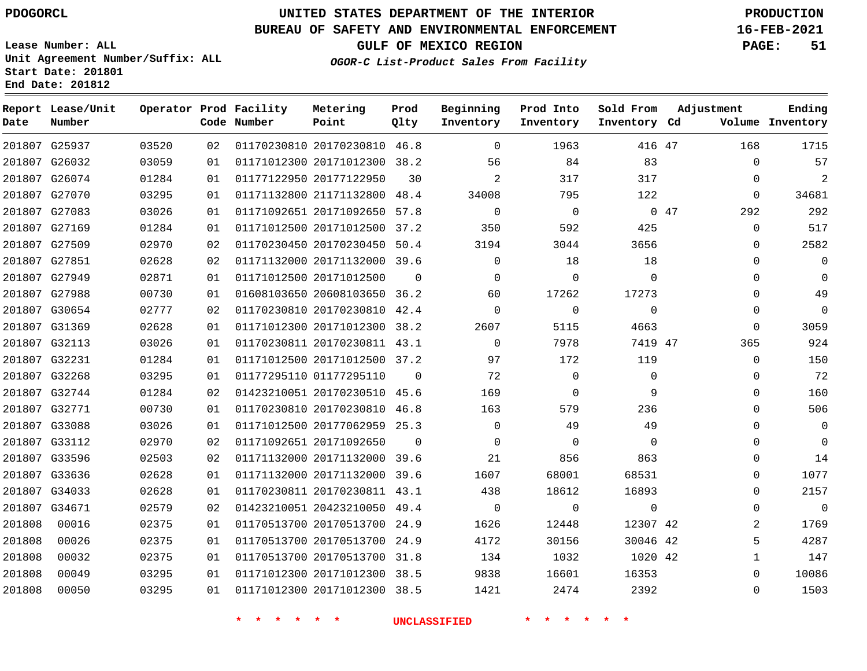G25937 G26032

**Date**

**Report Lease/Unit**

**Number**

     

## **UNITED STATES DEPARTMENT OF THE INTERIOR PDOGORCL PRODUCTION**

**Prod Qlty**

#### **BUREAU OF SAFETY AND ENVIRONMENTAL ENFORCEMENT 16-FEB-2021**

**Lease Number: ALL Unit Agreement Number/Suffix: ALL Start Date: 201801 End Date: 201812**

> 

**Operator Prod Facility**

**Code Number**

  **OGOR-C List-Product Sales From Facility**

   

**Prod Into Inventory**

**Beginning Inventory**

**GULF OF MEXICO REGION PAGE: 51**

**Inventory Cd Volume**

**Adjustment**

  $\Omega$  $\Omega$   $\Omega$  $\Omega$  $\Omega$  $\Omega$  $\Omega$  $\Omega$  $\Omega$   $\Omega$  $\overline{0}$  $\Omega$  $\Omega$  $\Omega$  $\Omega$   $\Omega$  $\Omega$   $\Omega$ 

**Ending**

47

**Sold From Inventory**

|      | 317      | 317         | $\overline{2}$ | 30       | 01177122950 20177122950      | 01 | 01284 | 201807 G26074 |        |
|------|----------|-------------|----------------|----------|------------------------------|----|-------|---------------|--------|
|      | 122      | 795         | 34008          | 48.4     | 01171132800 21171132800      | 01 | 03295 | 201807 G27070 |        |
| 0.47 |          | $\Omega$    | $\Omega$       |          | 01171092651 20171092650 57.8 | 01 | 03026 | 201807 G27083 |        |
|      | 425      | 592         | 350            | 37.2     | 01171012500 20171012500      | 01 | 01284 | 201807 G27169 |        |
|      | 3656     | 3044        | 3194           | 50.4     | 01170230450 20170230450      | 02 | 02970 | 201807 G27509 |        |
|      | 18       | 18          | $\Omega$       | 39.6     | 01171132000 20171132000      | 02 | 02628 | 201807 G27851 |        |
|      | $\Omega$ | 0           | 0              | $\Omega$ | 01171012500 20171012500      | 01 | 02871 | 201807 G27949 |        |
|      | 17273    | 17262       | 60             |          | 01608103650 20608103650 36.2 | 01 | 00730 | 201807 G27988 |        |
|      | 0        | $\mathbf 0$ | 0              | 42.4     | 01170230810 20170230810      | 02 | 02777 | 201807 G30654 |        |
|      | 4663     | 5115        | 2607           |          | 01171012300 20171012300 38.2 | 01 | 02628 | 201807 G31369 |        |
|      | 7419 47  | 7978        | $\Omega$       | 43.1     | 01170230811 20170230811      | 01 | 03026 | 201807 G32113 |        |
|      | 119      | 172         | 97             | 37.2     | 01171012500 20171012500      | 01 | 01284 | 201807 G32231 |        |
|      | $\Omega$ | 0           | 72             | $\Omega$ | 01177295110 01177295110      | 01 | 03295 | 201807 G32268 |        |
|      | 9        | 0           | 169            | 45.6     | 01423210051 20170230510      | 02 | 01284 | 201807 G32744 |        |
|      | 236      | 579         | 163            | 46.8     | 01170230810 20170230810      | 01 | 00730 | 201807 G32771 |        |
|      | 49       | 49          | $\Omega$       | 25.3     | 01171012500 20177062959      | 01 | 03026 | 201807 G33088 |        |
|      | 0        | $\Omega$    | 0              | $\Omega$ | 01171092651 20171092650      | 02 | 02970 | 201807 G33112 |        |
|      | 863      | 856         | 21             | 39.6     | 01171132000 20171132000      | 02 | 02503 | 201807 G33596 |        |
|      | 68531    | 68001       | 1607           | 39.6     | 01171132000 20171132000      | 01 | 02628 | 201807 G33636 |        |
|      | 16893    | 18612       | 438            | 43.1     | 01170230811 20170230811      | 01 | 02628 | 201807 G34033 |        |
|      | 0        | 0           | $\Omega$       | 49.4     | 01423210051 20423210050      | 02 | 02579 | 201807 G34671 |        |
|      | 12307 42 | 12448       | 1626           | 24.9     | 01170513700 20170513700      | 01 | 02375 | 00016         | 201808 |
|      | 30046 42 | 30156       | 4172           | 24.9     | 01170513700 20170513700      | 01 | 02375 | 00026         | 201808 |
|      | 1020 42  | 1032        | 134            |          | 01170513700 20170513700 31.8 | 01 | 02375 | 00032         | 201808 |

 20170230810 46.8 20171012300 38.2

**Metering Point**

 20171012300 38.5 20171012300 38.5

 

**\* \* \* \* \* \* UNCLASSIFIED \* \* \* \* \* \***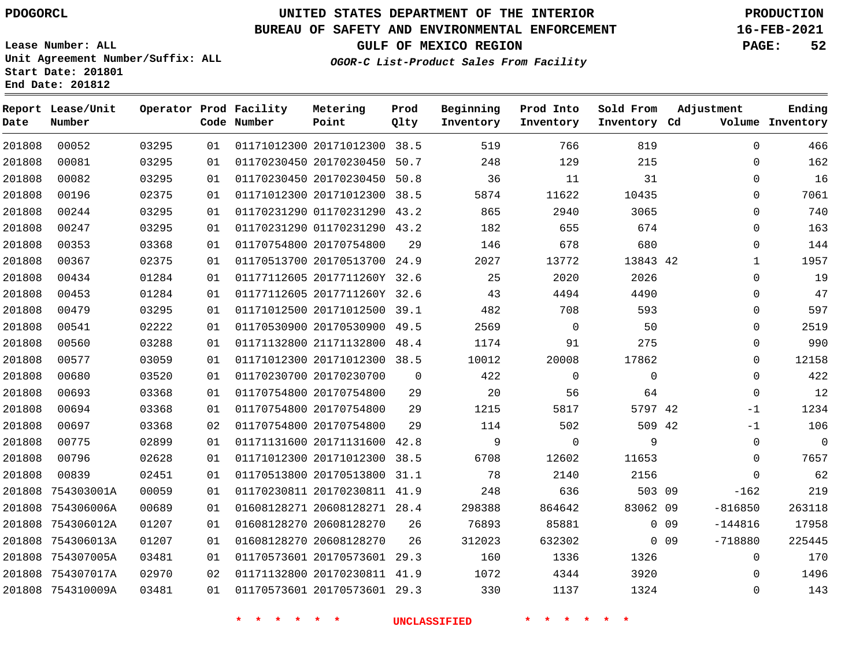## **UNITED STATES DEPARTMENT OF THE INTERIOR PDOGORCL PRODUCTION**

#### **BUREAU OF SAFETY AND ENVIRONMENTAL ENFORCEMENT 16-FEB-2021**

**Lease Number: ALL Unit Agreement Number/Suffix: ALL Start Date: 201801 End Date: 201812**

**GULF OF MEXICO REGION PAGE: 52**

**OGOR-C List-Product Sales From Facility**

| Date   | Report Lease/Unit<br>Number |       |    | Operator Prod Facility<br>Code Number | Metering<br>Point            | Prod<br>Qlty | Beginning<br>Inventory | Prod Into<br>Inventory | Sold From<br>Inventory Cd | Adjustment                   | Ending<br>Volume Inventory |
|--------|-----------------------------|-------|----|---------------------------------------|------------------------------|--------------|------------------------|------------------------|---------------------------|------------------------------|----------------------------|
| 201808 | 00052                       | 03295 | 01 |                                       | 01171012300 20171012300 38.5 |              | 519                    | 766                    | 819                       | $\mathbf 0$                  | 466                        |
| 201808 | 00081                       | 03295 | 01 |                                       | 01170230450 20170230450 50.7 |              | 248                    | 129                    | 215                       | $\Omega$                     | 162                        |
| 201808 | 00082                       | 03295 | 01 |                                       | 01170230450 20170230450      | 50.8         | 36                     | 11                     | 31                        | $\mathbf 0$                  | 16                         |
| 201808 | 00196                       | 02375 | 01 |                                       | 01171012300 20171012300      | 38.5         | 5874                   | 11622                  | 10435                     | $\mathbf 0$                  | 7061                       |
| 201808 | 00244                       | 03295 | 01 |                                       | 01170231290 01170231290 43.2 |              | 865                    | 2940                   | 3065                      | $\Omega$                     | 740                        |
| 201808 | 00247                       | 03295 | 01 |                                       | 01170231290 01170231290 43.2 |              | 182                    | 655                    | 674                       | $\mathbf 0$                  | 163                        |
| 201808 | 00353                       | 03368 | 01 |                                       | 01170754800 20170754800      | 29           | 146                    | 678                    | 680                       | $\mathbf 0$                  | 144                        |
| 201808 | 00367                       | 02375 | 01 |                                       | 01170513700 20170513700 24.9 |              | 2027                   | 13772                  | 13843 42                  | $\mathbf{1}$                 | 1957                       |
| 201808 | 00434                       | 01284 | 01 |                                       | 01177112605 2017711260Y 32.6 |              | 25                     | 2020                   | 2026                      | $\mathbf 0$                  | 19                         |
| 201808 | 00453                       | 01284 | 01 |                                       | 01177112605 2017711260Y 32.6 |              | 43                     | 4494                   | 4490                      | $\mathbf 0$                  | 47                         |
| 201808 | 00479                       | 03295 | 01 |                                       | 01171012500 20171012500 39.1 |              | 482                    | 708                    | 593                       | $\Omega$                     | 597                        |
| 201808 | 00541                       | 02222 | 01 |                                       | 01170530900 20170530900      | 49.5         | 2569                   | $\mathbf 0$            | 50                        | $\mathbf 0$                  | 2519                       |
| 201808 | 00560                       | 03288 | 01 |                                       | 01171132800 21171132800 48.4 |              | 1174                   | 91                     | 275                       | $\mathbf 0$                  | 990                        |
| 201808 | 00577                       | 03059 | 01 |                                       | 01171012300 20171012300 38.5 |              | 10012                  | 20008                  | 17862                     | $\mathbf 0$                  | 12158                      |
| 201808 | 00680                       | 03520 | 01 |                                       | 01170230700 20170230700      | $\Omega$     | 422                    | $\mathbf 0$            | $\mathbf 0$               | $\mathbf 0$                  | 422                        |
| 201808 | 00693                       | 03368 | 01 |                                       | 01170754800 20170754800      | 29           | 20                     | 56                     | 64                        | $\mathbf 0$                  | 12                         |
| 201808 | 00694                       | 03368 | 01 |                                       | 01170754800 20170754800      | 29           | 1215                   | 5817                   | 5797 42                   | $-1$                         | 1234                       |
| 201808 | 00697                       | 03368 | 02 |                                       | 01170754800 20170754800      | 29           | 114                    | 502                    | 509 42                    | $-1$                         | 106                        |
| 201808 | 00775                       | 02899 | 01 |                                       | 01171131600 20171131600 42.8 |              | 9                      | $\mathbf 0$            | 9                         | $\mathbf 0$                  | $\overline{0}$             |
| 201808 | 00796                       | 02628 | 01 |                                       | 01171012300 20171012300 38.5 |              | 6708                   | 12602                  | 11653                     | $\mathbf 0$                  | 7657                       |
| 201808 | 00839                       | 02451 | 01 |                                       | 01170513800 20170513800 31.1 |              | 78                     | 2140                   | 2156                      | $\Omega$                     | 62                         |
| 201808 | 754303001A                  | 00059 | 01 |                                       | 01170230811 20170230811 41.9 |              | 248                    | 636                    | 503 09                    | $-162$                       | 219                        |
| 201808 | 754306006A                  | 00689 | 01 |                                       | 01608128271 20608128271 28.4 |              | 298388                 | 864642                 | 83062 09                  | $-816850$                    | 263118                     |
|        | 201808 754306012A           | 01207 | 01 |                                       | 01608128270 20608128270      | 26           | 76893                  | 85881                  |                           | 0 <sub>09</sub><br>$-144816$ | 17958                      |
|        | 201808 754306013A           | 01207 | 01 |                                       | 01608128270 20608128270      | 26           | 312023                 | 632302                 |                           | $0$ 09<br>$-718880$          | 225445                     |
|        | 201808 754307005A           | 03481 | 01 |                                       | 01170573601 20170573601 29.3 |              | 160                    | 1336                   | 1326                      | 0                            | 170                        |
|        | 201808 754307017A           | 02970 | 02 |                                       | 01171132800 20170230811 41.9 |              | 1072                   | 4344                   | 3920                      | $\Omega$                     | 1496                       |
|        | 201808 754310009A           | 03481 | 01 |                                       | 01170573601 20170573601 29.3 |              | 330                    | 1137                   | 1324                      | $\mathbf 0$                  | 143                        |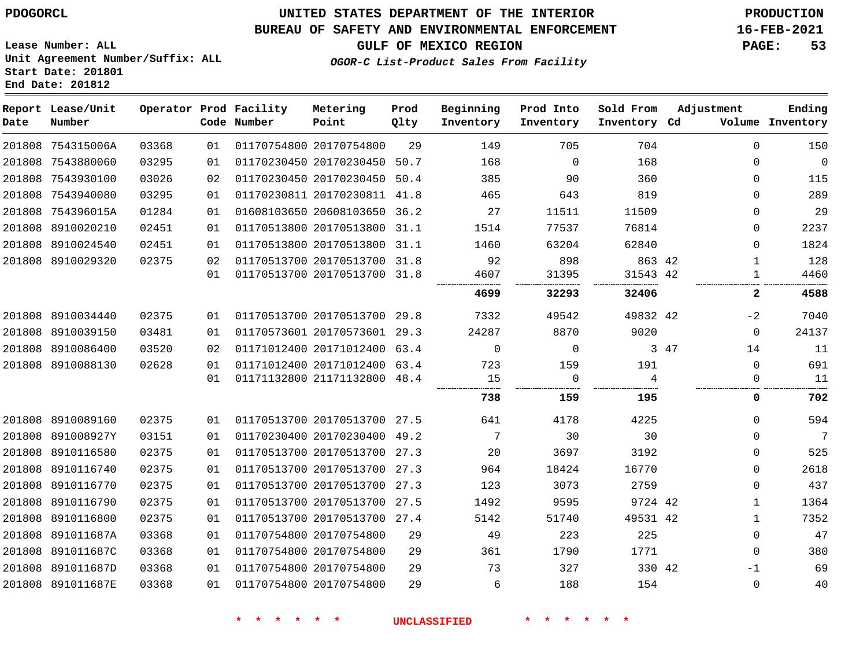#### **BUREAU OF SAFETY AND ENVIRONMENTAL ENFORCEMENT 16-FEB-2021**

**Lease Number: ALL Unit Agreement Number/Suffix: ALL Start Date: 201801 End Date: 201812**

**GULF OF MEXICO REGION PAGE: 53**

**OGOR-C List-Product Sales From Facility**

| Date   | Report Lease/Unit<br>Number |       |    | Operator Prod Facility<br>Code Number | Metering<br>Point            | Prod<br>Qlty | Beginning<br>Inventory | Prod Into<br>Inventory | Sold From<br>Inventory Cd | Adjustment   | Ending<br>Volume Inventory |
|--------|-----------------------------|-------|----|---------------------------------------|------------------------------|--------------|------------------------|------------------------|---------------------------|--------------|----------------------------|
|        | 201808 754315006A           | 03368 | 01 |                                       | 01170754800 20170754800      | 29           | 149                    | 705                    | 704                       | $\mathbf 0$  | 150                        |
|        | 201808 7543880060           | 03295 | 01 |                                       | 01170230450 20170230450      | 50.7         | 168                    | $\Omega$               | 168                       | $\mathbf 0$  | $\overline{0}$             |
|        | 201808 7543930100           | 03026 | 02 |                                       | 01170230450 20170230450      | 50.4         | 385                    | 90                     | 360                       | 0            | 115                        |
|        | 201808 7543940080           | 03295 | 01 |                                       | 01170230811 20170230811      | 41.8         | 465                    | 643                    | 819                       | $\Omega$     | 289                        |
|        | 201808 754396015A           | 01284 | 01 |                                       | 01608103650 20608103650 36.2 |              | 27                     | 11511                  | 11509                     | $\Omega$     | 29                         |
|        | 201808 8910020210           | 02451 | 01 |                                       | 01170513800 20170513800 31.1 |              | 1514                   | 77537                  | 76814                     | $\mathbf 0$  | 2237                       |
|        | 201808 8910024540           | 02451 | 01 |                                       | 01170513800 20170513800      | 31.1         | 1460                   | 63204                  | 62840                     | 0            | 1824                       |
|        | 201808 8910029320           | 02375 | 02 |                                       | 01170513700 20170513700 31.8 |              | 92                     | 898                    | 863 42                    | $\mathbf{1}$ | 128                        |
|        |                             |       | 01 |                                       | 01170513700 20170513700 31.8 |              | 4607                   | 31395                  | 31543 42                  | $\mathbf{1}$ | 4460                       |
|        |                             |       |    |                                       |                              |              | 4699                   | 32293                  | 32406                     | 2            | 4588                       |
| 201808 | 8910034440                  | 02375 | 01 |                                       | 01170513700 20170513700      | 29.8         | 7332                   | 49542                  | 49832 42                  | $-2$         | 7040                       |
| 201808 | 8910039150                  | 03481 | 01 |                                       | 01170573601 20170573601 29.3 |              | 24287                  | 8870                   | 9020                      | $\mathbf 0$  | 24137                      |
| 201808 | 8910086400                  | 03520 | 02 |                                       | 01171012400 20171012400      | 63.4         | $\mathbf 0$            | $\mathbf 0$            |                           | 3 47<br>14   | 11                         |
| 201808 | 8910088130                  | 02628 | 01 |                                       | 01171012400 20171012400 63.4 |              | 723                    | 159                    | 191                       | 0            | 691                        |
|        |                             |       | 01 |                                       | 01171132800 21171132800 48.4 |              | 15                     | $\Omega$               | $\overline{4}$<br>.       | $\mathbf 0$  | 11                         |
|        |                             |       |    |                                       |                              |              | 738                    | 159                    | 195                       | 0            | 702                        |
|        | 201808 8910089160           | 02375 | 01 |                                       | 01170513700 20170513700 27.5 |              | 641                    | 4178                   | 4225                      | $\Omega$     | 594                        |
|        | 201808 891008927Y           | 03151 | 01 |                                       | 01170230400 20170230400 49.2 |              | 7                      | 30                     | 30                        | 0            | $7\phantom{.0}$            |
|        | 201808 8910116580           | 02375 | 01 |                                       | 01170513700 20170513700 27.3 |              | 20                     | 3697                   | 3192                      | $\mathbf 0$  | 525                        |
| 201808 | 8910116740                  | 02375 | 01 |                                       | 01170513700 20170513700      | 27.3         | 964                    | 18424                  | 16770                     | $\mathbf 0$  | 2618                       |
|        | 201808 8910116770           | 02375 | 01 |                                       | 01170513700 20170513700 27.3 |              | 123                    | 3073                   | 2759                      | 0            | 437                        |
| 201808 | 8910116790                  | 02375 | 01 |                                       | 01170513700 20170513700      | 27.5         | 1492                   | 9595                   | 9724 42                   | $\mathbf 1$  | 1364                       |
|        | 201808 8910116800           | 02375 | 01 |                                       | 01170513700 20170513700 27.4 |              | 5142                   | 51740                  | 49531 42                  | $\mathbf{1}$ | 7352                       |
| 201808 | 891011687A                  | 03368 | 01 |                                       | 01170754800 20170754800      | 29           | 49                     | 223                    | 225                       | $\mathbf 0$  | 47                         |
|        | 201808 891011687C           | 03368 | 01 |                                       | 01170754800 20170754800      | 29           | 361                    | 1790                   | 1771                      | $\Omega$     | 380                        |
|        | 201808 891011687D           | 03368 | 01 |                                       | 01170754800 20170754800      | 29           | 73                     | 327                    | 330 42                    | $-1$         | 69                         |
|        | 201808 891011687E           | 03368 | 01 |                                       | 01170754800 20170754800      | 29           | 6                      | 188                    | 154                       | $\Omega$     | 40                         |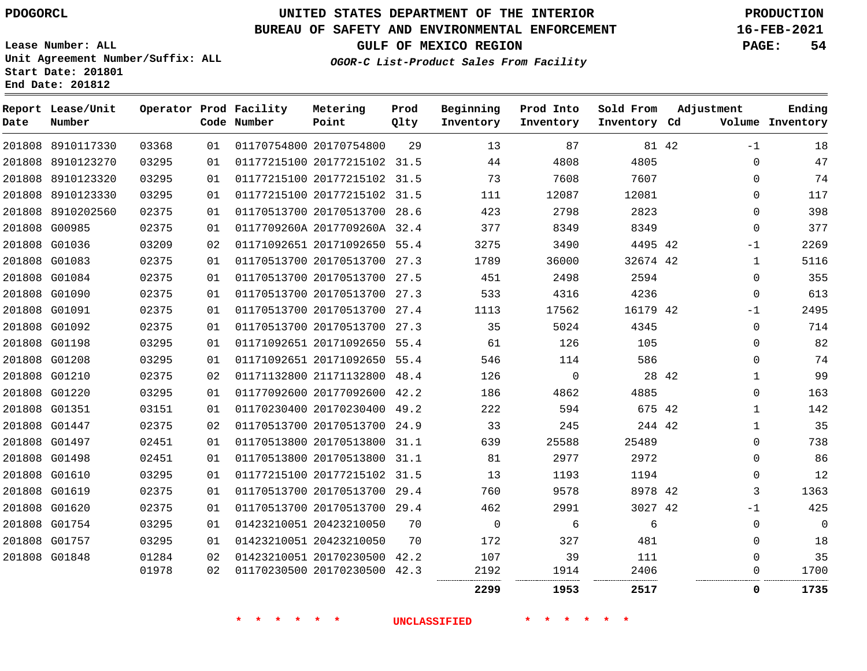8910117330

**Report Lease/Unit**

**Number**

## **UNITED STATES DEPARTMENT OF THE INTERIOR PDOGORCL PRODUCTION**

**Prod Qlty**

#### **BUREAU OF SAFETY AND ENVIRONMENTAL ENFORCEMENT 16-FEB-2021**

**Lease Number: ALL Unit Agreement Number/Suffix: ALL Start Date: 201801 End Date: 201812**

**Operator Prod Facility**

**Code Number**

20170754800

**Metering Point**

**OGOR-C List-Product Sales From Facility**

**Prod Into Inventory**

**Beginning Inventory**

**GULF OF MEXICO REGION PAGE: 54**

**Inventory Cd Volume**

**Adjustment**

**Ending**

42

**Sold From Inventory**

|                                |                |          |                                                              |    | 2299        | 1953           | 2517         |       | 0                | 1735       |
|--------------------------------|----------------|----------|--------------------------------------------------------------|----|-------------|----------------|--------------|-------|------------------|------------|
|                                | 01978          | 02       | 01170230500 20170230500 42.3                                 |    | 2192        | 1914           | 2406         |       | 0                | 1700       |
| 201808 G01848                  | 01284          | 02       | 01423210051 20170230500 42.2                                 |    | 107         | 39             | 111          |       | $\mathbf 0$      | 35         |
| 201808 G01757                  | 03295          | 01       | 01423210051 20423210050                                      | 70 | 172         | 327            | 481          |       | $\Omega$         | 18         |
| 201808 G01754                  | 03295          | 01       | 01423210051 20423210050                                      | 70 | $\mathbf 0$ | 6              | 6            |       | 0                | 0          |
| 201808 G01620                  | 02375          | 01       | 01170513700 20170513700 29.4                                 |    | 462         | 2991           | 3027 42      |       | $-1$             | 425        |
| 201808 G01619                  | 02375          | 01       | 01170513700 20170513700 29.4                                 |    | 760         | 9578           | 8978 42      |       | 3                | 1363       |
| 201808 G01610                  | 03295          | 01       | 01177215100 20177215102 31.5                                 |    | 13          | 1193           | 1194         |       | $\Omega$         | 12         |
| 201808 G01498                  | 02451          | 01       | 01170513800 20170513800 31.1                                 |    | 81          | 2977           | 2972         |       | $\mathbf 0$      | 86         |
| 201808 G01497                  | 02451          | 01       | 01170513800 20170513800 31.1                                 |    | 639         | 25588          | 25489        |       | 0                | 738        |
| 201808 G01447                  | 02375          | 02       | 01170513700 20170513700 24.9                                 |    | 33          | 245            | 244 42       |       | 1                | 35         |
| 201808 G01351                  | 03151          | 01       | 01170230400 20170230400 49.2                                 |    | 222         | 594            | 675 42       |       | $\mathbf{1}$     | 142        |
| 201808 G01220                  | 03295          | 01       | 01177092600 20177092600 42.2                                 |    | 186         | 4862           | 4885         |       | 0                | 163        |
| 201808 G01210                  | 02375          | 02       | 01171132800 21171132800 48.4                                 |    | 126         | $\overline{0}$ |              | 28 42 | 1                | 99         |
| 201808 G01208                  | 03295          | 01       | 01171092651 20171092650 55.4                                 |    | 546         | 114            | 586          |       | $\mathbf 0$      | 74         |
| 201808 G01198                  | 03295          | 01       | 01171092651 20171092650 55.4                                 |    | 61          | 126            | 105          |       | $\Omega$         | 82         |
| 201808 G01092                  | 02375          | 01       | 01170513700 20170513700 27.3                                 |    | 35          | 5024           | 4345         |       | $\Omega$         | 714        |
| 201808 G01091                  | 02375          | 01<br>01 | 01170513700 20170513700 27.4                                 |    | 533<br>1113 | 17562          | 16179 42     |       | $-1$             | 2495       |
| 201808 G01084<br>201808 G01090 | 02375<br>02375 | 01       | 01170513700 20170513700 27.5<br>01170513700 20170513700 27.3 |    | 451         | 2498<br>4316   | 2594<br>4236 |       | $\mathbf 0$<br>0 | 355<br>613 |
| 201808 G01083                  | 02375          | 01       | 01170513700 20170513700 27.3                                 |    | 1789        | 36000          | 32674 42     |       | 1                | 5116       |
| 201808 G01036                  | 03209          | 02       | 01171092651 20171092650 55.4                                 |    | 3275        | 3490           | 4495 42      |       | $-1$             | 2269       |
| 201808 G00985                  | 02375          | 01       | 0117709260A 2017709260A 32.4                                 |    | 377         | 8349           | 8349         |       | $\mathbf 0$      | 377        |
| 201808 8910202560              | 02375          | 01       | 01170513700 20170513700 28.6                                 |    | 423         | 2798           | 2823         |       | $\Omega$         | 398        |
| 201808 8910123330              | 03295          | 01       | 01177215100 20177215102 31.5                                 |    | 111         | 12087          | 12081        |       | 0                | 117        |
| 201808 8910123320              | 03295          | 01       | 01177215100 20177215102 31.5                                 |    | 73          | 7608           | 7607         |       | $\Omega$         | 74         |
| 201808 8910123270              | 03295          | 01       | 01177215100 20177215102 31.5                                 |    | 44          | 4808           | 4805         |       | $\Omega$         | 47         |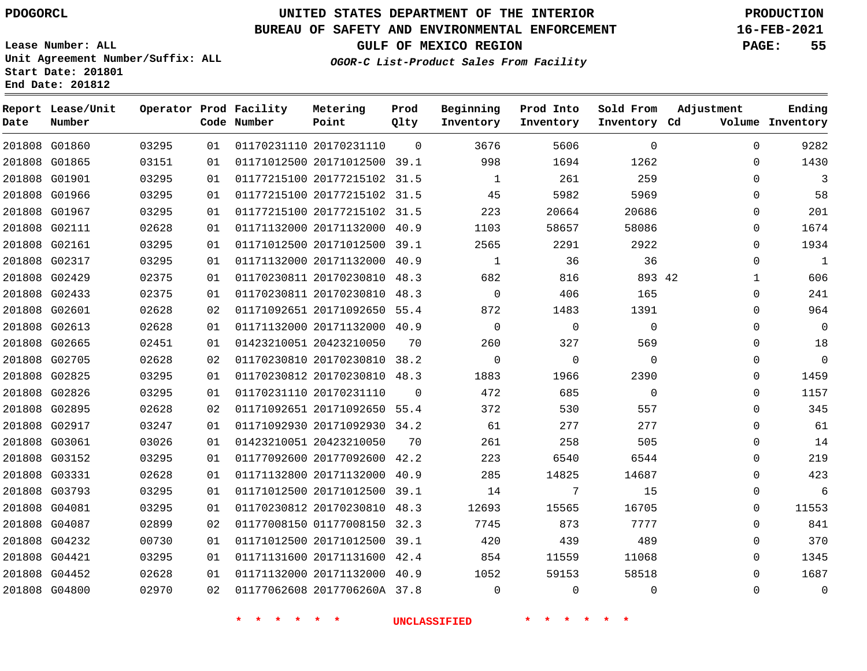**Report Lease/Unit**

**Number**

## **UNITED STATES DEPARTMENT OF THE INTERIOR PDOGORCL PRODUCTION**

**Prod Qlty**

#### **BUREAU OF SAFETY AND ENVIRONMENTAL ENFORCEMENT 16-FEB-2021**

**Lease Number: ALL Unit Agreement Number/Suffix: ALL Start Date: 201801 End Date: 201812**

**Operator Prod Facility**

**Code Number**

**Metering Point**

**OGOR-C List-Product Sales From Facility**

**Beginning Inventory** **Prod Into Inventory** **Sold From Inventory**

**GULF OF MEXICO REGION PAGE: 55**

**Inventory Cd Volume**

**Adjustment**

**Ending**

| 201808 G01860 | 03295 |    |             | 01   01170231110   20170231110   0 | 3676                              | 5606            | $\overline{0}$ |  |
|---------------|-------|----|-------------|------------------------------------|-----------------------------------|-----------------|----------------|--|
| 201808 G01865 | 03151 | 01 |             |                                    | 01171012500 20171012500 39.1 998  | 1694            | 1262           |  |
| 201808 G01901 | 03295 | 01 |             | 01177215100 20177215102 31.5       | $\sim$ 1                          | 261             | 259            |  |
| 201808 G01966 | 03295 | 01 |             |                                    | 01177215100 20177215102 31.5 45   | 5982            | 5969           |  |
| 201808 G01967 | 03295 | 01 |             |                                    | 01177215100 20177215102 31.5 223  | 20664           | 20686          |  |
| 201808 G02111 | 02628 | 01 |             | 01171132000 20171132000 40.9       | 1103                              | 58657           | 58086          |  |
| 201808 G02161 | 03295 | 01 |             | 01171012500 20171012500 39.1       | 2565 700                          | 2291            | 2922           |  |
| 201808 G02317 | 03295 | 01 |             | 01171132000 20171132000 40.9       | $\overline{1}$                    | 36              | 36             |  |
| 201808 G02429 | 02375 | 01 |             |                                    | 01170230811 20170230810 48.3 682  | 816             | 893 42         |  |
| 201808 G02433 | 02375 | 01 |             | 01170230811 20170230810 48.3       | $\overline{0}$                    | 406 700         | 165            |  |
| 201808 G02601 | 02628 | 02 |             |                                    | 01171092651 20171092650 55.4 872  | 1483            | 1391           |  |
| 201808 G02613 | 02628 | 01 |             | 01171132000 20171132000 40.9       | $\overline{0}$                    | $\overline{0}$  | $\Omega$       |  |
| 201808 G02665 | 02451 | 01 |             | 01423210051 20423210050 70         | 260 —                             | 327             | 569            |  |
| 201808 G02705 | 02628 | 02 |             | 01170230810 20170230810 38.2       | $\overline{0}$                    | $\overline{0}$  | $\overline{0}$ |  |
| 201808 G02825 | 03295 | 01 |             | 01170230812 20170230810 48.3       | 1883                              | 1966            | 2390           |  |
| 201808 G02826 | 03295 | 01 |             |                                    | 01170231110 20170231110 0 472     | 685             | $\mathbf 0$    |  |
| 201808 G02895 | 02628 | 02 |             | 01171092651 20171092650 55.4       | 372                               | 530             | 557            |  |
| 201808 G02917 | 03247 | 01 |             |                                    | 01171092930 20171092930 34.2 61   | 277             | 277            |  |
| 201808 G03061 | 03026 | 01 |             | 01423210051 20423210050 70         | 261                               | 258             | 505            |  |
| 201808 G03152 | 03295 | 01 |             |                                    | 01177092600 20177092600 42.2 223  | 6540 5540 555   | 6544           |  |
| 201808 G03331 | 02628 | 01 |             |                                    | 01171132800 20171132000 40.9 285  | 14825           | 14687          |  |
| 201808 G03793 | 03295 | 01 |             |                                    | 01171012500 20171012500 39.1 14   | $7\overline{)}$ | 15             |  |
| 201808 G04081 | 03295 | 01 |             | 01170230812 20170230810 48.3       | 12693                             | 15565           | 16705          |  |
| 201808 G04087 | 02899 | 02 |             |                                    | 01177008150 01177008150 32.3 7745 | 873             | 7777           |  |
| 201808 G04232 | 00730 | 01 |             | 01171012500 20171012500 39.1       | 420                               | 439             | 489            |  |
| 201808 G04421 | 03295 | 01 |             |                                    | 01171131600 20171131600 42.4 854  | 11559           | 11068          |  |
| 201808 G04452 | 02628 | 01 |             |                                    | 01171132000 20171132000 40.9 1052 | 59153           | 58518          |  |
| 201808 G04800 | 02970 | 02 |             | 01177062608 2017706260A 37.8       | $\Omega$                          | $\Omega$        | $\mathbf 0$    |  |
|               |       |    | * * * * * * |                                    | <b>UNCLASSIFIED</b>               | * * * * * *     |                |  |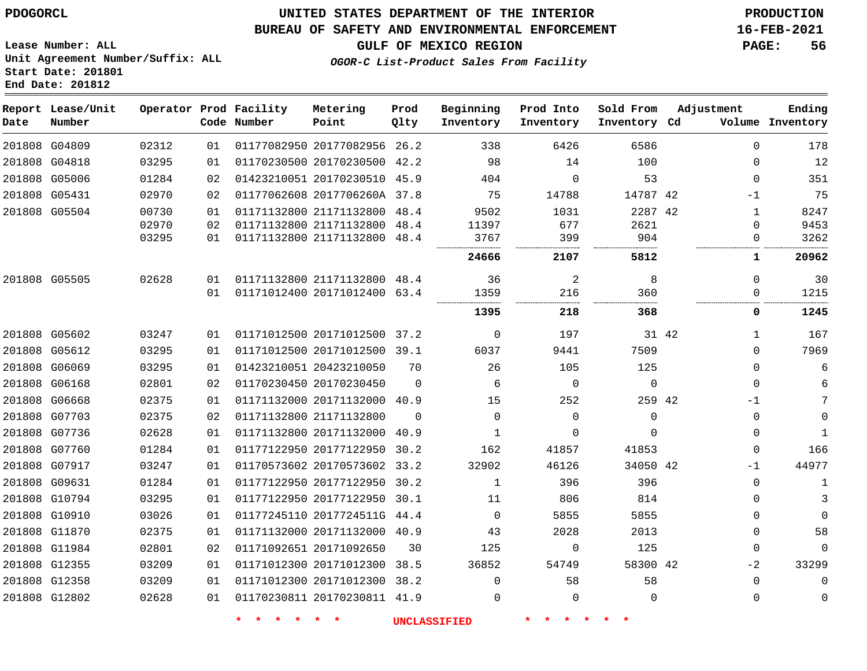**Lease Number: ALL**

**Start Date: 201801 End Date: 201812**

## **UNITED STATES DEPARTMENT OF THE INTERIOR PDOGORCL PRODUCTION**

#### **BUREAU OF SAFETY AND ENVIRONMENTAL ENFORCEMENT 16-FEB-2021**

**Unit Agreement Number/Suffix: ALL**

**GULF OF MEXICO REGION PAGE: 56**

**OGOR-C List-Product Sales From Facility**

| Date          | Report Lease/Unit<br>Number |       |    | Operator Prod Facility<br>Code Number | Metering<br>Point            | Prod<br>Qlty | Beginning<br>Inventory | Prod Into<br>Inventory | Sold From<br>Inventory Cd | Adjustment   | Ending<br>Volume Inventory |
|---------------|-----------------------------|-------|----|---------------------------------------|------------------------------|--------------|------------------------|------------------------|---------------------------|--------------|----------------------------|
| 201808 G04809 |                             | 02312 | 01 |                                       | 01177082950 20177082956      | 26.2         | 338                    | 6426                   | 6586                      | $\Omega$     | 178                        |
| 201808 G04818 |                             | 03295 | 01 |                                       | 01170230500 20170230500 42.2 |              | 98                     | 14                     | 100                       | 0            | 12                         |
| 201808 G05006 |                             | 01284 | 02 |                                       | 01423210051 20170230510 45.9 |              | 404                    | $\Omega$               | 53                        | $\mathbf 0$  | 351                        |
| 201808 G05431 |                             | 02970 | 02 |                                       | 01177062608 2017706260A 37.8 |              | 75                     | 14788                  | 14787 42                  | $-1$         | 75                         |
| 201808 G05504 |                             | 00730 | 01 |                                       | 01171132800 21171132800 48.4 |              | 9502                   | 1031                   | 2287 42                   | $\mathbf{1}$ | 8247                       |
|               |                             | 02970 | 02 |                                       | 01171132800 21171132800 48.4 |              | 11397                  | 677                    | 2621                      | $\Omega$     | 9453                       |
|               |                             | 03295 | 01 |                                       | 01171132800 21171132800 48.4 |              | 3767                   | 399                    | 904                       | 0            | 3262                       |
|               |                             |       |    |                                       |                              |              | 24666                  | 2107                   | 5812                      | 1            | 20962                      |
| 201808 G05505 |                             | 02628 | 01 |                                       | 01171132800 21171132800 48.4 |              | 36                     | $\overline{2}$         | 8                         | $\mathbf{0}$ | 30                         |
|               |                             |       | 01 |                                       | 01171012400 20171012400 63.4 |              | 1359                   | 216                    | 360                       | 0            | 1215                       |
|               |                             |       |    |                                       |                              |              | 1395                   | 218                    | 368                       | 0            | 1245                       |
| 201808 G05602 |                             | 03247 | 01 |                                       | 01171012500 20171012500 37.2 |              | 0                      | 197                    | 31 42                     | $\mathbf 1$  | 167                        |
| 201808 G05612 |                             | 03295 | 01 |                                       | 01171012500 20171012500 39.1 |              | 6037                   | 9441                   | 7509                      | $\Omega$     | 7969                       |
| 201808 G06069 |                             | 03295 | 01 |                                       | 01423210051 20423210050      | 70           | 26                     | 105                    | 125                       | $\Omega$     | 6                          |
| 201808 G06168 |                             | 02801 | 02 |                                       | 01170230450 20170230450      | $\Omega$     | 6                      | $\mathbf 0$            | $\mathbf 0$               | $\mathbf 0$  | 6                          |
| 201808 G06668 |                             | 02375 | 01 |                                       | 01171132000 20171132000 40.9 |              | 15                     | 252                    | 259 42                    | $-1$         | 7                          |
| 201808 G07703 |                             | 02375 | 02 |                                       | 01171132800 21171132800      | $\Omega$     | $\Omega$               | $\Omega$               | $\Omega$                  | $\Omega$     | $\mathbf 0$                |
| 201808 G07736 |                             | 02628 | 01 |                                       | 01171132800 20171132000 40.9 |              | $\mathbf{1}$           | $\Omega$               | $\Omega$                  | $\Omega$     | 1                          |
| 201808 G07760 |                             | 01284 | 01 |                                       | 01177122950 20177122950 30.2 |              | 162                    | 41857                  | 41853                     | $\mathbf 0$  | 166                        |
| 201808 G07917 |                             | 03247 | 01 |                                       | 01170573602 20170573602 33.2 |              | 32902                  | 46126                  | 34050 42                  | $-1$         | 44977                      |
| 201808 G09631 |                             | 01284 | 01 |                                       | 01177122950 20177122950 30.2 |              | 1                      | 396                    | 396                       | $\Omega$     | 1                          |
| 201808 G10794 |                             | 03295 | 01 |                                       | 01177122950 20177122950      | 30.1         | 11                     | 806                    | 814                       | $\Omega$     | 3                          |
| 201808 G10910 |                             | 03026 | 01 |                                       | 01177245110 2017724511G 44.4 |              | $\mathbf 0$            | 5855                   | 5855                      | 0            | $\Omega$                   |
| 201808 G11870 |                             | 02375 | 01 |                                       | 01171132000 20171132000 40.9 |              | 43                     | 2028                   | 2013                      | $\mathbf 0$  | 58                         |
| 201808 G11984 |                             | 02801 | 02 |                                       | 01171092651 20171092650      | 30           | 125                    | 0                      | 125                       | 0            | $\mathbf 0$                |
| 201808 G12355 |                             | 03209 | 01 |                                       | 01171012300 20171012300 38.5 |              | 36852                  | 54749                  | 58300 42                  | $-2$         | 33299                      |
| 201808 G12358 |                             | 03209 | 01 |                                       | 01171012300 20171012300 38.2 |              | $\Omega$               | 58                     | 58                        | $\mathbf 0$  | $\Omega$                   |
| 201808 G12802 |                             | 02628 | 01 |                                       | 01170230811 20170230811 41.9 |              | $\Omega$               | $\Omega$               | $\Omega$                  | $\mathbf 0$  | $\mathbf 0$                |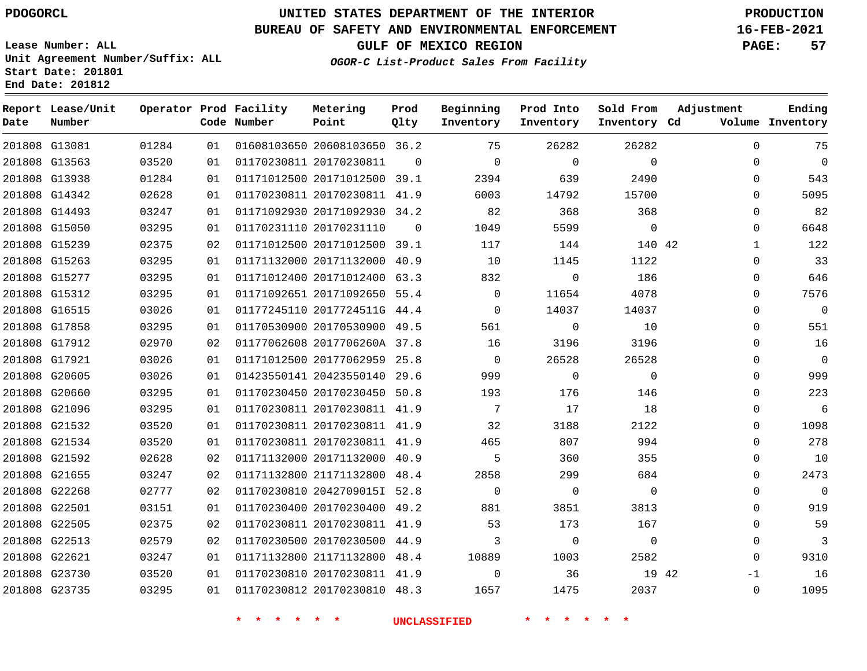**End Date: 201812**

## **UNITED STATES DEPARTMENT OF THE INTERIOR PDOGORCL PRODUCTION**

#### **BUREAU OF SAFETY AND ENVIRONMENTAL ENFORCEMENT 16-FEB-2021**

**Lease Number: ALL Unit Agreement Number/Suffix: ALL Start Date: 201801**

# **GULF OF MEXICO REGION PAGE: 57**

**OGOR-C List-Product Sales From Facility**

| Ending<br>Volume Inventory | Adjustment   | Sold From<br>Inventory Cd | Prod Into<br>Inventory | Beginning<br>Inventory | Prod<br>Qlty | Metering<br>Point            | Operator Prod Facility<br>Code Number |    |       | Report Lease/Unit<br>Number | Date |
|----------------------------|--------------|---------------------------|------------------------|------------------------|--------------|------------------------------|---------------------------------------|----|-------|-----------------------------|------|
| 75                         | $\Omega$     | 26282                     | 26282                  | 75                     |              | 01608103650 20608103650 36.2 |                                       | 01 | 01284 | 201808 G13081               |      |
| $\mathbf 0$                | $\Omega$     | $\Omega$                  | $\Omega$               | $\Omega$               | $\Omega$     |                              | 01170230811 20170230811               | 01 | 03520 | 201808 G13563               |      |
| 543                        | $\Omega$     | 2490                      | 639                    | 2394                   |              | 01171012500 20171012500 39.1 |                                       | 01 | 01284 | 201808 G13938               |      |
| 5095                       | $\Omega$     | 15700                     | 14792                  | 6003                   |              | 01170230811 20170230811 41.9 |                                       | 01 | 02628 | 201808 G14342               |      |
| 82                         | $\Omega$     | 368                       | 368                    | 82                     |              | 01171092930 20171092930 34.2 |                                       | 01 | 03247 | 201808 G14493               |      |
| 6648                       | $\mathbf 0$  | $\mathbf 0$               | 5599                   | 1049                   | $\Omega$     | 01170231110 20170231110      |                                       | 01 | 03295 | 201808 G15050               |      |
| 122                        | $\mathbf{1}$ | 140 42                    | 144                    | 117                    |              | 01171012500 20171012500 39.1 |                                       | 02 | 02375 | 201808 G15239               |      |
| 33                         | $\mathbf 0$  | 1122                      | 1145                   | 10                     |              | 01171132000 20171132000 40.9 |                                       | 01 | 03295 | 201808 G15263               |      |
| 646                        | 0            | 186                       | $\mathbf 0$            | 832                    |              | 01171012400 20171012400 63.3 |                                       | 01 | 03295 | 201808 G15277               |      |
| 7576                       | 0            | 4078                      | 11654                  | $\mathbf 0$            |              | 01171092651 20171092650 55.4 |                                       | 01 | 03295 | 201808 G15312               |      |
| $\mathbb O$                | $\mathbf 0$  | 14037                     | 14037                  | $\mathbf 0$            |              | 01177245110 2017724511G 44.4 |                                       | 01 | 03026 | 201808 G16515               |      |
| 551                        | 0            | 10                        | $\mathbf 0$            | 561                    |              | 01170530900 20170530900 49.5 |                                       | 01 | 03295 | 201808 G17858               |      |
| 16                         | 0            | 3196                      | 3196                   | 16                     |              | 01177062608 2017706260A 37.8 |                                       | 02 | 02970 | 201808 G17912               |      |
| $\mathbf 0$                | $\mathbf 0$  | 26528                     | 26528                  | $\mathbf 0$            |              | 01171012500 20177062959 25.8 |                                       | 01 | 03026 | 201808 G17921               |      |
| 999                        | $\Omega$     | $\Omega$                  | $\Omega$               | 999                    |              | 01423550141 20423550140 29.6 |                                       | 01 | 03026 | 201808 G20605               |      |
| 223                        | $\mathbf 0$  | 146                       | 176                    | 193                    |              | 01170230450 20170230450 50.8 |                                       | 01 | 03295 | 201808 G20660               |      |
| $\sqrt{6}$                 | $\mathbf 0$  | 18                        | 17                     | 7                      |              | 01170230811 20170230811 41.9 |                                       | 01 | 03295 | 201808 G21096               |      |
| 1098                       | $\mathbf 0$  | 2122                      | 3188                   | 32                     |              | 01170230811 20170230811 41.9 |                                       | 01 | 03520 | 201808 G21532               |      |
| 278                        | 0            | 994                       | 807                    | 465                    |              | 01170230811 20170230811 41.9 |                                       | 01 | 03520 | 201808 G21534               |      |
| 10                         | 0            | 355                       | 360                    | 5                      |              | 01171132000 20171132000 40.9 |                                       | 02 | 02628 | 201808 G21592               |      |
| 2473                       | 0            | 684                       | 299                    | 2858                   |              | 01171132800 21171132800 48.4 |                                       | 02 | 03247 | 201808 G21655               |      |
| $\mathbf 0$                | 0            | $\mathbf 0$               | 0                      | $\mathbf 0$            |              | 01170230810 2042709015I 52.8 |                                       | 02 | 02777 | 201808 G22268               |      |
| 919                        | 0            | 3813                      | 3851                   | 881                    |              | 01170230400 20170230400 49.2 |                                       | 01 | 03151 | 201808 G22501               |      |
| 59                         | 0            | 167                       | 173                    | 53                     |              | 01170230811 20170230811 41.9 |                                       | 02 | 02375 | 201808 G22505               |      |
| 3                          | 0            | $\Omega$                  | $\mathbf 0$            | 3                      |              | 01170230500 20170230500 44.9 |                                       | 02 | 02579 | 201808 G22513               |      |
| 9310                       | $\mathbf 0$  | 2582                      | 1003                   | 10889                  |              | 01171132800 21171132800 48.4 |                                       | 01 | 03247 | 201808 G22621               |      |
| 16                         | 19 42<br>-1  |                           | 36                     | 0                      |              | 01170230810 20170230811 41.9 |                                       | 01 | 03520 | 201808 G23730               |      |
| 1095                       | 0            | 2037                      | 1475                   | 1657                   |              | 01170230812 20170230810 48.3 |                                       | 01 | 03295 | 201808 G23735               |      |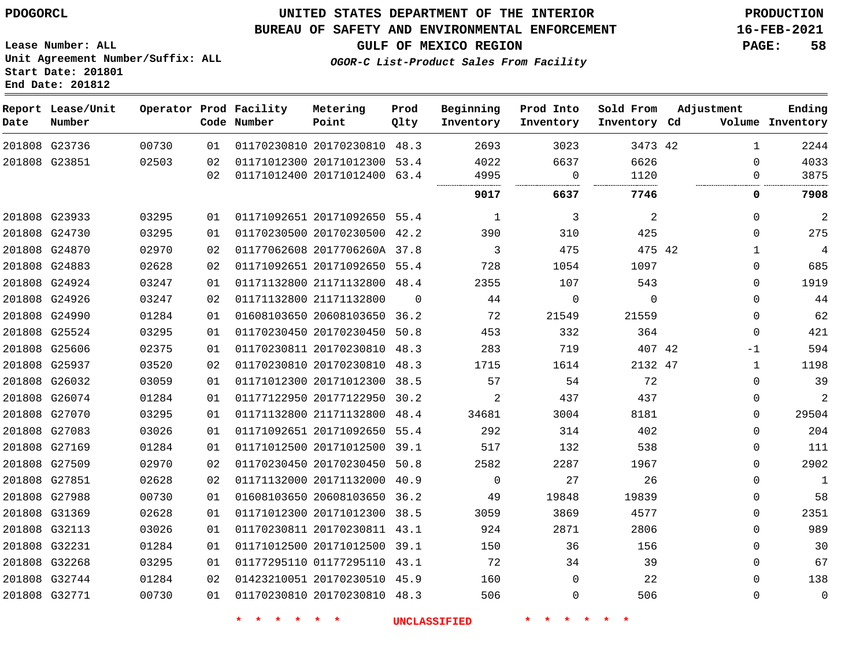#### **BUREAU OF SAFETY AND ENVIRONMENTAL ENFORCEMENT 16-FEB-2021**

**Lease Number: ALL Unit Agreement Number/Suffix: ALL Start Date: 201801 End Date: 201812**

**GULF OF MEXICO REGION PAGE: 58**

**OGOR-C List-Product Sales From Facility**

| Date | Report Lease/Unit<br>Number |       |    | Operator Prod Facility<br>Code Number | Metering<br>Point            | Prod<br>Qlty | Beginning<br>Inventory | Prod Into<br>Inventory | Sold From<br>Inventory Cd | Adjustment   | Ending<br>Volume Inventory |
|------|-----------------------------|-------|----|---------------------------------------|------------------------------|--------------|------------------------|------------------------|---------------------------|--------------|----------------------------|
|      | 201808 G23736               | 00730 | 01 |                                       | 01170230810 20170230810 48.3 |              | 2693                   | 3023                   | 3473 42                   | $\mathbf{1}$ | 2244                       |
|      | 201808 G23851               | 02503 | 02 |                                       | 01171012300 20171012300 53.4 |              | 4022                   | 6637                   | 6626                      | $\Omega$     | 4033                       |
|      |                             |       | 02 |                                       | 01171012400 20171012400 63.4 |              | 4995                   | 0                      | 1120                      | $\Omega$     | 3875                       |
|      |                             |       |    |                                       |                              |              | 9017                   | 6637                   | 7746                      | 0            | 7908                       |
|      | 201808 G23933               | 03295 | 01 |                                       | 01171092651 20171092650 55.4 |              | 1                      | 3                      | 2                         | $\mathbf 0$  | $\overline{2}$             |
|      | 201808 G24730               | 03295 | 01 |                                       | 01170230500 20170230500 42.2 |              | 390                    | 310                    | 425                       | $\mathbf 0$  | 275                        |
|      | 201808 G24870               | 02970 | 02 |                                       | 01177062608 2017706260A 37.8 |              | 3                      | 475                    | 475 42                    | 1            | $\overline{4}$             |
|      | 201808 G24883               | 02628 | 02 |                                       | 01171092651 20171092650 55.4 |              | 728                    | 1054                   | 1097                      | 0            | 685                        |
|      | 201808 G24924               | 03247 | 01 |                                       | 01171132800 21171132800 48.4 |              | 2355                   | 107                    | 543                       | $\Omega$     | 1919                       |
|      | 201808 G24926               | 03247 | 02 | 01171132800 21171132800               |                              | $\Omega$     | 44                     | $\mathbf 0$            | $\Omega$                  | $\mathbf 0$  | 44                         |
|      | 201808 G24990               | 01284 | 01 |                                       | 01608103650 20608103650 36.2 |              | 72                     | 21549                  | 21559                     | $\Omega$     | 62                         |
|      | 201808 G25524               | 03295 | 01 |                                       | 01170230450 20170230450 50.8 |              | 453                    | 332                    | 364                       | $\Omega$     | 421                        |
|      | 201808 G25606               | 02375 | 01 |                                       | 01170230811 20170230810 48.3 |              | 283                    | 719                    | 407 42                    | -1           | 594                        |
|      | 201808 G25937               | 03520 | 02 |                                       | 01170230810 20170230810 48.3 |              | 1715                   | 1614                   | 2132 47                   | $\mathbf{1}$ | 1198                       |
|      | 201808 G26032               | 03059 | 01 |                                       | 01171012300 20171012300 38.5 |              | 57                     | 54                     | 72                        | $\Omega$     | 39                         |
|      | 201808 G26074               | 01284 | 01 |                                       | 01177122950 20177122950 30.2 |              | $\overline{2}$         | 437                    | 437                       | $\Omega$     | 2                          |
|      | 201808 G27070               | 03295 | 01 |                                       | 01171132800 21171132800 48.4 |              | 34681                  | 3004                   | 8181                      | 0            | 29504                      |
|      | 201808 G27083               | 03026 | 01 |                                       | 01171092651 20171092650 55.4 |              | 292                    | 314                    | 402                       | $\Omega$     | 204                        |
|      | 201808 G27169               | 01284 | 01 |                                       | 01171012500 20171012500 39.1 |              | 517                    | 132                    | 538                       | $\mathbf 0$  | 111                        |
|      | 201808 G27509               | 02970 | 02 |                                       | 01170230450 20170230450 50.8 |              | 2582                   | 2287                   | 1967                      | $\Omega$     | 2902                       |
|      | 201808 G27851               | 02628 | 02 |                                       | 01171132000 20171132000 40.9 |              | $\mathbf 0$            | 27                     | 26                        | $\mathbf 0$  | $\mathbf{1}$               |
|      | 201808 G27988               | 00730 | 01 |                                       | 01608103650 20608103650 36.2 |              | 49                     | 19848                  | 19839                     | 0            | 58                         |
|      | 201808 G31369               | 02628 | 01 |                                       | 01171012300 20171012300 38.5 |              | 3059                   | 3869                   | 4577                      | $\mathbf 0$  | 2351                       |
|      | 201808 G32113               | 03026 | 01 |                                       | 01170230811 20170230811 43.1 |              | 924                    | 2871                   | 2806                      | $\mathbf 0$  | 989                        |
|      | 201808 G32231               | 01284 | 01 |                                       | 01171012500 20171012500 39.1 |              | 150                    | 36                     | 156                       | 0            | 30                         |
|      | 201808 G32268               | 03295 | 01 |                                       | 01177295110 01177295110 43.1 |              | 72                     | 34                     | 39                        | $\mathbf 0$  | 67                         |
|      | 201808 G32744               | 01284 | 02 |                                       | 01423210051 20170230510 45.9 |              | 160                    | $\mathbf 0$            | 22                        | $\mathbf 0$  | 138                        |
|      | 201808 G32771               | 00730 | 01 |                                       | 01170230810 20170230810 48.3 |              | 506                    | $\mathbf 0$            | 506                       | $\mathbf 0$  | $\mathbf 0$                |
|      |                             |       |    |                                       |                              |              |                        |                        |                           |              |                            |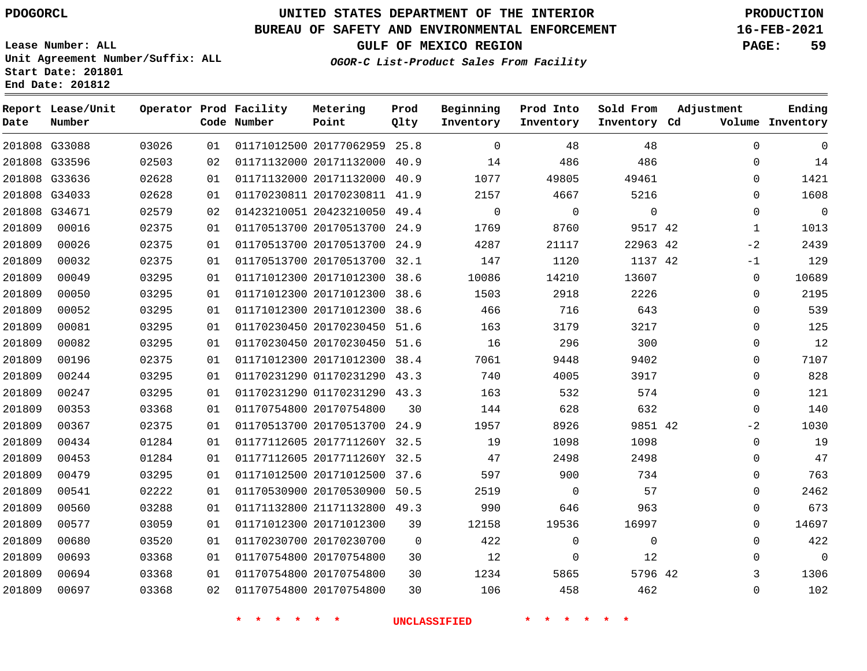**Report Lease/Unit**

**Number**

## **UNITED STATES DEPARTMENT OF THE INTERIOR PDOGORCL PRODUCTION**

**Prod Qlty**

#### **BUREAU OF SAFETY AND ENVIRONMENTAL ENFORCEMENT 16-FEB-2021**

**Lease Number: ALL Unit Agreement Number/Suffix: ALL Start Date: 201801 End Date: 201812**

**Operator Prod Facility**

**Code Number**

**OGOR-C List-Product Sales From Facility**

**Beginning Inventory** **Prod Into Inventory** **Sold From Inventory**

**GULF OF MEXICO REGION PAGE: 59**

**Inventory Cd Volume**

**Adjustment**

  $-2$  $-1$   $\Omega$  $\overline{0}$  $\overline{0}$  $\overline{0}$  $\overline{0}$  $\overline{0}$  $-2$  $\overline{0}$  $\overline{0}$  $\Omega$  $\Omega$  

**Ending**

|        | 201808 G33088 | 03026 | 01 |                         | 01171012500 20177062959 25.8 |                | 0                   | 48          | 48          |  |
|--------|---------------|-------|----|-------------------------|------------------------------|----------------|---------------------|-------------|-------------|--|
|        | 201808 G33596 | 02503 | 02 |                         | 01171132000 20171132000 40.9 |                | 14                  | 486         | 486         |  |
|        | 201808 G33636 | 02628 | 01 |                         | 01171132000 20171132000 40.9 |                | 1077                | 49805       | 49461       |  |
|        | 201808 G34033 | 02628 | 01 |                         | 01170230811 20170230811 41.9 |                | 2157                | 4667        | 5216        |  |
|        | 201808 G34671 | 02579 | 02 |                         | 01423210051 20423210050 49.4 |                | 0                   | 0           | $\mathsf 0$ |  |
| 201809 | 00016         | 02375 | 01 |                         | 01170513700 20170513700 24.9 |                | 1769                | 8760        | 9517 42     |  |
| 201809 | 00026         | 02375 | 01 |                         | 01170513700 20170513700 24.9 |                | 4287                | 21117       | 22963 42    |  |
| 201809 | 00032         | 02375 | 01 |                         | 01170513700 20170513700 32.1 |                | 147                 | 1120        | 1137 42     |  |
| 201809 | 00049         | 03295 | 01 |                         | 01171012300 20171012300 38.6 |                | 10086               | 14210       | 13607       |  |
| 201809 | 00050         | 03295 | 01 |                         | 01171012300 20171012300 38.6 |                | 1503                | 2918        | 2226        |  |
| 201809 | 00052         | 03295 | 01 |                         | 01171012300 20171012300 38.6 |                | 466                 | 716         | 643         |  |
| 201809 | 00081         | 03295 | 01 |                         | 01170230450 20170230450 51.6 |                | 163                 | 3179        | 3217        |  |
| 201809 | 00082         | 03295 | 01 |                         | 01170230450 20170230450 51.6 |                | 16                  | 296         | 300         |  |
| 201809 | 00196         | 02375 | 01 |                         | 01171012300 20171012300 38.4 |                | 7061                | 9448        | 9402        |  |
| 201809 | 00244         | 03295 | 01 |                         | 01170231290 01170231290 43.3 |                | 740                 | 4005        | 3917        |  |
| 201809 | 00247         | 03295 | 01 |                         | 01170231290 01170231290 43.3 |                | 163                 | 532         | 574         |  |
| 201809 | 00353         | 03368 | 01 |                         | 01170754800 20170754800      | 30             | 144                 | 628         | 632         |  |
| 201809 | 00367         | 02375 | 01 |                         | 01170513700 20170513700 24.9 |                | 1957                | 8926        | 9851 42     |  |
| 201809 | 00434         | 01284 | 01 |                         | 01177112605 2017711260Y 32.5 |                | 19                  | 1098        | 1098        |  |
| 201809 | 00453         | 01284 | 01 |                         | 01177112605 2017711260Y 32.5 |                | 47                  | 2498        | 2498        |  |
| 201809 | 00479         | 03295 | 01 |                         | 01171012500 20171012500 37.6 |                | 597                 | 900         | 734         |  |
| 201809 | 00541         | 02222 | 01 |                         | 01170530900 20170530900 50.5 |                | 2519                | $\mathbf 0$ | 57          |  |
| 201809 | 00560         | 03288 | 01 |                         | 01171132800 21171132800 49.3 |                | 990                 | 646         | 963         |  |
| 201809 | 00577         | 03059 | 01 |                         | 01171012300 20171012300      | 39             | 12158               | 19536       | 16997       |  |
| 201809 | 00680         | 03520 | 01 |                         | 01170230700 20170230700      | $\overline{0}$ | 422                 | 0           | 0           |  |
| 201809 | 00693         | 03368 | 01 |                         | 01170754800 20170754800      | 30             | 12                  | $\mathbf 0$ | 12          |  |
| 201809 | 00694         | 03368 | 01 | 01170754800 20170754800 |                              | 30             | 1234                | 5865        | 5796 42     |  |
| 201809 | 00697         | 03368 | 02 |                         | 01170754800 20170754800      | 30             | 106                 | 458         | 462         |  |
|        |               |       |    |                         |                              |                | <b>UNCLASSIFIED</b> |             |             |  |

**Metering Point**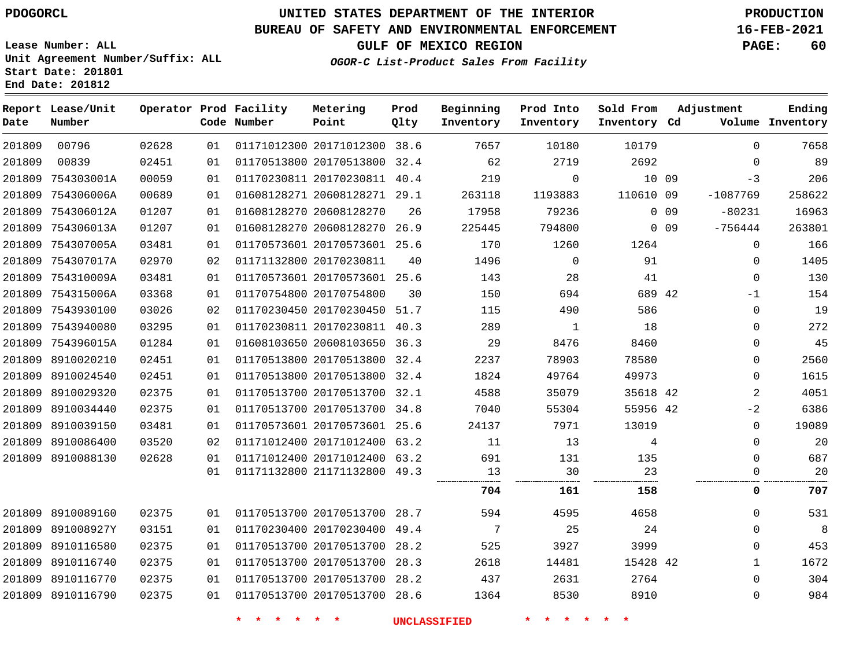**Date**

 

**Number**

**Report Lease/Unit**

 8910089160 891008927Y 8910116580 8910116740 8910116770 8910116790

## **UNITED STATES DEPARTMENT OF THE INTERIOR PDOGORCL PRODUCTION**

**Prod Qlty**

#### **BUREAU OF SAFETY AND ENVIRONMENTAL ENFORCEMENT 16-FEB-2021**

**Lease Number: ALL Unit Agreement Number/Suffix: ALL Start Date: 201801 End Date: 201812**

**Operator Prod Facility**

**Code Number**

20171012300 38.6

**Metering Point**

  $\sim$ 

 

 

**OGOR-C List-Product Sales From Facility**

  $\sim$  **Sold From Inventory**

**Prod Into Inventory**

**Beginning Inventory**

**GULF OF MEXICO REGION PAGE: 60**

**Inventory Cd Volume**

**Adjustment**

  $\Omega$ -3

> $\Omega$  $\Omega$   $\Omega$  $\Omega$

**Ending**

| 89<br>$\Omega$         |            |                 | 2692      | 2719        | 62     |      | 01170513800 20170513800 32.4 | 01 | 02451 |
|------------------------|------------|-----------------|-----------|-------------|--------|------|------------------------------|----|-------|
| 206                    | $-3$       | 10 09           |           | 0           | 219    |      | 01170230811 20170230811 40.4 | 01 | 00059 |
| 258622                 | $-1087769$ |                 | 110610 09 | 1193883     | 263118 |      | 01608128271 20608128271 29.1 | 01 | 00689 |
| 16963                  | $-80231$   | 0 <sub>09</sub> |           | 79236       | 17958  | 26   | 01608128270 20608128270      | 01 | 01207 |
| 263801                 | $-756444$  | 0 <sub>09</sub> |           | 794800      | 225445 |      | 01608128270 20608128270 26.9 | 01 | 01207 |
| 166<br>$\mathbf 0$     |            |                 | 1264      | 1260        | 170    |      | 01170573601 20170573601 25.6 | 01 | 03481 |
| 1405<br>$\mathbf 0$    |            |                 | 91        | $\mathbf 0$ | 1496   | 40   | 01171132800 20170230811      | 02 | 02970 |
| $\Omega$<br>130        |            |                 | 41        | 28          | 143    |      | 01170573601 20170573601 25.6 | 01 | 03481 |
| 154                    | $-1$       |                 | 689 42    | 694         | 150    | 30   | 01170754800 20170754800      | 01 | 03368 |
| 19<br>$\Omega$         |            |                 | 586       | 490         | 115    |      | 01170230450 20170230450 51.7 | 02 | 03026 |
| 272<br>$\Omega$        |            |                 | 18        | 1           | 289    |      | 01170230811 20170230811 40.3 | 01 | 03295 |
| 45<br>$\mathbf 0$      |            |                 | 8460      | 8476        | 29     |      | 01608103650 20608103650 36.3 | 01 | 01284 |
| 2560<br>$\mathbf 0$    |            |                 | 78580     | 78903       | 2237   |      | 01170513800 20170513800 32.4 | 01 | 02451 |
| 1615<br>0              |            |                 | 49973     | 49764       | 1824   |      | 01170513800 20170513800 32.4 | 01 | 02451 |
| $\overline{a}$<br>4051 |            |                 | 35618 42  | 35079       | 4588   |      | 01170513700 20170513700 32.1 | 01 | 02375 |
| 6386                   | $-2$       |                 | 55956 42  | 55304       | 7040   |      | 01170513700 20170513700 34.8 | 01 | 02375 |
| 19089<br>$\Omega$      |            |                 | 13019     | 7971        | 24137  |      | 01170573601 20170573601 25.6 | 01 | 03481 |
| 20<br>$\Omega$         |            |                 | 4         | 13          | 11     | 63.2 | 01171012400 20171012400      | 02 | 03520 |
| 687<br>$\Omega$        |            |                 | 135       | 131         | 691    |      | 01171012400 20171012400 63.2 | 01 | 02628 |
| 20<br>$\Omega$         |            |                 | 23        | 30          | 13     |      | 01171132800 21171132800 49.3 | 01 |       |
| 707<br>0               |            |                 | 158       | 161         | 704    |      |                              |    |       |
| 531<br>$\Omega$        |            |                 | 4658      | 4595        | 594    |      | 01170513700 20170513700 28.7 | 01 | 02375 |
| $\mathbf 0$            |            |                 | 24        | 25          | 7      |      | 01170230400 20170230400 49.4 | 01 | 03151 |
| 453<br>$\Omega$        |            |                 | 3999      | 3927        | 525    | 28.2 | 01170513700 20170513700      | 01 | 02375 |

**\* \* \* \* \* \* UNCLASSIFIED \* \* \* \* \* \***

 20170513700 28.3 20170513700 28.2 20170513700 28.6

  42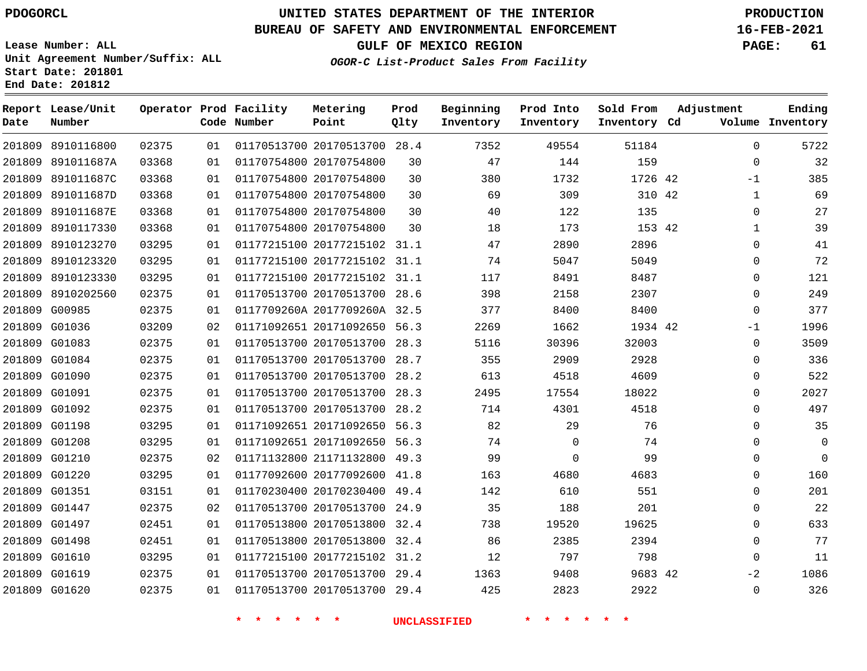**End Date: 201812**

## **UNITED STATES DEPARTMENT OF THE INTERIOR PDOGORCL PRODUCTION**

#### **BUREAU OF SAFETY AND ENVIRONMENTAL ENFORCEMENT 16-FEB-2021**

**Lease Number: ALL Unit Agreement Number/Suffix: ALL Start Date: 201801**

**GULF OF MEXICO REGION PAGE: 61**

**OGOR-C List-Product Sales From Facility**

| Date   | Report Lease/Unit<br>Number |       |    | Operator Prod Facility<br>Code Number | Metering<br>Point            | Prod<br>Qlty | Beginning<br>Inventory | Prod Into<br>Inventory | Sold From<br>Inventory Cd | Adjustment   | Ending<br>Volume Inventory |
|--------|-----------------------------|-------|----|---------------------------------------|------------------------------|--------------|------------------------|------------------------|---------------------------|--------------|----------------------------|
|        | 201809 8910116800           | 02375 | 01 |                                       | 01170513700 20170513700 28.4 |              | 7352                   | 49554                  | 51184                     | $\Omega$     | 5722                       |
|        | 201809 891011687A           | 03368 | 01 |                                       | 01170754800 20170754800      | 30           | 47                     | 144                    | 159                       | $\mathbf{0}$ | 32                         |
|        | 201809 891011687C           | 03368 | 01 |                                       | 01170754800 20170754800      | 30           | 380                    | 1732                   | 1726 42                   | $-1$         | 385                        |
|        | 201809 891011687D           | 03368 | 01 |                                       | 01170754800 20170754800      | 30           | 69                     | 309                    | 310 42                    | $\mathbf{1}$ | 69                         |
| 201809 | 891011687E                  | 03368 | 01 |                                       | 01170754800 20170754800      | 30           | 40                     | 122                    | 135                       | $\Omega$     | 27                         |
|        | 201809 8910117330           | 03368 | 01 |                                       | 01170754800 20170754800      | 30           | 18                     | 173                    | 153 42                    | $\mathbf{1}$ | 39                         |
| 201809 | 8910123270                  | 03295 | 01 |                                       | 01177215100 20177215102 31.1 |              | 47                     | 2890                   | 2896                      | $\Omega$     | 41                         |
| 201809 | 8910123320                  | 03295 | 01 |                                       | 01177215100 20177215102 31.1 |              | 74                     | 5047                   | 5049                      | 0            | 72                         |
| 201809 | 8910123330                  | 03295 | 01 |                                       | 01177215100 20177215102 31.1 |              | 117                    | 8491                   | 8487                      | $\mathbf{0}$ | 121                        |
| 201809 | 8910202560                  | 02375 | 01 |                                       | 01170513700 20170513700 28.6 |              | 398                    | 2158                   | 2307                      | 0            | 249                        |
|        | 201809 G00985               | 02375 | 01 |                                       | 0117709260A 2017709260A 32.5 |              | 377                    | 8400                   | 8400                      | $\Omega$     | 377                        |
| 201809 | G01036                      | 03209 | 02 |                                       | 01171092651 20171092650 56.3 |              | 2269                   | 1662                   | 1934 42                   | -1           | 1996                       |
|        | 201809 G01083               | 02375 | 01 |                                       | 01170513700 20170513700 28.3 |              | 5116                   | 30396                  | 32003                     | $\Omega$     | 3509                       |
|        | 201809 G01084               | 02375 | 01 |                                       | 01170513700 20170513700 28.7 |              | 355                    | 2909                   | 2928                      | 0            | 336                        |
|        | 201809 G01090               | 02375 | 01 |                                       | 01170513700 20170513700 28.2 |              | 613                    | 4518                   | 4609                      | 0            | 522                        |
|        | 201809 G01091               | 02375 | 01 |                                       | 01170513700 20170513700 28.3 |              | 2495                   | 17554                  | 18022                     | 0            | 2027                       |
|        | 201809 G01092               | 02375 | 01 |                                       | 01170513700 20170513700 28.2 |              | 714                    | 4301                   | 4518                      | $\mathbf{0}$ | 497                        |
|        | 201809 G01198               | 03295 | 01 |                                       | 01171092651 20171092650 56.3 |              | 82                     | 29                     | 76                        | 0            | 35                         |
|        | 201809 G01208               | 03295 | 01 |                                       | 01171092651 20171092650 56.3 |              | 74                     | $\Omega$               | 74                        | 0            | $\mathbf 0$                |
|        | 201809 G01210               | 02375 | 02 |                                       | 01171132800 21171132800      | 49.3         | 99                     | $\mathbf 0$            | 99                        | $\mathbf{0}$ | $\mathbf 0$                |
|        | 201809 G01220               | 03295 | 01 |                                       | 01177092600 20177092600 41.8 |              | 163                    | 4680                   | 4683                      | $\mathbf{0}$ | 160                        |
|        | 201809 G01351               | 03151 | 01 |                                       | 01170230400 20170230400      | 49.4         | 142                    | 610                    | 551                       | $\Omega$     | 201                        |
|        | 201809 G01447               | 02375 | 02 |                                       | 01170513700 20170513700 24.9 |              | 35                     | 188                    | 201                       | $\mathbf{0}$ | 22                         |
|        | 201809 G01497               | 02451 | 01 |                                       | 01170513800 20170513800      | 32.4         | 738                    | 19520                  | 19625                     | $\Omega$     | 633                        |
|        | 201809 G01498               | 02451 | 01 |                                       | 01170513800 20170513800 32.4 |              | 86                     | 2385                   | 2394                      | 0            | 77                         |
|        | 201809 G01610               | 03295 | 01 |                                       | 01177215100 20177215102      | 31.2         | 12                     | 797                    | 798                       | $\Omega$     | 11                         |
|        | 201809 G01619               | 02375 | 01 |                                       | 01170513700 20170513700      | 29.4         | 1363                   | 9408                   | 9683 42                   | $-2$         | 1086                       |
|        | 201809 G01620               | 02375 | 01 |                                       | 01170513700 20170513700 29.4 |              | 425                    | 2823                   | 2922                      | $\Omega$     | 326                        |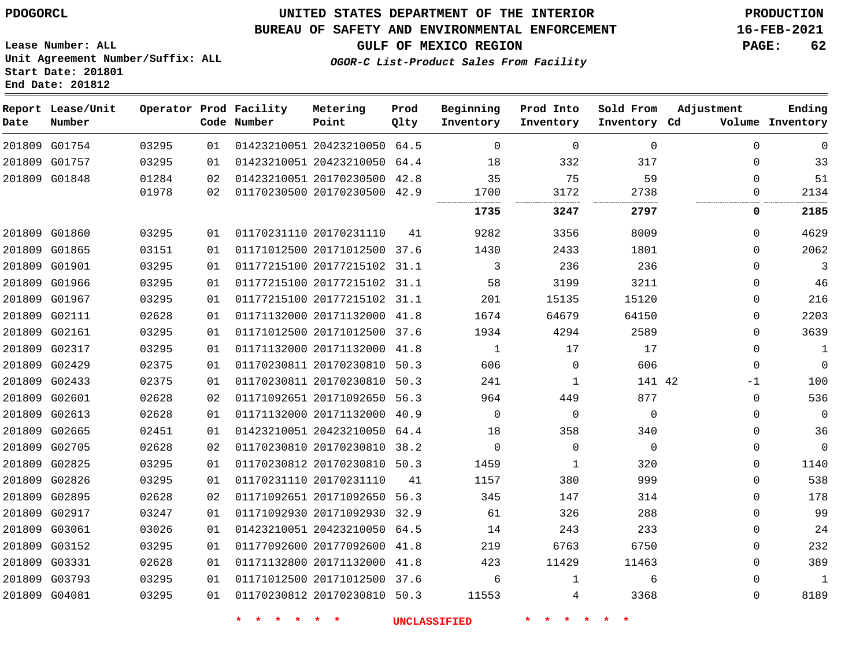#### **BUREAU OF SAFETY AND ENVIRONMENTAL ENFORCEMENT 16-FEB-2021**

**Lease Number: ALL Unit Agreement Number/Suffix: ALL Start Date: 201801 End Date: 201812**

**OGOR-C List-Product Sales From Facility**

**GULF OF MEXICO REGION PAGE: 62**

| Date          | Report Lease/Unit<br>Number |       |    | Operator Prod Facility<br>Code Number | Metering<br>Point            | Prod<br>Qlty | Beginning<br>Inventory | Prod Into<br>Inventory | Sold From<br>Inventory Cd | Adjustment  | Ending<br>Volume Inventory |
|---------------|-----------------------------|-------|----|---------------------------------------|------------------------------|--------------|------------------------|------------------------|---------------------------|-------------|----------------------------|
|               | 201809 G01754               | 03295 | 01 |                                       | 01423210051 20423210050 64.5 |              | $\Omega$               | $\mathbf 0$            | $\mathbf 0$               | $\Omega$    | $\Omega$                   |
| 201809 G01757 |                             | 03295 | 01 |                                       | 01423210051 20423210050 64.4 |              | 18                     | 332                    | 317                       | $\Omega$    | 33                         |
| 201809 G01848 |                             | 01284 | 02 |                                       | 01423210051 20170230500 42.8 |              | 35                     | 75                     | 59                        | $\Omega$    | 51                         |
|               |                             | 01978 | 02 |                                       | 01170230500 20170230500 42.9 |              | 1700                   | 3172                   | 2738                      | 0           | 2134                       |
|               |                             |       |    |                                       |                              |              | 1735                   | 3247                   | 2797                      | 0           | 2185                       |
| 201809 G01860 |                             | 03295 | 01 |                                       | 01170231110 20170231110      | 41           | 9282                   | 3356                   | 8009                      | 0           | 4629                       |
| 201809 G01865 |                             | 03151 | 01 |                                       | 01171012500 20171012500      | 37.6         | 1430                   | 2433                   | 1801                      | $\Omega$    | 2062                       |
| 201809 G01901 |                             | 03295 | 01 |                                       | 01177215100 20177215102 31.1 |              | 3                      | 236                    | 236                       | $\Omega$    | 3                          |
| 201809 G01966 |                             | 03295 | 01 |                                       | 01177215100 20177215102 31.1 |              | 58                     | 3199                   | 3211                      | $\mathbf 0$ | 46                         |
| 201809 G01967 |                             | 03295 | 01 |                                       | 01177215100 20177215102 31.1 |              | 201                    | 15135                  | 15120                     | $\mathbf 0$ | 216                        |
| 201809 G02111 |                             | 02628 | 01 |                                       | 01171132000 20171132000      | 41.8         | 1674                   | 64679                  | 64150                     | $\mathbf 0$ | 2203                       |
| 201809 G02161 |                             | 03295 | 01 |                                       | 01171012500 20171012500 37.6 |              | 1934                   | 4294                   | 2589                      | $\Omega$    | 3639                       |
| 201809 G02317 |                             | 03295 | 01 |                                       | 01171132000 20171132000 41.8 |              | $\mathbf{1}$           | 17                     | 17                        | $\Omega$    | 1                          |
| 201809 G02429 |                             | 02375 | 01 |                                       | 01170230811 20170230810 50.3 |              | 606                    | $\Omega$               | 606                       | $\Omega$    | $\Omega$                   |
| 201809 G02433 |                             | 02375 | 01 |                                       | 01170230811 20170230810      | 50.3         | 241                    | $\mathbf{1}$           | 141 42                    | $-1$        | 100                        |
| 201809 G02601 |                             | 02628 | 02 |                                       | 01171092651 20171092650      | 56.3         | 964                    | 449                    | 877                       | $\mathbf 0$ | 536                        |
| 201809 G02613 |                             | 02628 | 01 |                                       | 01171132000 20171132000      | 40.9         | $\mathbf 0$            | $\mathbf 0$            | $\mathbf{0}$              | $\Omega$    | $\Omega$                   |
| 201809 G02665 |                             | 02451 | 01 |                                       | 01423210051 20423210050 64.4 |              | 18                     | 358                    | 340                       | $\mathbf 0$ | 36                         |
| 201809 G02705 |                             | 02628 | 02 |                                       | 01170230810 20170230810 38.2 |              | $\mathbf 0$            | $\mathbf 0$            | $\mathbf 0$               | $\Omega$    | $\Omega$                   |
| 201809 G02825 |                             | 03295 | 01 |                                       | 01170230812 20170230810      | 50.3         | 1459                   | $\mathbf{1}$           | 320                       | $\mathbf 0$ | 1140                       |
| 201809 G02826 |                             | 03295 | 01 |                                       | 01170231110 20170231110      | 41           | 1157                   | 380                    | 999                       | $\Omega$    | 538                        |
| 201809 G02895 |                             | 02628 | 02 |                                       | 01171092651 20171092650 56.3 |              | 345                    | 147                    | 314                       | $\Omega$    | 178                        |
| 201809 G02917 |                             | 03247 | 01 |                                       | 01171092930 20171092930 32.9 |              | 61                     | 326                    | 288                       | $\Omega$    | 99                         |
| 201809 G03061 |                             | 03026 | 01 |                                       | 01423210051 20423210050      | 64.5         | 14                     | 243                    | 233                       | $\mathbf 0$ | 24                         |
| 201809 G03152 |                             | 03295 | 01 |                                       | 01177092600 20177092600      | 41.8         | 219                    | 6763                   | 6750                      | $\Omega$    | 232                        |
| 201809 G03331 |                             | 02628 | 01 |                                       | 01171132800 20171132000      | 41.8         | 423                    | 11429                  | 11463                     | $\Omega$    | 389                        |
| 201809 G03793 |                             | 03295 | 01 |                                       | 01171012500 20171012500      | 37.6         | 6                      | 1                      | 6                         | $\Omega$    | 1                          |
| 201809 G04081 |                             | 03295 | 01 |                                       | 01170230812 20170230810 50.3 |              | 11553                  | 4                      | 3368                      | $\Omega$    | 8189                       |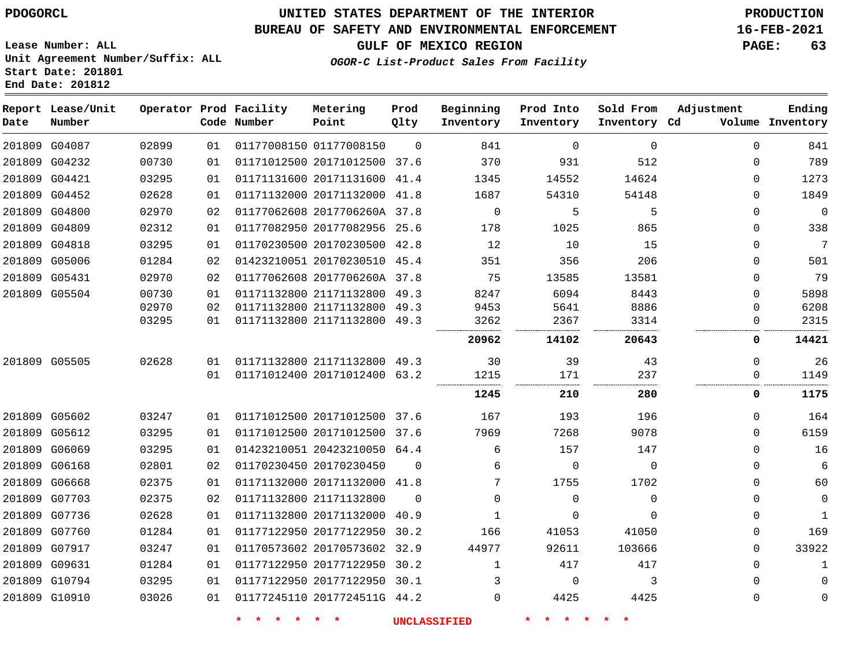**Report Lease/Unit**

**Number**

G10910

## **UNITED STATES DEPARTMENT OF THE INTERIOR PDOGORCL PRODUCTION**

#### **BUREAU OF SAFETY AND ENVIRONMENTAL ENFORCEMENT 16-FEB-2021**

**Lease Number: ALL Unit Agreement Number/Suffix: ALL Start Date: 201801 End Date: 201812**

**Operator Prod Facility**

**Code Number**

**Metering Point**

 $\Omega$ 

**Prod Qlty**

**GULF OF MEXICO REGION PAGE: 63**

**Inventory Cd Volume**

**Adjustment**

**Ending**

> $\Omega$  $\Omega$

**OGOR-C List-Product Sales From Facility**

**Beginning Inventory**

**Sold From Inventory**

**Prod Into Inventory**

|        | 201809 G04087 | 02899 | 01 | 01177008150 01177008150      | $\Omega$ | 841         | $\Omega$ | $\Omega$ | 0        | 841         |
|--------|---------------|-------|----|------------------------------|----------|-------------|----------|----------|----------|-------------|
|        | 201809 G04232 | 00730 | 01 | 01171012500 20171012500 37.6 |          | 370         | 931      | 512      | 0        | 789         |
|        | 201809 G04421 | 03295 | 01 | 01171131600 20171131600 41.4 |          | 1345        | 14552    | 14624    | 0        | 1273        |
|        | 201809 G04452 | 02628 | 01 | 01171132000 20171132000 41.8 |          | 1687        | 54310    | 54148    | 0        | 1849        |
| 201809 | G04800        | 02970 | 02 | 01177062608 2017706260A 37.8 |          | $\mathbf 0$ | 5        | 5        | 0        | $\mathbf 0$ |
|        | 201809 G04809 | 02312 | 01 | 01177082950 20177082956 25.6 |          | 178         | 1025     | 865      | 0        | 338         |
|        | 201809 G04818 | 03295 | 01 | 01170230500 20170230500 42.8 |          | 12          | 10       | 15       | 0        | 7           |
|        | 201809 G05006 | 01284 | 02 | 01423210051 20170230510 45.4 |          | 351         | 356      | 206      | 0        | 501         |
|        | 201809 G05431 | 02970 | 02 | 01177062608 2017706260A 37.8 |          | 75          | 13585    | 13581    | 0        | 79          |
|        | 201809 G05504 | 00730 | 01 | 01171132800 21171132800 49.3 |          | 8247        | 6094     | 8443     | 0        | 5898        |
|        |               | 02970 | 02 | 01171132800 21171132800 49.3 |          | 9453        | 5641     | 8886     | U        | 6208        |
|        |               | 03295 | 01 | 01171132800 21171132800 49.3 |          | 3262        | 2367     | 3314     |          | 2315        |
|        |               |       |    |                              |          | 20962       | 14102    | 20643    | 0        | 14421       |
|        | 201809 G05505 | 02628 | 01 | 01171132800 21171132800 49.3 |          | 30          | 39       | 43       | $\Omega$ | 26          |
|        |               |       | 01 | 01171012400 20171012400 63.2 |          | 1215        | 171      | 237      | 0        | 1149        |
|        |               |       |    |                              |          | 1245        | 210      | 280      | 0        | 1175        |
|        | 201809 G05602 | 03247 | 01 | 01171012500 20171012500 37.6 |          | 167         | 193      | 196      | 0        | 164         |
|        | 201809 G05612 | 03295 | 01 | 01171012500 20171012500 37.6 |          | 7969        | 7268     | 9078     | 0        | 6159        |
|        | 201809 G06069 | 03295 | 01 | 01423210051 20423210050 64.4 |          | 6           | 157      | 147      | 0        | 16          |
| 201809 | G06168        | 02801 | 02 | 01170230450 20170230450      | - 0      | 6           | $\Omega$ | $\Omega$ | 0        | 6           |
|        | 201809 G06668 | 02375 | 01 | 01171132000 20171132000 41.8 |          |             | 1755     | 1702     | 0        | 60          |
| 201809 | G07703        | 02375 | 02 | 01171132800 21171132800      | - 0      | 0           | $\Omega$ | $\Omega$ | 0        | $\mathbf 0$ |
|        | 201809 G07736 | 02628 | 01 | 01171132800 20171132000 40.9 |          | 1           |          | $\Omega$ | 0        | 1           |
|        | 201809 G07760 | 01284 | 01 | 01177122950 20177122950 30.2 |          | 166         | 41053    | 41050    | 0        | 169         |
|        | 201809 G07917 | 03247 | 01 | 01170573602 20170573602 32.9 |          | 44977       | 92611    | 103666   | 0        | 33922       |
|        | 201809 G09631 | 01284 | 01 | 01177122950 20177122950 30.2 |          | 1           | 417      | 417      | 0        | 1           |
|        | 201809 G10794 | 03295 | 01 | 01177122950 20177122950 30.1 |          |             |          | 3        | $\Omega$ | $\mathbf 0$ |
|        |               |       |    |                              |          |             |          |          |          |             |

**\* \* \* \* \* \* UNCLASSIFIED \* \* \* \* \* \***

2017724511G 44.2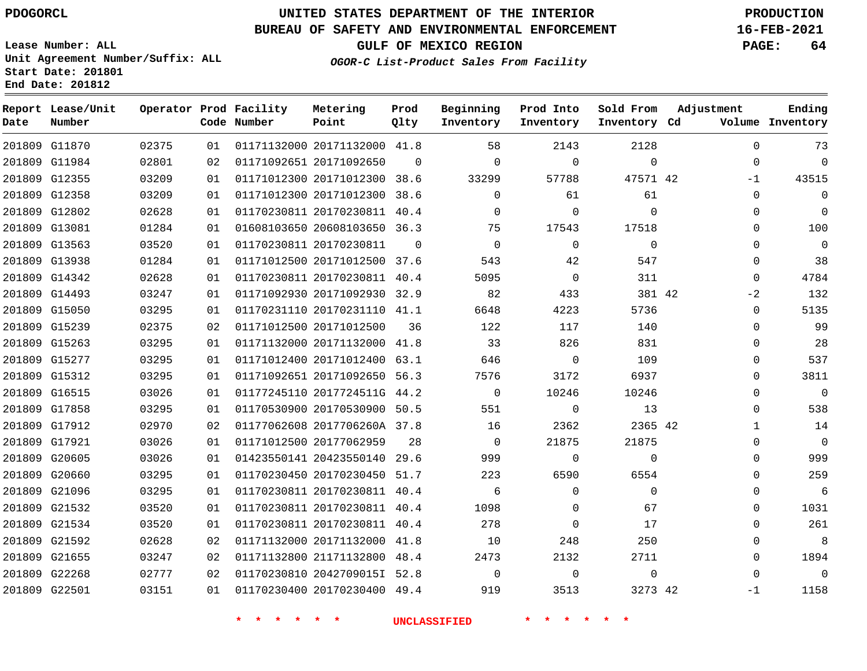**End Date: 201812**

**Report Lease/Unit**

**Number**

 G17858 G17912 G17921 G20605 G20660 G21096 G21532 G21534 G21592 G21655 G22268 G22501

## **UNITED STATES DEPARTMENT OF THE INTERIOR PDOGORCL PRODUCTION**

#### **BUREAU OF SAFETY AND ENVIRONMENTAL ENFORCEMENT 16-FEB-2021**

**Lease Number: ALL Unit Agreement Number/Suffix: ALL Start Date: 201801**

**Operator Prod Facility**

**Code Number**

**Prod Qlty**

**Inventory Cd Volume**

**Adjustment**

 $\Omega$  $\Omega$  $-1$  $\Omega$  $\Omega$  $\Omega$  $\Omega$  $\Omega$  $\Omega$  $-2$  $\Omega$  $\Omega$  $\Omega$   $\Omega$  $\overline{0}$  $\Omega$   $\Omega$  $\Omega$   $\Omega$   $\Omega$  -1

**GULF OF MEXICO REGION PAGE: 64**

**Ending**

**OGOR-C List-Product Sales From Facility**

**Beginning Inventory** **Prod Into Inventory** **Sold From Inventory**

| 2128         | 2143        | 58       |          | 01171132000 20171132000 41.8 | 01 | 02375 | 201809 G11870 |  |
|--------------|-------------|----------|----------|------------------------------|----|-------|---------------|--|
| $\mathbf{0}$ | $\Omega$    | $\Omega$ | $\Omega$ | 01171092651 20171092650      | 02 | 02801 | 201809 G11984 |  |
| 47571 42     | 57788       | 33299    |          | 01171012300 20171012300 38.6 | 01 | 03209 | 201809 G12355 |  |
| 61           | 61          |          | 38.6     | 01171012300 20171012300      | 01 | 03209 | 201809 G12358 |  |
| $\mathbf 0$  | $\Omega$    |          | 40.4     | 01170230811 20170230811      | 01 | 02628 | 201809 G12802 |  |
| 17518        | 17543       | 75       |          | 01608103650 20608103650 36.3 | 01 | 01284 | 201809 G13081 |  |
| $\mathbf 0$  | $\Omega$    |          | $\Omega$ | 01170230811 20170230811      | 01 | 03520 | 201809 G13563 |  |
| 547          | 42          | 543      | 37.6     | 01171012500 20171012500      | 01 | 01284 | 201809 G13938 |  |
| 311          | $\Omega$    | 5095     | 40.4     | 01170230811 20170230811      | 01 | 02628 | 201809 G14342 |  |
| 381 42       | 433         | 82       | 32.9     | 01171092930 20171092930      | 01 | 03247 | 201809 G14493 |  |
| 5736         | 4223        | 6648     |          | 01170231110 20170231110 41.1 | 01 | 03295 | 201809 G15050 |  |
| 140          | 117         | 122      | 36       | 01171012500 20171012500      | 02 | 02375 | 201809 G15239 |  |
| 831          | 826         | 33       | 41.8     | 01171132000 20171132000      | 01 | 03295 | 201809 G15263 |  |
| 109          | $\mathbf 0$ | 646      | 63.1     | 01171012400 20171012400      | 01 | 03295 | 201809 G15277 |  |
| 6937         | 3172        | 7576     | 56.3     | 01171092651 20171092650      | 01 | 03295 | 201809 G15312 |  |
| 10246        | 10246       |          |          | 01177245110 2017724511G 44.2 | 01 | 03026 | 201809 G16515 |  |

**Metering Point**

 20170530900 50.5 2017706260A 37.8

 20423550140 29.6 20170230450 51.7 20170230811 40.4 20170230811 40.4 20170230811 40.4 20171132000 41.8 21171132800 48.4 2042709015I 52.8 20170230400 49.4

20177062959

**\* \* \* \* \* \* UNCLASSIFIED \* \* \* \* \* \***

 $\Omega$   $\Omega$   $\Omega$  $\Omega$  $\Omega$  

42

42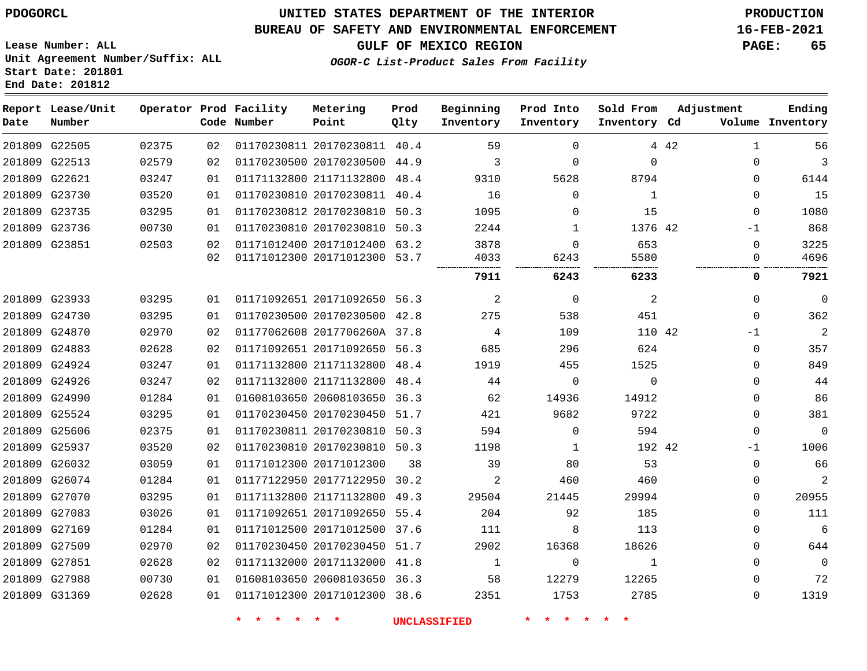## **UNITED STATES DEPARTMENT OF THE INTERIOR PDOGORCL PRODUCTION**

#### **BUREAU OF SAFETY AND ENVIRONMENTAL ENFORCEMENT 16-FEB-2021**

**Lease Number: ALL Unit Agreement Number/Suffix: ALL Start Date: 201801**

**Operator Prod Facility**

**Code Number**

**End Date: 201812**

**Report Lease/Unit**

**Number**

**GULF OF MEXICO REGION PAGE: 65**

**Prod Qlty**

**Metering Point**

**Inventory Cd Volume**

**Adjustment**

**Ending**

**OGOR-C List-Product Sales From Facility**

**Beginning Inventory** **Prod Into Inventory** **Sold From Inventory**

| 201809 G22505 | 02375 | 02  | 01170230811 20170230811 40.4 |    | 59    | $\Omega$ |             | 4 4 2 | 1        | 56             |
|---------------|-------|-----|------------------------------|----|-------|----------|-------------|-------|----------|----------------|
| 201809 G22513 | 02579 | 02  | 01170230500 20170230500 44.9 |    | 3     | $\Omega$ | $\Omega$    |       | 0        | 3              |
| 201809 G22621 | 03247 | 01  | 01171132800 21171132800 48.4 |    | 9310  | 5628     | 8794        |       | 0        | 6144           |
| 201809 G23730 | 03520 | 01  | 01170230810 20170230811 40.4 |    | 16    | $\Omega$ | $\mathbf 1$ |       | 0        | 15             |
| 201809 G23735 | 03295 | 01  | 01170230812 20170230810 50.3 |    | 1095  | $\Omega$ | 15          |       | $\Omega$ | 1080           |
| 201809 G23736 | 00730 | 01. | 01170230810 20170230810 50.3 |    | 2244  | 1        | 1376 42     |       | $-1$     | 868            |
| 201809 G23851 | 02503 | 02  | 01171012400 20171012400 63.2 |    | 3878  | $\Omega$ | 653         |       | 0        | 3225           |
|               |       | 02  | 01171012300 20171012300 53.7 |    | 4033  | 6243     | 5580        |       | 0        | 4696           |
|               |       |     |                              |    | 7911  | 6243     | 6233        |       | 0        | 7921           |
| 201809 G23933 | 03295 | 01  | 01171092651 20171092650 56.3 |    | 2     | $\Omega$ | 2           |       | 0        | $\Omega$       |
| 201809 G24730 | 03295 | 01  | 01170230500 20170230500 42.8 |    | 275   | 538      | 451         |       | $\Omega$ | 362            |
| 201809 G24870 | 02970 | 02  | 01177062608 2017706260A 37.8 |    | 4     | 109      | 110 42      |       | -1       | $\overline{2}$ |
| 201809 G24883 | 02628 | 02  | 01171092651 20171092650 56.3 |    | 685   | 296      | 624         |       | $\Omega$ | 357            |
| 201809 G24924 | 03247 | 01  | 01171132800 21171132800 48.4 |    | 1919  | 455      | 1525        |       | 0        | 849            |
| 201809 G24926 | 03247 | 02  | 01171132800 21171132800 48.4 |    | 44    | 0        | 0           |       | 0        | 44             |
| 201809 G24990 | 01284 | 01  | 01608103650 20608103650 36.3 |    | 62    | 14936    | 14912       |       | 0        | 86             |
| 201809 G25524 | 03295 | 01  | 01170230450 20170230450 51.7 |    | 421   | 9682     | 9722        |       | 0        | 381            |
| 201809 G25606 | 02375 | 01  | 01170230811 20170230810 50.3 |    | 594   | $\Omega$ | 594         |       | $\Omega$ | $\Omega$       |
| 201809 G25937 | 03520 | 02  | 01170230810 20170230810 50.3 |    | 1198  | 1        | 192 42      |       | $-1$     | 1006           |
| 201809 G26032 | 03059 | 01  | 01171012300 20171012300      | 38 | 39    | 80       | 53          |       | $\Omega$ | 66             |
| 201809 G26074 | 01284 | 01  | 01177122950 20177122950 30.2 |    | 2     | 460      | 460         |       | 0        | 2              |
| 201809 G27070 | 03295 | 01  | 01171132800 21171132800 49.3 |    | 29504 | 21445    | 29994       |       | 0        | 20955          |
| 201809 G27083 | 03026 | 01  | 01171092651 20171092650 55.4 |    | 204   | 92       | 185         |       | 0        | 111            |
| 201809 G27169 | 01284 | 01  | 01171012500 20171012500 37.6 |    | 111   | 8        | 113         |       | 0        | 6              |
| 201809 G27509 | 02970 | 02  | 01170230450 20170230450 51.7 |    | 2902  | 16368    | 18626       |       | 0        | 644            |
| 201809 G27851 | 02628 | 02  | 01171132000 20171132000 41.8 |    | 1     | $\Omega$ | 1           |       | 0        | $\Omega$       |
| 201809 G27988 | 00730 | 01  | 01608103650 20608103650 36.3 |    | 58    | 12279    | 12265       |       | 0        | 72             |
| 201809 G31369 | 02628 | 01  | 01171012300 20171012300 38.6 |    | 2351  | 1753     | 2785        |       | $\Omega$ | 1319           |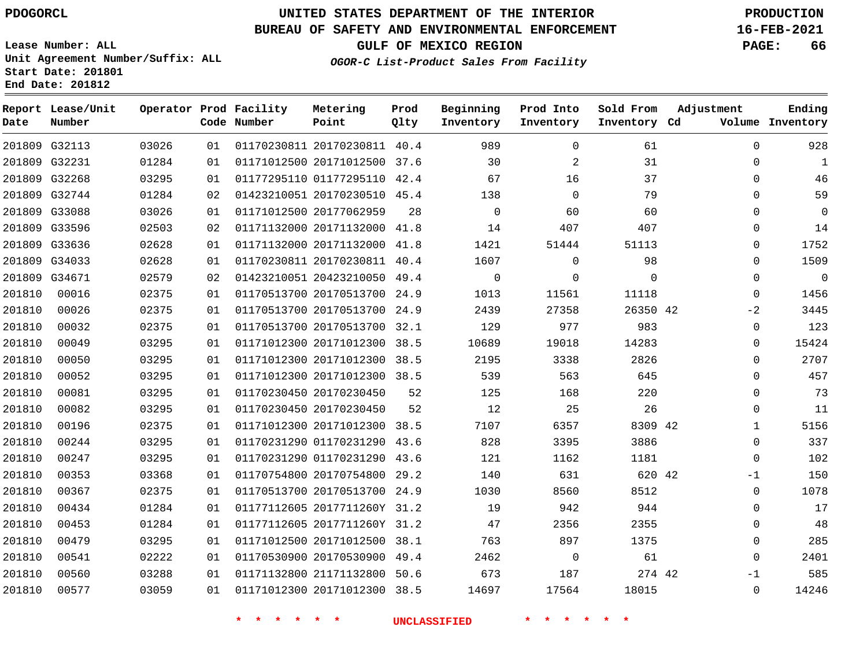**Report Lease/Unit**

**Number**

## **UNITED STATES DEPARTMENT OF THE INTERIOR PDOGORCL PRODUCTION**

**Prod Qlty**

#### **BUREAU OF SAFETY AND ENVIRONMENTAL ENFORCEMENT 16-FEB-2021**

**Lease Number: ALL Unit Agreement Number/Suffix: ALL Start Date: 201801 End Date: 201812**

**Operator Prod Facility**

**Code Number**

**Metering Point**

**OGOR-C List-Product Sales From Facility**

**Beginning Inventory** **Prod Into Inventory** **Sold From Inventory**

**GULF OF MEXICO REGION PAGE: 66**

**Inventory Cd Volume**

**Adjustment**

**Ending**

|        |               |       |    |                              |    | <b>UNCLASSIFIED</b> |                |             |                |
|--------|---------------|-------|----|------------------------------|----|---------------------|----------------|-------------|----------------|
| 201810 | 00577         | 03059 | 01 | 01171012300 20171012300 38.5 |    | 14697               | 17564          | 18015       | $\mathbf 0$    |
| 201810 | 00560         | 03288 | 01 | 01171132800 21171132800 50.6 |    | 673                 | 187            | 274 42      | $-1$           |
| 201810 | 00541         | 02222 | 01 | 01170530900 20170530900 49.4 |    | 2462                | 0              | 61          | $\Omega$       |
| 201810 | 00479         | 03295 | 01 | 01171012500 20171012500 38.1 |    | 763                 | 897            | 1375        | $\mathbf 0$    |
| 201810 | 00453         | 01284 | 01 | 01177112605 2017711260Y 31.2 |    | 47                  | 2356           | 2355        | $\Omega$       |
| 201810 | 00434         | 01284 | 01 | 01177112605 2017711260Y 31.2 |    | 19                  | 942            | 944         | $\mathbf 0$    |
| 201810 | 00367         | 02375 | 01 | 01170513700 20170513700 24.9 |    | 1030                | 8560           | 8512        | $\overline{0}$ |
| 201810 | 00353         | 03368 | 01 | 01170754800 20170754800 29.2 |    | 140                 | 631            | 620 42      | $-1$           |
| 201810 | 00247         | 03295 | 01 | 01170231290 01170231290 43.6 |    | 121                 | 1162           | 1181        | $\Omega$       |
| 201810 | 00244         | 03295 | 01 | 01170231290 01170231290 43.6 |    | 828                 | 3395           | 3886        | $\Omega$       |
| 201810 | 00196         | 02375 | 01 | 01171012300 20171012300 38.5 |    | 7107                | 6357           | 8309 42     | $\mathbf{1}$   |
| 201810 | 00082         | 03295 | 01 | 01170230450 20170230450      | 52 | 12                  | 25             | 26          | $\Omega$       |
| 201810 | 00081         | 03295 | 01 | 01170230450 20170230450      | 52 | 125                 | 168            | 220         | $\Omega$       |
| 201810 | 00052         | 03295 | 01 | 01171012300 20171012300 38.5 |    | 539                 | 563            | 645         | $\Omega$       |
| 201810 | 00050         | 03295 | 01 | 01171012300 20171012300 38.5 |    | 2195                | 3338           | 2826        | $\Omega$       |
| 201810 | 00049         | 03295 | 01 | 01171012300 20171012300 38.5 |    | 10689               | 19018          | 14283       | $\mathbf 0$    |
| 201810 | 00032         | 02375 | 01 | 01170513700 20170513700 32.1 |    | 129                 | 977            | 983         | $\Omega$       |
| 201810 | 00026         | 02375 | 01 | 01170513700 20170513700 24.9 |    | 2439                | 27358          | 26350 42    | $-2$           |
| 201810 | 00016         | 02375 | 01 | 01170513700 20170513700 24.9 |    | 1013                | 11561          | 11118       | $\Omega$       |
|        | 201809 G34671 | 02579 | 02 | 01423210051 20423210050 49.4 |    | $\mathbf 0$         | 0              | $\mathbf 0$ | $\Omega$       |
|        | 201809 G34033 | 02628 | 01 | 01170230811 20170230811 40.4 |    | 1607                | $\mathbf 0$    | 98          | $\Omega$       |
|        | 201809 G33636 | 02628 | 01 | 01171132000 20171132000 41.8 |    | 1421                | 51444          | 51113       | $\mathbf 0$    |
|        | 201809 G33596 | 02503 | 02 | 01171132000 20171132000 41.8 |    | 14                  | 407            | 407         | $\Omega$       |
|        | 201809 G33088 | 03026 | 01 | 01171012500 20177062959      | 28 | $\Omega$            | 60             | 60          | $\Omega$       |
|        | 201809 G32744 | 01284 | 02 | 01423210051 20170230510 45.4 |    | 138                 | $\mathbf 0$    | 79          | $\Omega$       |
|        | 201809 G32268 | 03295 | 01 | 01177295110 01177295110 42.4 |    | 67                  | 16             | 37          | $\Omega$       |
|        | 201809 G32231 | 01284 | 01 | 01171012500 20171012500 37.6 |    | 30                  | 2              | 31          | $\mathbf 0$    |
|        | 201809 G32113 | 03026 | 01 | 01170230811 20170230811 40.4 |    | 989                 | $\overline{0}$ | 61          | $\Omega$       |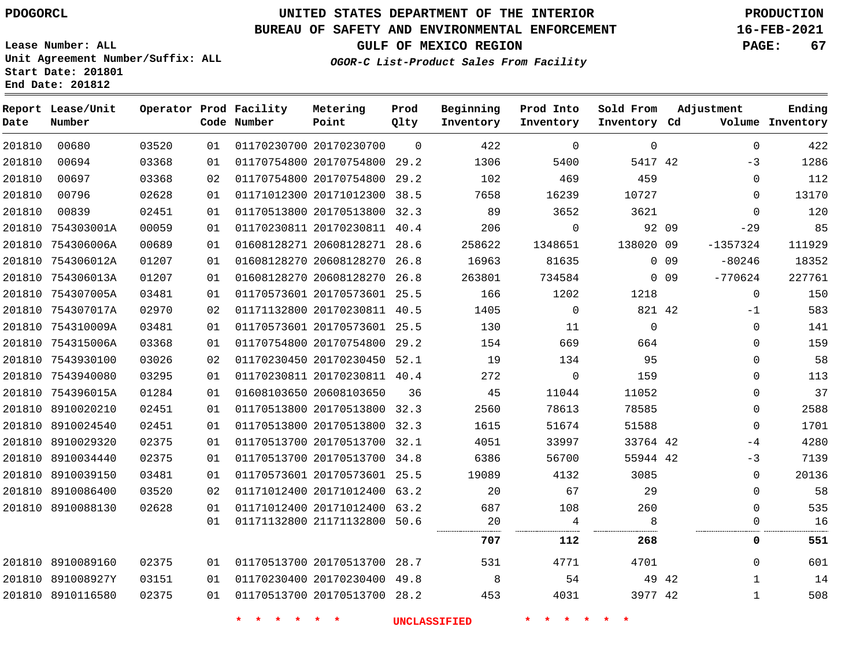**Lease Number: ALL**

**Start Date: 201801 End Date: 201812**

## **UNITED STATES DEPARTMENT OF THE INTERIOR PDOGORCL PRODUCTION**

#### **BUREAU OF SAFETY AND ENVIRONMENTAL ENFORCEMENT 16-FEB-2021**

**Unit Agreement Number/Suffix: ALL**

**GULF OF MEXICO REGION PAGE: 67**

**OGOR-C List-Product Sales From Facility**

| Date   | Report Lease/Unit<br>Number |       |    | Operator Prod Facility<br>Code Number | Metering<br>Point            | Prod<br>Qlty | Beginning<br>Inventory | Prod Into<br>Inventory | Sold From<br>Inventory Cd | Adjustment                   | Ending<br>Volume Inventory |
|--------|-----------------------------|-------|----|---------------------------------------|------------------------------|--------------|------------------------|------------------------|---------------------------|------------------------------|----------------------------|
| 201810 | 00680                       | 03520 | 01 |                                       | 01170230700 20170230700      | $\Omega$     | 422                    | $\mathbf 0$            | 0                         |                              | 422<br>$\mathbf 0$         |
| 201810 | 00694                       | 03368 | 01 |                                       | 01170754800 20170754800 29.2 |              | 1306                   | 5400                   | 5417 42                   |                              | 1286<br>$-3$               |
| 201810 | 00697                       | 03368 | 02 |                                       | 01170754800 20170754800 29.2 |              | 102                    | 469                    | 459                       |                              | 112<br>$\Omega$            |
| 201810 | 00796                       | 02628 | 01 |                                       | 01171012300 20171012300 38.5 |              | 7658                   | 16239                  | 10727                     |                              | 13170<br>$\Omega$          |
| 201810 | 00839                       | 02451 | 01 |                                       | 01170513800 20170513800 32.3 |              | 89                     | 3652                   | 3621                      |                              | 120<br>$\mathbf 0$         |
|        | 201810 754303001A           | 00059 | 01 |                                       | 01170230811 20170230811 40.4 |              | 206                    | $\mathbf{0}$           | 92 09                     | $-29$                        | 85                         |
|        | 201810 754306006A           | 00689 | 01 |                                       | 01608128271 20608128271 28.6 |              | 258622                 | 1348651                | 138020 09                 | $-1357324$                   | 111929                     |
|        | 201810 754306012A           | 01207 | 01 |                                       | 01608128270 20608128270 26.8 |              | 16963                  | 81635                  |                           | $0$ 09<br>$-80246$           | 18352                      |
|        | 201810 754306013A           | 01207 | 01 |                                       | 01608128270 20608128270 26.8 |              | 263801                 | 734584                 |                           | $-770624$<br>0 <sub>09</sub> | 227761                     |
|        | 201810 754307005A           | 03481 | 01 |                                       | 01170573601 20170573601 25.5 |              | 166                    | 1202                   | 1218                      |                              | 150<br>$\mathbf 0$         |
|        | 201810 754307017A           | 02970 | 02 |                                       | 01171132800 20170230811 40.5 |              | 1405                   | $\overline{0}$         | 821 42                    |                              | 583<br>$-1$                |
|        | 201810 754310009A           | 03481 | 01 |                                       | 01170573601 20170573601 25.5 |              | 130                    | 11                     | $\Omega$                  |                              | 0<br>141                   |
|        | 201810 754315006A           | 03368 | 01 |                                       | 01170754800 20170754800 29.2 |              | 154                    | 669                    | 664                       |                              | 159<br>0                   |
|        | 201810 7543930100           | 03026 | 02 |                                       | 01170230450 20170230450 52.1 |              | 19                     | 134                    | 95                        |                              | 58<br>$\Omega$             |
|        | 201810 7543940080           | 03295 | 01 |                                       | 01170230811 20170230811 40.4 |              | 272                    | $\overline{0}$         | 159                       |                              | 113<br>0                   |
|        | 201810 754396015A           | 01284 | 01 |                                       | 01608103650 20608103650      | 36           | 45                     | 11044                  | 11052                     |                              | 37<br>0                    |
|        | 201810 8910020210           | 02451 | 01 |                                       | 01170513800 20170513800 32.3 |              | 2560                   | 78613                  | 78585                     |                              | $\mathbf 0$<br>2588        |
|        | 201810 8910024540           | 02451 | 01 |                                       | 01170513800 20170513800 32.3 |              | 1615                   | 51674                  | 51588                     |                              | 1701<br>$\mathbf 0$        |
|        | 201810 8910029320           | 02375 | 01 |                                       | 01170513700 20170513700 32.1 |              | 4051                   | 33997                  | 33764 42                  |                              | 4280<br>$-4$               |
|        | 201810 8910034440           | 02375 | 01 |                                       | 01170513700 20170513700 34.8 |              | 6386                   | 56700                  | 55944 42                  |                              | 7139<br>$-3$               |
|        | 201810 8910039150           | 03481 | 01 |                                       | 01170573601 20170573601 25.5 |              | 19089                  | 4132                   | 3085                      |                              | 20136<br>$\mathbf 0$       |
|        | 201810 8910086400           | 03520 | 02 |                                       | 01171012400 20171012400 63.2 |              | 20                     | 67                     | 29                        |                              | 58<br>$\Omega$             |
|        | 201810 8910088130           | 02628 | 01 |                                       | 01171012400 20171012400 63.2 |              | 687                    | 108                    | 260                       |                              | 535<br>$\mathbf 0$         |
|        |                             |       | 01 |                                       | 01171132800 21171132800 50.6 |              | 20                     | $\overline{4}$         | 8                         |                              | 16<br>0                    |
|        |                             |       |    |                                       |                              |              | 707                    | 112                    | 268                       |                              | 551<br>0                   |
|        | 201810 8910089160           | 02375 | 01 | 01170513700 20170513700 28.7          |                              |              | 531                    | 4771                   | 4701                      |                              | 601<br>$\mathbf 0$         |
|        | 201810 891008927Y           | 03151 | 01 |                                       | 01170230400 20170230400 49.8 |              | 8                      | 54                     | 49 42                     |                              | 14<br>$\mathbf{1}$         |
|        | 201810 8910116580           | 02375 | 01 |                                       | 01170513700 20170513700 28.2 |              | 453                    | 4031                   | 3977 42                   |                              | 508<br>$\mathbf{1}$        |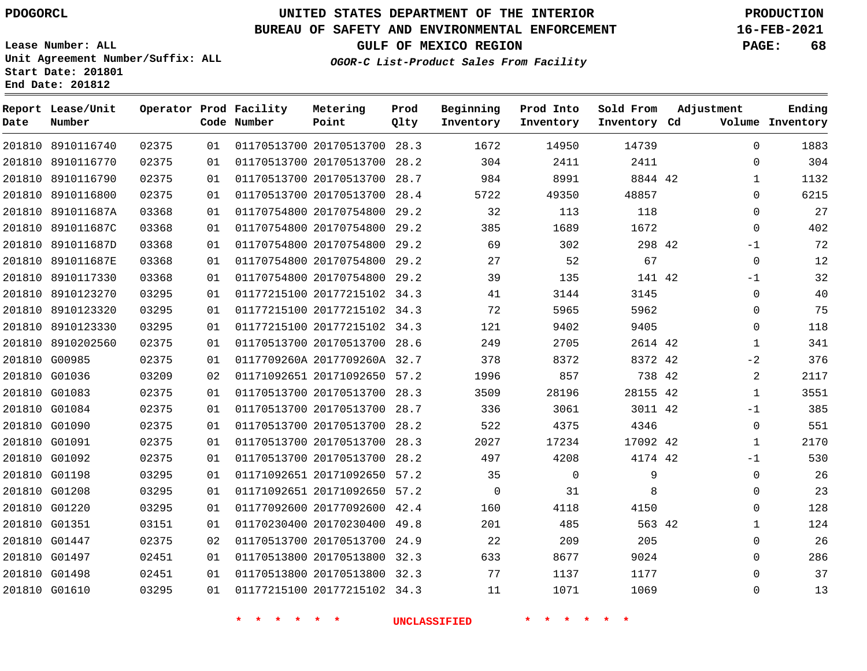**Report Lease/Unit**

**Number**

## **UNITED STATES DEPARTMENT OF THE INTERIOR PDOGORCL PRODUCTION**

**Prod Qlty**

#### **BUREAU OF SAFETY AND ENVIRONMENTAL ENFORCEMENT 16-FEB-2021**

**Lease Number: ALL Unit Agreement Number/Suffix: ALL Start Date: 201801 End Date: 201812**

**Operator Prod Facility**

**Code Number**

**Metering Point**

**OGOR-C List-Product Sales From Facility**

**Beginning Inventory** **Prod Into Inventory** **Sold From Inventory**

**GULF OF MEXICO REGION PAGE: 68**

**Inventory Cd Volume**

**Adjustment**

  $\Omega$   $\Omega$  $\Omega$  $\Omega$ -1  $\Omega$  $-1$  $\Omega$  $\Omega$  $\Omega$   $-2$  -1  $\Omega$   $-1$   $\Omega$  $\Omega$   $\Omega$ 

**Ending**

|        | 201810 8910116740 | 02375 | 01 | 01170513700 20170513700 28.3 | 1672           | 14950       | 14739    |  |
|--------|-------------------|-------|----|------------------------------|----------------|-------------|----------|--|
| 201810 | 8910116770        | 02375 | 01 | 01170513700 20170513700 28.2 | 304            | 2411        | 2411     |  |
|        | 201810 8910116790 | 02375 | 01 | 01170513700 20170513700 28.7 | 984            | 8991        | 8844 42  |  |
| 201810 | 8910116800        | 02375 | 01 | 01170513700 20170513700 28.4 | 5722           | 49350       | 48857    |  |
| 201810 | 891011687A        | 03368 | 01 | 01170754800 20170754800 29.2 | 32             | 113         | 118      |  |
| 201810 | 891011687C        | 03368 | 01 | 01170754800 20170754800 29.2 | 385            | 1689        | 1672     |  |
| 201810 | 891011687D        | 03368 | 01 | 01170754800 20170754800 29.2 | 69             | 302         | 298 42   |  |
| 201810 | 891011687E        | 03368 | 01 | 01170754800 20170754800 29.2 | 27             | 52          | 67       |  |
| 201810 | 8910117330        | 03368 | 01 | 01170754800 20170754800 29.2 | 39             | 135         | 141 42   |  |
|        | 201810 8910123270 | 03295 | 01 | 01177215100 20177215102 34.3 | 41             | 3144        | 3145     |  |
| 201810 | 8910123320        | 03295 | 01 | 01177215100 20177215102 34.3 | 72             | 5965        | 5962     |  |
| 201810 | 8910123330        | 03295 | 01 | 01177215100 20177215102 34.3 | 121            | 9402        | 9405     |  |
|        | 201810 8910202560 | 02375 | 01 | 01170513700 20170513700 28.6 | 249            | 2705        | 2614 42  |  |
|        | 201810 G00985     | 02375 | 01 | 0117709260A 2017709260A 32.7 | 378            | 8372        | 8372 42  |  |
|        | 201810 G01036     | 03209 | 02 | 01171092651 20171092650 57.2 | 1996           | 857         | 738 42   |  |
|        | 201810 G01083     | 02375 | 01 | 01170513700 20170513700 28.3 | 3509           | 28196       | 28155 42 |  |
|        | 201810 G01084     | 02375 | 01 | 01170513700 20170513700 28.7 | 336            | 3061        | 3011 42  |  |
|        | 201810 G01090     | 02375 | 01 | 01170513700 20170513700 28.2 | 522            | 4375        | 4346     |  |
|        | 201810 G01091     | 02375 | 01 | 01170513700 20170513700 28.3 | 2027           | 17234       | 17092 42 |  |
|        | 201810 G01092     | 02375 | 01 | 01170513700 20170513700 28.2 | 497            | 4208        | 4174 42  |  |
|        | 201810 G01198     | 03295 | 01 | 01171092651 20171092650 57.2 | 35             | $\mathbf 0$ | 9        |  |
|        | 201810 G01208     | 03295 | 01 | 01171092651 20171092650 57.2 | $\overline{0}$ | 31          | 8        |  |
|        | 201810 G01220     | 03295 | 01 | 01177092600 20177092600 42.4 | 160            | 4118        | 4150     |  |
|        | 201810 G01351     | 03151 | 01 | 01170230400 20170230400 49.8 | 201            | 485         | 563 42   |  |
|        | 201810 G01447     | 02375 | 02 | 01170513700 20170513700 24.9 | 22             | 209         | 205      |  |
|        | 201810 G01497     | 02451 | 01 | 01170513800 20170513800 32.3 | 633            | 8677        | 9024     |  |
|        | 201810 G01498     | 02451 | 01 | 01170513800 20170513800 32.3 | 77             | 1137        | 1177     |  |
|        | 201810 G01610     | 03295 | 01 | 01177215100 20177215102 34.3 | 11             | 1071        | 1069     |  |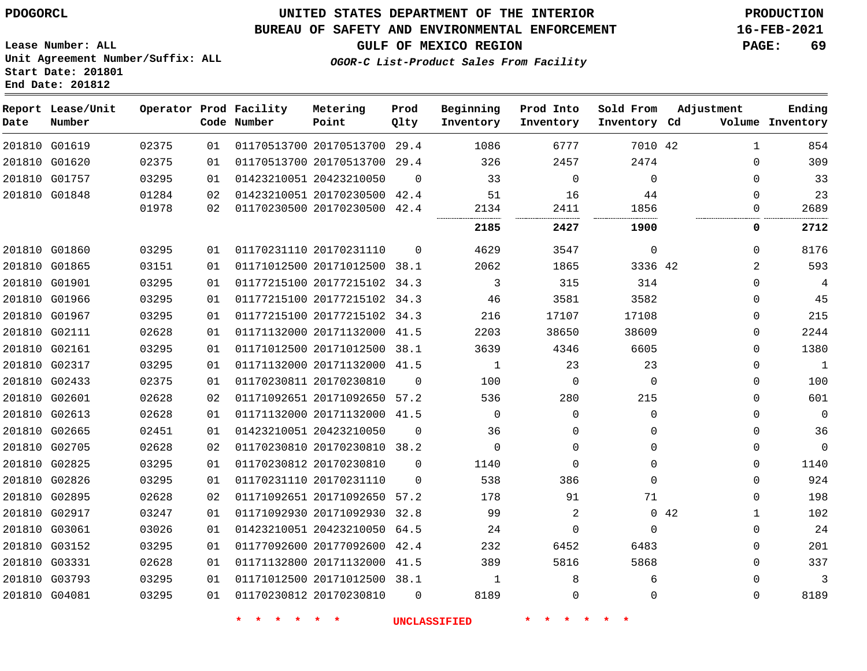**Start Date: 201801 End Date: 201812**

## **UNITED STATES DEPARTMENT OF THE INTERIOR PDOGORCL PRODUCTION**

#### **BUREAU OF SAFETY AND ENVIRONMENTAL ENFORCEMENT 16-FEB-2021**

**Lease Number: ALL Unit Agreement Number/Suffix: ALL**

**GULF OF MEXICO REGION PAGE: 69**

**OGOR-C List-Product Sales From Facility**

| Date | Report Lease/Unit<br>Number |       |    | Operator Prod Facility<br>Code Number | Metering<br>Point            | Prod<br>Qlty | Beginning<br>Inventory | Prod Into<br>Inventory | Sold From<br>Inventory Cd | Adjustment | Ending<br>Volume Inventory |
|------|-----------------------------|-------|----|---------------------------------------|------------------------------|--------------|------------------------|------------------------|---------------------------|------------|----------------------------|
|      | 201810 G01619               | 02375 | 01 |                                       | 01170513700 20170513700 29.4 |              | 1086                   | 6777                   | 7010 42                   |            | 854<br>$\mathbf{1}$        |
|      | 201810 G01620               | 02375 | 01 |                                       | 01170513700 20170513700 29.4 |              | 326                    | 2457                   | 2474                      |            | 309<br>$\Omega$            |
|      | 201810 G01757               | 03295 | 01 |                                       | 01423210051 20423210050      | $\Omega$     | 33                     | $\Omega$               | $\mathbf 0$               |            | 33<br>$\mathbf 0$          |
|      | 201810 G01848               | 01284 | 02 |                                       | 01423210051 20170230500 42.4 |              | 51                     | 16                     | 44                        |            | 23<br>$\mathbf 0$          |
|      |                             | 01978 | 02 |                                       | 01170230500 20170230500 42.4 |              | 2134                   | 2411<br>               | 1856                      |            | 2689<br>$\Omega$           |
|      |                             |       |    |                                       |                              |              | 2185                   | 2427                   | 1900                      |            | 0<br>2712                  |
|      | 201810 G01860               | 03295 | 01 |                                       | 01170231110 20170231110      | $\Omega$     | 4629                   | 3547                   | $\mathbf 0$               |            | 8176<br>$\Omega$           |
|      | 201810 G01865               | 03151 | 01 |                                       | 01171012500 20171012500 38.1 |              | 2062                   | 1865                   | 3336 42                   |            | 593<br>2                   |
|      | 201810 G01901               | 03295 | 01 |                                       | 01177215100 20177215102 34.3 |              | 3                      | 315                    | 314                       |            | $\Omega$<br>4              |
|      | 201810 G01966               | 03295 | 01 |                                       | 01177215100 20177215102 34.3 |              | 46                     | 3581                   | 3582                      |            | 45<br>$\Omega$             |
|      | 201810 G01967               | 03295 | 01 |                                       | 01177215100 20177215102 34.3 |              | 216                    | 17107                  | 17108                     |            | 215<br>0                   |
|      | 201810 G02111               | 02628 | 01 |                                       | 01171132000 20171132000 41.5 |              | 2203                   | 38650                  | 38609                     |            | 2244<br>0                  |
|      | 201810 G02161               | 03295 | 01 |                                       | 01171012500 20171012500 38.1 |              | 3639                   | 4346                   | 6605                      |            | 1380<br>$\mathbf 0$        |
|      | 201810 G02317               | 03295 | 01 |                                       | 01171132000 20171132000 41.5 |              | 1                      | 23                     | 23                        |            | $\mathbf{1}$<br>$\Omega$   |
|      | 201810 G02433               | 02375 | 01 |                                       | 01170230811 20170230810      | $\Omega$     | 100                    | 0                      | $\Omega$                  |            | 100<br>$\mathbf 0$         |
|      | 201810 G02601               | 02628 | 02 |                                       | 01171092651 20171092650 57.2 |              | 536                    | 280                    | 215                       |            | 601<br>$\Omega$            |
|      | 201810 G02613               | 02628 | 01 |                                       | 01171132000 20171132000 41.5 |              | $\Omega$               | $\Omega$               | $\Omega$                  |            | $\Omega$<br>$\Omega$       |
|      | 201810 G02665               | 02451 | 01 |                                       | 01423210051 20423210050      | $\Omega$     | 36                     | 0                      | 0                         |            | 36<br>0                    |
|      | 201810 G02705               | 02628 | 02 |                                       | 01170230810 20170230810 38.2 |              | $\Omega$               | $\Omega$               | $\Omega$                  |            | $\Omega$<br>$\mathbf 0$    |
|      | 201810 G02825               | 03295 | 01 |                                       | 01170230812 20170230810      | $\Omega$     | 1140                   | $\Omega$               | $\Omega$                  |            | 1140<br>$\mathbf 0$        |
|      | 201810 G02826               | 03295 | 01 |                                       | 01170231110 20170231110      | $\Omega$     | 538                    | 386                    | $\Omega$                  |            | 924<br>$\Omega$            |
|      | 201810 G02895               | 02628 | 02 |                                       | 01171092651 20171092650 57.2 |              | 178                    | 91                     | 71                        |            | 198<br>$\mathbf 0$         |
|      | 201810 G02917               | 03247 | 01 |                                       | 01171092930 20171092930 32.8 |              | 99                     | 2                      |                           | 0.42       | 102<br>$\mathbf 1$         |
|      | 201810 G03061               | 03026 | 01 |                                       | 01423210051 20423210050 64.5 |              | 24                     | $\Omega$               | $\Omega$                  |            | 24<br>$\mathbf 0$          |
|      | 201810 G03152               | 03295 | 01 |                                       | 01177092600 20177092600      | 42.4         | 232                    | 6452                   | 6483                      |            | 201<br>0                   |
|      | 201810 G03331               | 02628 | 01 |                                       | 01171132800 20171132000 41.5 |              | 389                    | 5816                   | 5868                      |            | 337<br>$\Omega$            |
|      | 201810 G03793               | 03295 | 01 |                                       | 01171012500 20171012500 38.1 |              | 1                      | 8                      | 6                         |            | $\Omega$<br>3              |
|      | 201810 G04081               | 03295 | 01 |                                       | 01170230812 20170230810      | $\Omega$     | 8189                   | 0                      | $\Omega$                  |            | 8189<br>$\Omega$           |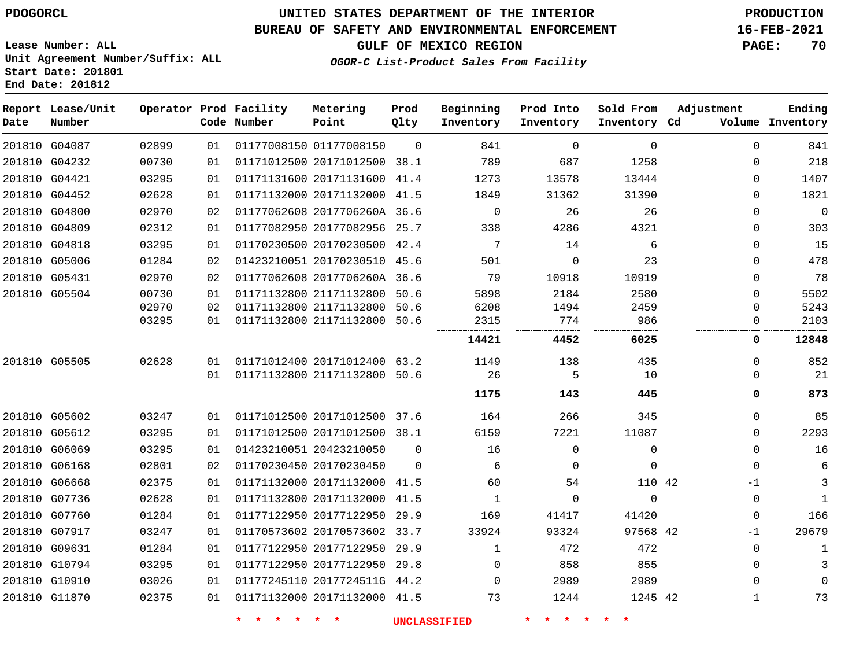#### **BUREAU OF SAFETY AND ENVIRONMENTAL ENFORCEMENT 16-FEB-2021**

**Lease Number: ALL Unit Agreement Number/Suffix: ALL Start Date: 201801 End Date: 201812**

# **GULF OF MEXICO REGION PAGE: 70**

**OGOR-C List-Product Sales From Facility**

| Date | Report Lease/Unit<br>Number |       |    | Operator Prod Facility<br>Code Number | Metering<br>Point            | Prod<br>Qlty | Beginning<br>Inventory | Prod Into<br>Inventory | Sold From<br>Inventory Cd | Adjustment   | Ending<br>Volume Inventory |
|------|-----------------------------|-------|----|---------------------------------------|------------------------------|--------------|------------------------|------------------------|---------------------------|--------------|----------------------------|
|      | 201810 G04087               | 02899 | 01 |                                       | 01177008150 01177008150      | $\Omega$     | 841                    | $\mathbf 0$            | $\mathbf 0$               | $\mathbf 0$  | 841                        |
|      | 201810 G04232               | 00730 | 01 |                                       | 01171012500 20171012500 38.1 |              | 789                    | 687                    | 1258                      | $\Omega$     | 218                        |
|      | 201810 G04421               | 03295 | 01 |                                       | 01171131600 20171131600      | 41.4         | 1273                   | 13578                  | 13444                     | 0            | 1407                       |
|      | 201810 G04452               | 02628 | 01 |                                       | 01171132000 20171132000 41.5 |              | 1849                   | 31362                  | 31390                     | $\Omega$     | 1821                       |
|      | 201810 G04800               | 02970 | 02 |                                       | 01177062608 2017706260A 36.6 |              | $\mathbf 0$            | 26                     | 26                        | $\Omega$     | $\mathbf 0$                |
|      | 201810 G04809               | 02312 | 01 |                                       | 01177082950 20177082956 25.7 |              | 338                    | 4286                   | 4321                      | $\mathbf 0$  | 303                        |
|      | 201810 G04818               | 03295 | 01 |                                       | 01170230500 20170230500 42.4 |              | 7                      | 14                     | 6                         | $\Omega$     | 15                         |
|      | 201810 G05006               | 01284 | 02 |                                       | 01423210051 20170230510      | 45.6         | 501                    | $\Omega$               | 23                        | $\mathbf 0$  | 478                        |
|      | 201810 G05431               | 02970 | 02 |                                       | 01177062608 2017706260A 36.6 |              | 79                     | 10918                  | 10919                     | 0            | 78                         |
|      | 201810 G05504               | 00730 | 01 |                                       | 01171132800 21171132800 50.6 |              | 5898                   | 2184                   | 2580                      | $\Omega$     | 5502                       |
|      |                             | 02970 | 02 |                                       | 01171132800 21171132800 50.6 |              | 6208                   | 1494                   | 2459                      | $\mathbf 0$  | 5243                       |
|      |                             | 03295 | 01 |                                       | 01171132800 21171132800 50.6 |              | 2315                   | 774                    | 986                       | 0            | 2103                       |
|      |                             |       |    |                                       |                              |              | 14421                  | 4452                   | 6025                      | 0            | 12848                      |
|      | 201810 G05505               | 02628 | 01 |                                       | 01171012400 20171012400 63.2 |              | 1149                   | 138                    | 435                       | $\mathbf 0$  | 852                        |
|      |                             |       | 01 |                                       | 01171132800 21171132800 50.6 |              | 26                     | 5                      | 10                        | $\Omega$     | 21                         |
|      |                             |       |    |                                       |                              |              | 1175                   | 143                    | 445                       | 0            | 873                        |
|      | 201810 G05602               | 03247 | 01 |                                       | 01171012500 20171012500 37.6 |              | 164                    | 266                    | 345                       | $\Omega$     | 85                         |
|      | 201810 G05612               | 03295 | 01 |                                       | 01171012500 20171012500 38.1 |              | 6159                   | 7221                   | 11087                     | $\Omega$     | 2293                       |
|      | 201810 G06069               | 03295 | 01 |                                       | 01423210051 20423210050      | $\Omega$     | 16                     | $\mathbf 0$            | $\mathbf 0$               | $\mathbf 0$  | 16                         |
|      | 201810 G06168               | 02801 | 02 |                                       | 01170230450 20170230450      | $\Omega$     | 6                      | $\Omega$               | $\Omega$                  | $\Omega$     | 6                          |
|      | 201810 G06668               | 02375 | 01 |                                       | 01171132000 20171132000 41.5 |              | 60                     | 54                     | 110 42                    | $-1$         | 3                          |
|      | 201810 G07736               | 02628 | 01 |                                       | 01171132800 20171132000 41.5 |              | $\mathbf{1}$           | $\Omega$               | $\mathbf 0$               | $\mathbf 0$  | $\mathbf{1}$               |
|      | 201810 G07760               | 01284 | 01 |                                       | 01177122950 20177122950 29.9 |              | 169                    | 41417                  | 41420                     | $\mathbf 0$  | 166                        |
|      | 201810 G07917               | 03247 | 01 |                                       | 01170573602 20170573602 33.7 |              | 33924                  | 93324                  | 97568 42                  | $-1$         | 29679                      |
|      | 201810 G09631               | 01284 | 01 |                                       | 01177122950 20177122950 29.9 |              | 1                      | 472                    | 472                       | $\mathbf 0$  | 1                          |
|      | 201810 G10794               | 03295 | 01 |                                       | 01177122950 20177122950      | 29.8         | $\mathbf 0$            | 858                    | 855                       | $\mathbf 0$  | 3                          |
|      | 201810 G10910               | 03026 | 01 |                                       | 01177245110 2017724511G 44.2 |              | $\Omega$               | 2989                   | 2989                      | $\Omega$     | $\Omega$                   |
|      | 201810 G11870               | 02375 | 01 |                                       | 01171132000 20171132000 41.5 |              | 73                     | 1244                   | 1245 42                   | $\mathbf{1}$ | 73                         |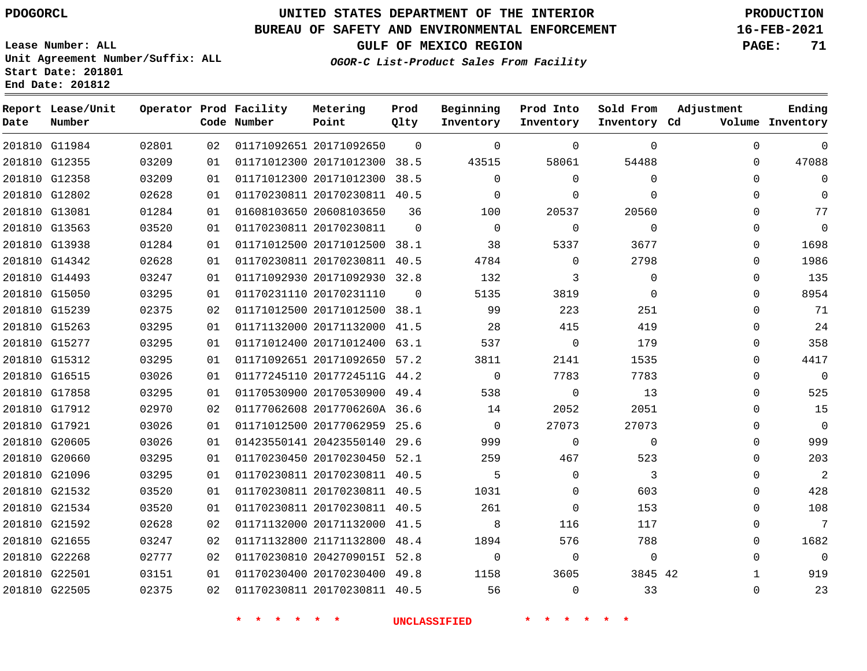#### **BUREAU OF SAFETY AND ENVIRONMENTAL ENFORCEMENT 16-FEB-2021**

**Lease Number: ALL Unit Agreement Number/Suffix: ALL Start Date: 201801 End Date: 201812**

## **OGOR-C List-Product Sales From Facility**

**GULF OF MEXICO REGION PAGE: 71**

| Date | Report Lease/Unit<br>Number |       |    | Operator Prod Facility<br>Code Number | Metering<br>Point            | Prod<br>Qlty | Beginning<br>Inventory | Prod Into<br>Inventory | Sold From<br>Inventory Cd | Adjustment  | Ending<br>Volume Inventory |
|------|-----------------------------|-------|----|---------------------------------------|------------------------------|--------------|------------------------|------------------------|---------------------------|-------------|----------------------------|
|      | 201810 G11984               | 02801 | 02 |                                       | 01171092651 20171092650      | $\Omega$     | $\mathbf 0$            | $\Omega$               | $\Omega$                  | $\mathbf 0$ | $\mathbf 0$                |
|      | 201810 G12355               | 03209 | 01 |                                       | 01171012300 20171012300 38.5 |              | 43515                  | 58061                  | 54488                     | $\Omega$    | 47088                      |
|      | 201810 G12358               | 03209 | 01 |                                       | 01171012300 20171012300 38.5 |              | $\mathbf 0$            | $\Omega$               | $\mathbf 0$               | 0           | $\mathbf 0$                |
|      | 201810 G12802               | 02628 | 01 |                                       | 01170230811 20170230811 40.5 |              | $\Omega$               | $\Omega$               | $\Omega$                  | $\Omega$    | $\Omega$                   |
|      | 201810 G13081               | 01284 | 01 |                                       | 01608103650 20608103650      | 36           | 100                    | 20537                  | 20560                     | 0           | 77                         |
|      | 201810 G13563               | 03520 | 01 |                                       | 01170230811 20170230811      | $\Omega$     | $\Omega$               | $\Omega$               | $\Omega$                  | 0           | $\mathbf 0$                |
|      | 201810 G13938               | 01284 | 01 |                                       | 01171012500 20171012500 38.1 |              | 38                     | 5337                   | 3677                      | 0           | 1698                       |
|      | 201810 G14342               | 02628 | 01 |                                       | 01170230811 20170230811 40.5 |              | 4784                   | $\Omega$               | 2798                      | $\Omega$    | 1986                       |
|      | 201810 G14493               | 03247 | 01 |                                       | 01171092930 20171092930 32.8 |              | 132                    | 3                      | $\mathbf 0$               | 0           | 135                        |
|      | 201810 G15050               | 03295 | 01 |                                       | 01170231110 20170231110      | $\Omega$     | 5135                   | 3819                   | $\Omega$                  | 0           | 8954                       |
|      | 201810 G15239               | 02375 | 02 |                                       | 01171012500 20171012500 38.1 |              | 99                     | 223                    | 251                       | 0           | 71                         |
|      | 201810 G15263               | 03295 | 01 |                                       | 01171132000 20171132000 41.5 |              | 28                     | 415                    | 419                       | $\Omega$    | 24                         |
|      | 201810 G15277               | 03295 | 01 |                                       | 01171012400 20171012400 63.1 |              | 537                    | $\mathbf 0$            | 179                       | 0           | 358                        |
|      | 201810 G15312               | 03295 | 01 |                                       | 01171092651 20171092650 57.2 |              | 3811                   | 2141                   | 1535                      | 0           | 4417                       |
|      | 201810 G16515               | 03026 | 01 |                                       | 01177245110 2017724511G 44.2 |              | $\Omega$               | 7783                   | 7783                      | $\Omega$    | $\overline{0}$             |
|      | 201810 G17858               | 03295 | 01 |                                       | 01170530900 20170530900 49.4 |              | 538                    | $\mathbf 0$            | 13                        | $\Omega$    | 525                        |
|      | 201810 G17912               | 02970 | 02 |                                       | 01177062608 2017706260A 36.6 |              | 14                     | 2052                   | 2051                      | 0           | 15                         |
|      | 201810 G17921               | 03026 | 01 |                                       | 01171012500 20177062959 25.6 |              | $\overline{0}$         | 27073                  | 27073                     | 0           | $\overline{0}$             |
|      | 201810 G20605               | 03026 | 01 |                                       | 01423550141 20423550140      | 29.6         | 999                    | $\Omega$               | $\Omega$                  | $\Omega$    | 999                        |
|      | 201810 G20660               | 03295 | 01 |                                       | 01170230450 20170230450 52.1 |              | 259                    | 467                    | 523                       | 0           | 203                        |
|      | 201810 G21096               | 03295 | 01 |                                       | 01170230811 20170230811 40.5 |              | 5                      | $\Omega$               | 3                         | 0           | $\overline{2}$             |
|      | 201810 G21532               | 03520 | 01 |                                       | 01170230811 20170230811 40.5 |              | 1031                   | $\mathbf 0$            | 603                       | 0           | 428                        |
|      | 201810 G21534               | 03520 | 01 |                                       | 01170230811 20170230811 40.5 |              | 261                    | $\Omega$               | 153                       | 0           | 108                        |
|      | 201810 G21592               | 02628 | 02 |                                       | 01171132000 20171132000 41.5 |              | 8                      | 116                    | 117                       | 0           | $7\phantom{.0}$            |
|      | 201810 G21655               | 03247 | 02 |                                       | 01171132800 21171132800 48.4 |              | 1894                   | 576                    | 788                       | 0           | 1682                       |
|      | 201810 G22268               | 02777 | 02 |                                       | 01170230810 2042709015I 52.8 |              | $\Omega$               | 0                      | $\mathbf 0$               | $\Omega$    | $\overline{0}$             |
|      | 201810 G22501               | 03151 | 01 |                                       | 01170230400 20170230400 49.8 |              | 1158                   | 3605                   | 3845 42                   | 1           | 919                        |
|      | 201810 G22505               | 02375 | 02 |                                       | 01170230811 20170230811 40.5 |              | 56                     | $\Omega$               | 33                        | $\Omega$    | 23                         |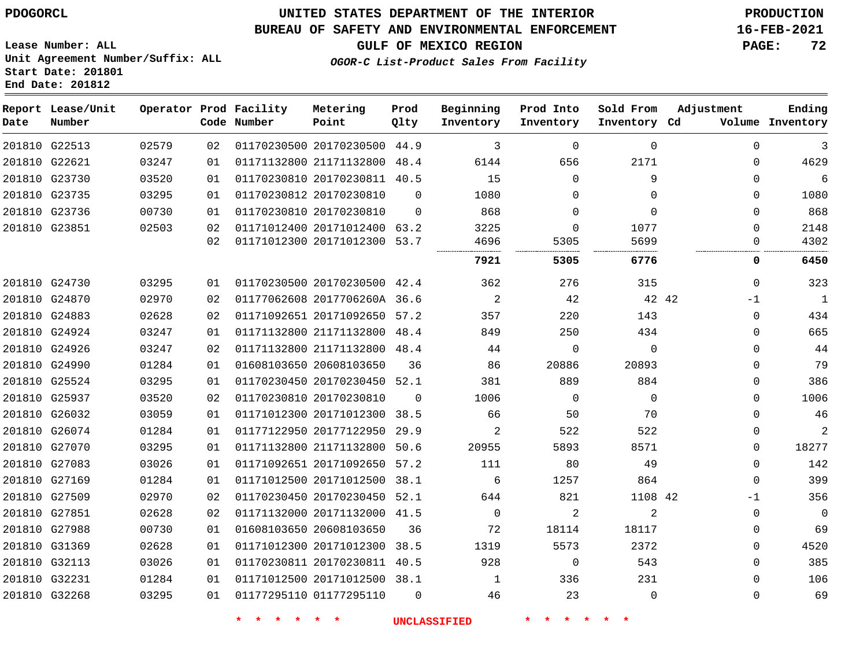**End Date: 201812**

## **UNITED STATES DEPARTMENT OF THE INTERIOR PDOGORCL PRODUCTION**

#### **BUREAU OF SAFETY AND ENVIRONMENTAL ENFORCEMENT 16-FEB-2021**

**Lease Number: ALL Unit Agreement Number/Suffix: ALL Start Date: 201801**

**GULF OF MEXICO REGION PAGE: 72**

**OGOR-C List-Product Sales From Facility**

| Date | Report Lease/Unit<br>Number |       |    | Operator Prod Facility<br>Code Number | Metering<br>Point            | Prod<br>Qlty | Beginning<br>Inventory | Prod Into<br>Inventory | Sold From<br>Inventory Cd | Adjustment |              | Ending<br>Volume Inventory |
|------|-----------------------------|-------|----|---------------------------------------|------------------------------|--------------|------------------------|------------------------|---------------------------|------------|--------------|----------------------------|
|      | 201810 G22513               | 02579 | 02 |                                       | 01170230500 20170230500 44.9 |              | 3                      | $\Omega$               | $\Omega$                  |            | $\Omega$     | 3                          |
|      | 201810 G22621               | 03247 | 01 |                                       | 01171132800 21171132800 48.4 |              | 6144                   | 656                    | 2171                      |            | $\Omega$     | 4629                       |
|      | 201810 G23730               | 03520 | 01 |                                       | 01170230810 20170230811 40.5 |              | 15                     | $\mathbf 0$            | 9                         |            | $\mathbf{0}$ | 6                          |
|      | 201810 G23735               | 03295 | 01 |                                       | 01170230812 20170230810      | $\Omega$     | 1080                   | $\Omega$               | $\Omega$                  |            | $\Omega$     | 1080                       |
|      | 201810 G23736               | 00730 | 01 |                                       | 01170230810 20170230810      | $\Omega$     | 868                    | $\Omega$               | $\Omega$                  |            | $\Omega$     | 868                        |
|      | 201810 G23851               | 02503 | 02 |                                       | 01171012400 20171012400 63.2 |              | 3225                   | $\Omega$               | 1077                      |            | $\Omega$     | 2148                       |
|      |                             |       | 02 |                                       | 01171012300 20171012300 53.7 |              | 4696<br>.              | 5305<br>               | 5699                      |            | $\Omega$     | 4302                       |
|      |                             |       |    |                                       |                              |              | 7921                   | 5305                   | 6776                      |            | 0            | 6450                       |
|      | 201810 G24730               | 03295 | 01 |                                       | 01170230500 20170230500 42.4 |              | 362                    | 276                    | 315                       |            | $\Omega$     | 323                        |
|      | 201810 G24870               | 02970 | 02 |                                       | 01177062608 2017706260A 36.6 |              | 2                      | 42                     |                           | 42 42      | $-1$         | $\mathbf{1}$               |
|      | 201810 G24883               | 02628 | 02 |                                       | 01171092651 20171092650 57.2 |              | 357                    | 220                    | 143                       |            | $\mathbf 0$  | 434                        |
|      | 201810 G24924               | 03247 | 01 |                                       | 01171132800 21171132800 48.4 |              | 849                    | 250                    | 434                       |            | $\mathbf 0$  | 665                        |
|      | 201810 G24926               | 03247 | 02 |                                       | 01171132800 21171132800 48.4 |              | 44                     | $\Omega$               | $\Omega$                  |            | $\Omega$     | 44                         |
|      | 201810 G24990               | 01284 | 01 |                                       | 01608103650 20608103650      | 36           | 86                     | 20886                  | 20893                     |            | 0            | 79                         |
|      | 201810 G25524               | 03295 | 01 |                                       | 01170230450 20170230450 52.1 |              | 381                    | 889                    | 884                       |            | $\mathbf{0}$ | 386                        |
|      | 201810 G25937               | 03520 | 02 |                                       | 01170230810 20170230810      | $\Omega$     | 1006                   | $\mathbf 0$            | $\mathbf{0}$              |            | $\Omega$     | 1006                       |
|      | 201810 G26032               | 03059 | 01 |                                       | 01171012300 20171012300 38.5 |              | 66                     | 50                     | 70                        |            | $\Omega$     | 46                         |
|      | 201810 G26074               | 01284 | 01 |                                       | 01177122950 20177122950 29.9 |              | $\overline{a}$         | 522                    | 522                       |            | 0            | 2                          |
|      | 201810 G27070               | 03295 | 01 |                                       | 01171132800 21171132800 50.6 |              | 20955                  | 5893                   | 8571                      |            | $\Omega$     | 18277                      |
|      | 201810 G27083               | 03026 | 01 |                                       | 01171092651 20171092650      | 57.2         | 111                    | 80                     | 49                        |            | $\Omega$     | 142                        |
|      | 201810 G27169               | 01284 | 01 |                                       | 01171012500 20171012500 38.1 |              | 6                      | 1257                   | 864                       |            | $\Omega$     | 399                        |
|      | 201810 G27509               | 02970 | 02 |                                       | 01170230450 20170230450 52.1 |              | 644                    | 821                    | 1108 42                   |            | -1           | 356                        |
|      | 201810 G27851               | 02628 | 02 |                                       | 01171132000 20171132000 41.5 |              | $\mathbf 0$            | 2                      | $\overline{2}$            |            | $\mathbf 0$  | $\mathbf 0$                |
|      | 201810 G27988               | 00730 | 01 |                                       | 01608103650 20608103650      | 36           | 72                     | 18114                  | 18117                     |            | 0            | 69                         |
|      | 201810 G31369               | 02628 | 01 |                                       | 01171012300 20171012300 38.5 |              | 1319                   | 5573                   | 2372                      |            | $\mathbf 0$  | 4520                       |
|      | 201810 G32113               | 03026 | 01 |                                       | 01170230811 20170230811 40.5 |              | 928                    | $\Omega$               | 543                       |            | $\Omega$     | 385                        |
|      | 201810 G32231               | 01284 | 01 |                                       | 01171012500 20171012500 38.1 |              | $\mathbf{1}$           | 336                    | 231                       |            | $\Omega$     | 106                        |
|      | 201810 G32268               | 03295 | 01 |                                       | 01177295110 01177295110      | $\Omega$     | 46                     | 23                     | $\Omega$                  |            | $\Omega$     | 69                         |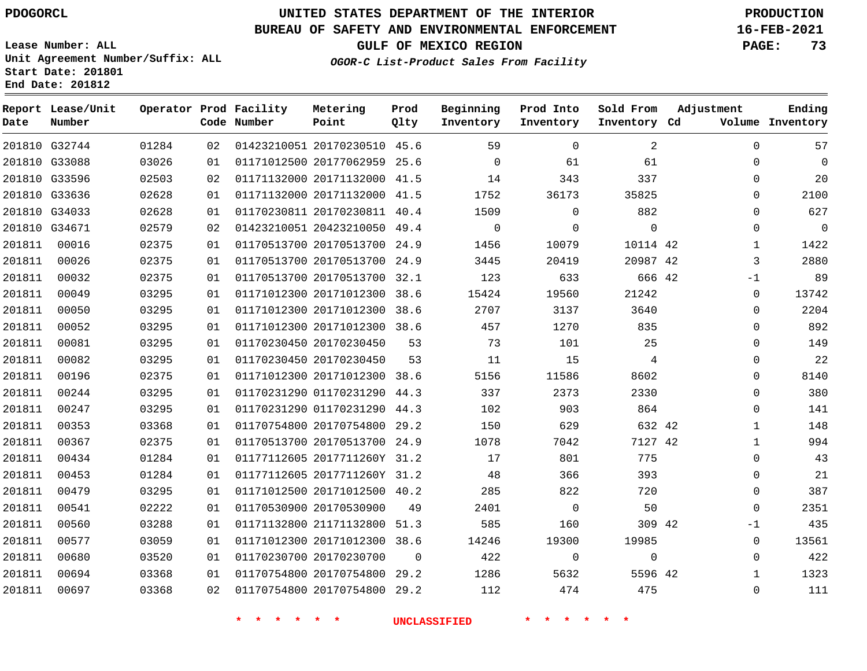G32744

**Number**

**Date**

# **UNITED STATES DEPARTMENT OF THE INTERIOR PDOGORCL PRODUCTION**

**Prod Qlty**

#### **BUREAU OF SAFETY AND ENVIRONMENTAL ENFORCEMENT 16-FEB-2021**

**Lease Number: ALL Unit Agreement Number/Suffix: ALL Start Date: 201801** End Date:

**OGOR-C List-Product Sales From Facility**

**Inventory**

**Beginning Prod Into**

**Inventory**

**Sold From Adjustment**

**Inventory**

**GULF OF MEXICO REGION PAGE: 73**

**Inventory Cd Volume**

**Ending**

| Stalt Date: 201001<br>End Date: 201812 |                        |          |
|----------------------------------------|------------------------|----------|
| Report Lease/Unit                      | Operator Prod Facility | Metering |

**Code Number**

|        | 201810 G33088 | 03026 | 01 | 01171012500 20177062959 25.6 |          | $\Omega$       | 61             | 61          | $\Omega$     | $\mathbf 0$    |
|--------|---------------|-------|----|------------------------------|----------|----------------|----------------|-------------|--------------|----------------|
|        | 201810 G33596 | 02503 | 02 | 01171132000 20171132000 41.5 |          | 14             | 343            | 337         | 0            | 20             |
|        | 201810 G33636 | 02628 | 01 | 01171132000 20171132000 41.5 |          | 1752           | 36173          | 35825       | 0            | 2100           |
|        | 201810 G34033 | 02628 | 01 | 01170230811 20170230811 40.4 |          | 1509           | $\Omega$       | 882         | $\mathbf 0$  | 627            |
|        | 201810 G34671 | 02579 | 02 | 01423210051 20423210050 49.4 |          | $\overline{0}$ | 0              | $\mathbf 0$ | $\Omega$     | $\overline{0}$ |
| 201811 | 00016         | 02375 | 01 | 01170513700 20170513700 24.9 |          | 1456           | 10079          | 10114 42    | $\mathbf{1}$ | 1422           |
| 201811 | 00026         | 02375 | 01 | 01170513700 20170513700 24.9 |          | 3445           | 20419          | 20987 42    | 3            | 2880           |
| 201811 | 00032         | 02375 | 01 | 01170513700 20170513700 32.1 |          | 123            | 633            | 666 42      | $-1$         | 89             |
| 201811 | 00049         | 03295 | 01 | 01171012300 20171012300 38.6 |          | 15424          | 19560          | 21242       | $\mathbf{0}$ | 13742          |
| 201811 | 00050         | 03295 | 01 | 01171012300 20171012300 38.6 |          | 2707           | 3137           | 3640        | $\Omega$     | 2204           |
| 201811 | 00052         | 03295 | 01 | 01171012300 20171012300 38.6 |          | 457            | 1270           | 835         | 0            | 892            |
| 201811 | 00081         | 03295 | 01 | 01170230450 20170230450      | 53       | 73             | 101            | 25          | $\Omega$     | 149            |
| 201811 | 00082         | 03295 | 01 | 01170230450 20170230450      | 53       | 11             | 15             | 4           | 0            | 22             |
| 201811 | 00196         | 02375 | 01 | 01171012300 20171012300 38.6 |          | 5156           | 11586          | 8602        | $\Omega$     | 8140           |
| 201811 | 00244         | 03295 | 01 | 01170231290 01170231290 44.3 |          | 337            | 2373           | 2330        | $\Omega$     | 380            |
| 201811 | 00247         | 03295 | 01 | 01170231290 01170231290 44.3 |          | 102            | 903            | 864         | $\Omega$     | 141            |
| 201811 | 00353         | 03368 | 01 | 01170754800 20170754800 29.2 |          | 150            | 629            | 632 42      | $\mathbf{1}$ | 148            |
| 201811 | 00367         | 02375 | 01 | 01170513700 20170513700 24.9 |          | 1078           | 7042           | 7127 42     | $\mathbf{1}$ | 994            |
| 201811 | 00434         | 01284 | 01 | 01177112605 2017711260Y 31.2 |          | 17             | 801            | 775         | $\mathbf{0}$ | 43             |
| 201811 | 00453         | 01284 | 01 | 01177112605 2017711260Y 31.2 |          | 48             | 366            | 393         | $\mathbf 0$  | 21             |
| 201811 | 00479         | 03295 | 01 | 01171012500 20171012500 40.2 |          | 285            | 822            | 720         | $\Omega$     | 387            |
| 201811 | 00541         | 02222 | 01 | 01170530900 20170530900      | 49       | 2401           | $\overline{0}$ | 50          | $\mathbf 0$  | 2351           |
| 201811 | 00560         | 03288 | 01 | 01171132800 21171132800 51.3 |          | 585            | 160            | 309 42      | $-1$         | 435            |
| 201811 | 00577         | 03059 | 01 | 01171012300 20171012300 38.6 |          | 14246          | 19300          | 19985       | $\mathbf{0}$ | 13561          |
| 201811 | 00680         | 03520 | 01 | 01170230700 20170230700      | $\Omega$ | 422            | $\overline{0}$ | $\mathbf 0$ | $\Omega$     | 422            |
| 201811 | 00694         | 03368 | 01 | 01170754800 20170754800 29.2 |          | 1286           | 5632           | 5596 42     | $\mathbf{1}$ | 1323           |
| 201811 | 00697         | 03368 | 02 | 01170754800 20170754800 29.2 |          | 112            | 474            | 475         | $\Omega$     | 111            |

**\* \* \* \* \* \* UNCLASSIFIED \* \* \* \* \* \***

01423210051 20170230510 45.6

**Point**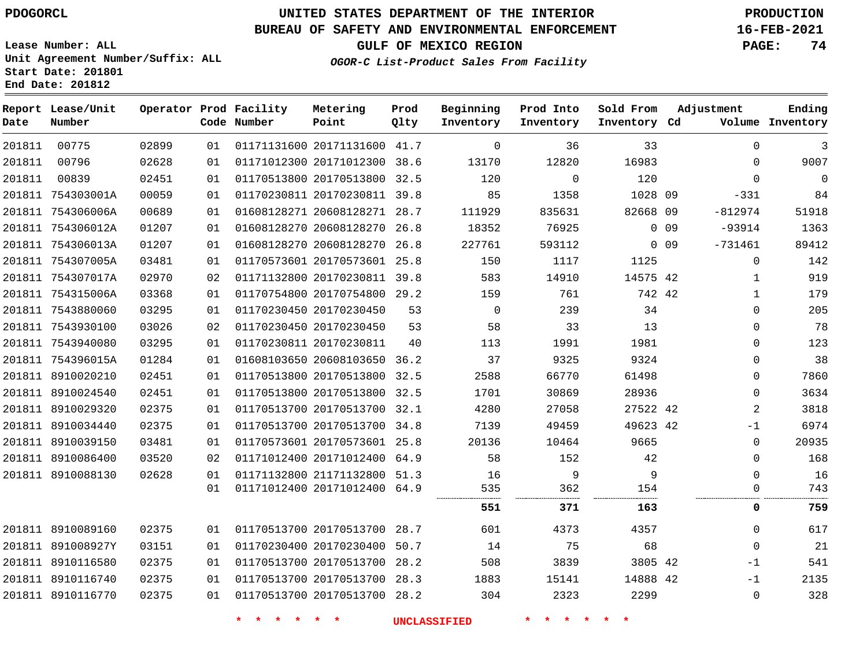**Report Lease/Unit**

 

**Number**

 

**Date**

# **UNITED STATES DEPARTMENT OF THE INTERIOR PDOGORCL PRODUCTION**

**Prod Qlty**

#### **BUREAU OF SAFETY AND ENVIRONMENTAL ENFORCEMENT 16-FEB-2021**

**Lease Number: ALL Unit Agreement Number/Suffix: ALL Start Date: 201801 End Date: 201812**

> 

**Operator Prod Facility**

**Code Number**

 20171131600 41.7 20171012300 38.6

**Metering Point**

  **OGOR-C List-Product Sales From Facility**

 

 

 

**Sold From Inventory**

**Prod Into Inventory**

**Beginning Inventory**

**GULF OF MEXICO REGION PAGE: 74**

**Inventory Cd Volume**

**Adjustment**

 -331 -812974 -93914 -731461

**Ending**

| 201811 | 00839             | 02451 | 01 |                            | 01170513800 20170513800 32.5 |    | 120                 | $\Omega$    | 120      |            | $\mathbf 0$    | $\mathbf 0$ |
|--------|-------------------|-------|----|----------------------------|------------------------------|----|---------------------|-------------|----------|------------|----------------|-------------|
|        | 201811 754303001A | 00059 | 01 |                            | 01170230811 20170230811 39.8 |    | 85                  | 1358        | 1028 09  |            | $-331$         | 84          |
|        | 201811 754306006A | 00689 | 01 |                            | 01608128271 20608128271 28.7 |    | 111929              | 835631      | 82668 09 |            | -812974        | 51918       |
|        | 201811 754306012A | 01207 | 01 |                            | 01608128270 20608128270 26.8 |    | 18352               | 76925       |          | $0$ 09     | -93914         | 1363        |
|        | 201811 754306013A | 01207 | 01 |                            | 01608128270 20608128270 26.8 |    | 227761              | 593112      |          | $0\quad09$ | $-731461$      | 89412       |
|        | 201811 754307005A | 03481 | 01 |                            | 01170573601 20170573601 25.8 |    | 150                 | 1117        | 1125     |            | $\mathbf 0$    | 142         |
|        | 201811 754307017A | 02970 | 02 |                            | 01171132800 20170230811 39.8 |    | 583                 | 14910       | 14575 42 |            | 1              | 919         |
|        | 201811 754315006A | 03368 | 01 |                            | 01170754800 20170754800 29.2 |    | 159                 | 761         | 742 42   |            | $\mathbf{1}$   | 179         |
|        | 201811 7543880060 | 03295 | 01 |                            | 01170230450 20170230450      | 53 | $\overline{0}$      | 239         | 34       |            | $\Omega$       | 205         |
|        | 201811 7543930100 | 03026 | 02 |                            | 01170230450 20170230450      | 53 | 58                  | 33          | 13       |            | $\Omega$       | 78          |
|        | 201811 7543940080 | 03295 | 01 |                            | 01170230811 20170230811      | 40 | 113                 | 1991        | 1981     |            | $\Omega$       | 123         |
|        | 201811 754396015A | 01284 | 01 |                            | 01608103650 20608103650 36.2 |    | 37                  | 9325        | 9324     |            | $\mathbf{0}$   | 38          |
|        | 201811 8910020210 | 02451 | 01 |                            | 01170513800 20170513800 32.5 |    | 2588                | 66770       | 61498    |            | $\Omega$       | 7860        |
|        | 201811 8910024540 | 02451 | 01 |                            | 01170513800 20170513800 32.5 |    | 1701                | 30869       | 28936    |            | 0              | 3634        |
|        | 201811 8910029320 | 02375 | 01 |                            | 01170513700 20170513700 32.1 |    | 4280                | 27058       | 27522 42 |            | 2              | 3818        |
|        | 201811 8910034440 | 02375 | 01 |                            | 01170513700 20170513700 34.8 |    | 7139                | 49459       | 49623 42 |            | $-1$           | 6974        |
|        | 201811 8910039150 | 03481 | 01 |                            | 01170573601 20170573601 25.8 |    | 20136               | 10464       | 9665     |            | $\mathbf{0}$   | 20935       |
|        | 201811 8910086400 | 03520 | 02 |                            | 01171012400 20171012400 64.9 |    | 58                  | 152         | 42       |            | $\Omega$       | 168         |
|        | 201811 8910088130 | 02628 | 01 |                            | 01171132800 21171132800 51.3 |    | 16                  | 9           | 9        |            | $\Omega$       | 16          |
|        |                   |       | 01 |                            | 01171012400 20171012400 64.9 |    | 535                 | 362         | 154      |            | $\Omega$       | 743         |
|        |                   |       |    |                            |                              |    | 551                 | 371         | 163      |            | 0              | 759         |
|        | 201811 8910089160 | 02375 | 01 |                            | 01170513700 20170513700 28.7 |    | 601                 | 4373        | 4357     |            | $\Omega$       | 617         |
|        | 201811 891008927Y | 03151 | 01 |                            | 01170230400 20170230400 50.7 |    | 14                  | 75          | 68       |            | $\Omega$       | 21          |
|        | 201811 8910116580 | 02375 | 01 |                            | 01170513700 20170513700 28.2 |    | 508                 | 3839        | 3805 42  |            | $-1$           | 541         |
|        | 201811 8910116740 | 02375 | 01 |                            | 01170513700 20170513700 28.3 |    | 1883                | 15141       | 14888 42 |            | $-1$           | 2135        |
|        | 201811 8910116770 | 02375 | 01 |                            | 01170513700 20170513700 28.2 |    | 304                 | 2323        | 2299     |            | $\overline{0}$ | 328         |
|        |                   |       |    | * * * *<br>$\star$ $\star$ |                              |    | <b>UNCLASSIFIED</b> | * * * * * * |          |            |                |             |
|        |                   |       |    |                            |                              |    |                     |             |          |            |                |             |
|        |                   |       |    |                            |                              |    |                     |             |          |            |                |             |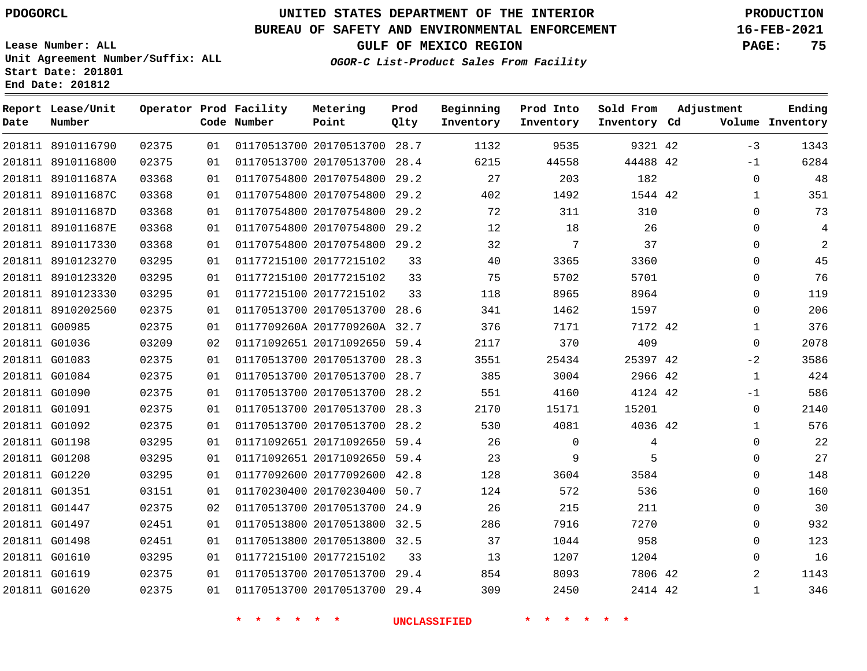**Prod**

## **BUREAU OF SAFETY AND ENVIRONMENTAL ENFORCEMENT 16-FEB-2021**

**Lease Number: ALL Unit Agreement Number/Suffix: ALL Start Date: 201801 End Date: 201812**

**OGOR-C List-Product Sales From Facility**

**GULF OF MEXICO REGION PAGE: 75**

**Ending**

| Date | Report Lease/Unit<br>Number |       |    | Operator Prod Facility<br>Code Number | Metering<br>Point            | Prod<br>Qlty | Beginning<br>Inventory | Prod Into<br>Inventory  | Sold From<br>Inventory Cd | Adjustment | Ending<br>Volume Inventory    |
|------|-----------------------------|-------|----|---------------------------------------|------------------------------|--------------|------------------------|-------------------------|---------------------------|------------|-------------------------------|
|      | 201811 8910116790           | 02375 | 01 |                                       | 01170513700 20170513700 28.7 |              | 1132                   | 9535                    | 9321 42                   | $-3$       | 1343                          |
|      | 201811 8910116800           | 02375 | 01 |                                       | 01170513700 20170513700 28.4 |              | 6215                   | 44558                   | 44488 42                  | $-1$       | 6284                          |
|      | 201811 891011687A           | 03368 | 01 |                                       | 01170754800 20170754800      | 29.2         | 27                     | 203                     | 182                       |            | 48<br>0                       |
|      | 201811 891011687C           | 03368 | 01 |                                       | 01170754800 20170754800 29.2 |              | 402                    | 1492                    | 1544 42                   |            | 351<br>$\mathbf{1}$           |
|      | 201811 891011687D           | 03368 | 01 |                                       | 01170754800 20170754800 29.2 |              | 72                     | 311                     | 310                       |            | 73<br>$\mathbf 0$             |
|      | 201811 891011687E           | 03368 | 01 |                                       | 01170754800 20170754800      | 29.2         | 12                     | 18                      | 26                        |            | $\mathbf 0$<br>4              |
|      | 201811 8910117330           | 03368 | 01 |                                       | 01170754800 20170754800 29.2 |              | 32                     | 7                       | 37                        |            | $\overline{2}$<br>$\mathbf 0$ |
|      | 201811 8910123270           | 03295 | 01 |                                       | 01177215100 20177215102      | 33           | 40                     | 3365                    | 3360                      |            | 45<br>$\Omega$                |
|      | 201811 8910123320           | 03295 | 01 |                                       | 01177215100 20177215102      | 33           | 75                     | 5702                    | 5701                      |            | 0<br>76                       |
|      | 201811 8910123330           | 03295 | 01 |                                       | 01177215100 20177215102      | 33           | 118                    | 8965                    | 8964                      |            | 119<br>$\mathbf 0$            |
|      | 201811 8910202560           | 02375 | 01 |                                       | 01170513700 20170513700 28.6 |              | 341                    | 1462                    | 1597                      |            | 206<br>0                      |
|      | 201811 G00985               | 02375 | 01 |                                       | 0117709260A 2017709260A 32.7 |              | 376                    | 7171                    | 7172 42                   |            | 376<br>$\mathbf{1}$           |
|      | 201811 G01036               | 03209 | 02 |                                       | 01171092651 20171092650 59.4 |              | 2117                   | 370                     | 409                       |            | 2078<br>$\mathbf 0$           |
|      | 201811 G01083               | 02375 | 01 |                                       | 01170513700 20170513700      | 28.3         | 3551                   | 25434                   | 25397 42                  | $-2$       | 3586                          |
|      | 201811 G01084               | 02375 | 01 |                                       | 01170513700 20170513700 28.7 |              | 385                    | 3004                    | 2966 42                   |            | 424<br>$\mathbf{1}$           |
|      | 201811 G01090               | 02375 | 01 |                                       | 01170513700 20170513700 28.2 |              | 551                    | 4160                    | 4124 42                   | $-1$       | 586                           |
|      | 201811 G01091               | 02375 | 01 |                                       | 01170513700 20170513700      | 28.3         | 2170                   | 15171                   | 15201                     |            | 2140<br>0                     |
|      | 201811 G01092               | 02375 | 01 |                                       | 01170513700 20170513700 28.2 |              | 530                    | 4081                    | 4036 42                   |            | 576<br>$\mathbf{1}$           |
|      | 201811 G01198               | 03295 | 01 |                                       | 01171092651 20171092650 59.4 |              | 26                     | $\mathbf 0$             | 4                         |            | 22<br>$\mathbf 0$             |
|      | 201811 G01208               | 03295 | 01 |                                       | 01171092651 20171092650 59.4 |              | 23                     | 9                       | 5                         |            | 27<br>$\mathbf{0}$            |
|      | 201811 G01220               | 03295 | 01 |                                       | 01177092600 20177092600 42.8 |              | 128                    | 3604                    | 3584                      |            | 148<br>$\Omega$               |
|      | 201811 G01351               | 03151 | 01 |                                       | 01170230400 20170230400      | 50.7         | 124                    | 572                     | 536                       |            | 160<br>0                      |
|      | 201811 G01447               | 02375 | 02 |                                       | 01170513700 20170513700 24.9 |              | 26                     | 215                     | 211                       |            | 30<br>0                       |
|      | 201811 G01497               | 02451 | 01 |                                       | 01170513800 20170513800 32.5 |              | 286                    | 7916                    | 7270                      |            | 932<br>$\mathbf{0}$           |
|      | 201811 G01498               | 02451 | 01 |                                       | 01170513800 20170513800 32.5 |              | 37                     | 1044                    | 958                       |            | 123<br>$\mathbf 0$            |
|      | 201811 G01610               | 03295 | 01 |                                       | 01177215100 20177215102      | 33           | 13                     | 1207                    | 1204                      |            | 16<br>$\mathbf 0$             |
|      | 201811 G01619               | 02375 | 01 |                                       | 01170513700 20170513700 29.4 |              | 854                    | 8093                    | 7806 42                   |            | 2<br>1143                     |
|      | 201811 G01620               | 02375 | 01 |                                       | 01170513700 20170513700 29.4 |              | 309                    | 2450                    | 2414 42                   |            | 346<br>$\mathbf{1}$           |
|      |                             |       |    | $\star$ $\star$<br>一米。<br>一大          | $\star$ $\star$              |              | <b>UNCLASSIFIED</b>    | $\star$ $\star$ $\star$ | $\star$<br>$\star$        |            |                               |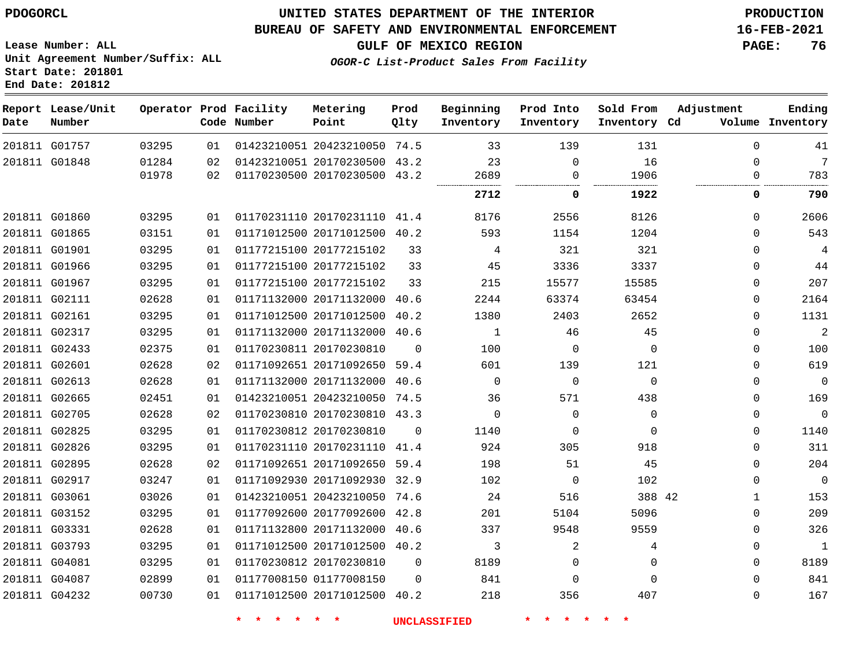G01757

**Date**

**Report Lease/Unit**

**Number**

## **UNITED STATES DEPARTMENT OF THE INTERIOR PDOGORCL PRODUCTION**

**Prod Qlty**

#### **BUREAU OF SAFETY AND ENVIRONMENTAL ENFORCEMENT 16-FEB-2021**

**Lease Number: ALL Unit Agreement Number/Suffix: ALL Start Date: 201801 End Date: 201812**

> 

**Operator Prod Facility**

**Code Number**

20423210050 74.5

**Metering Point**

  **OGOR-C List-Product Sales From Facility**

     

**Sold From Inventory**

**Prod Into Inventory**

**Beginning Inventory**

**GULF OF MEXICO REGION PAGE: 76**

**Inventory Cd Volume**

**Adjustment**

   

**Ending**

| 201811 G01848 | 01284 | 02  | 01423210051 20170230500      | 43.2     | 23       |          | 16                     |              | 7              |
|---------------|-------|-----|------------------------------|----------|----------|----------|------------------------|--------------|----------------|
|               | 01978 | 02  | 01170230500 20170230500 43.2 |          | 2689<br> |          | 1906<br>-------------- |              | 783            |
|               |       |     |                              |          | 2712     | 0        | 1922                   | 0            | 790            |
| 201811 G01860 | 03295 | 01  | 01170231110 20170231110 41.4 |          | 8176     | 2556     | 8126                   | $\Omega$     | 2606           |
| 201811 G01865 | 03151 | 01  | 01171012500 20171012500      | 40.2     | 593      | 1154     | 1204                   | 0            | 543            |
| 201811 G01901 | 03295 | 01. | 01177215100 20177215102      | 33       | 4        | 321      | 321                    | $\Omega$     | 4              |
| 201811 G01966 | 03295 | 01  | 01177215100 20177215102      | 33       | 45       | 3336     | 3337                   | 0            | 44             |
| 201811 G01967 | 03295 | 01  | 01177215100 20177215102      | 33       | 215      | 15577    | 15585                  | $\Omega$     | 207            |
| 201811 G02111 | 02628 | 01  | 01171132000 20171132000 40.6 |          | 2244     | 63374    | 63454                  | $\Omega$     | 2164           |
| 201811 G02161 | 03295 | 01  | 01171012500 20171012500      | 40.2     | 1380     | 2403     | 2652                   | $\Omega$     | 1131           |
| 201811 G02317 | 03295 | 01  | 01171132000 20171132000 40.6 |          | 1        | 46       | 45                     | 0            | $\overline{2}$ |
| 201811 G02433 | 02375 | 01  | 01170230811 20170230810      | $\Omega$ | 100      | $\Omega$ | $\Omega$               | 0            | 100            |
| 201811 G02601 | 02628 | 02  | 01171092651 20171092650 59.4 |          | 601      | 139      | 121                    | 0            | 619            |
| 201811 G02613 | 02628 | 01  | 01171132000 20171132000 40.6 |          | $\Omega$ | $\Omega$ | $\Omega$               | $\Omega$     | $\mathbf 0$    |
| 201811 G02665 | 02451 | 01  | 01423210051 20423210050 74.5 |          | 36       | 571      | 438                    | $\Omega$     | 169            |
| 201811 G02705 | 02628 | 02  | 01170230810 20170230810 43.3 |          | 0        | 0        | $\Omega$               | $\Omega$     | $\Omega$       |
| 201811 G02825 | 03295 | 01  | 01170230812 20170230810      | $\Omega$ | 1140     | $\Omega$ | $\Omega$               | 0            | 1140           |
| 201811 G02826 | 03295 | 01  | 01170231110 20170231110      | 41.4     | 924      | 305      | 918                    | $\Omega$     | 311            |
| 201811 G02895 | 02628 | 02  | 01171092651 20171092650 59.4 |          | 198      | 51       | 45                     | $\mathbf{0}$ | 204            |
| 201811 G02917 | 03247 | 01  | 01171092930 20171092930      | 32.9     | 102      | $\Omega$ | 102                    | $\Omega$     | $\mathbf 0$    |
| 201811 G03061 | 03026 | 01  | 01423210051 20423210050 74.6 |          | 24       | 516      | 388 42                 | 1            | 153            |
| 201811 G03152 | 03295 | 01  | 01177092600 20177092600      | 42.8     | 201      | 5104     | 5096                   | 0            | 209            |
| 201811 G03331 | 02628 | 01  | 01171132800 20171132000      | 40.6     | 337      | 9548     | 9559                   | $\mathbf 0$  | 326            |
| 201811 G03793 | 03295 | 01  | 01171012500 20171012500 40.2 |          | 3        | 2        | 4                      | $\mathbf 0$  | 1              |
| 201811 G04081 | 03295 | 01  | 01170230812 20170230810      | $\Omega$ | 8189     | 0        | 0                      | 0            | 8189           |
| 201811 G04087 | 02899 | 01  | 01177008150 01177008150      | $\Omega$ | 841      | 0        | O                      | 0            | 841            |
| 201811 G04232 | 00730 | 01  | 01171012500 20171012500 40.2 |          | 218      | 356      | 407                    | 0            | 167            |
|               |       |     |                              |          |          |          |                        |              |                |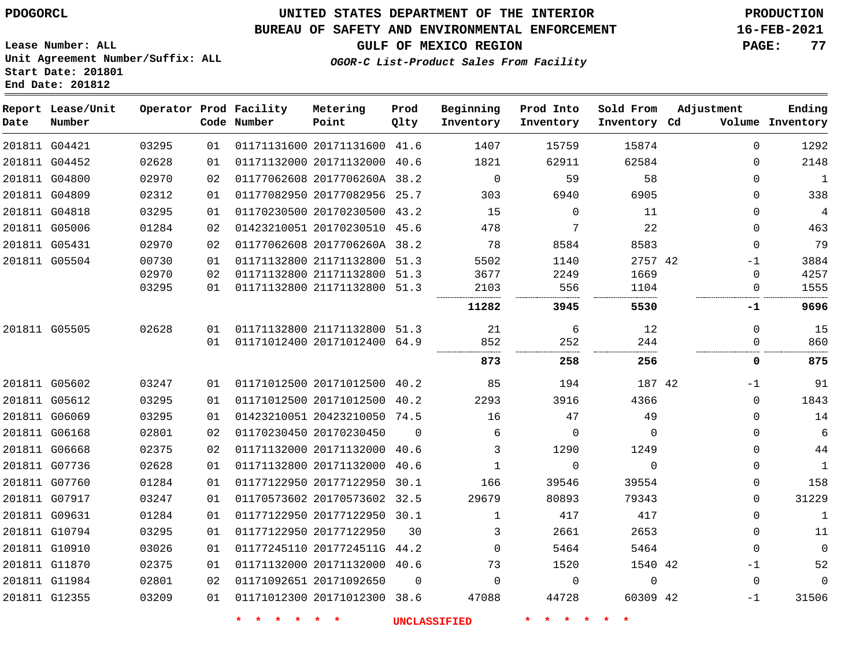#### **BUREAU OF SAFETY AND ENVIRONMENTAL ENFORCEMENT 16-FEB-2021**

**Lease Number: ALL Unit Agreement Number/Suffix: ALL Start Date: 201801 End Date: 201812**

**OGOR-C List-Product Sales From Facility**

**GULF OF MEXICO REGION PAGE: 77**

| Date | Report Lease/Unit<br>Number |       |    | Operator Prod Facility<br>Code Number | Metering<br>Point            | Prod<br>Qlty | Beginning<br>Inventory | Prod Into<br>Inventory | Sold From<br>Inventory Cd | Adjustment |             | Ending<br>Volume Inventory |
|------|-----------------------------|-------|----|---------------------------------------|------------------------------|--------------|------------------------|------------------------|---------------------------|------------|-------------|----------------------------|
|      | 201811 G04421               | 03295 | 01 |                                       | 01171131600 20171131600 41.6 |              | 1407                   | 15759                  | 15874                     |            | $\mathbf 0$ | 1292                       |
|      | 201811 G04452               | 02628 | 01 |                                       | 01171132000 20171132000 40.6 |              | 1821                   | 62911                  | 62584                     |            | 0           | 2148                       |
|      | 201811 G04800               | 02970 | 02 |                                       | 01177062608 2017706260A 38.2 |              | $\overline{0}$         | 59                     | 58                        |            | $\Omega$    | $\mathbf{1}$               |
|      | 201811 G04809               | 02312 | 01 |                                       | 01177082950 20177082956 25.7 |              | 303                    | 6940                   | 6905                      |            | $\Omega$    | 338                        |
|      | 201811 G04818               | 03295 | 01 |                                       | 01170230500 20170230500 43.2 |              | 15                     | $\Omega$               | 11                        |            | $\Omega$    | $\overline{4}$             |
|      | 201811 G05006               | 01284 | 02 |                                       | 01423210051 20170230510 45.6 |              | 478                    | 7                      | 22                        |            | $\Omega$    | 463                        |
|      | 201811 G05431               | 02970 | 02 |                                       | 01177062608 2017706260A 38.2 |              | 78                     | 8584                   | 8583                      |            | $\Omega$    | 79                         |
|      | 201811 G05504               | 00730 | 01 |                                       | 01171132800 21171132800 51.3 |              | 5502                   | 1140                   | 2757 42                   |            | $-1$        | 3884                       |
|      |                             | 02970 | 02 |                                       | 01171132800 21171132800 51.3 |              | 3677                   | 2249                   | 1669                      |            | 0           | 4257                       |
|      |                             | 03295 | 01 |                                       | 01171132800 21171132800 51.3 |              | 2103                   | 556                    | 1104                      |            | 0           | 1555                       |
|      |                             |       |    |                                       |                              |              | 11282                  | 3945                   | 5530                      |            | -1          | 9696                       |
|      | 201811 G05505               | 02628 | 01 |                                       | 01171132800 21171132800      | 51.3         | 21                     | 6                      | 12                        |            | $\mathbf 0$ | 15                         |
|      |                             |       | 01 |                                       | 01171012400 20171012400      | 64.9         | 852                    | 252                    | 244                       |            | $\Omega$    | 860                        |
|      |                             |       |    |                                       |                              |              | 873                    | 258                    | 256                       |            | 0           | 875                        |
|      | 201811 G05602               | 03247 | 01 |                                       | 01171012500 20171012500 40.2 |              | 85                     | 194                    | 187 42                    |            | $-1$        | 91                         |
|      | 201811 G05612               | 03295 | 01 |                                       | 01171012500 20171012500      | 40.2         | 2293                   | 3916                   | 4366                      |            | $\mathbf 0$ | 1843                       |
|      | 201811 G06069               | 03295 | 01 |                                       | 01423210051 20423210050 74.5 |              | 16                     | 47                     | 49                        |            | 0           | 14                         |
|      | 201811 G06168               | 02801 | 02 |                                       | 01170230450 20170230450      | $\Omega$     | 6                      | 0                      | $\mathbf 0$               |            | $\Omega$    | 6                          |
|      | 201811 G06668               | 02375 | 02 |                                       | 01171132000 20171132000      | 40.6         | 3                      | 1290                   | 1249                      |            | 0           | 44                         |
|      | 201811 G07736               | 02628 | 01 |                                       | 01171132800 20171132000      | 40.6         | $\mathbf{1}$           | 0                      | $\mathbf 0$               |            | 0           | $\mathbf{1}$               |
|      | 201811 G07760               | 01284 | 01 |                                       | 01177122950 20177122950      | 30.1         | 166                    | 39546                  | 39554                     |            | $\Omega$    | 158                        |
|      | 201811 G07917               | 03247 | 01 |                                       | 01170573602 20170573602 32.5 |              | 29679                  | 80893                  | 79343                     |            | $\Omega$    | 31229                      |
|      | 201811 G09631               | 01284 | 01 |                                       | 01177122950 20177122950 30.1 |              | $\mathbf{1}$           | 417                    | 417                       |            | $\Omega$    | $\mathbf{1}$               |
|      | 201811 G10794               | 03295 | 01 |                                       | 01177122950 20177122950      | 30           | 3                      | 2661                   | 2653                      |            | $\Omega$    | 11                         |
|      | 201811 G10910               | 03026 | 01 |                                       | 01177245110 2017724511G 44.2 |              | $\Omega$               | 5464                   | 5464                      |            | $\Omega$    | $\Omega$                   |
|      | 201811 G11870               | 02375 | 01 |                                       | 01171132000 20171132000 40.6 |              | 73                     | 1520                   | 1540 42                   |            | -1          | 52                         |
|      | 201811 G11984               | 02801 | 02 |                                       | 01171092651 20171092650      | $\Omega$     | $\Omega$               | $\Omega$               | $\Omega$                  |            | $\Omega$    | $\Omega$                   |
|      | 201811 G12355               | 03209 | 01 |                                       | 01171012300 20171012300 38.6 |              | 47088                  | 44728                  | 60309 42                  |            | $-1$        | 31506                      |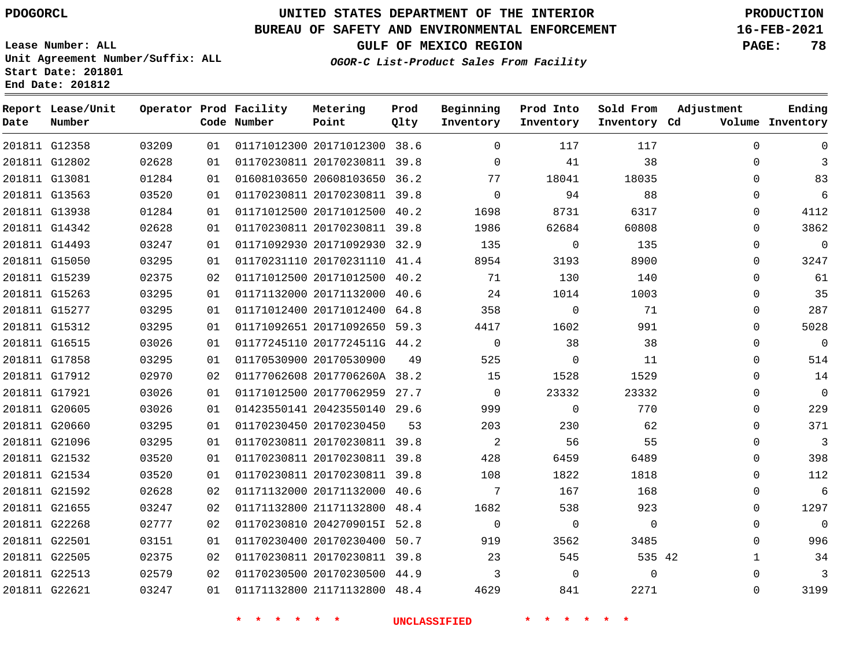**Date**

**Report Lease/Unit**

**Number**

 G22513 G22621    

# **UNITED STATES DEPARTMENT OF THE INTERIOR PDOGORCL PRODUCTION**

**Prod Qlty**

#### **BUREAU OF SAFETY AND ENVIRONMENTAL ENFORCEMENT 16-FEB-2021**

**Lease Number: ALL Unit Agreement Number/Suffix: ALL Start Date: 201801 End Date: 201812**

**Operator Prod Facility**

**Code Number**

**OGOR-C List-Product Sales From Facility**

**Beginning Inventory** **Prod Into Inventory** **Sold From Inventory**

**GULF OF MEXICO REGION PAGE: 78**

**Inventory Cd Volume**

**Adjustment**

  $\Omega$  $\Omega$   $\Omega$  $\Omega$  $\Omega$   $\Omega$   $\Omega$  $\overline{0}$   $\Omega$  $\overline{0}$  $\Omega$  $\Omega$  $\Omega$  $\Omega$   $\Omega$  $\Omega$   $\Omega$   $\Omega$ 

**Ending**

| 117                | 117            |                |  | 01  01171012300  20171012300  38.6  0                | 03209 | 201811 G12358 |  |
|--------------------|----------------|----------------|--|------------------------------------------------------|-------|---------------|--|
| 38                 | 41             |                |  | 01  01170230811  20170230811  39.8  0                | 02628 | 201811 G12802 |  |
|                    |                |                |  | 01  01608103650  20608103650  36.2  77  18041  18035 | 01284 | 201811 G13081 |  |
| 88                 | 94             |                |  | 01  01170230811  20170230811  39.8  0                | 03520 | 201811 G13563 |  |
|                    |                |                |  | 01 01171012500 20171012500 40.2 1698 8731 6317       | 01284 | 201811 G13938 |  |
| 60808              | 1986 62684     |                |  |                                                      | 02628 | 201811 G14342 |  |
| 135                | $\overline{0}$ |                |  |                                                      | 03247 | 201811 G14493 |  |
| 3193 — 100<br>8900 |                |                |  | 01  01170231110  20170231110  41.4  8954             | 03295 | 201811 G15050 |  |
| 140                |                |                |  | 02 01171012500 20171012500 40.2 71 130               | 02375 | 201811 G15239 |  |
| 1014<br>1003       |                |                |  | 01  01171132000  20171132000  40.6  24               | 03295 | 201811 G15263 |  |
| 71                 | $\overline{0}$ |                |  | 01  01171012400  20171012400  64.8  358              | 03295 | 201811 G15277 |  |
| 991                |                |                |  | 01 01171092651 20171092650 59.3 4417 1602            | 03295 | 201811 G15312 |  |
| 38                 | 38             | $\overline{0}$ |  | 01  01177245110  2017724511G  44.2                   | 03026 | 201811 G16515 |  |
| 11                 | 525 0          |                |  | 01 01170530900 20170530900 49                        | 03295 | 201811 G17858 |  |
|                    |                |                |  | 02 01177062608 2017706260A 38.2 15 1528 1529         | 02970 | 201811 G17912 |  |
| 23332              | 23332          |                |  | 01  01171012500  20177062959  27.7  0                | 03026 | 201811 G17921 |  |
| 770                | $\overline{0}$ |                |  | 01 01423550141 20423550140 29.6 999                  | 03026 | 201811 G20605 |  |
| 62                 | 230            |                |  | 01 01170230450 20170230450 53 203                    | 03295 | 201811 G20660 |  |
| 55                 |                |                |  | 01 01170230811 20170230811 39.8 2 56                 | 03295 | 201811 G21096 |  |
| 6459<br>6489       | 428            |                |  | 01   01170230811   20170230811   39.8                | 03520 | 201811 G21532 |  |
| 1822 2<br>1818     |                |                |  | 01 01170230811 20170230811 39.8 108                  | 03520 | 201811 G21534 |  |
| 167 11<br>168      |                |                |  | 02 01171132000 20171132000 40.6 7                    | 02628 | 201811 G21592 |  |
| 538 923            |                |                |  | 02  01171132800  21171132800  48.4   1682            | 03247 | 201811 G21655 |  |
| $\overline{0}$     | $\overline{0}$ |                |  | 02  01170230810  20427090151  52.8  0                | 02777 | 201811 G22268 |  |
| 3562<br>3485       |                |                |  | 01 01170230400 20170230400 50.7 919                  | 03151 | 201811 G22501 |  |
| 535 42             |                |                |  | 02 01170230811 20170230811 39.8 23 545               | 02375 | 201811 G22505 |  |

**Metering Point**

**\* \* \* \* \* \* UNCLASSIFIED \* \* \* \* \* \***

 20170230500 44.9 21171132800 48.4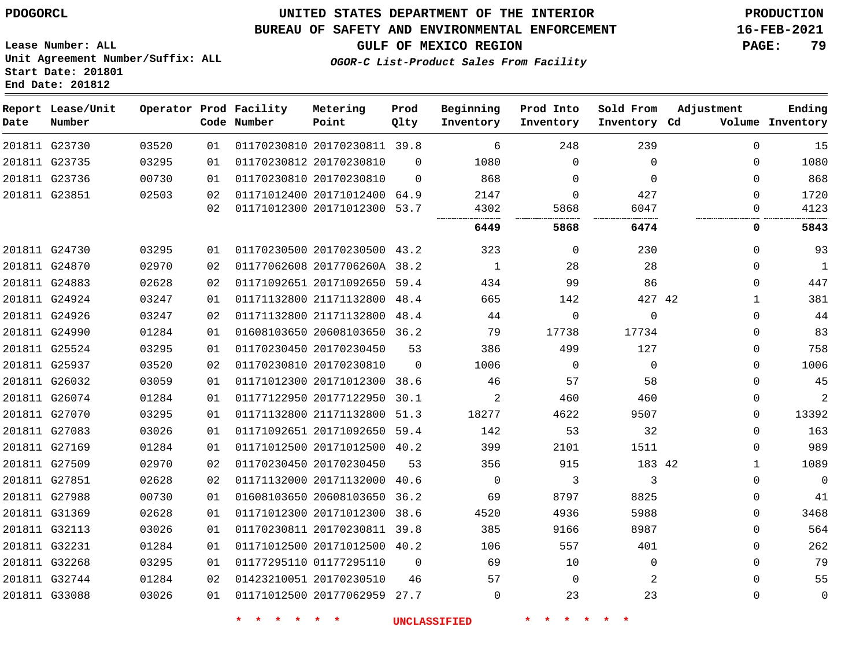**End Date: 201812**

## **UNITED STATES DEPARTMENT OF THE INTERIOR PDOGORCL PRODUCTION**

### **BUREAU OF SAFETY AND ENVIRONMENTAL ENFORCEMENT 16-FEB-2021**

**Lease Number: ALL Unit Agreement Number/Suffix: ALL Start Date: 201801**

**GULF OF MEXICO REGION PAGE: 79**

**OGOR-C List-Product Sales From Facility**

| Date          | Report Lease/Unit<br>Number |       |    | Operator Prod Facility<br>Code Number | Metering<br>Point            | Prod<br>Qlty | Beginning<br>Inventory | Prod Into<br>Inventory | Sold From<br>Inventory Cd | Adjustment   | Ending<br>Volume Inventory |
|---------------|-----------------------------|-------|----|---------------------------------------|------------------------------|--------------|------------------------|------------------------|---------------------------|--------------|----------------------------|
| 201811 G23730 |                             | 03520 | 01 |                                       | 01170230810 20170230811 39.8 |              | 6                      | 248                    | 239                       | $\Omega$     | 15                         |
| 201811 G23735 |                             | 03295 | 01 |                                       | 01170230812 20170230810      | $\Omega$     | 1080                   | $\Omega$               | $\Omega$                  | $\Omega$     | 1080                       |
| 201811 G23736 |                             | 00730 | 01 |                                       | 01170230810 20170230810      | $\Omega$     | 868                    | $\Omega$               | $\Omega$                  | $\Omega$     | 868                        |
| 201811 G23851 |                             | 02503 | 02 |                                       | 01171012400 20171012400 64.9 |              | 2147                   | $\Omega$               | 427                       | $\Omega$     | 1720                       |
|               |                             |       | 02 |                                       | 01171012300 20171012300 53.7 |              | 4302                   | 5868                   | 6047                      | 0            | 4123                       |
|               |                             |       |    |                                       |                              |              | 6449                   | 5868                   | 6474                      | 0            | 5843                       |
| 201811 G24730 |                             | 03295 | 01 |                                       | 01170230500 20170230500 43.2 |              | 323                    | $\mathbf 0$            | 230                       | $\mathbf{0}$ | 93                         |
| 201811 G24870 |                             | 02970 | 02 |                                       | 01177062608 2017706260A 38.2 |              | 1                      | 28                     | 28                        | $\mathbf{0}$ | $\mathbf{1}$               |
| 201811 G24883 |                             | 02628 | 02 |                                       | 01171092651 20171092650 59.4 |              | 434                    | 99                     | 86                        | $\Omega$     | 447                        |
|               | 201811 G24924               | 03247 | 01 |                                       | 01171132800 21171132800 48.4 |              | 665                    | 142                    | 427 42                    | $\mathbf 1$  | 381                        |
| 201811 G24926 |                             | 03247 | 02 |                                       | 01171132800 21171132800 48.4 |              | 44                     | $\Omega$               | $\Omega$                  | $\Omega$     | 44                         |
| 201811 G24990 |                             | 01284 | 01 |                                       | 01608103650 20608103650 36.2 |              | 79                     | 17738                  | 17734                     | $\mathbf{0}$ | 83                         |
| 201811 G25524 |                             | 03295 | 01 |                                       | 01170230450 20170230450      | 53           | 386                    | 499                    | 127                       | $\Omega$     | 758                        |
|               | 201811 G25937               | 03520 | 02 |                                       | 01170230810 20170230810      | $\Omega$     | 1006                   | $\mathbf 0$            | $\Omega$                  | $\Omega$     | 1006                       |
|               | 201811 G26032               | 03059 | 01 |                                       | 01171012300 20171012300 38.6 |              | 46                     | 57                     | 58                        | $\Omega$     | 45                         |
|               | 201811 G26074               | 01284 | 01 |                                       | 01177122950 20177122950      | 30.1         | $\overline{2}$         | 460                    | 460                       | $\mathbf{0}$ | 2                          |
| 201811 G27070 |                             | 03295 | 01 |                                       | 01171132800 21171132800      | 51.3         | 18277                  | 4622                   | 9507                      | $\Omega$     | 13392                      |
| 201811 G27083 |                             | 03026 | 01 |                                       | 01171092651 20171092650 59.4 |              | 142                    | 53                     | 32                        | $\Omega$     | 163                        |
| 201811 G27169 |                             | 01284 | 01 |                                       | 01171012500 20171012500 40.2 |              | 399                    | 2101                   | 1511                      | $\Omega$     | 989                        |
| 201811 G27509 |                             | 02970 | 02 |                                       | 01170230450 20170230450      | 53           | 356                    | 915                    | 183 42                    | $\mathbf 1$  | 1089                       |
| 201811 G27851 |                             | 02628 | 02 |                                       | 01171132000 20171132000      | 40.6         | $\mathbf 0$            | 3                      | 3                         | $\mathbf 0$  | $\mathbf 0$                |
| 201811 G27988 |                             | 00730 | 01 |                                       | 01608103650 20608103650 36.2 |              | 69                     | 8797                   | 8825                      | $\Omega$     | 41                         |
|               | 201811 G31369               | 02628 | 01 |                                       | 01171012300 20171012300 38.6 |              | 4520                   | 4936                   | 5988                      | $\Omega$     | 3468                       |
| 201811 G32113 |                             | 03026 | 01 |                                       | 01170230811 20170230811 39.8 |              | 385                    | 9166                   | 8987                      | $\mathbf{0}$ | 564                        |
| 201811 G32231 |                             | 01284 | 01 |                                       | 01171012500 20171012500      | 40.2         | 106                    | 557                    | 401                       | $\Omega$     | 262                        |
| 201811 G32268 |                             | 03295 | 01 |                                       | 01177295110 01177295110      | $\mathbf 0$  | 69                     | 10                     | $\mathbf 0$               | $\Omega$     | 79                         |
| 201811 G32744 |                             | 01284 | 02 |                                       | 01423210051 20170230510      | 46           | 57                     | $\Omega$               | 2                         | $\Omega$     | 55                         |
| 201811 G33088 |                             | 03026 | 01 |                                       | 01171012500 20177062959 27.7 |              | $\mathbf 0$            | 23                     | 23                        | $\mathbf{0}$ | $\mathbf 0$                |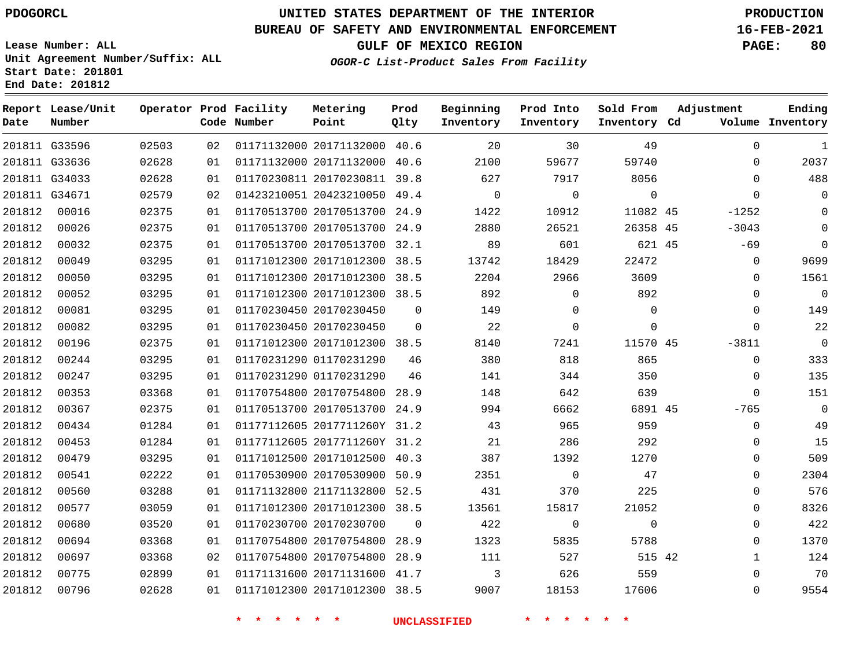G33596

**Report Lease/Unit**

**Number**

**Date**

## **UNITED STATES DEPARTMENT OF THE INTERIOR PDOGORCL PRODUCTION**

**Prod Qlty**

#### **BUREAU OF SAFETY AND ENVIRONMENTAL ENFORCEMENT 16-FEB-2021**

**Lease Number: ALL Unit Agreement Number/Suffix: ALL Start Date: 201801 End Date: 201812**

**Operator Prod Facility**

**Code Number**

20171132000 40.6

**Metering Point**

**OGOR-C List-Product Sales From Facility**

**Sold From Inventory**

**Prod Into Inventory**

**Beginning Inventory**

**GULF OF MEXICO REGION PAGE: 80**

**Inventory Cd Volume**

**Adjustment**

  $\Omega$  $\Omega$  $\Omega$ -1252 -3043 -69  $\Omega$  $\Omega$  $\Omega$ -3811  $\overline{0}$  $\Omega$  $\overline{0}$ -765  $\Omega$  $\Omega$  $\Omega$  $\Omega$   $\Omega$ 

**Ending**

| 59740       | 59677        | 2100         |                | 01171132000 20171132000 40.6 | 01 | 02628 | 201811 G33636 |        |
|-------------|--------------|--------------|----------------|------------------------------|----|-------|---------------|--------|
| 8056        | 7917         | 627          |                | 01170230811 20170230811 39.8 | 01 | 02628 | 201811 G34033 |        |
| $\mathbf 0$ | $\mathbf{0}$ | $\mathbf{0}$ |                | 01423210051 20423210050 49.4 | 02 | 02579 | 201811 G34671 |        |
| 11082 45    | 10912        | 1422         |                | 01170513700 20170513700 24.9 | 01 | 02375 | 00016         | 201812 |
| 26358 45    | 26521        | 2880         | 24.9           | 01170513700 20170513700      | 01 | 02375 | 00026         | 201812 |
| 621 45      | 601          | 89           | 32.1           | 01170513700 20170513700      | 01 | 02375 | 00032         | 201812 |
| 22472       | 18429        | 13742        |                | 01171012300 20171012300 38.5 | 01 | 03295 | 00049         | 201812 |
| 3609        | 2966         | 2204         |                | 01171012300 20171012300 38.5 | 01 | 03295 | 00050         | 201812 |
| 892         | $\Omega$     | 892          |                | 01171012300 20171012300 38.5 | 01 | 03295 | 00052         | 201812 |
| 0           | $\Omega$     | 149          | $\mathbf 0$    | 01170230450 20170230450      | 01 | 03295 | 00081         | 201812 |
| 0           | $\Omega$     | 22           | $\mathbf 0$    | 01170230450 20170230450      | 01 | 03295 | 00082         | 201812 |
| 11570 45    | 7241         | 8140         |                | 01171012300 20171012300 38.5 | 01 | 02375 | 00196         | 201812 |
| 865         | 818          | 380          | 46             | 01170231290 01170231290      | 01 | 03295 | 00244         | 201812 |
| 350         | 344          | 141          | 46             | 01170231290 01170231290      | 01 | 03295 | 00247         | 201812 |
| 639         | 642          | 148          | 28.9           | 01170754800 20170754800      | 01 | 03368 | 00353         | 201812 |
| 6891 45     | 6662         | 994          | 24.9           | 01170513700 20170513700      | 01 | 02375 | 00367         | 201812 |
| 959         | 965          | 43           |                | 01177112605 2017711260Y 31.2 | 01 | 01284 | 00434         | 201812 |
| 292         | 286          | 21           |                | 01177112605 2017711260Y 31.2 | 01 | 01284 | 00453         | 201812 |
| 1270        | 1392         | 387          |                | 01171012500 20171012500 40.3 | 01 | 03295 | 00479         | 201812 |
| 47          | $\Omega$     | 2351         | 50.9           | 01170530900 20170530900      | 01 | 02222 | 00541         | 201812 |
| 225         | 370          | 431          | 52.5           | 01171132800 21171132800      | 01 | 03288 | 00560         | 201812 |
| 21052       | 15817        | 13561        |                | 01171012300 20171012300 38.5 | 01 | 03059 | 00577         | 201812 |
| $\mathbf 0$ | $\mathbf 0$  | 422          | $\overline{0}$ | 01170230700 20170230700      | 01 | 03520 | 00680         | 201812 |
| 5788        | 5835         | 1323         | 28.9           | 01170754800 20170754800      | 01 | 03368 | 00694         | 201812 |
| 515 42      | 527          | 111          | 28.9           | 01170754800 20170754800      | 02 | 03368 | 00697         | 201812 |
| 559         | 626          | 3            |                | 01171131600 20171131600 41.7 | 01 | 02899 | 00775         | 201812 |
| 17606       | 18153        | 9007         |                | 01171012300 20171012300 38.5 | 01 | 02628 | 00796         | 201812 |
|             |              |              |                |                              |    |       |               |        |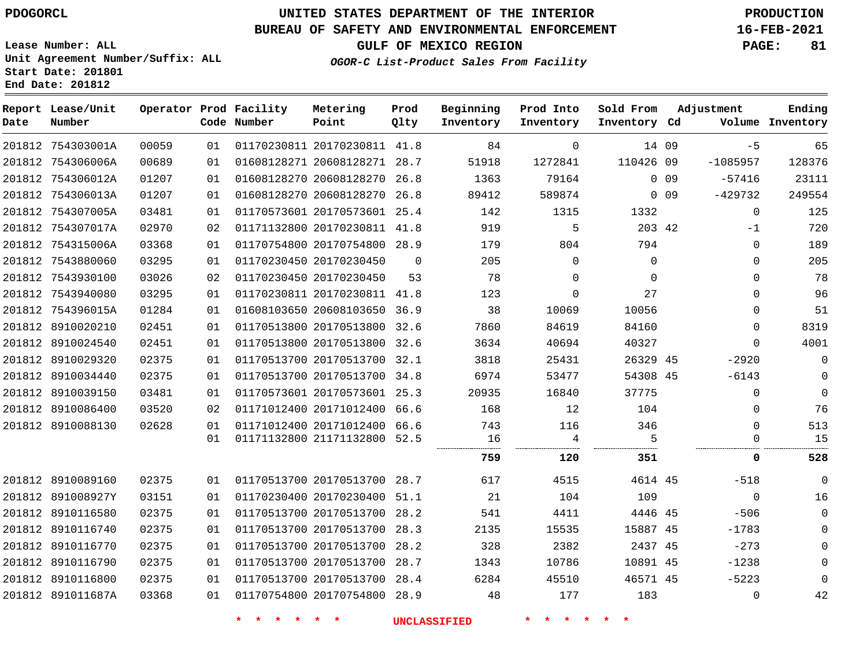**Date**

 754303001A 754306006A 754306012A 754306013A

**Report Lease/Unit**

**Number**

 8910116770 8910116790 8910116800 891011687A

# **UNITED STATES DEPARTMENT OF THE INTERIOR PDOGORCL PRODUCTION**

**Prod Qlty**

## **BUREAU OF SAFETY AND ENVIRONMENTAL ENFORCEMENT 16-FEB-2021**

**Lease Number: ALL Unit Agreement Number/Suffix: ALL Start Date: 201801 End Date: 201812**

**Operator Prod Facility**

**Code Number**

**GULF OF MEXICO REGION PAGE: 81**

**Sold From Inventory**

 

**Prod Into Inventory**

> 14 09 110426 09

> > 0 0 9 0 0 9

45 45 45

**Inventory Cd Volume**

-273 -1238 -5223  $\Omega$ 

-1085957 -57416 -429732

**Adjustment**

 $-5$ 

**Ending**

  $\Omega$  $\Omega$  $\Omega$  $\Omega$ 

**OGOR-C List-Product Sales From Facility**

**Beginning Inventory**

| 201812 | 754307005A        | 03481 | 01 | 01170573601 20170573601 | 25.4     | 142    | 1315     | 1332     |          | 125      |
|--------|-------------------|-------|----|-------------------------|----------|--------|----------|----------|----------|----------|
| 201812 | 754307017A        | 02970 | 02 | 01171132800 20170230811 | 41.8     | 919    | 5        | 203 42   | $-1$     | 720      |
| 201812 | 754315006A        | 03368 | 01 | 01170754800 20170754800 | 28.9     | 179    | 804      | 794      | $\Omega$ | 189      |
| 201812 | 7543880060        | 03295 | 01 | 01170230450 20170230450 | $\Omega$ | 205    | $\Omega$ | $\Omega$ | 0        | 205      |
| 201812 | 7543930100        | 03026 | 02 | 01170230450 20170230450 | 53       | 78     | $\Omega$ | $\Omega$ | $\Omega$ | 78       |
| 201812 | 7543940080        | 03295 | 01 | 01170230811 20170230811 | 41.8     | 123    | $\Omega$ | 27       | $\Omega$ | 96       |
| 201812 | 754396015A        | 01284 | 01 | 01608103650 20608103650 | 36.9     | 38     | 10069    | 10056    | 0        | 51       |
| 201812 | 8910020210        | 02451 | 01 | 01170513800 20170513800 | 32.6     | 7860   | 84619    | 84160    | $\Omega$ | 8319     |
|        | 201812 8910024540 | 02451 | 01 | 01170513800 20170513800 | 32.6     | 3634   | 40694    | 40327    | $\Omega$ | 4001     |
| 201812 | 8910029320        | 02375 | 01 | 01170513700 20170513700 | 32.1     | 3818   | 25431    | 26329 45 | $-2920$  | 0        |
| 201812 | 8910034440        | 02375 | 01 | 01170513700 20170513700 | 34.8     | 6974   | 53477    | 54308 45 | $-6143$  | 0        |
| 201812 | 8910039150        | 03481 | 01 | 01170573601 20170573601 | 25.3     | 20935  | 16840    | 37775    | $\Omega$ | $\Omega$ |
| 201812 | 8910086400        | 03520 | 02 | 01171012400 20171012400 | 66.6     | 168    | 12       | 104      | $\Omega$ | 76       |
| 201812 | 8910088130        | 02628 | 01 | 01171012400 20171012400 | 66.6     | 743    | 116      | 346      |          | 513      |
|        |                   |       | 01 | 01171132800 21171132800 | 52.5     | 16<br> |          |          |          | 15       |
|        |                   |       |    |                         |          | 759    | 120      | 351      |          | 528      |
| 201812 | 8910089160        | 02375 | 01 | 01170513700 20170513700 | 28.7     | 617    | 4515     | 4614 45  | $-518$   |          |
| 201812 | 891008927Y        | 03151 | 01 | 01170230400 20170230400 | 51.1     | 21     | 104      | 109      | $\Omega$ | 16       |
| 201812 | 8910116580        | 02375 | 01 | 01170513700 20170513700 | 28.2     | 541    | 4411     | 4446 45  | $-506$   | 0        |
|        | 201812 8910116740 | 02375 | 01 | 01170513700 20170513700 | 28.3     | 2135   | 15535    | 15887 45 | $-1783$  | 0        |

 20170230811 41.8 20608128271 28.7 20608128270 26.8 20608128270 26.8

**Metering Point**

 20170513700 28.2 20170513700 28.7 20170513700 28.4 20170754800 28.9

**\* \* \* \* \* \* UNCLASSIFIED \* \* \* \* \* \***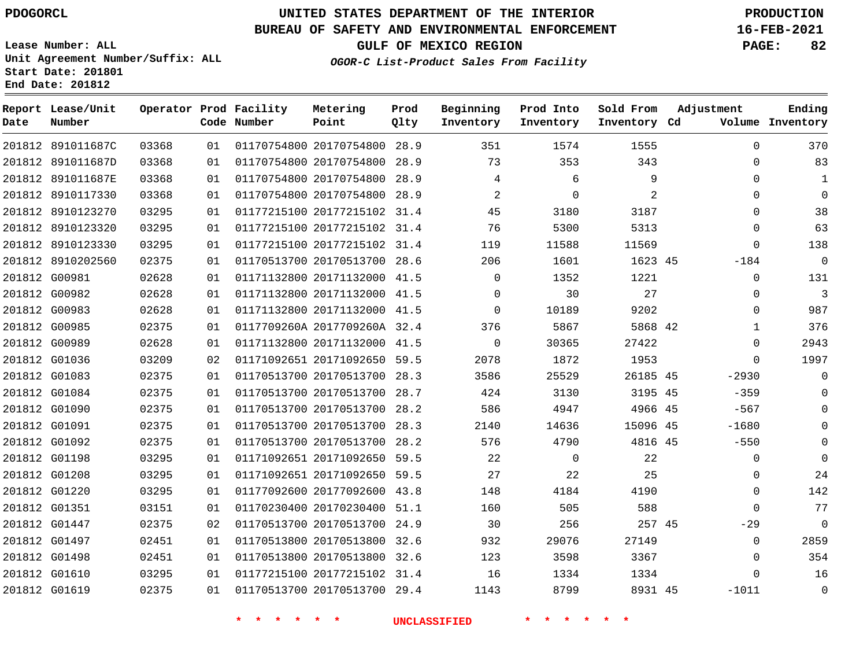## **BUREAU OF SAFETY AND ENVIRONMENTAL ENFORCEMENT 16-FEB-2021**

**Lease Number: ALL Unit Agreement Number/Suffix: ALL Start Date: 201801**

**OGOR-C List-Product Sales From Facility**

**GULF OF MEXICO REGION PAGE: 82**

**End Date: 201812**

| Date | Report Lease/Unit<br>Number |       |    | Operator Prod Facility<br>Code Number | Metering<br>Point            | Prod<br>Qlty | Beginning<br>Inventory | Prod Into<br>Inventory | Sold From<br>Inventory Cd | Adjustment   | Ending<br>Volume Inventory |
|------|-----------------------------|-------|----|---------------------------------------|------------------------------|--------------|------------------------|------------------------|---------------------------|--------------|----------------------------|
|      | 201812 891011687C           | 03368 | 01 |                                       | 01170754800 20170754800 28.9 |              | 351                    | 1574                   | 1555                      | $\Omega$     | 370                        |
|      | 201812 891011687D           | 03368 | 01 |                                       | 01170754800 20170754800 28.9 |              | 73                     | 353                    | 343                       | 0            | 83                         |
|      | 201812 891011687E           | 03368 | 01 |                                       | 01170754800 20170754800 28.9 |              | 4                      | 6                      | 9                         | $\mathbf 0$  | 1                          |
|      | 201812 8910117330           | 03368 | 01 |                                       | 01170754800 20170754800 28.9 |              | $\overline{a}$         | $\mathbf 0$            | 2                         | $\Omega$     | $\Omega$                   |
|      | 201812 8910123270           | 03295 | 01 |                                       | 01177215100 20177215102 31.4 |              | 45                     | 3180                   | 3187                      | $\Omega$     | 38                         |
|      | 201812 8910123320           | 03295 | 01 |                                       | 01177215100 20177215102 31.4 |              | 76                     | 5300                   | 5313                      | $\Omega$     | 63                         |
|      | 201812 8910123330           | 03295 | 01 |                                       | 01177215100 20177215102 31.4 |              | 119                    | 11588                  | 11569                     | $\mathbf{0}$ | 138                        |
|      | 201812 8910202560           | 02375 | 01 |                                       | 01170513700 20170513700 28.6 |              | 206                    | 1601                   | 1623 45                   | $-184$       | $\mathbf 0$                |
|      | 201812 G00981               | 02628 | 01 |                                       | 01171132800 20171132000 41.5 |              | $\Omega$               | 1352                   | 1221                      | $\mathbf{0}$ | 131                        |
|      | 201812 G00982               | 02628 | 01 |                                       | 01171132800 20171132000 41.5 |              | $\Omega$               | 30                     | 27                        | $\Omega$     | 3                          |
|      | 201812 G00983               | 02628 | 01 |                                       | 01171132800 20171132000 41.5 |              | $\Omega$               | 10189                  | 9202                      | $\mathbf{0}$ | 987                        |
|      | 201812 G00985               | 02375 | 01 |                                       | 0117709260A 2017709260A 32.4 |              | 376                    | 5867                   | 5868 42                   | 1            | 376                        |
|      | 201812 G00989               | 02628 | 01 |                                       | 01171132800 20171132000 41.5 |              | $\mathbf 0$            | 30365                  | 27422                     | 0            | 2943                       |
|      | 201812 G01036               | 03209 | 02 |                                       | 01171092651 20171092650 59.5 |              | 2078                   | 1872                   | 1953                      | $\Omega$     | 1997                       |
|      | 201812 G01083               | 02375 | 01 |                                       | 01170513700 20170513700 28.3 |              | 3586                   | 25529                  | 26185 45                  | $-2930$      | $\Omega$                   |
|      | 201812 G01084               | 02375 | 01 |                                       | 01170513700 20170513700 28.7 |              | 424                    | 3130                   | 3195 45                   | $-359$       | $\Omega$                   |
|      | 201812 G01090               | 02375 | 01 |                                       | 01170513700 20170513700 28.2 |              | 586                    | 4947                   | 4966 45                   | $-567$       | $\Omega$                   |
|      | 201812 G01091               | 02375 | 01 |                                       | 01170513700 20170513700 28.3 |              | 2140                   | 14636                  | 15096 45                  | $-1680$      | $\Omega$                   |
|      | 201812 G01092               | 02375 | 01 |                                       | 01170513700 20170513700 28.2 |              | 576                    | 4790                   | 4816 45                   | $-550$       | $\Omega$                   |
|      | 201812 G01198               | 03295 | 01 |                                       | 01171092651 20171092650 59.5 |              | 22                     | $\Omega$               | 22                        | $\Omega$     | $\Omega$                   |
|      | 201812 G01208               | 03295 | 01 |                                       | 01171092651 20171092650 59.5 |              | 27                     | 22                     | 25                        | 0            | 24                         |
|      | 201812 G01220               | 03295 | 01 |                                       | 01177092600 20177092600 43.8 |              | 148                    | 4184                   | 4190                      | $\Omega$     | 142                        |
|      | 201812 G01351               | 03151 | 01 |                                       | 01170230400 20170230400 51.1 |              | 160                    | 505                    | 588                       | $\Omega$     | 77                         |
|      | 201812 G01447               | 02375 | 02 |                                       | 01170513700 20170513700 24.9 |              | 30                     | 256                    | 257 45                    | $-29$        | $\Omega$                   |
|      | 201812 G01497               | 02451 | 01 |                                       | 01170513800 20170513800 32.6 |              | 932                    | 29076                  | 27149                     | $\mathbf 0$  | 2859                       |
|      | 201812 G01498               | 02451 | 01 |                                       | 01170513800 20170513800 32.6 |              | 123                    | 3598                   | 3367                      | 0            | 354                        |
|      | 201812 G01610               | 03295 | 01 |                                       | 01177215100 20177215102 31.4 |              | 16                     | 1334                   | 1334                      | $\mathbf{0}$ | 16                         |
|      | 201812 G01619               | 02375 | 01 |                                       | 01170513700 20170513700 29.4 |              | 1143                   | 8799                   | 8931 45                   | $-1011$      | $\mathbf 0$                |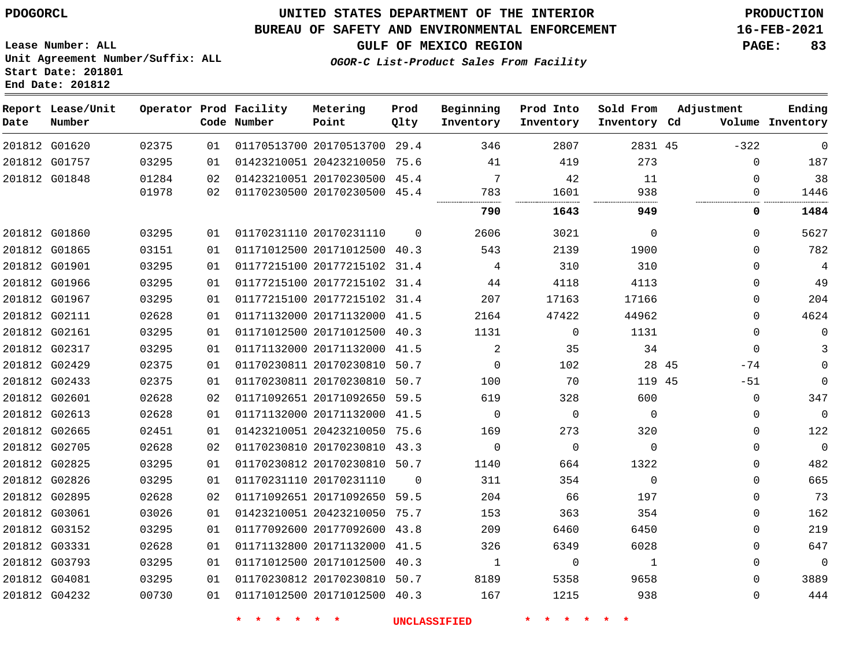### **BUREAU OF SAFETY AND ENVIRONMENTAL ENFORCEMENT 16-FEB-2021**

**Lease Number: ALL Unit Agreement Number/Suffix: ALL Start Date: 201801 End Date: 201812**

**GULF OF MEXICO REGION PAGE: 83**

**OGOR-C List-Product Sales From Facility**

| Date | Report Lease/Unit<br>Number |       |    | Operator Prod Facility<br>Code Number | Metering<br>Point            | Prod<br>Qlty | Beginning<br>Inventory | Prod Into<br>Inventory | Sold From<br>Inventory Cd | Adjustment | Ending<br>Volume Inventory |
|------|-----------------------------|-------|----|---------------------------------------|------------------------------|--------------|------------------------|------------------------|---------------------------|------------|----------------------------|
|      | 201812 G01620               | 02375 | 01 |                                       | 01170513700 20170513700 29.4 |              | 346                    | 2807                   | 2831 45                   | $-322$     | $\mathbf 0$                |
|      | 201812 G01757               | 03295 | 01 |                                       | 01423210051 20423210050 75.6 |              | 41                     | 419                    | 273                       | 0          | 187                        |
|      | 201812 G01848               | 01284 | 02 |                                       | 01423210051 20170230500 45.4 |              | 7                      | 42                     | 11                        | $\Omega$   | 38                         |
|      |                             | 01978 | 02 |                                       | 01170230500 20170230500 45.4 |              | 783                    | 1601                   | 938                       | 0          | 1446                       |
|      |                             |       |    |                                       |                              |              | 790                    | 1643                   | 949                       | 0          | 1484                       |
|      | 201812 G01860               | 03295 | 01 |                                       | 01170231110 20170231110      | $\Omega$     | 2606                   | 3021                   | $\Omega$                  | 0          | 5627                       |
|      | 201812 G01865               | 03151 | 01 |                                       | 01171012500 20171012500 40.3 |              | 543                    | 2139                   | 1900                      | $\Omega$   | 782                        |
|      | 201812 G01901               | 03295 | 01 |                                       | 01177215100 20177215102 31.4 |              | 4                      | 310                    | 310                       | 0          | 4                          |
|      | 201812 G01966               | 03295 | 01 |                                       | 01177215100 20177215102 31.4 |              | 44                     | 4118                   | 4113                      | 0          | 49                         |
|      | 201812 G01967               | 03295 | 01 |                                       | 01177215100 20177215102 31.4 |              | 207                    | 17163                  | 17166                     | 0          | 204                        |
|      | 201812 G02111               | 02628 | 01 |                                       | 01171132000 20171132000 41.5 |              | 2164                   | 47422                  | 44962                     | 0          | 4624                       |
|      | 201812 G02161               | 03295 | 01 |                                       | 01171012500 20171012500 40.3 |              | 1131                   | $\mathbf 0$            | 1131                      | $\Omega$   | $\mathbf 0$                |
|      | 201812 G02317               | 03295 | 01 |                                       | 01171132000 20171132000 41.5 |              | 2                      | 35                     | 34                        | $\Omega$   | 3                          |
|      | 201812 G02429               | 02375 | 01 |                                       | 01170230811 20170230810 50.7 |              | $\mathbf 0$            | 102                    | 28 45                     | $-74$      | $\mathbf 0$                |
|      | 201812 G02433               | 02375 | 01 |                                       | 01170230811 20170230810      | 50.7         | 100                    | 70                     | 119 45                    | $-51$      | $\mathbf 0$                |
|      | 201812 G02601               | 02628 | 02 |                                       | 01171092651 20171092650 59.5 |              | 619                    | 328                    | 600                       | 0          | 347                        |
|      | 201812 G02613               | 02628 | 01 |                                       | 01171132000 20171132000 41.5 |              | $\Omega$               | $\Omega$               | $\Omega$                  | $\Omega$   | $\mathbf 0$                |
|      | 201812 G02665               | 02451 | 01 |                                       | 01423210051 20423210050 75.6 |              | 169                    | 273                    | 320                       | 0          | 122                        |
|      | 201812 G02705               | 02628 | 02 |                                       | 01170230810 20170230810 43.3 |              | $\mathbf 0$            | $\mathbf 0$            | $\Omega$                  | 0          | $\mathbf 0$                |
|      | 201812 G02825               | 03295 | 01 |                                       | 01170230812 20170230810 50.7 |              | 1140                   | 664                    | 1322                      | 0          | 482                        |
|      | 201812 G02826               | 03295 | 01 |                                       | 01170231110 20170231110      | $\Omega$     | 311                    | 354                    | $\Omega$                  | $\Omega$   | 665                        |
|      | 201812 G02895               | 02628 | 02 |                                       | 01171092651 20171092650 59.5 |              | 204                    | 66                     | 197                       | 0          | 73                         |
|      | 201812 G03061               | 03026 | 01 |                                       | 01423210051 20423210050 75.7 |              | 153                    | 363                    | 354                       | 0          | 162                        |
|      | 201812 G03152               | 03295 | 01 |                                       | 01177092600 20177092600 43.8 |              | 209                    | 6460                   | 6450                      | 0          | 219                        |
|      | 201812 G03331               | 02628 | 01 |                                       | 01171132800 20171132000      | 41.5         | 326                    | 6349                   | 6028                      | 0          | 647                        |
|      | 201812 G03793               | 03295 | 01 |                                       | 01171012500 20171012500 40.3 |              | 1                      | 0                      | 1                         | $\Omega$   | $\mathbf 0$                |
|      | 201812 G04081               | 03295 | 01 |                                       | 01170230812 20170230810 50.7 |              | 8189                   | 5358                   | 9658                      | 0          | 3889                       |
|      | 201812 G04232               | 00730 | 01 |                                       | 01171012500 20171012500 40.3 |              | 167                    | 1215                   | 938                       | 0          | 444                        |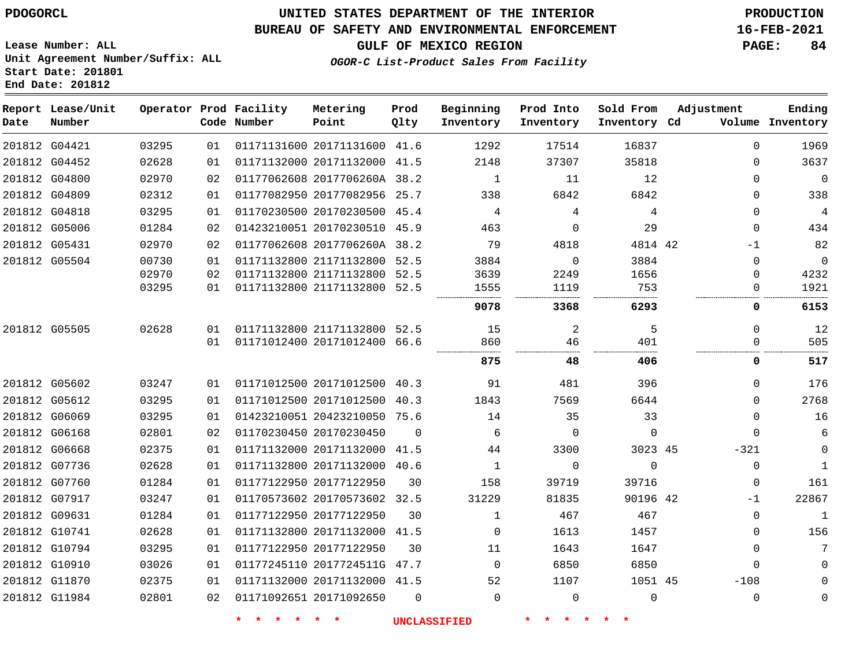## **BUREAU OF SAFETY AND ENVIRONMENTAL ENFORCEMENT 16-FEB-2021**

**Lease Number: ALL Unit Agreement Number/Suffix: ALL Start Date: 201801 End Date: 201812**

**GULF OF MEXICO REGION PAGE: 84**

**OGOR-C List-Product Sales From Facility**

| Date | Report Lease/Unit<br>Number |       |    | Operator Prod Facility<br>Code Number | Metering<br>Point            | Prod<br>Qlty | Beginning<br>Inventory | Prod Into<br>Inventory | Sold From<br>Inventory Cd | Adjustment   | Ending<br>Volume Inventory |
|------|-----------------------------|-------|----|---------------------------------------|------------------------------|--------------|------------------------|------------------------|---------------------------|--------------|----------------------------|
|      | 201812 G04421               | 03295 | 01 |                                       | 01171131600 20171131600 41.6 |              | 1292                   | 17514                  | 16837                     | $\mathbf 0$  | 1969                       |
|      | 201812 G04452               | 02628 | 01 |                                       | 01171132000 20171132000 41.5 |              | 2148                   | 37307                  | 35818                     | 0            | 3637                       |
|      | 201812 G04800               | 02970 | 02 |                                       | 01177062608 2017706260A 38.2 |              | $\mathbf{1}$           | 11                     | 12                        | $\Omega$     | $\mathbf 0$                |
|      | 201812 G04809               | 02312 | 01 |                                       | 01177082950 20177082956 25.7 |              | 338                    | 6842                   | 6842                      | 0            | 338                        |
|      | 201812 G04818               | 03295 | 01 |                                       | 01170230500 20170230500 45.4 |              | 4                      | 4                      | 4                         | $\Omega$     | 4                          |
|      | 201812 G05006               | 01284 | 02 |                                       | 01423210051 20170230510 45.9 |              | 463                    | $\mathbf 0$            | 29                        | $\Omega$     | 434                        |
|      | 201812 G05431               | 02970 | 02 |                                       | 01177062608 2017706260A 38.2 |              | 79                     | 4818                   | 4814 42                   | $-1$         | 82                         |
|      | 201812 G05504               | 00730 | 01 |                                       | 01171132800 21171132800 52.5 |              | 3884                   | $\Omega$               | 3884                      | $\Omega$     | 0                          |
|      |                             | 02970 | 02 |                                       | 01171132800 21171132800 52.5 |              | 3639                   | 2249                   | 1656                      | 0            | 4232                       |
|      |                             | 03295 | 01 |                                       | 01171132800 21171132800 52.5 |              | 1555                   | 1119                   | 753                       | 0            | 1921                       |
|      |                             |       |    |                                       |                              |              | 9078                   | 3368                   | 6293                      | 0            | 6153                       |
|      | 201812 G05505               | 02628 | 01 |                                       | 01171132800 21171132800 52.5 |              | 15                     | 2                      | 5                         | $\Omega$     | 12                         |
|      |                             |       | 01 |                                       | 01171012400 20171012400 66.6 |              | 860                    | 46                     | 401                       | 0            | 505                        |
|      |                             |       |    |                                       |                              |              | 875                    | 48                     | 406                       | 0            | 517                        |
|      | 201812 G05602               | 03247 | 01 |                                       | 01171012500 20171012500 40.3 |              | 91                     | 481                    | 396                       | $\Omega$     | 176                        |
|      | 201812 G05612               | 03295 | 01 |                                       | 01171012500 20171012500 40.3 |              | 1843                   | 7569                   | 6644                      | $\Omega$     | 2768                       |
|      | 201812 G06069               | 03295 | 01 |                                       | 01423210051 20423210050 75.6 |              | 14                     | 35                     | 33                        | $\Omega$     | 16                         |
|      | 201812 G06168               | 02801 | 02 |                                       | 01170230450 20170230450      | $\Omega$     | 6                      | $\mathbf 0$            | $\mathbf 0$               | $\Omega$     | 6                          |
|      | 201812 G06668               | 02375 | 01 |                                       | 01171132000 20171132000 41.5 |              | 44                     | 3300                   | 3023 45                   | $-321$       | $\mathbf 0$                |
|      | 201812 G07736               | 02628 | 01 |                                       | 01171132800 20171132000 40.6 |              | $\mathbf{1}$           | $\Omega$               | $\Omega$                  | 0            | $\overline{1}$             |
|      | 201812 G07760               | 01284 | 01 |                                       | 01177122950 20177122950      | 30           | 158                    | 39719                  | 39716                     | $\mathbf 0$  | 161                        |
|      | 201812 G07917               | 03247 | 01 |                                       | 01170573602 20170573602 32.5 |              | 31229                  | 81835                  | 90196 42                  | $-1$         | 22867                      |
|      | 201812 G09631               | 01284 | 01 |                                       | 01177122950 20177122950      | 30           | $\mathbf 1$            | 467                    | 467                       | $\mathbf{0}$ | $\mathbf 1$                |
|      | 201812 G10741               | 02628 | 01 |                                       | 01171132800 20171132000 41.5 |              | $\Omega$               | 1613                   | 1457                      | $\Omega$     | 156                        |
|      | 201812 G10794               | 03295 | 01 |                                       | 01177122950 20177122950      | 30           | 11                     | 1643                   | 1647                      | $\mathbf 0$  | 7                          |
|      | 201812 G10910               | 03026 | 01 |                                       | 01177245110 2017724511G 47.7 |              | $\Omega$               | 6850                   | 6850                      | $\mathbf 0$  | 0                          |
|      | 201812 G11870               | 02375 | 01 |                                       | 01171132000 20171132000 41.5 |              | 52                     | 1107                   | 1051 45                   | $-108$       |                            |
|      | 201812 G11984               | 02801 | 02 |                                       | 01171092651 20171092650      | $\Omega$     | $\Omega$               | $\mathbf 0$            | $\mathbf 0$               | 0            | 0                          |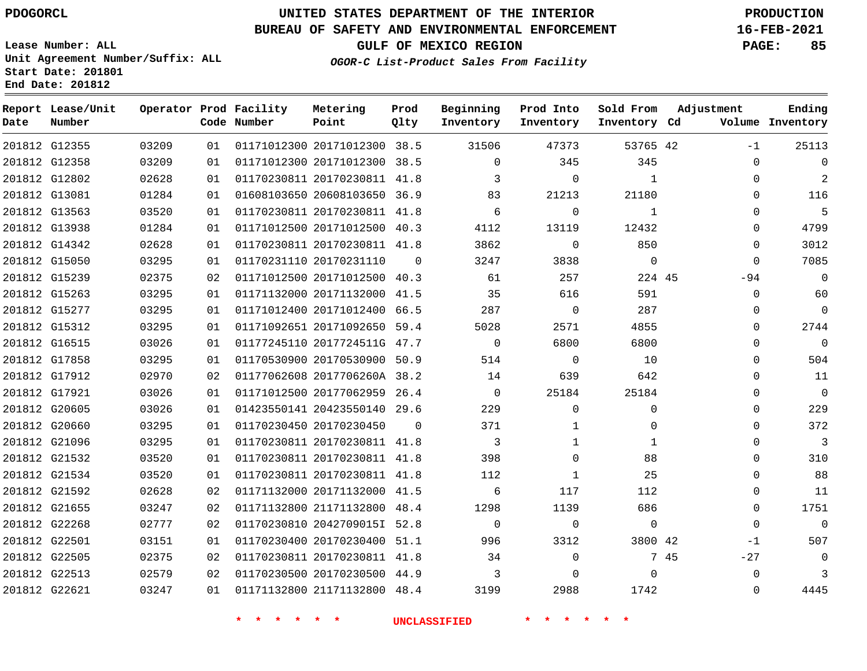**Date**

**Report Lease/Unit**

**Number**

# **UNITED STATES DEPARTMENT OF THE INTERIOR PDOGORCL PRODUCTION**

**Prod Qlty**

## **BUREAU OF SAFETY AND ENVIRONMENTAL ENFORCEMENT 16-FEB-2021**

**Lease Number: ALL Unit Agreement Number/Suffix: ALL Start Date: 201801 End Date: 201812**

**Operator Prod Facility**

**Code Number**

**OGOR-C List-Product Sales From Facility**

**Beginning Inventory** **Prod Into Inventory** **Sold From Inventory**

**GULF OF MEXICO REGION PAGE: 85**

**Inventory Cd Volume**

**Adjustment**

 $-1$  -94  $\Omega$  $\overline{0}$  $\overline{0}$  $\overline{0}$  $\overline{0}$  $\overline{0}$  $\overline{0}$  $\overline{0}$  $\overline{0}$  -1  $-27$  

**Ending**

| 201812 G12355 | 03209 | 01 |           | 01171012300 20171012300 38.5                                          | 31506                             | 47373          | 53765 42       |      |
|---------------|-------|----|-----------|-----------------------------------------------------------------------|-----------------------------------|----------------|----------------|------|
| 201812 G12358 | 03209 | 01 |           | 01171012300 20171012300 38.5                                          | $\circ$                           | 345            | 345            |      |
| 201812 G12802 | 02628 | 01 |           | 01170230811 20170230811 41.8                                          | $\overline{\mathbf{3}}$           | $\overline{0}$ | $\overline{1}$ |      |
| 201812 G13081 | 01284 | 01 |           | 01608103650 20608103650 36.9 83                                       |                                   | 21213          | 21180          |      |
| 201812 G13563 | 03520 | 01 |           | 01170230811 20170230811 41.8                                          | $6\overline{6}$                   | $\overline{0}$ | $\mathbf{1}$   |      |
| 201812 G13938 | 01284 | 01 |           | 01171012500 20171012500 40.3                                          | 4112                              | 13119          | 12432          |      |
| 201812 G14342 | 02628 | 01 |           | 01170230811 20170230811 41.8                                          | 3862                              | $\mathbf{0}$   | 850            |      |
| 201812 G15050 | 03295 | 01 |           | 01170231110 20170231110 0                                             | 3247                              | 3838           | $\overline{0}$ |      |
| 201812 G15239 | 02375 | 02 |           | 01171012500 20171012500 40.3                                          | 61                                | 257            | 224 45         |      |
| 201812 G15263 | 03295 | 01 |           | 01171132000 20171132000 41.5                                          | 35                                | 616            | 591            |      |
| 201812 G15277 | 03295 | 01 |           |                                                                       | 01171012400 20171012400 66.5 287  | $\overline{0}$ | 287            |      |
| 201812 G15312 | 03295 | 01 |           | 01171092651 20171092650 59.4                                          | 5028                              | 2571           | 4855           |      |
| 201812 G16515 | 03026 | 01 |           | 01177245110 2017724511G 47.7                                          | $\overline{0}$                    | 6800           | 6800           |      |
| 201812 G17858 | 03295 | 01 |           | 01170530900 20170530900 50.9                                          | 514                               | $\overline{0}$ | 10             |      |
| 201812 G17912 | 02970 | 02 |           |                                                                       | 01177062608 2017706260A 38.2 14   | 639            | 642            |      |
| 201812 G17921 | 03026 | 01 |           | 01171012500 20177062959 26.4                                          | $\overline{0}$                    | 25184          | 25184          |      |
| 201812 G20605 | 03026 | 01 |           | 01423550141 20423550140 29.6                                          | 229                               | $\overline{0}$ | $\mathbf 0$    |      |
| 201812 G20660 | 03295 | 01 |           | 01170230450 20170230450 0                                             | 371                               | $\mathbf{1}$   | $\overline{0}$ |      |
| 201812 G21096 | 03295 | 01 |           | 01170230811 20170230811 41.8                                          | $\overline{\mathbf{3}}$           | $\mathbf{1}$   | $\mathbf{1}$   |      |
| 201812 G21532 | 03520 | 01 |           | 01170230811 20170230811 41.8                                          | 398                               | $\mathsf{O}$   | 88             |      |
| 201812 G21534 | 03520 | 01 |           | 01170230811 20170230811 41.8                                          | 112                               | $\overline{1}$ | 25             |      |
| 201812 G21592 | 02628 | 02 |           | 01171132000 20171132000 41.5                                          | 6                                 | 117            | 112            |      |
| 201812 G21655 | 03247 | 02 |           | 01171132800 21171132800 48.4                                          | 1298                              | 1139           | 686            |      |
| 201812 G22268 | 02777 | 02 |           | 01170230810 2042709015I 52.8                                          | $\overline{0}$                    | $\overline{0}$ | $\overline{0}$ |      |
| 201812 G22501 | 03151 | 01 |           |                                                                       | 01170230400 20170230400 51.1 996  | 3312           | 3800 42        |      |
| 201812 G22505 | 02375 | 02 |           | 01170230811 20170230811 41.8                                          | 34                                | $\overline{0}$ |                | 7 45 |
| 201812 G22513 | 02579 | 02 |           | 01170230500 20170230500 44.9 3                                        |                                   | $\Omega$       | $\overline{0}$ |      |
| 201812 G22621 | 03247 | 01 |           |                                                                       | 01171132800 21171132800 48.4 3199 | 2988           | 1742           |      |
|               |       |    | $\star$ . | $\begin{array}{cccccccccc} \star & \star & \star & \star \end{array}$ | <b>UNCLASSIFIED</b>               | * * * *        |                |      |

**Metering Point**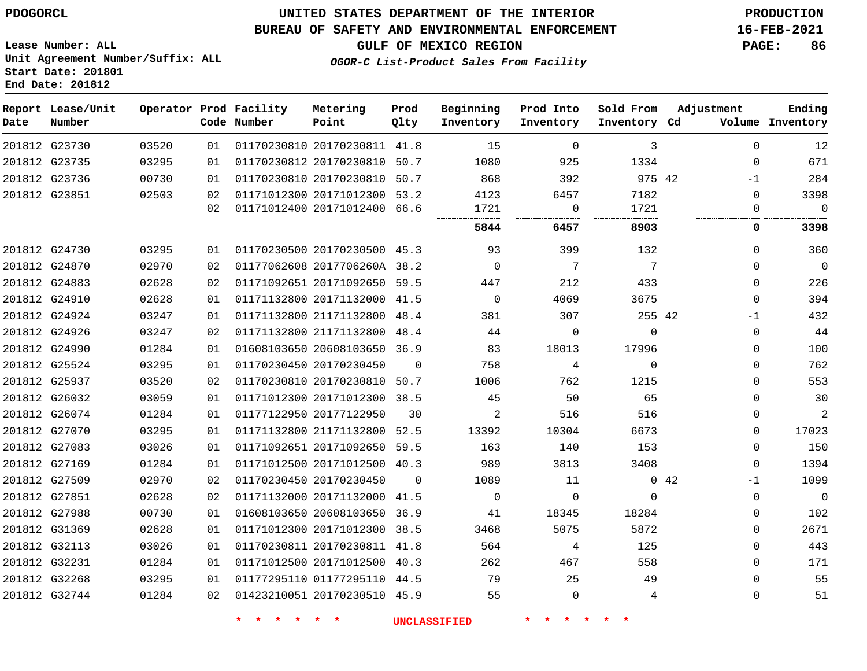**End Date: 201812**

## **UNITED STATES DEPARTMENT OF THE INTERIOR PDOGORCL PRODUCTION**

### **BUREAU OF SAFETY AND ENVIRONMENTAL ENFORCEMENT 16-FEB-2021**

**Lease Number: ALL Unit Agreement Number/Suffix: ALL Start Date: 201801**

**GULF OF MEXICO REGION PAGE: 86**

**OGOR-C List-Product Sales From Facility**

| Date | Report Lease/Unit<br>Number |       |          | Operator Prod Facility<br>Code Number | Metering<br>Point                                            | Prod<br>Qlty | Beginning<br>Inventory | Prod Into<br>Inventory | Sold From<br>Inventory Cd | Adjustment   | Ending<br>Volume Inventory |
|------|-----------------------------|-------|----------|---------------------------------------|--------------------------------------------------------------|--------------|------------------------|------------------------|---------------------------|--------------|----------------------------|
|      | 201812 G23730               | 03520 | 01       |                                       | 01170230810 20170230811 41.8                                 |              | 15                     | 0                      | 3                         | $\Omega$     | 12                         |
|      | 201812 G23735               | 03295 | 01       |                                       | 01170230812 20170230810 50.7                                 |              | 1080                   | 925                    | 1334                      | $\Omega$     | 671                        |
|      | 201812 G23736               | 00730 | 01       |                                       | 01170230810 20170230810 50.7                                 |              | 868                    | 392                    | 975 42                    | $-1$         | 284                        |
|      | 201812 G23851               | 02503 | 02<br>02 |                                       | 01171012300 20171012300 53.2<br>01171012400 20171012400 66.6 |              | 4123<br>1721<br>       | 6457<br>0              | 7182<br>1721              | 0<br>0       | 3398<br>$\mathbf 0$        |
|      |                             |       |          |                                       |                                                              |              | 5844                   | 6457                   | 8903                      | 0            | 3398                       |
|      | 201812 G24730               | 03295 | 01       |                                       | 01170230500 20170230500 45.3                                 |              | 93                     | 399                    | 132                       | $\Omega$     | 360                        |
|      | 201812 G24870               | 02970 | 02       |                                       | 01177062608 2017706260A 38.2                                 |              | $\Omega$               | 7                      | 7                         | $\Omega$     | $\mathbf 0$                |
|      | 201812 G24883               | 02628 | 02       |                                       | 01171092651 20171092650 59.5                                 |              | 447                    | 212                    | 433                       | $\mathbf{0}$ | 226                        |
|      | 201812 G24910               | 02628 | 01       |                                       | 01171132800 20171132000 41.5                                 |              | $\overline{0}$         | 4069                   | 3675                      | $\mathbf{0}$ | 394                        |
|      | 201812 G24924               | 03247 | 01       |                                       | 01171132800 21171132800 48.4                                 |              | 381                    | 307                    | 255 42                    | $-1$         | 432                        |
|      | 201812 G24926               | 03247 | 02       |                                       | 01171132800 21171132800 48.4                                 |              | 44                     | 0                      | $\mathbf 0$               | 0            | 44                         |
|      | 201812 G24990               | 01284 | 01       |                                       | 01608103650 20608103650 36.9                                 |              | 83                     | 18013                  | 17996                     | $\Omega$     | 100                        |
|      | 201812 G25524               | 03295 | 01       |                                       | 01170230450 20170230450                                      | $\Omega$     | 758                    | 4                      | $\Omega$                  | $\Omega$     | 762                        |
|      | 201812 G25937               | 03520 | 02       |                                       | 01170230810 20170230810 50.7                                 |              | 1006                   | 762                    | 1215                      | $\Omega$     | 553                        |
|      | 201812 G26032               | 03059 | 01       |                                       | 01171012300 20171012300 38.5                                 |              | 45                     | 50                     | 65                        | $\Omega$     | 30                         |
|      | 201812 G26074               | 01284 | 01       |                                       | 01177122950 20177122950                                      | 30           | 2                      | 516                    | 516                       | $\Omega$     | $\overline{2}$             |
|      | 201812 G27070               | 03295 | 01       |                                       | 01171132800 21171132800 52.5                                 |              | 13392                  | 10304                  | 6673                      | 0            | 17023                      |
|      | 201812 G27083               | 03026 | 01       |                                       | 01171092651 20171092650 59.5                                 |              | 163                    | 140                    | 153                       | 0            | 150                        |
|      | 201812 G27169               | 01284 | 01       |                                       | 01171012500 20171012500 40.3                                 |              | 989                    | 3813                   | 3408                      | $\mathbf{0}$ | 1394                       |
|      | 201812 G27509               | 02970 | 02       |                                       | 01170230450 20170230450                                      | $\Omega$     | 1089                   | 11                     |                           | 042<br>$-1$  | 1099                       |
|      | 201812 G27851               | 02628 | 02       |                                       | 01171132000 20171132000 41.5                                 |              | $\mathbf 0$            | $\mathbf 0$            | $\mathbf 0$               | $\mathbf 0$  | $\mathbf 0$                |
|      | 201812 G27988               | 00730 | 01       |                                       | 01608103650 20608103650 36.9                                 |              | 41                     | 18345                  | 18284                     | 0            | 102                        |
|      | 201812 G31369               | 02628 | 01       |                                       | 01171012300 20171012300 38.5                                 |              | 3468                   | 5075                   | 5872                      | $\Omega$     | 2671                       |
|      | 201812 G32113               | 03026 | 01       |                                       | 01170230811 20170230811 41.8                                 |              | 564                    | 4                      | 125                       | $\Omega$     | 443                        |
|      | 201812 G32231               | 01284 | 01       |                                       | 01171012500 20171012500 40.3                                 |              | 262                    | 467                    | 558                       | $\Omega$     | 171                        |
|      | 201812 G32268               | 03295 | 01       |                                       | 01177295110 01177295110 44.5                                 |              | 79                     | 25                     | 49                        | $\Omega$     | 55                         |
|      | 201812 G32744               | 01284 | 02       |                                       | 01423210051 20170230510 45.9                                 |              | 55                     | $\mathbf{0}$           | 4                         | 0            | 51                         |